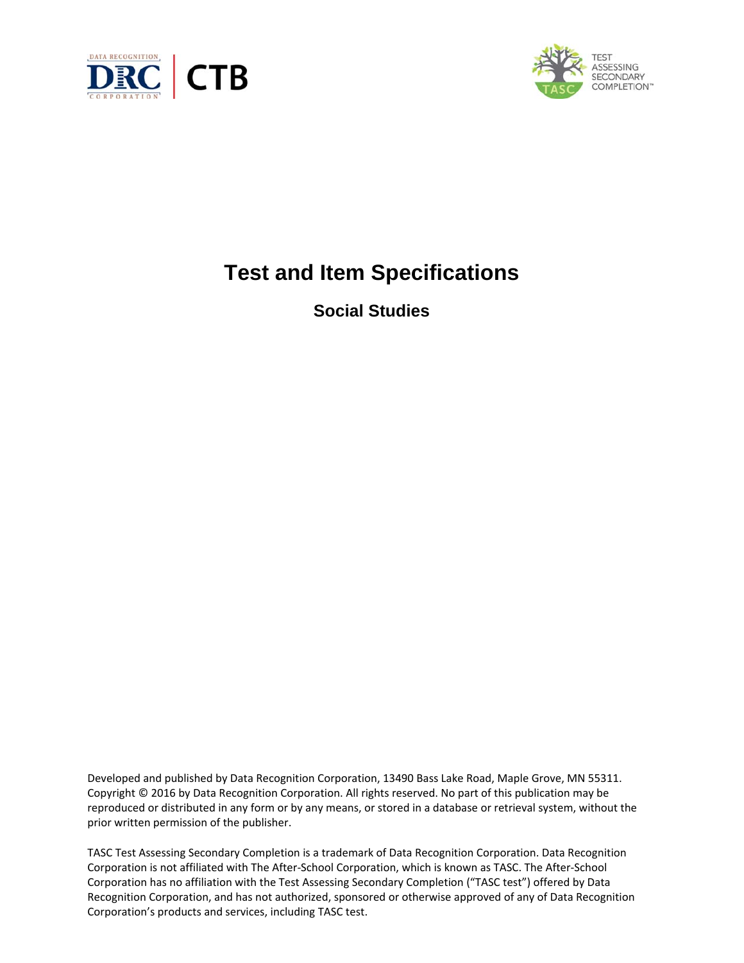



# **Test and Item Specifications**

**Social Studies**

Developed and published by Data Recognition Corporation, 13490 Bass Lake Road, Maple Grove, MN 55311. Copyright © 2016 by Data Recognition Corporation. All rights reserved. No part of this publication may be reproduced or distributed in any form or by any means, or stored in a database or retrieval system, without the prior written permission of the publisher.

TASC Test Assessing Secondary Completion is a trademark of Data Recognition Corporation. Data Recognition Corporation is not affiliated with The After‐School Corporation, which is known as TASC. The After‐School Corporation has no affiliation with the Test Assessing Secondary Completion ("TASC test") offered by Data Recognition Corporation, and has not authorized, sponsored or otherwise approved of any of Data Recognition Corporation's products and services, including TASC test.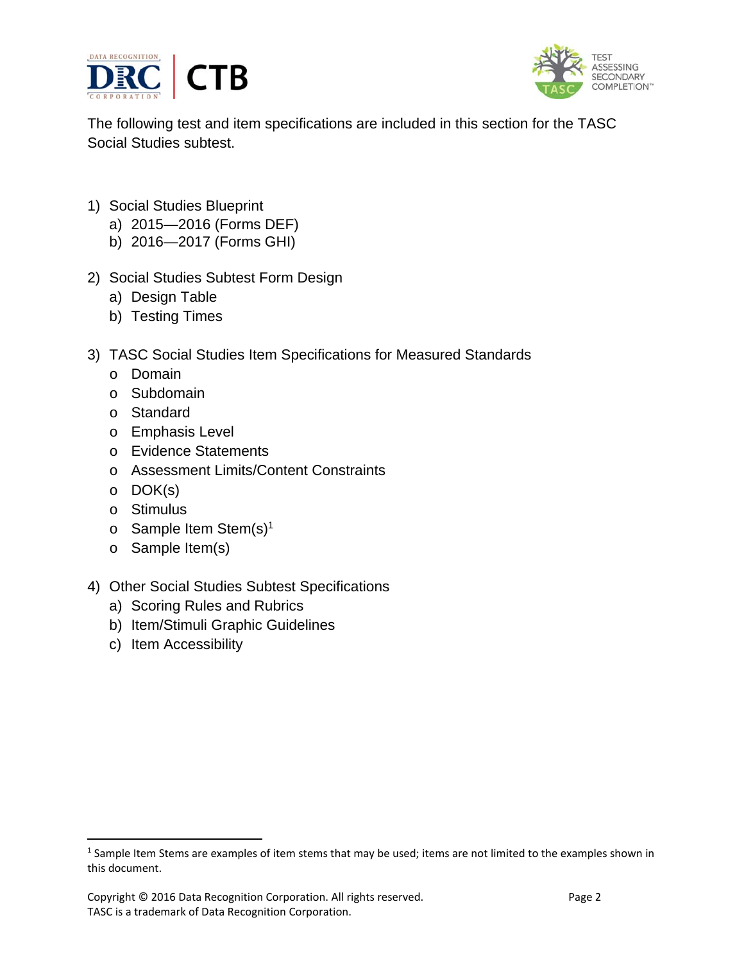



The following test and item specifications are included in this section for the TASC Social Studies subtest.

- 1) Social Studies Blueprint
	- a) 2015—2016 (Forms DEF)
	- b) 2016—2017 (Forms GHI)
- 2) Social Studies Subtest Form Design
	- a) Design Table
	- b) Testing Times
- 3) TASC Social Studies Item Specifications for Measured Standards
	- o Domain
	- o Subdomain
	- o Standard
	- o Emphasis Level
	- o Evidence Statements
	- o Assessment Limits/Content Constraints
	- o DOK(s)
	- o Stimulus
	- o Sample Item Stem(s)1
	- o Sample Item(s)
- 4) Other Social Studies Subtest Specifications
	- a) Scoring Rules and Rubrics
	- b) Item/Stimuli Graphic Guidelines
	- c) Item Accessibility

<sup>&</sup>lt;sup>1</sup> Sample Item Stems are examples of item stems that may be used; items are not limited to the examples shown in this document.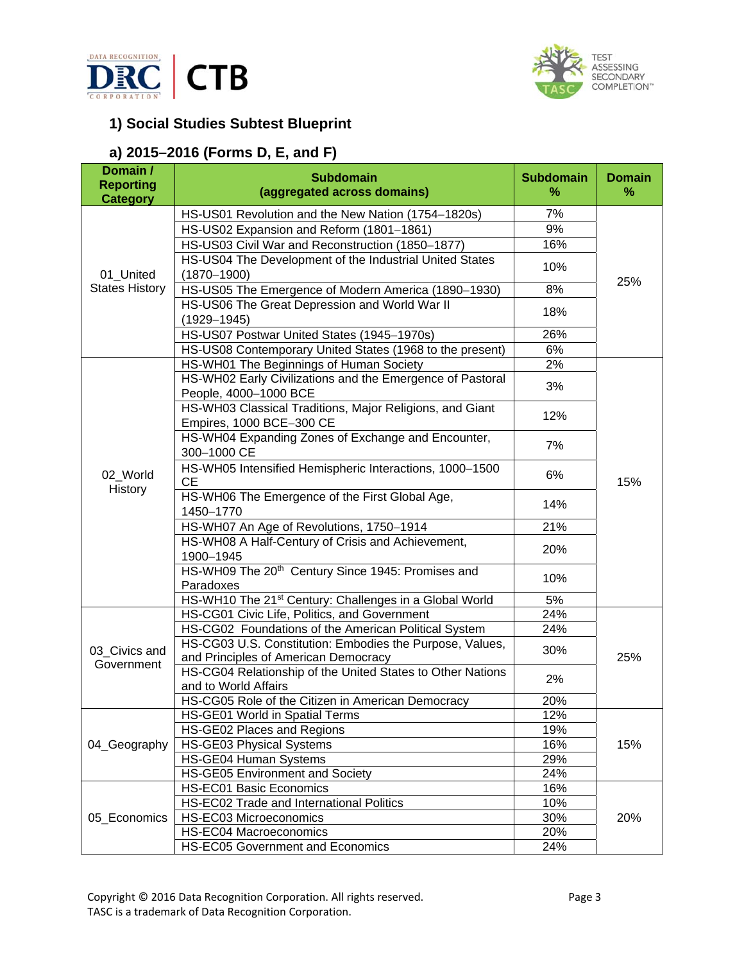



# **1) Social Studies Subtest Blueprint**

## **a) 2015–2016 (Forms D, E, and F)**

| Domain /<br><b>Reporting</b><br><b>Category</b> | <b>Subdomain</b><br>(aggregated across domains)                                                    | <b>Subdomain</b><br>% | <b>Domain</b><br>% |
|-------------------------------------------------|----------------------------------------------------------------------------------------------------|-----------------------|--------------------|
|                                                 | HS-US01 Revolution and the New Nation (1754-1820s)                                                 | 7%                    |                    |
|                                                 | HS-US02 Expansion and Reform (1801-1861)                                                           | 9%                    | 25%                |
|                                                 | HS-US03 Civil War and Reconstruction (1850-1877)                                                   | 16%                   |                    |
|                                                 | HS-US04 The Development of the Industrial United States                                            | 10%                   |                    |
| 01_United                                       | $(1870 - 1900)$                                                                                    |                       |                    |
| <b>States History</b>                           | HS-US05 The Emergence of Modern America (1890-1930)                                                | 8%                    |                    |
|                                                 | HS-US06 The Great Depression and World War II<br>$(1929 - 1945)$                                   | 18%                   |                    |
|                                                 | HS-US07 Postwar United States (1945-1970s)                                                         | 26%                   |                    |
|                                                 | HS-US08 Contemporary United States (1968 to the present)                                           | 6%                    |                    |
|                                                 | HS-WH01 The Beginnings of Human Society                                                            | 2%                    |                    |
|                                                 | HS-WH02 Early Civilizations and the Emergence of Pastoral<br>People, 4000-1000 BCE                 | 3%                    |                    |
|                                                 | HS-WH03 Classical Traditions, Major Religions, and Giant<br>Empires, 1000 BCE-300 CE               | 12%                   |                    |
|                                                 | HS-WH04 Expanding Zones of Exchange and Encounter,<br>300-1000 CE                                  | 7%                    | 15%                |
| 02_World                                        | HS-WH05 Intensified Hemispheric Interactions, 1000-1500<br><b>CE</b>                               | 6%                    |                    |
| History                                         | HS-WH06 The Emergence of the First Global Age,<br>1450-1770                                        | 14%                   |                    |
|                                                 | HS-WH07 An Age of Revolutions, 1750-1914                                                           | 21%                   |                    |
|                                                 | HS-WH08 A Half-Century of Crisis and Achievement,<br>1900-1945                                     | 20%                   |                    |
|                                                 | HS-WH09 The 20 <sup>th</sup> Century Since 1945: Promises and<br>Paradoxes                         | 10%                   |                    |
|                                                 | HS-WH10 The 21 <sup>st</sup> Century: Challenges in a Global World                                 | 5%                    |                    |
|                                                 | HS-CG01 Civic Life, Politics, and Government                                                       | 24%                   |                    |
|                                                 | HS-CG02 Foundations of the American Political System                                               | 24%                   |                    |
| 03_Civics and                                   | HS-CG03 U.S. Constitution: Embodies the Purpose, Values,                                           | 30%                   |                    |
| Government                                      | and Principles of American Democracy<br>HS-CG04 Relationship of the United States to Other Nations |                       | 25%                |
|                                                 | and to World Affairs                                                                               | 2%                    |                    |
|                                                 | HS-CG05 Role of the Citizen in American Democracy                                                  | 20%                   |                    |
| 04_Geography                                    | HS-GE01 World in Spatial Terms                                                                     | 12%                   |                    |
|                                                 | HS-GE02 Places and Regions                                                                         | 19%                   |                    |
|                                                 | HS-GE03 Physical Systems                                                                           | 16%                   | 15%                |
|                                                 | HS-GE04 Human Systems                                                                              | 29%                   |                    |
|                                                 | HS-GE05 Environment and Society                                                                    | 24%                   |                    |
|                                                 | <b>HS-EC01 Basic Economics</b>                                                                     | 16%                   | 20%                |
|                                                 | HS-EC02 Trade and International Politics                                                           | 10%                   |                    |
| 05_Economics                                    | HS-EC03 Microeconomics                                                                             | 30%                   |                    |
|                                                 | HS-EC04 Macroeconomics                                                                             | 20%                   |                    |
|                                                 | HS-EC05 Government and Economics                                                                   | 24%                   |                    |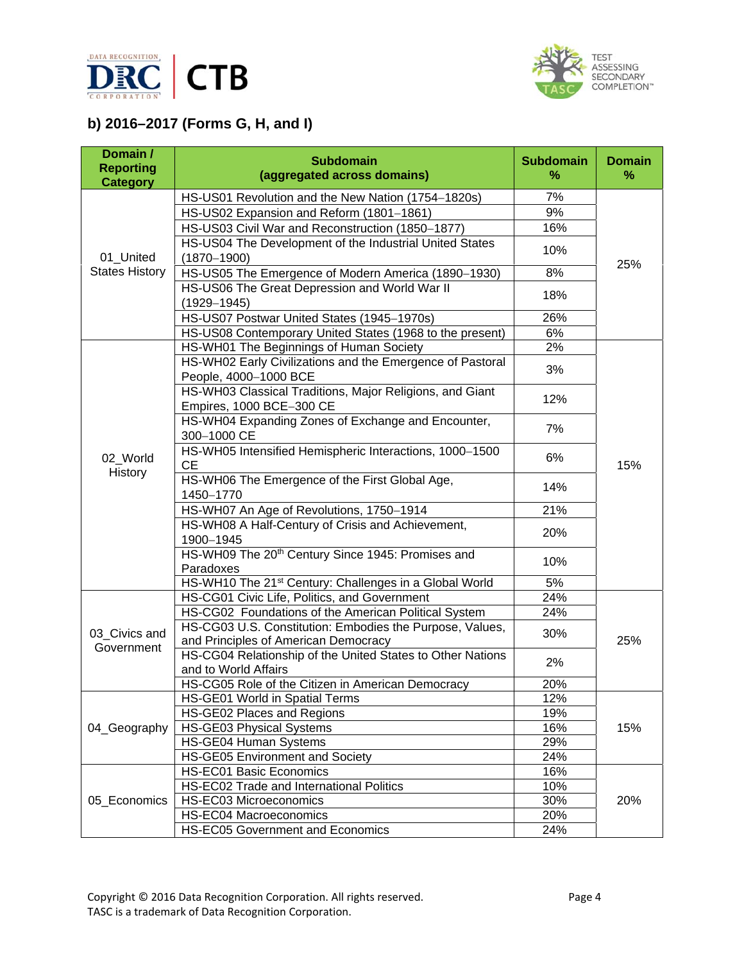



# **b) 2016–2017 (Forms G, H, and I)**

| Domain /<br><b>Reporting</b><br><b>Category</b> | <b>Subdomain</b><br>(aggregated across domains)                                                                            | <b>Subdomain</b><br>% | <b>Domain</b><br>℅ |
|-------------------------------------------------|----------------------------------------------------------------------------------------------------------------------------|-----------------------|--------------------|
| 01_United                                       | HS-US01 Revolution and the New Nation (1754-1820s)                                                                         | 7%                    |                    |
|                                                 | HS-US02 Expansion and Reform (1801-1861)                                                                                   | 9%                    |                    |
|                                                 | HS-US03 Civil War and Reconstruction (1850-1877)                                                                           | 16%                   |                    |
|                                                 | HS-US04 The Development of the Industrial United States<br>$(1870 - 1900)$                                                 | 10%                   |                    |
| <b>States History</b>                           | HS-US05 The Emergence of Modern America (1890-1930)                                                                        | 8%                    | 25%                |
|                                                 | HS-US06 The Great Depression and World War II<br>$(1929 - 1945)$                                                           | 18%                   |                    |
|                                                 | HS-US07 Postwar United States (1945-1970s)                                                                                 | 26%                   |                    |
|                                                 | HS-US08 Contemporary United States (1968 to the present)                                                                   | 6%                    |                    |
|                                                 | HS-WH01 The Beginnings of Human Society                                                                                    | 2%                    |                    |
|                                                 | HS-WH02 Early Civilizations and the Emergence of Pastoral<br>People, 4000-1000 BCE                                         | 3%                    |                    |
|                                                 | HS-WH03 Classical Traditions, Major Religions, and Giant<br>Empires, 1000 BCE-300 CE                                       | 12%                   |                    |
|                                                 | HS-WH04 Expanding Zones of Exchange and Encounter,<br>300-1000 CE                                                          | 7%                    |                    |
| 02_World                                        | HS-WH05 Intensified Hemispheric Interactions, 1000-1500<br><b>CE</b>                                                       | 6%                    | 15%                |
| History                                         | HS-WH06 The Emergence of the First Global Age,<br>1450-1770                                                                | 14%                   |                    |
|                                                 | HS-WH07 An Age of Revolutions, 1750-1914                                                                                   | 21%                   |                    |
|                                                 | HS-WH08 A Half-Century of Crisis and Achievement,<br>1900-1945                                                             | 20%                   |                    |
|                                                 | HS-WH09 The 20 <sup>th</sup> Century Since 1945: Promises and<br>Paradoxes                                                 | 10%                   |                    |
|                                                 | HS-WH10 The 21 <sup>st</sup> Century: Challenges in a Global World                                                         | 5%                    |                    |
|                                                 | HS-CG01 Civic Life, Politics, and Government                                                                               | 24%                   |                    |
|                                                 | HS-CG02 Foundations of the American Political System                                                                       | 24%                   |                    |
| 03_Civics and                                   | HS-CG03 U.S. Constitution: Embodies the Purpose, Values,                                                                   | 30%                   |                    |
| Government                                      | and Principles of American Democracy<br>HS-CG04 Relationship of the United States to Other Nations<br>and to World Affairs | 2%                    | 25%                |
|                                                 | HS-CG05 Role of the Citizen in American Democracy                                                                          | 20%                   |                    |
|                                                 | HS-GE01 World in Spatial Terms                                                                                             | 12%                   |                    |
| 04_Geography                                    | HS-GE02 Places and Regions                                                                                                 | 19%                   |                    |
|                                                 | HS-GE03 Physical Systems                                                                                                   | 16%                   | 15%                |
|                                                 | HS-GE04 Human Systems                                                                                                      | 29%                   |                    |
|                                                 | HS-GE05 Environment and Society                                                                                            | 24%                   |                    |
|                                                 | HS-EC01 Basic Economics                                                                                                    | 16%                   |                    |
|                                                 | HS-EC02 Trade and International Politics                                                                                   | 10%                   |                    |
| 05_Economics                                    | HS-EC03 Microeconomics                                                                                                     | 30%                   | 20%                |
|                                                 | HS-EC04 Macroeconomics                                                                                                     | 20%                   |                    |
|                                                 | HS-EC05 Government and Economics                                                                                           | 24%                   |                    |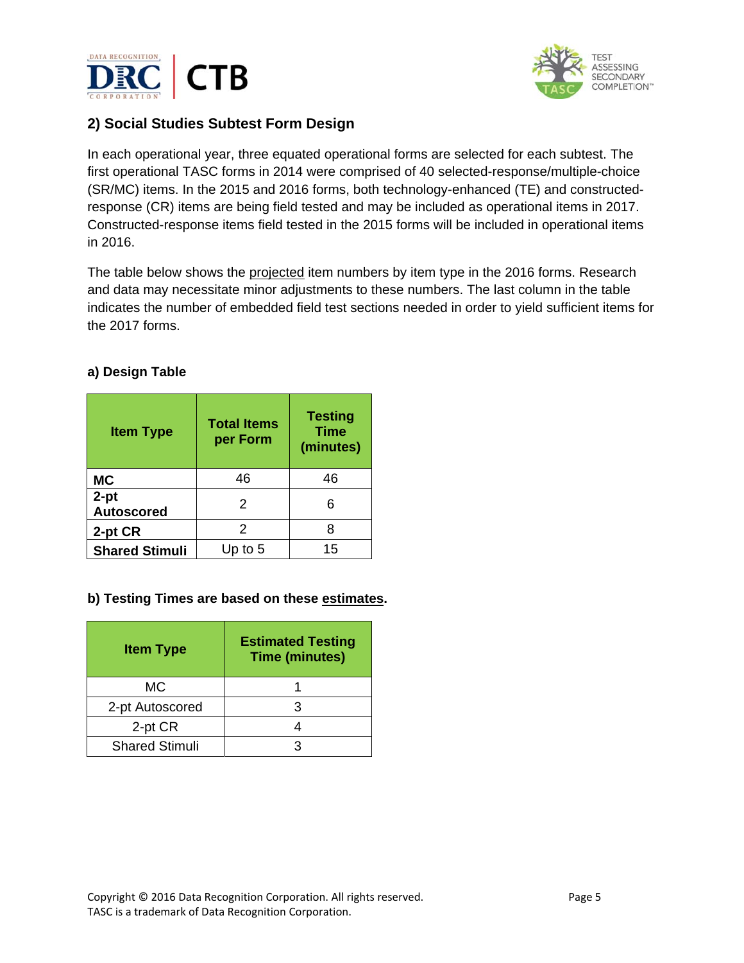



## **2) Social Studies Subtest Form Design**

In each operational year, three equated operational forms are selected for each subtest. The first operational TASC forms in 2014 were comprised of 40 selected-response/multiple-choice (SR/MC) items. In the 2015 and 2016 forms, both technology-enhanced (TE) and constructedresponse (CR) items are being field tested and may be included as operational items in 2017. Constructed-response items field tested in the 2015 forms will be included in operational items in 2016.

The table below shows the projected item numbers by item type in the 2016 forms. Research and data may necessitate minor adjustments to these numbers. The last column in the table indicates the number of embedded field test sections needed in order to yield sufficient items for the 2017 forms.

#### **a) Design Table**

| <b>Item Type</b>            | <b>Total Items</b><br>per Form | <b>Testing</b><br><b>Time</b><br>(minutes) |
|-----------------------------|--------------------------------|--------------------------------------------|
| <b>MC</b>                   | 46                             | 46                                         |
| $2-pt$<br><b>Autoscored</b> | 2                              |                                            |
| 2-pt CR                     | 2                              |                                            |
| <b>Shared Stimuli</b>       | Up to $5$                      | 15                                         |

#### **b) Testing Times are based on these estimates.**

| <b>Item Type</b>      | <b>Estimated Testing</b><br><b>Time (minutes)</b> |
|-----------------------|---------------------------------------------------|
| <b>MC</b>             |                                                   |
| 2-pt Autoscored       |                                                   |
| 2-pt CR               |                                                   |
| <b>Shared Stimuli</b> |                                                   |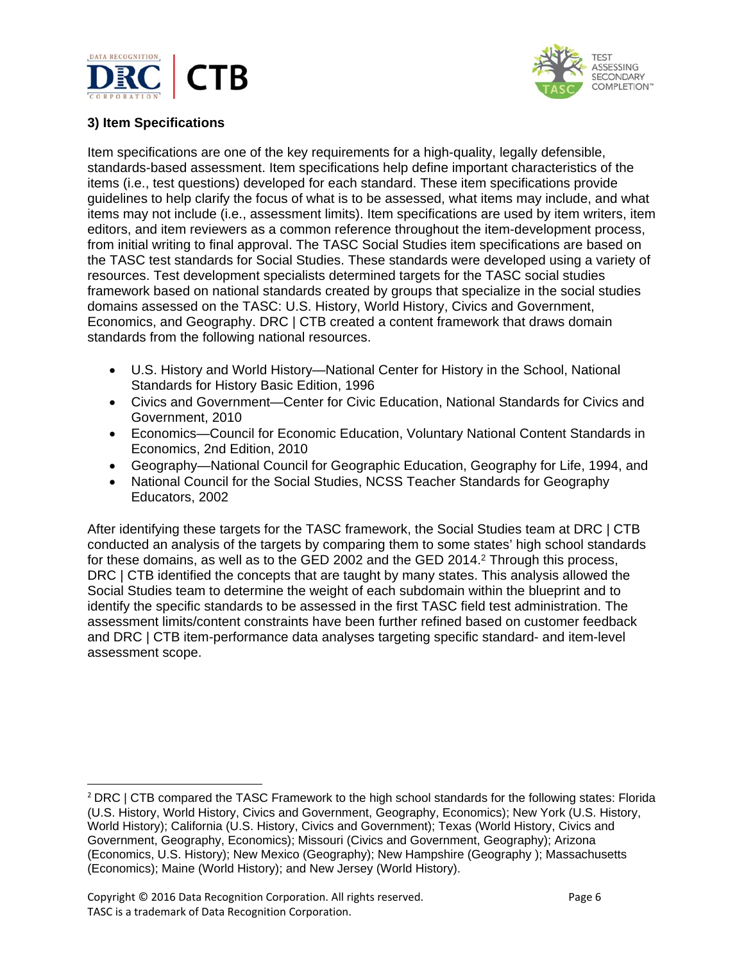



#### **3) Item Specifications**

Item specifications are one of the key requirements for a high-quality, legally defensible, standards-based assessment. Item specifications help define important characteristics of the items (i.e., test questions) developed for each standard. These item specifications provide guidelines to help clarify the focus of what is to be assessed, what items may include, and what items may not include (i.e., assessment limits). Item specifications are used by item writers, item editors, and item reviewers as a common reference throughout the item-development process, from initial writing to final approval. The TASC Social Studies item specifications are based on the TASC test standards for Social Studies. These standards were developed using a variety of resources. Test development specialists determined targets for the TASC social studies framework based on national standards created by groups that specialize in the social studies domains assessed on the TASC: U.S. History, World History, Civics and Government, Economics, and Geography. DRC | CTB created a content framework that draws domain standards from the following national resources.

- U.S. History and World History—National Center for History in the School, National Standards for History Basic Edition, 1996
- Civics and Government—Center for Civic Education, National Standards for Civics and Government, 2010
- Economics—Council for Economic Education, Voluntary National Content Standards in Economics, 2nd Edition, 2010
- Geography—National Council for Geographic Education, Geography for Life, 1994, and
- National Council for the Social Studies, NCSS Teacher Standards for Geography Educators, 2002

After identifying these targets for the TASC framework, the Social Studies team at DRC | CTB conducted an analysis of the targets by comparing them to some states' high school standards for these domains, as well as to the GED 2002 and the GED 2014. $<sup>2</sup>$  Through this process,</sup> DRC | CTB identified the concepts that are taught by many states. This analysis allowed the Social Studies team to determine the weight of each subdomain within the blueprint and to identify the specific standards to be assessed in the first TASC field test administration. The assessment limits/content constraints have been further refined based on customer feedback and DRC | CTB item-performance data analyses targeting specific standard- and item-level assessment scope.

<sup>2</sup> DRC | CTB compared the TASC Framework to the high school standards for the following states: Florida (U.S. History, World History, Civics and Government, Geography, Economics); New York (U.S. History, World History); California (U.S. History, Civics and Government); Texas (World History, Civics and Government, Geography, Economics); Missouri (Civics and Government, Geography); Arizona (Economics, U.S. History); New Mexico (Geography); New Hampshire (Geography ); Massachusetts (Economics); Maine (World History); and New Jersey (World History).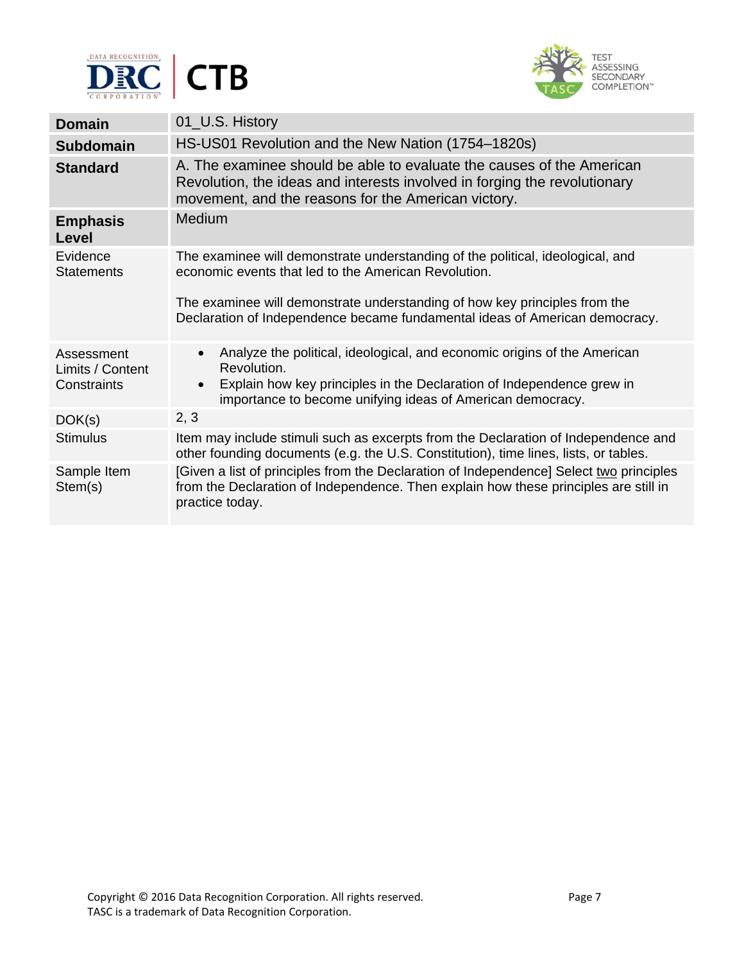



| <b>Domain</b>                                 | 01_U.S. History                                                                                                                                                                                                                                                                                     |
|-----------------------------------------------|-----------------------------------------------------------------------------------------------------------------------------------------------------------------------------------------------------------------------------------------------------------------------------------------------------|
| <b>Subdomain</b>                              | HS-US01 Revolution and the New Nation (1754–1820s)                                                                                                                                                                                                                                                  |
| <b>Standard</b>                               | A. The examinee should be able to evaluate the causes of the American<br>Revolution, the ideas and interests involved in forging the revolutionary<br>movement, and the reasons for the American victory.                                                                                           |
| <b>Emphasis</b><br>Level                      | <b>Medium</b>                                                                                                                                                                                                                                                                                       |
| Evidence<br><b>Statements</b>                 | The examinee will demonstrate understanding of the political, ideological, and<br>economic events that led to the American Revolution.<br>The examinee will demonstrate understanding of how key principles from the<br>Declaration of Independence became fundamental ideas of American democracy. |
| Assessment<br>Limits / Content<br>Constraints | Analyze the political, ideological, and economic origins of the American<br>$\bullet$<br>Revolution.<br>Explain how key principles in the Declaration of Independence grew in<br>$\bullet$<br>importance to become unifying ideas of American democracy.                                            |
| DOK(s)                                        | 2, 3                                                                                                                                                                                                                                                                                                |
| <b>Stimulus</b>                               | Item may include stimuli such as excerpts from the Declaration of Independence and<br>other founding documents (e.g. the U.S. Constitution), time lines, lists, or tables.                                                                                                                          |
| Sample Item<br>Stem(s)                        | [Given a list of principles from the Declaration of Independence] Select two principles<br>from the Declaration of Independence. Then explain how these principles are still in<br>practice today.                                                                                                  |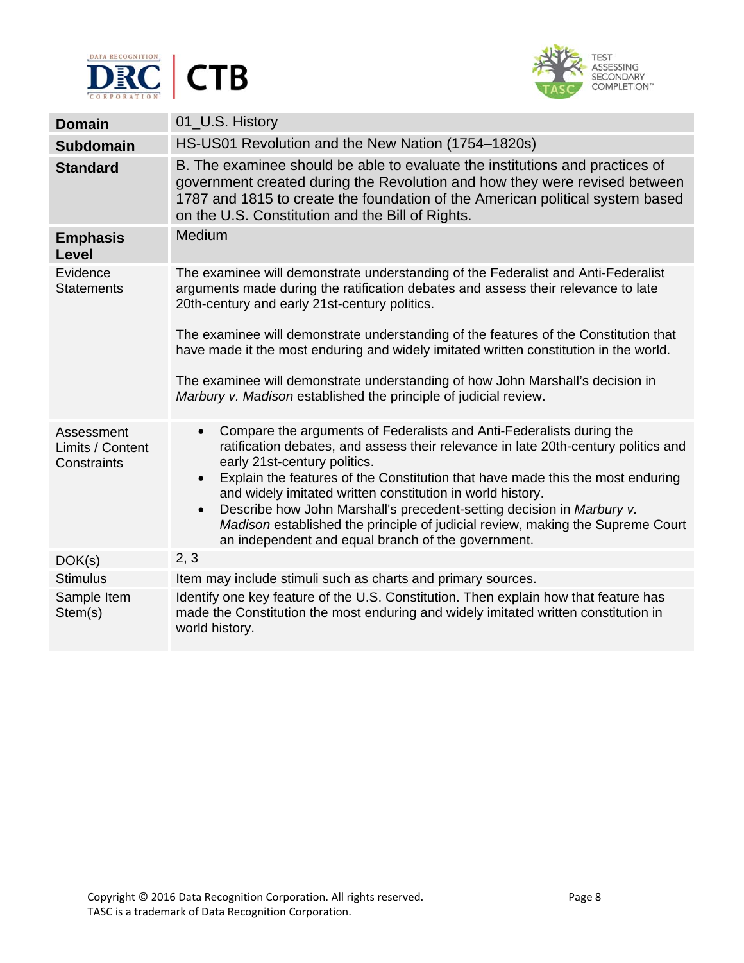



| <b>Domain</b>                                 | 01_U.S. History                                                                                                                                                                                                                                                                                        |
|-----------------------------------------------|--------------------------------------------------------------------------------------------------------------------------------------------------------------------------------------------------------------------------------------------------------------------------------------------------------|
| <b>Subdomain</b>                              | HS-US01 Revolution and the New Nation (1754–1820s)                                                                                                                                                                                                                                                     |
| <b>Standard</b>                               | B. The examinee should be able to evaluate the institutions and practices of<br>government created during the Revolution and how they were revised between<br>1787 and 1815 to create the foundation of the American political system based<br>on the U.S. Constitution and the Bill of Rights.        |
| <b>Emphasis</b><br>Level                      | Medium                                                                                                                                                                                                                                                                                                 |
| Evidence<br><b>Statements</b>                 | The examinee will demonstrate understanding of the Federalist and Anti-Federalist<br>arguments made during the ratification debates and assess their relevance to late<br>20th-century and early 21st-century politics.                                                                                |
|                                               | The examinee will demonstrate understanding of the features of the Constitution that<br>have made it the most enduring and widely imitated written constitution in the world.                                                                                                                          |
|                                               | The examinee will demonstrate understanding of how John Marshall's decision in<br>Marbury v. Madison established the principle of judicial review.                                                                                                                                                     |
| Assessment<br>Limits / Content<br>Constraints | Compare the arguments of Federalists and Anti-Federalists during the<br>$\bullet$<br>ratification debates, and assess their relevance in late 20th-century politics and<br>early 21st-century politics.<br>Explain the features of the Constitution that have made this the most enduring<br>$\bullet$ |
|                                               | and widely imitated written constitution in world history.<br>Describe how John Marshall's precedent-setting decision in Marbury v.<br>$\bullet$<br>Madison established the principle of judicial review, making the Supreme Court<br>an independent and equal branch of the government.               |
| DOK(s)                                        | 2, 3                                                                                                                                                                                                                                                                                                   |
| <b>Stimulus</b>                               | Item may include stimuli such as charts and primary sources.                                                                                                                                                                                                                                           |
| Sample Item<br>Stem(s)                        | Identify one key feature of the U.S. Constitution. Then explain how that feature has<br>made the Constitution the most enduring and widely imitated written constitution in<br>world history.                                                                                                          |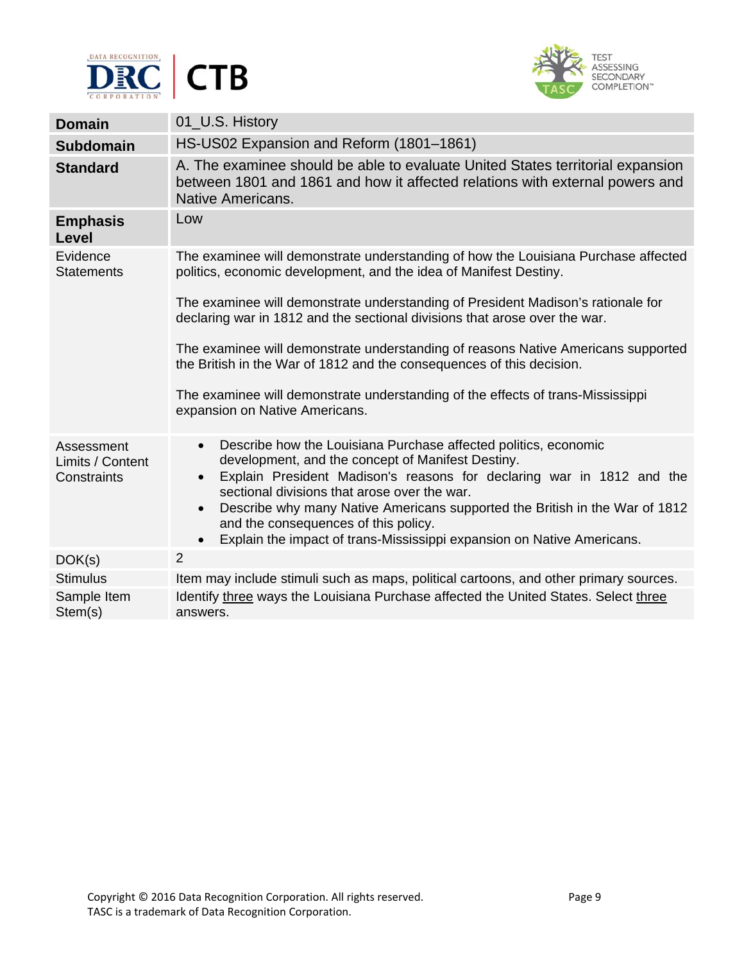



| <b>Domain</b>                                 | 01_U.S. History                                                                                                                                                                                                                                                         |
|-----------------------------------------------|-------------------------------------------------------------------------------------------------------------------------------------------------------------------------------------------------------------------------------------------------------------------------|
| <b>Subdomain</b>                              | HS-US02 Expansion and Reform (1801-1861)                                                                                                                                                                                                                                |
| <b>Standard</b>                               | A. The examinee should be able to evaluate United States territorial expansion<br>between 1801 and 1861 and how it affected relations with external powers and<br>Native Americans.                                                                                     |
| <b>Emphasis</b><br>Level                      | Low                                                                                                                                                                                                                                                                     |
| Evidence<br><b>Statements</b>                 | The examinee will demonstrate understanding of how the Louisiana Purchase affected<br>politics, economic development, and the idea of Manifest Destiny.                                                                                                                 |
|                                               | The examinee will demonstrate understanding of President Madison's rationale for<br>declaring war in 1812 and the sectional divisions that arose over the war.                                                                                                          |
|                                               | The examinee will demonstrate understanding of reasons Native Americans supported<br>the British in the War of 1812 and the consequences of this decision.                                                                                                              |
|                                               | The examinee will demonstrate understanding of the effects of trans-Mississippi<br>expansion on Native Americans.                                                                                                                                                       |
| Assessment<br>Limits / Content<br>Constraints | Describe how the Louisiana Purchase affected politics, economic<br>$\bullet$<br>development, and the concept of Manifest Destiny.<br>Explain President Madison's reasons for declaring war in 1812 and the<br>$\bullet$<br>sectional divisions that arose over the war. |
|                                               | Describe why many Native Americans supported the British in the War of 1812<br>$\bullet$<br>and the consequences of this policy.<br>Explain the impact of trans-Mississippi expansion on Native Americans.<br>$\bullet$                                                 |
| DOK(s)                                        | $\overline{2}$                                                                                                                                                                                                                                                          |
| <b>Stimulus</b>                               | Item may include stimuli such as maps, political cartoons, and other primary sources.                                                                                                                                                                                   |
| Sample Item<br>Stem(s)                        | Identify three ways the Louisiana Purchase affected the United States. Select three<br>answers.                                                                                                                                                                         |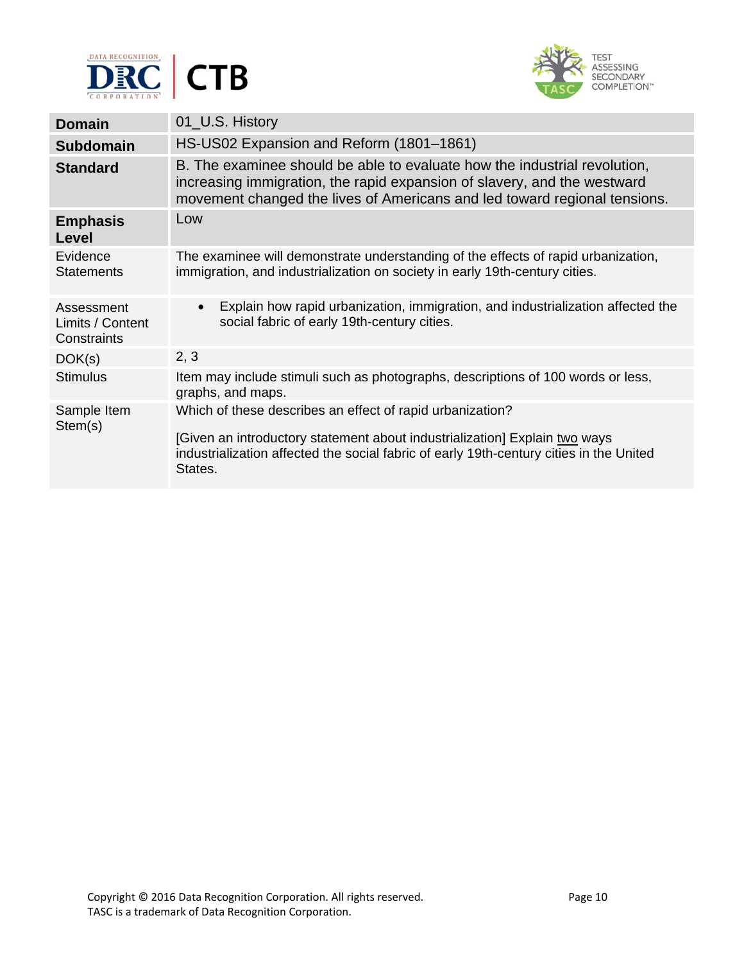



| <b>Domain</b>                                 | 01_U.S. History                                                                                                                                                                                                                               |
|-----------------------------------------------|-----------------------------------------------------------------------------------------------------------------------------------------------------------------------------------------------------------------------------------------------|
| <b>Subdomain</b>                              | HS-US02 Expansion and Reform (1801-1861)                                                                                                                                                                                                      |
| <b>Standard</b>                               | B. The examinee should be able to evaluate how the industrial revolution,<br>increasing immigration, the rapid expansion of slavery, and the westward<br>movement changed the lives of Americans and led toward regional tensions.            |
| <b>Emphasis</b><br>Level                      | Low                                                                                                                                                                                                                                           |
| Evidence<br><b>Statements</b>                 | The examinee will demonstrate understanding of the effects of rapid urbanization,<br>immigration, and industrialization on society in early 19th-century cities.                                                                              |
| Assessment<br>Limits / Content<br>Constraints | Explain how rapid urbanization, immigration, and industrialization affected the<br>$\bullet$<br>social fabric of early 19th-century cities.                                                                                                   |
| DOK(s)                                        | 2, 3                                                                                                                                                                                                                                          |
| <b>Stimulus</b>                               | Item may include stimuli such as photographs, descriptions of 100 words or less,<br>graphs, and maps.                                                                                                                                         |
| Sample Item<br>Stem(s)                        | Which of these describes an effect of rapid urbanization?<br>[Given an introductory statement about industrialization] Explain two ways<br>industrialization affected the social fabric of early 19th-century cities in the United<br>States. |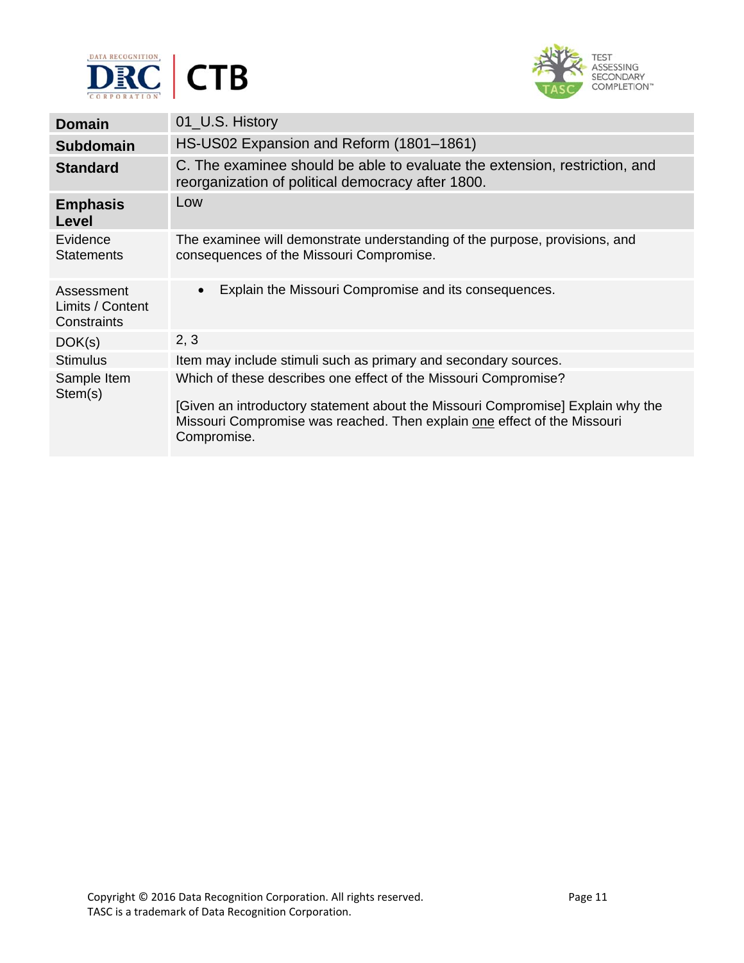



| <b>Domain</b>                                 | 01_U.S. History                                                                                                                                                                                                                               |
|-----------------------------------------------|-----------------------------------------------------------------------------------------------------------------------------------------------------------------------------------------------------------------------------------------------|
| <b>Subdomain</b>                              | HS-US02 Expansion and Reform (1801-1861)                                                                                                                                                                                                      |
| <b>Standard</b>                               | C. The examinee should be able to evaluate the extension, restriction, and<br>reorganization of political democracy after 1800.                                                                                                               |
| <b>Emphasis</b><br>Level                      | Low                                                                                                                                                                                                                                           |
| Evidence<br><b>Statements</b>                 | The examinee will demonstrate understanding of the purpose, provisions, and<br>consequences of the Missouri Compromise.                                                                                                                       |
| Assessment<br>Limits / Content<br>Constraints | Explain the Missouri Compromise and its consequences.<br>$\bullet$                                                                                                                                                                            |
| DOK(s)                                        | 2, 3                                                                                                                                                                                                                                          |
| <b>Stimulus</b>                               | Item may include stimuli such as primary and secondary sources.                                                                                                                                                                               |
| Sample Item<br>Stem(s)                        | Which of these describes one effect of the Missouri Compromise?<br>[Given an introductory statement about the Missouri Compromise] Explain why the<br>Missouri Compromise was reached. Then explain one effect of the Missouri<br>Compromise. |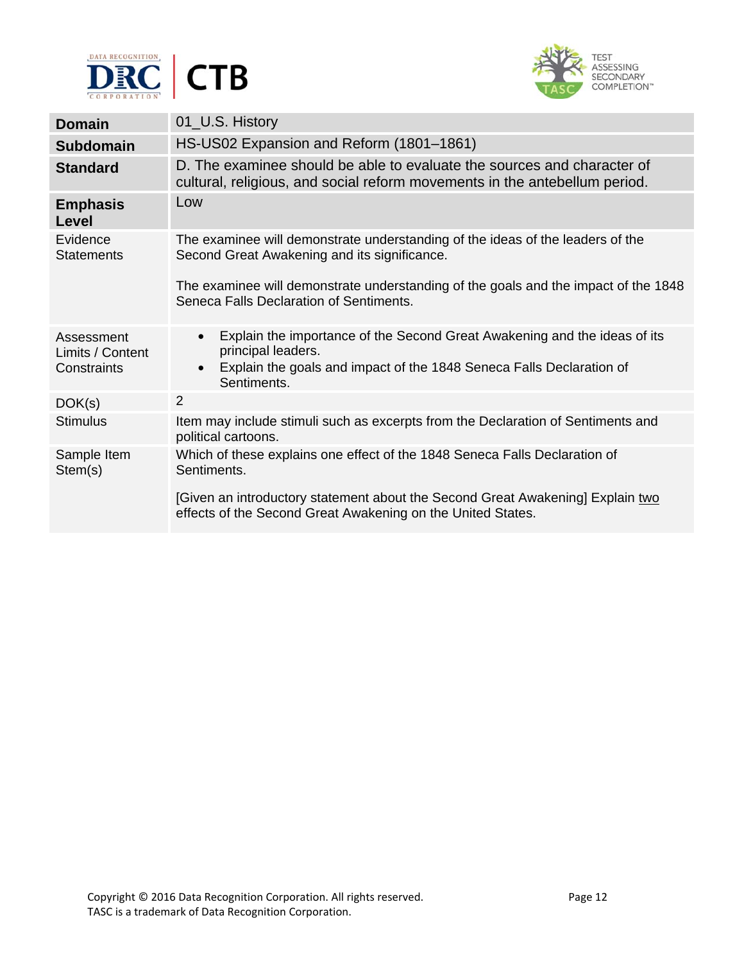



| <b>Domain</b>                                 | 01_U.S. History                                                                                                                                                                                                  |
|-----------------------------------------------|------------------------------------------------------------------------------------------------------------------------------------------------------------------------------------------------------------------|
| <b>Subdomain</b>                              | HS-US02 Expansion and Reform (1801-1861)                                                                                                                                                                         |
| <b>Standard</b>                               | D. The examinee should be able to evaluate the sources and character of<br>cultural, religious, and social reform movements in the antebellum period.                                                            |
| <b>Emphasis</b><br>Level                      | Low                                                                                                                                                                                                              |
| Evidence<br><b>Statements</b>                 | The examinee will demonstrate understanding of the ideas of the leaders of the<br>Second Great Awakening and its significance.                                                                                   |
|                                               | The examinee will demonstrate understanding of the goals and the impact of the 1848<br>Seneca Falls Declaration of Sentiments.                                                                                   |
| Assessment<br>Limits / Content<br>Constraints | Explain the importance of the Second Great Awakening and the ideas of its<br>$\bullet$<br>principal leaders.<br>Explain the goals and impact of the 1848 Seneca Falls Declaration of<br>$\bullet$<br>Sentiments. |
| DOK(s)                                        | $\overline{2}$                                                                                                                                                                                                   |
| <b>Stimulus</b>                               | Item may include stimuli such as excerpts from the Declaration of Sentiments and<br>political cartoons.                                                                                                          |
| Sample Item<br>Stem(s)                        | Which of these explains one effect of the 1848 Seneca Falls Declaration of<br>Sentiments.                                                                                                                        |
|                                               | [Given an introductory statement about the Second Great Awakening] Explain two<br>effects of the Second Great Awakening on the United States.                                                                    |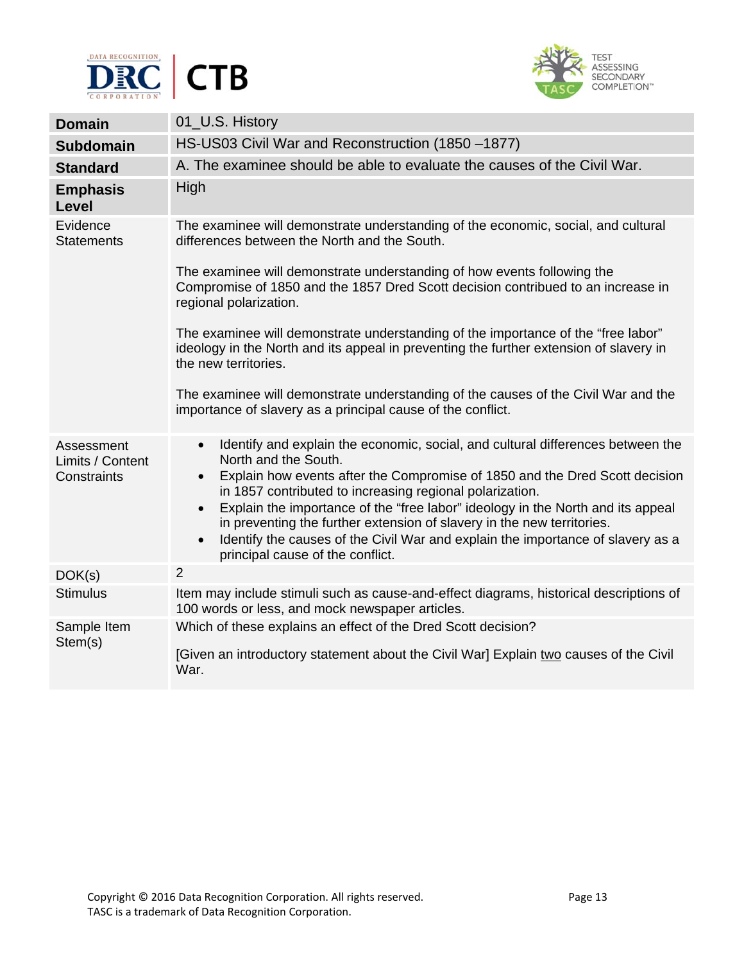



| <b>Domain</b>                                 | 01_U.S. History                                                                                                                                                                                                                                                                                                                                                                                                                                                                                                                                                                            |
|-----------------------------------------------|--------------------------------------------------------------------------------------------------------------------------------------------------------------------------------------------------------------------------------------------------------------------------------------------------------------------------------------------------------------------------------------------------------------------------------------------------------------------------------------------------------------------------------------------------------------------------------------------|
| <b>Subdomain</b>                              | HS-US03 Civil War and Reconstruction (1850 -1877)                                                                                                                                                                                                                                                                                                                                                                                                                                                                                                                                          |
| <b>Standard</b>                               | A. The examinee should be able to evaluate the causes of the Civil War.                                                                                                                                                                                                                                                                                                                                                                                                                                                                                                                    |
| <b>Emphasis</b><br><b>Level</b>               | High                                                                                                                                                                                                                                                                                                                                                                                                                                                                                                                                                                                       |
| Evidence<br><b>Statements</b>                 | The examinee will demonstrate understanding of the economic, social, and cultural<br>differences between the North and the South.                                                                                                                                                                                                                                                                                                                                                                                                                                                          |
|                                               | The examinee will demonstrate understanding of how events following the<br>Compromise of 1850 and the 1857 Dred Scott decision contribued to an increase in<br>regional polarization.                                                                                                                                                                                                                                                                                                                                                                                                      |
|                                               | The examinee will demonstrate understanding of the importance of the "free labor"<br>ideology in the North and its appeal in preventing the further extension of slavery in<br>the new territories.                                                                                                                                                                                                                                                                                                                                                                                        |
|                                               | The examinee will demonstrate understanding of the causes of the Civil War and the<br>importance of slavery as a principal cause of the conflict.                                                                                                                                                                                                                                                                                                                                                                                                                                          |
| Assessment<br>Limits / Content<br>Constraints | Identify and explain the economic, social, and cultural differences between the<br>$\bullet$<br>North and the South.<br>Explain how events after the Compromise of 1850 and the Dred Scott decision<br>$\bullet$<br>in 1857 contributed to increasing regional polarization.<br>Explain the importance of the "free labor" ideology in the North and its appeal<br>$\bullet$<br>in preventing the further extension of slavery in the new territories.<br>Identify the causes of the Civil War and explain the importance of slavery as a<br>$\bullet$<br>principal cause of the conflict. |
| DOK(s)                                        | 2                                                                                                                                                                                                                                                                                                                                                                                                                                                                                                                                                                                          |
| <b>Stimulus</b>                               | Item may include stimuli such as cause-and-effect diagrams, historical descriptions of<br>100 words or less, and mock newspaper articles.                                                                                                                                                                                                                                                                                                                                                                                                                                                  |
| Sample Item<br>Stem(s)                        | Which of these explains an effect of the Dred Scott decision?<br>[Given an introductory statement about the Civil War] Explain two causes of the Civil<br>War.                                                                                                                                                                                                                                                                                                                                                                                                                             |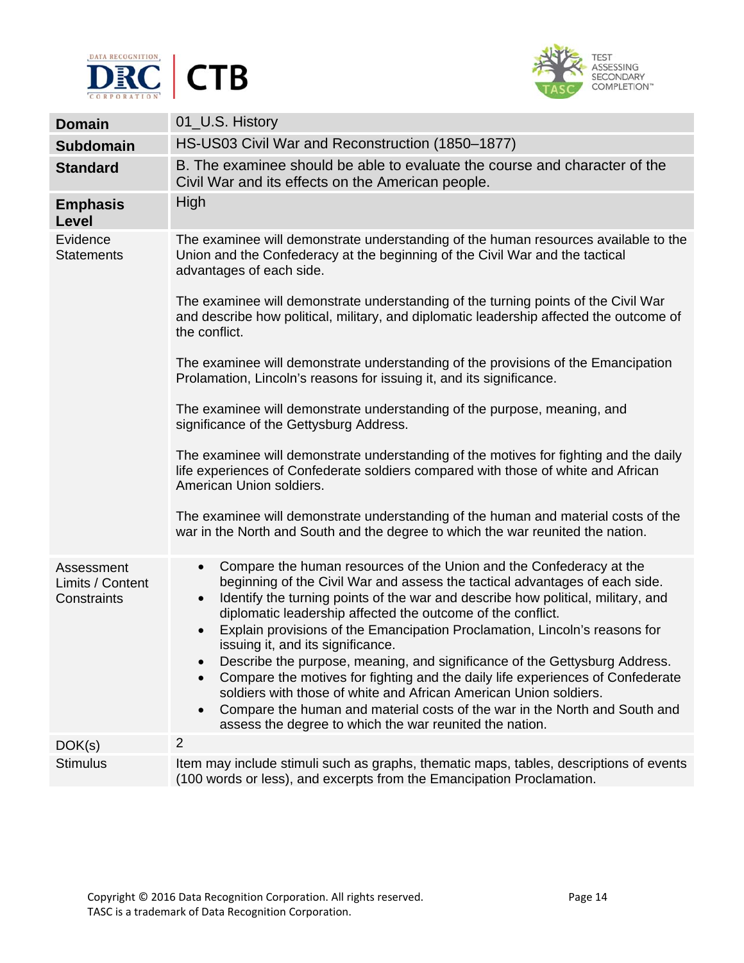



| <b>Domain</b>                                 | 01_U.S. History                                                                                                                                                                                                                                                                                                                                                                                                                                                                                                                                                                                                                                                                                                                                                                                                                                                         |
|-----------------------------------------------|-------------------------------------------------------------------------------------------------------------------------------------------------------------------------------------------------------------------------------------------------------------------------------------------------------------------------------------------------------------------------------------------------------------------------------------------------------------------------------------------------------------------------------------------------------------------------------------------------------------------------------------------------------------------------------------------------------------------------------------------------------------------------------------------------------------------------------------------------------------------------|
| <b>Subdomain</b>                              | HS-US03 Civil War and Reconstruction (1850-1877)                                                                                                                                                                                                                                                                                                                                                                                                                                                                                                                                                                                                                                                                                                                                                                                                                        |
| <b>Standard</b>                               | B. The examinee should be able to evaluate the course and character of the<br>Civil War and its effects on the American people.                                                                                                                                                                                                                                                                                                                                                                                                                                                                                                                                                                                                                                                                                                                                         |
| <b>Emphasis</b><br>Level                      | High                                                                                                                                                                                                                                                                                                                                                                                                                                                                                                                                                                                                                                                                                                                                                                                                                                                                    |
| Evidence<br><b>Statements</b>                 | The examinee will demonstrate understanding of the human resources available to the<br>Union and the Confederacy at the beginning of the Civil War and the tactical<br>advantages of each side.                                                                                                                                                                                                                                                                                                                                                                                                                                                                                                                                                                                                                                                                         |
|                                               | The examinee will demonstrate understanding of the turning points of the Civil War<br>and describe how political, military, and diplomatic leadership affected the outcome of<br>the conflict.                                                                                                                                                                                                                                                                                                                                                                                                                                                                                                                                                                                                                                                                          |
|                                               | The examinee will demonstrate understanding of the provisions of the Emancipation<br>Prolamation, Lincoln's reasons for issuing it, and its significance.                                                                                                                                                                                                                                                                                                                                                                                                                                                                                                                                                                                                                                                                                                               |
|                                               | The examinee will demonstrate understanding of the purpose, meaning, and<br>significance of the Gettysburg Address.                                                                                                                                                                                                                                                                                                                                                                                                                                                                                                                                                                                                                                                                                                                                                     |
|                                               | The examinee will demonstrate understanding of the motives for fighting and the daily<br>life experiences of Confederate soldiers compared with those of white and African<br>American Union soldiers.                                                                                                                                                                                                                                                                                                                                                                                                                                                                                                                                                                                                                                                                  |
|                                               | The examinee will demonstrate understanding of the human and material costs of the<br>war in the North and South and the degree to which the war reunited the nation.                                                                                                                                                                                                                                                                                                                                                                                                                                                                                                                                                                                                                                                                                                   |
| Assessment<br>Limits / Content<br>Constraints | Compare the human resources of the Union and the Confederacy at the<br>$\bullet$<br>beginning of the Civil War and assess the tactical advantages of each side.<br>Identify the turning points of the war and describe how political, military, and<br>$\bullet$<br>diplomatic leadership affected the outcome of the conflict.<br>Explain provisions of the Emancipation Proclamation, Lincoln's reasons for<br>$\bullet$<br>issuing it, and its significance.<br>Describe the purpose, meaning, and significance of the Gettysburg Address.<br>$\bullet$<br>Compare the motives for fighting and the daily life experiences of Confederate<br>soldiers with those of white and African American Union soldiers.<br>Compare the human and material costs of the war in the North and South and<br>$\bullet$<br>assess the degree to which the war reunited the nation. |
| DOK(s)                                        | $\overline{2}$                                                                                                                                                                                                                                                                                                                                                                                                                                                                                                                                                                                                                                                                                                                                                                                                                                                          |
| <b>Stimulus</b>                               | Item may include stimuli such as graphs, thematic maps, tables, descriptions of events<br>(100 words or less), and excerpts from the Emancipation Proclamation.                                                                                                                                                                                                                                                                                                                                                                                                                                                                                                                                                                                                                                                                                                         |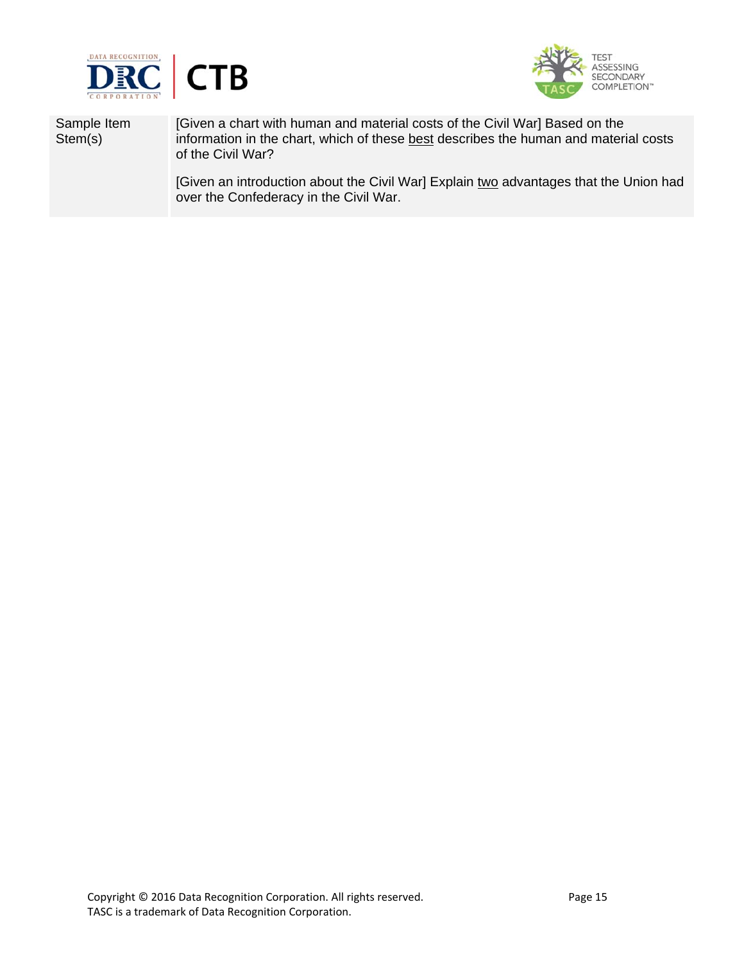



Sample Item Stem(s)

[Given a chart with human and material costs of the Civil War] Based on the information in the chart, which of these best describes the human and material costs of the Civil War?

[Given an introduction about the Civil War] Explain two advantages that the Union had over the Confederacy in the Civil War.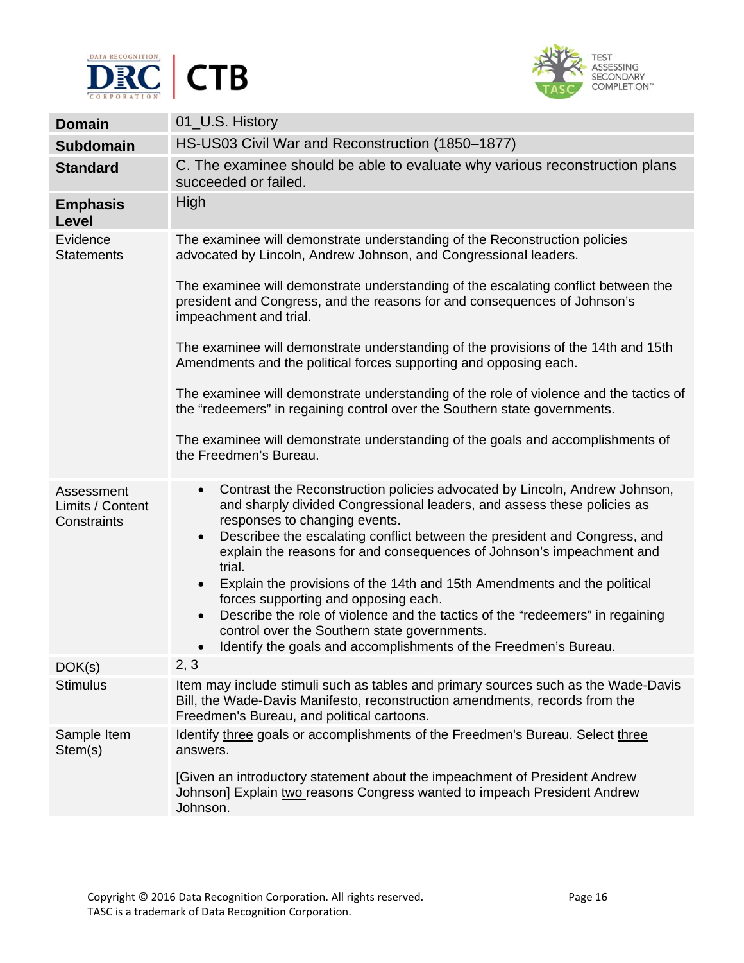



| <b>Domain</b>                                 | 01_U.S. History                                                                                                                                                                                                                                                                                                                                                                                                                                                                                                                                                                                                                                                                                                                                                  |
|-----------------------------------------------|------------------------------------------------------------------------------------------------------------------------------------------------------------------------------------------------------------------------------------------------------------------------------------------------------------------------------------------------------------------------------------------------------------------------------------------------------------------------------------------------------------------------------------------------------------------------------------------------------------------------------------------------------------------------------------------------------------------------------------------------------------------|
| <b>Subdomain</b>                              | HS-US03 Civil War and Reconstruction (1850-1877)                                                                                                                                                                                                                                                                                                                                                                                                                                                                                                                                                                                                                                                                                                                 |
| <b>Standard</b>                               | C. The examinee should be able to evaluate why various reconstruction plans<br>succeeded or failed.                                                                                                                                                                                                                                                                                                                                                                                                                                                                                                                                                                                                                                                              |
| <b>Emphasis</b><br>Level                      | High                                                                                                                                                                                                                                                                                                                                                                                                                                                                                                                                                                                                                                                                                                                                                             |
| Evidence<br><b>Statements</b>                 | The examinee will demonstrate understanding of the Reconstruction policies<br>advocated by Lincoln, Andrew Johnson, and Congressional leaders.<br>The examinee will demonstrate understanding of the escalating conflict between the<br>president and Congress, and the reasons for and consequences of Johnson's<br>impeachment and trial.<br>The examinee will demonstrate understanding of the provisions of the 14th and 15th<br>Amendments and the political forces supporting and opposing each.<br>The examinee will demonstrate understanding of the role of violence and the tactics of<br>the "redeemers" in regaining control over the Southern state governments.<br>The examinee will demonstrate understanding of the goals and accomplishments of |
|                                               | the Freedmen's Bureau.                                                                                                                                                                                                                                                                                                                                                                                                                                                                                                                                                                                                                                                                                                                                           |
| Assessment<br>Limits / Content<br>Constraints | Contrast the Reconstruction policies advocated by Lincoln, Andrew Johnson,<br>$\bullet$<br>and sharply divided Congressional leaders, and assess these policies as<br>responses to changing events.<br>Describee the escalating conflict between the president and Congress, and<br>$\bullet$<br>explain the reasons for and consequences of Johnson's impeachment and<br>trial.<br>Explain the provisions of the 14th and 15th Amendments and the political<br>$\bullet$<br>forces supporting and opposing each.<br>Describe the role of violence and the tactics of the "redeemers" in regaining<br>$\bullet$<br>control over the Southern state governments.<br>Identify the goals and accomplishments of the Freedmen's Bureau.<br>$\bullet$                 |
| DOK(s)                                        | 2, 3                                                                                                                                                                                                                                                                                                                                                                                                                                                                                                                                                                                                                                                                                                                                                             |
| <b>Stimulus</b>                               | Item may include stimuli such as tables and primary sources such as the Wade-Davis<br>Bill, the Wade-Davis Manifesto, reconstruction amendments, records from the<br>Freedmen's Bureau, and political cartoons.                                                                                                                                                                                                                                                                                                                                                                                                                                                                                                                                                  |
| Sample Item<br>Stem(s)                        | Identify three goals or accomplishments of the Freedmen's Bureau. Select three<br>answers.<br>[Given an introductory statement about the impeachment of President Andrew<br>Johnson] Explain two reasons Congress wanted to impeach President Andrew<br>Johnson.                                                                                                                                                                                                                                                                                                                                                                                                                                                                                                 |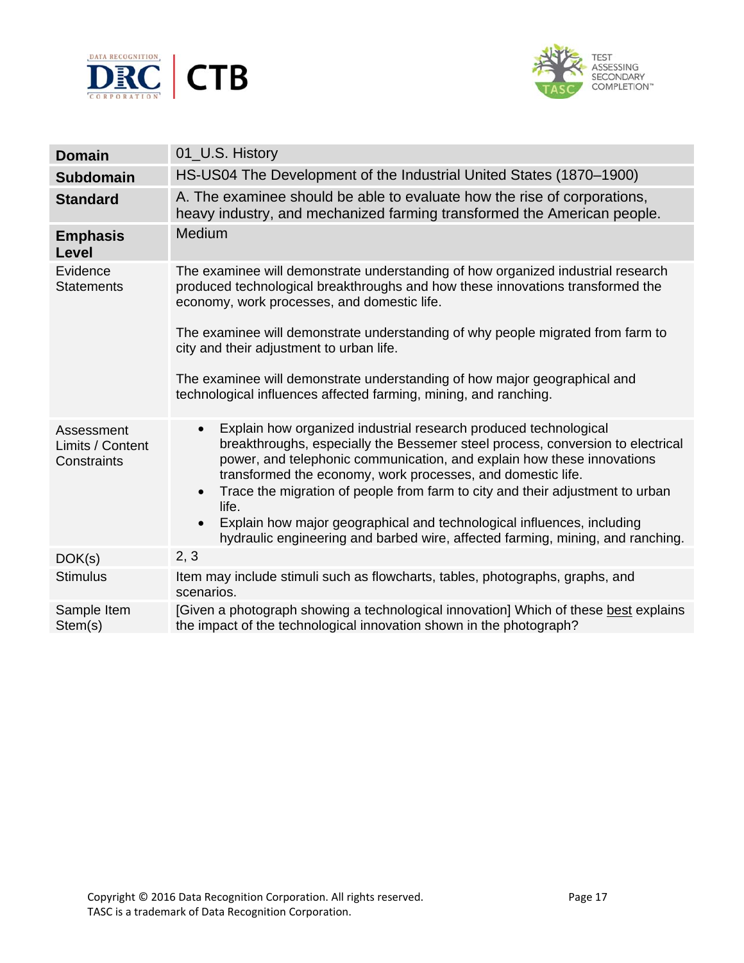



| <b>Domain</b>                                 | 01_U.S. History                                                                                                                                                                                                                                                                                                                                                                                                                                                                                                                                                                          |
|-----------------------------------------------|------------------------------------------------------------------------------------------------------------------------------------------------------------------------------------------------------------------------------------------------------------------------------------------------------------------------------------------------------------------------------------------------------------------------------------------------------------------------------------------------------------------------------------------------------------------------------------------|
| <b>Subdomain</b>                              | HS-US04 The Development of the Industrial United States (1870–1900)                                                                                                                                                                                                                                                                                                                                                                                                                                                                                                                      |
| <b>Standard</b>                               | A. The examinee should be able to evaluate how the rise of corporations,<br>heavy industry, and mechanized farming transformed the American people.                                                                                                                                                                                                                                                                                                                                                                                                                                      |
| <b>Emphasis</b><br>Level                      | <b>Medium</b>                                                                                                                                                                                                                                                                                                                                                                                                                                                                                                                                                                            |
| Evidence<br><b>Statements</b>                 | The examinee will demonstrate understanding of how organized industrial research<br>produced technological breakthroughs and how these innovations transformed the<br>economy, work processes, and domestic life.                                                                                                                                                                                                                                                                                                                                                                        |
|                                               | The examinee will demonstrate understanding of why people migrated from farm to<br>city and their adjustment to urban life.                                                                                                                                                                                                                                                                                                                                                                                                                                                              |
|                                               | The examinee will demonstrate understanding of how major geographical and<br>technological influences affected farming, mining, and ranching.                                                                                                                                                                                                                                                                                                                                                                                                                                            |
| Assessment<br>Limits / Content<br>Constraints | Explain how organized industrial research produced technological<br>$\bullet$<br>breakthroughs, especially the Bessemer steel process, conversion to electrical<br>power, and telephonic communication, and explain how these innovations<br>transformed the economy, work processes, and domestic life.<br>Trace the migration of people from farm to city and their adjustment to urban<br>$\bullet$<br>life.<br>Explain how major geographical and technological influences, including<br>$\bullet$<br>hydraulic engineering and barbed wire, affected farming, mining, and ranching. |
| DOK(s)                                        | 2, 3                                                                                                                                                                                                                                                                                                                                                                                                                                                                                                                                                                                     |
| <b>Stimulus</b>                               | Item may include stimuli such as flowcharts, tables, photographs, graphs, and<br>scenarios.                                                                                                                                                                                                                                                                                                                                                                                                                                                                                              |
| Sample Item<br>Stem(s)                        | [Given a photograph showing a technological innovation] Which of these best explains<br>the impact of the technological innovation shown in the photograph?                                                                                                                                                                                                                                                                                                                                                                                                                              |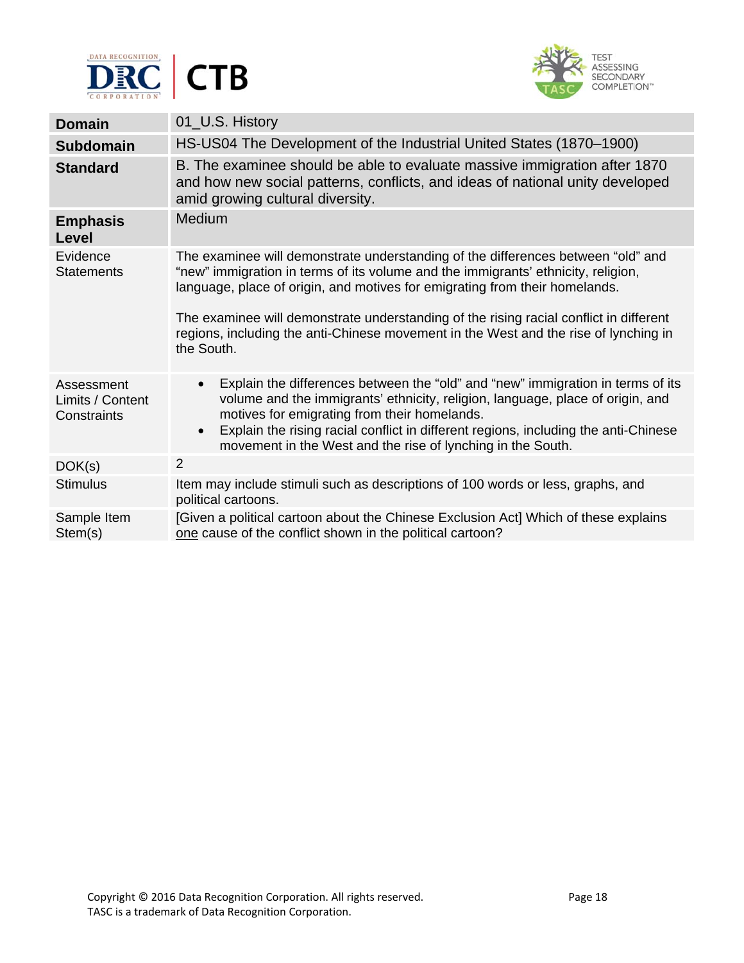



| <b>Domain</b>                                 | 01_U.S. History                                                                                                                                                                                                                                                                                                                                                                                                                                      |
|-----------------------------------------------|------------------------------------------------------------------------------------------------------------------------------------------------------------------------------------------------------------------------------------------------------------------------------------------------------------------------------------------------------------------------------------------------------------------------------------------------------|
| <b>Subdomain</b>                              | HS-US04 The Development of the Industrial United States (1870–1900)                                                                                                                                                                                                                                                                                                                                                                                  |
| <b>Standard</b>                               | B. The examinee should be able to evaluate massive immigration after 1870<br>and how new social patterns, conflicts, and ideas of national unity developed<br>amid growing cultural diversity.                                                                                                                                                                                                                                                       |
| <b>Emphasis</b><br>Level                      | <b>Medium</b>                                                                                                                                                                                                                                                                                                                                                                                                                                        |
| Evidence<br><b>Statements</b>                 | The examinee will demonstrate understanding of the differences between "old" and<br>"new" immigration in terms of its volume and the immigrants' ethnicity, religion,<br>language, place of origin, and motives for emigrating from their homelands.<br>The examinee will demonstrate understanding of the rising racial conflict in different<br>regions, including the anti-Chinese movement in the West and the rise of lynching in<br>the South. |
| Assessment<br>Limits / Content<br>Constraints | Explain the differences between the "old" and "new" immigration in terms of its<br>$\bullet$<br>volume and the immigrants' ethnicity, religion, language, place of origin, and<br>motives for emigrating from their homelands.<br>Explain the rising racial conflict in different regions, including the anti-Chinese<br>$\bullet$<br>movement in the West and the rise of lynching in the South.                                                    |
| DOK(s)                                        | 2                                                                                                                                                                                                                                                                                                                                                                                                                                                    |
| <b>Stimulus</b>                               | Item may include stimuli such as descriptions of 100 words or less, graphs, and<br>political cartoons.                                                                                                                                                                                                                                                                                                                                               |
| Sample Item<br>Stem(s)                        | [Given a political cartoon about the Chinese Exclusion Act] Which of these explains<br>one cause of the conflict shown in the political cartoon?                                                                                                                                                                                                                                                                                                     |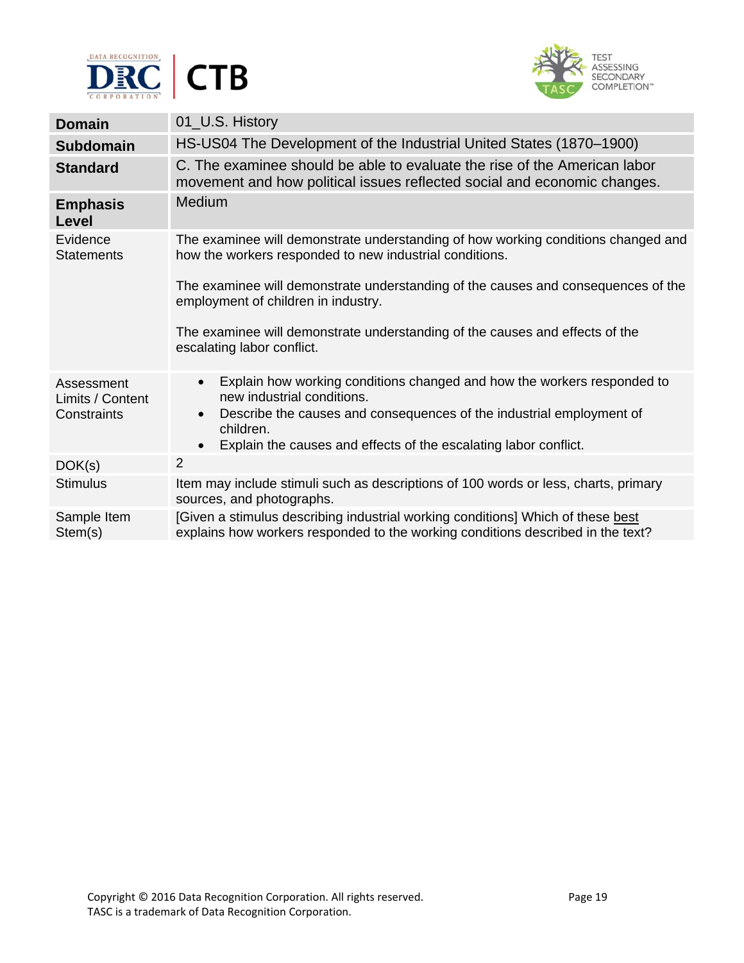



| <b>Domain</b>                                 | 01_U.S. History                                                                                                                                                                                                                                                                                       |
|-----------------------------------------------|-------------------------------------------------------------------------------------------------------------------------------------------------------------------------------------------------------------------------------------------------------------------------------------------------------|
| <b>Subdomain</b>                              | HS-US04 The Development of the Industrial United States (1870–1900)                                                                                                                                                                                                                                   |
| <b>Standard</b>                               | C. The examinee should be able to evaluate the rise of the American labor<br>movement and how political issues reflected social and economic changes.                                                                                                                                                 |
| <b>Emphasis</b><br>Level                      | Medium                                                                                                                                                                                                                                                                                                |
| Evidence<br><b>Statements</b>                 | The examinee will demonstrate understanding of how working conditions changed and<br>how the workers responded to new industrial conditions.                                                                                                                                                          |
|                                               | The examinee will demonstrate understanding of the causes and consequences of the<br>employment of children in industry.                                                                                                                                                                              |
|                                               | The examinee will demonstrate understanding of the causes and effects of the<br>escalating labor conflict.                                                                                                                                                                                            |
| Assessment<br>Limits / Content<br>Constraints | Explain how working conditions changed and how the workers responded to<br>$\bullet$<br>new industrial conditions.<br>Describe the causes and consequences of the industrial employment of<br>$\bullet$<br>children.<br>Explain the causes and effects of the escalating labor conflict.<br>$\bullet$ |
| DOK(s)                                        | $\overline{2}$                                                                                                                                                                                                                                                                                        |
| <b>Stimulus</b>                               | Item may include stimuli such as descriptions of 100 words or less, charts, primary<br>sources, and photographs.                                                                                                                                                                                      |
| Sample Item<br>Stem(s)                        | [Given a stimulus describing industrial working conditions] Which of these best<br>explains how workers responded to the working conditions described in the text?                                                                                                                                    |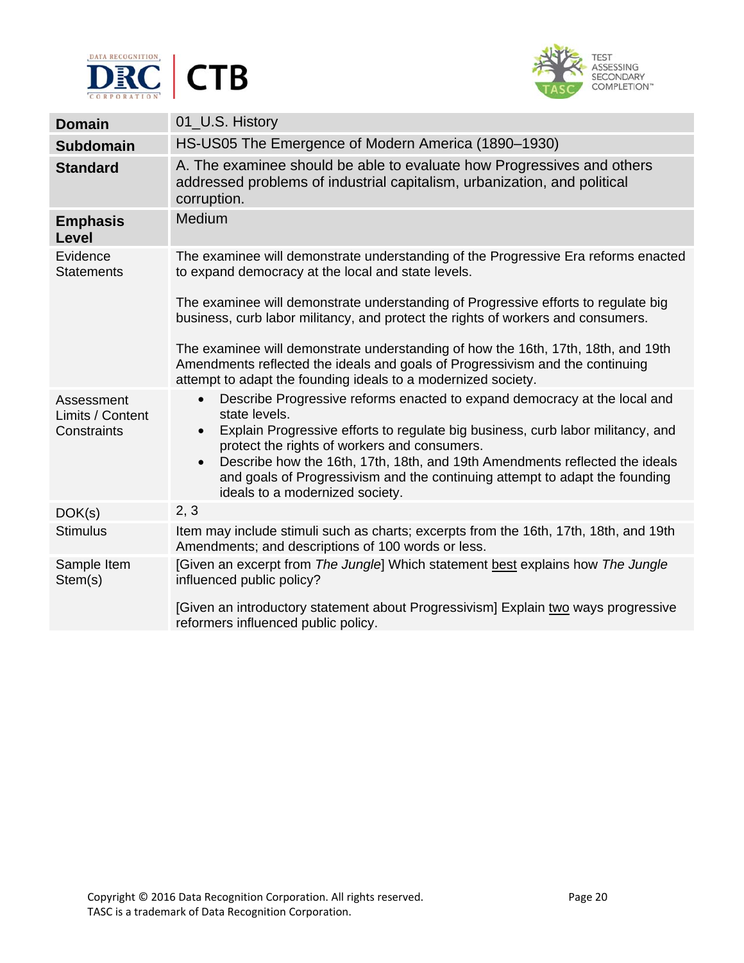



| <b>Domain</b>                                 | 01_U.S. History                                                                                                                                                                                                                                                                                                                                                                                                                                                       |
|-----------------------------------------------|-----------------------------------------------------------------------------------------------------------------------------------------------------------------------------------------------------------------------------------------------------------------------------------------------------------------------------------------------------------------------------------------------------------------------------------------------------------------------|
| <b>Subdomain</b>                              | HS-US05 The Emergence of Modern America (1890-1930)                                                                                                                                                                                                                                                                                                                                                                                                                   |
| <b>Standard</b>                               | A. The examinee should be able to evaluate how Progressives and others<br>addressed problems of industrial capitalism, urbanization, and political<br>corruption.                                                                                                                                                                                                                                                                                                     |
| <b>Emphasis</b><br><b>Level</b>               | Medium                                                                                                                                                                                                                                                                                                                                                                                                                                                                |
| Evidence<br><b>Statements</b>                 | The examinee will demonstrate understanding of the Progressive Era reforms enacted<br>to expand democracy at the local and state levels.                                                                                                                                                                                                                                                                                                                              |
|                                               | The examinee will demonstrate understanding of Progressive efforts to regulate big<br>business, curb labor militancy, and protect the rights of workers and consumers.                                                                                                                                                                                                                                                                                                |
|                                               | The examinee will demonstrate understanding of how the 16th, 17th, 18th, and 19th<br>Amendments reflected the ideals and goals of Progressivism and the continuing<br>attempt to adapt the founding ideals to a modernized society.                                                                                                                                                                                                                                   |
| Assessment<br>Limits / Content<br>Constraints | Describe Progressive reforms enacted to expand democracy at the local and<br>$\bullet$<br>state levels.<br>Explain Progressive efforts to regulate big business, curb labor militancy, and<br>$\bullet$<br>protect the rights of workers and consumers.<br>Describe how the 16th, 17th, 18th, and 19th Amendments reflected the ideals<br>$\bullet$<br>and goals of Progressivism and the continuing attempt to adapt the founding<br>ideals to a modernized society. |
| DOK(s)                                        | 2, 3                                                                                                                                                                                                                                                                                                                                                                                                                                                                  |
| <b>Stimulus</b>                               | Item may include stimuli such as charts; excerpts from the 16th, 17th, 18th, and 19th<br>Amendments; and descriptions of 100 words or less.                                                                                                                                                                                                                                                                                                                           |
| Sample Item<br>Stem(s)                        | [Given an excerpt from The Jungle] Which statement best explains how The Jungle<br>influenced public policy?                                                                                                                                                                                                                                                                                                                                                          |
|                                               | [Given an introductory statement about Progressivism] Explain two ways progressive<br>reformers influenced public policy.                                                                                                                                                                                                                                                                                                                                             |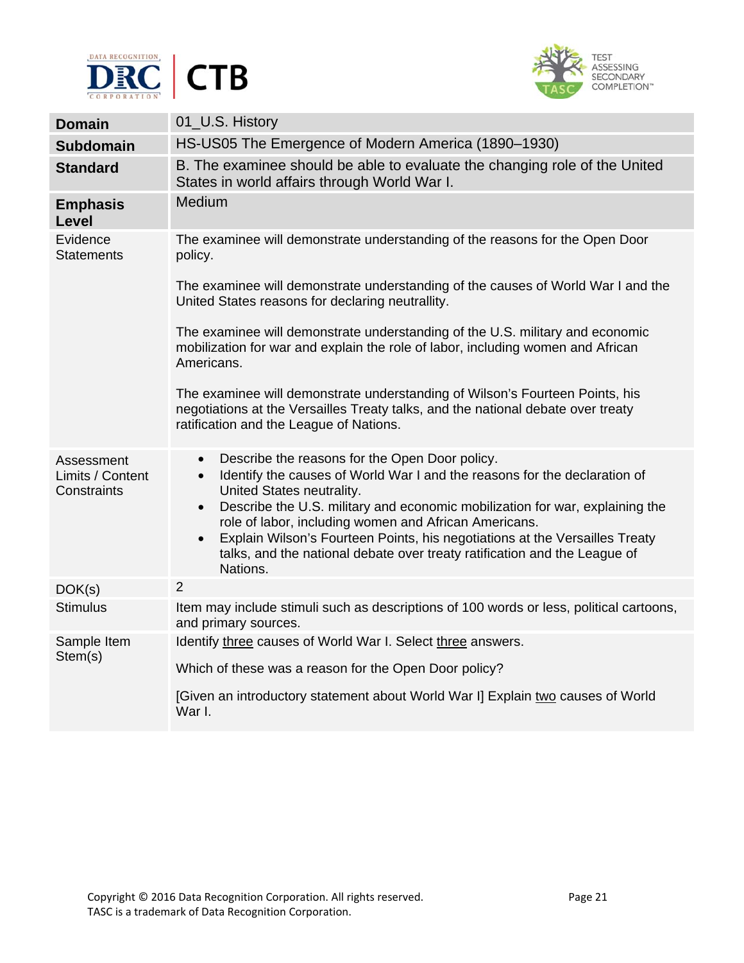



| <b>Domain</b>                                 | 01_U.S. History                                                                                                                                                                                                                                                                                                                                                                                                                                                                                                               |
|-----------------------------------------------|-------------------------------------------------------------------------------------------------------------------------------------------------------------------------------------------------------------------------------------------------------------------------------------------------------------------------------------------------------------------------------------------------------------------------------------------------------------------------------------------------------------------------------|
| <b>Subdomain</b>                              | HS-US05 The Emergence of Modern America (1890-1930)                                                                                                                                                                                                                                                                                                                                                                                                                                                                           |
| <b>Standard</b>                               | B. The examinee should be able to evaluate the changing role of the United<br>States in world affairs through World War I.                                                                                                                                                                                                                                                                                                                                                                                                    |
| <b>Emphasis</b><br>Level                      | Medium                                                                                                                                                                                                                                                                                                                                                                                                                                                                                                                        |
| Evidence<br><b>Statements</b>                 | The examinee will demonstrate understanding of the reasons for the Open Door<br>policy.                                                                                                                                                                                                                                                                                                                                                                                                                                       |
|                                               | The examinee will demonstrate understanding of the causes of World War I and the<br>United States reasons for declaring neutrallity.                                                                                                                                                                                                                                                                                                                                                                                          |
|                                               | The examinee will demonstrate understanding of the U.S. military and economic<br>mobilization for war and explain the role of labor, including women and African<br>Americans.                                                                                                                                                                                                                                                                                                                                                |
|                                               | The examinee will demonstrate understanding of Wilson's Fourteen Points, his<br>negotiations at the Versailles Treaty talks, and the national debate over treaty<br>ratification and the League of Nations.                                                                                                                                                                                                                                                                                                                   |
| Assessment<br>Limits / Content<br>Constraints | Describe the reasons for the Open Door policy.<br>$\bullet$<br>Identify the causes of World War I and the reasons for the declaration of<br>$\bullet$<br>United States neutrality.<br>Describe the U.S. military and economic mobilization for war, explaining the<br>$\bullet$<br>role of labor, including women and African Americans.<br>Explain Wilson's Fourteen Points, his negotiations at the Versailles Treaty<br>$\bullet$<br>talks, and the national debate over treaty ratification and the League of<br>Nations. |
| DOK(s)                                        | $\overline{2}$                                                                                                                                                                                                                                                                                                                                                                                                                                                                                                                |
| <b>Stimulus</b>                               | Item may include stimuli such as descriptions of 100 words or less, political cartoons,<br>and primary sources.                                                                                                                                                                                                                                                                                                                                                                                                               |
| Sample Item<br>Stem(s)                        | Identify three causes of World War I. Select three answers.<br>Which of these was a reason for the Open Door policy?<br>[Given an introductory statement about World War I] Explain two causes of World<br>War I.                                                                                                                                                                                                                                                                                                             |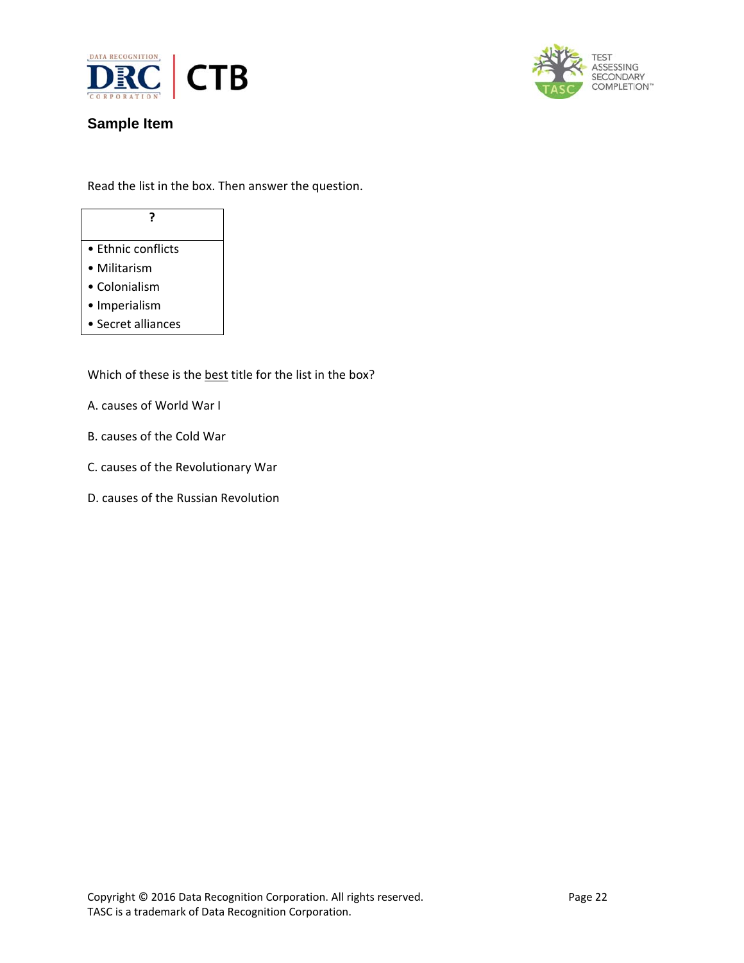



# **Sample Item**

Read the list in the box. Then answer the question.

# **?**

- Ethnic conflicts
- Militarism
- Colonialism
- Imperialism
- Secret alliances

Which of these is the best title for the list in the box?

- A. causes of World War I
- B. causes of the Cold War
- C. causes of the Revolutionary War
- D. causes of the Russian Revolution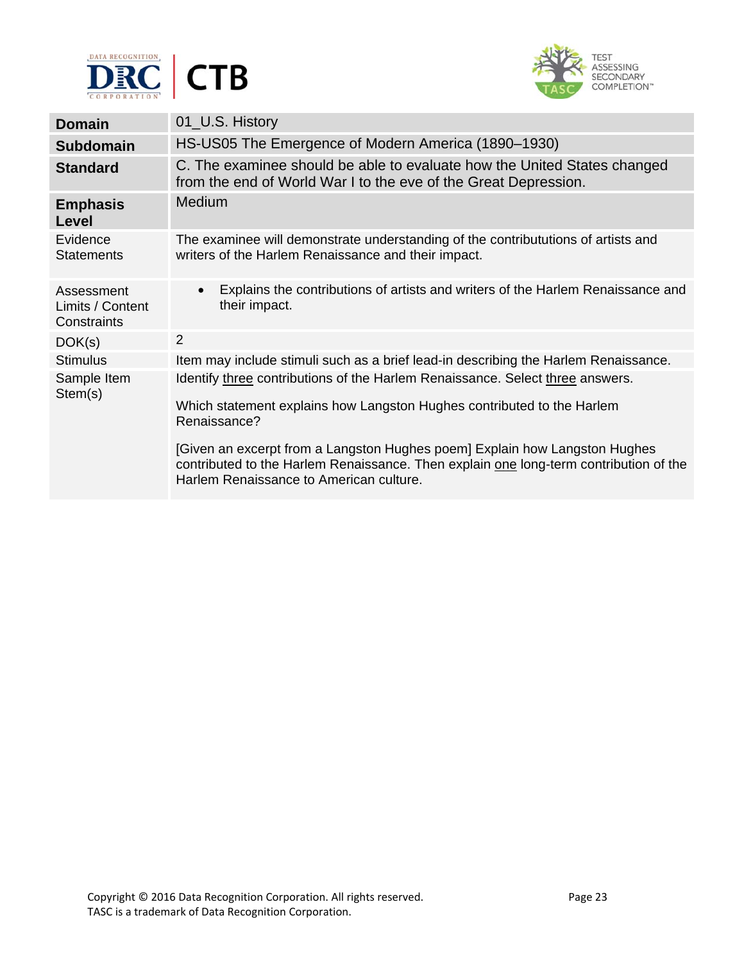



| <b>Domain</b>                                 | 01_U.S. History                                                                                                                                                                                                |
|-----------------------------------------------|----------------------------------------------------------------------------------------------------------------------------------------------------------------------------------------------------------------|
| <b>Subdomain</b>                              | HS-US05 The Emergence of Modern America (1890–1930)                                                                                                                                                            |
| <b>Standard</b>                               | C. The examinee should be able to evaluate how the United States changed<br>from the end of World War I to the eve of the Great Depression.                                                                    |
| <b>Emphasis</b><br>Level                      | <b>Medium</b>                                                                                                                                                                                                  |
| Evidence<br><b>Statements</b>                 | The examinee will demonstrate understanding of the contribututions of artists and<br>writers of the Harlem Renaissance and their impact.                                                                       |
| Assessment<br>Limits / Content<br>Constraints | Explains the contributions of artists and writers of the Harlem Renaissance and<br>$\bullet$<br>their impact.                                                                                                  |
| DOK(s)                                        | 2                                                                                                                                                                                                              |
| <b>Stimulus</b>                               | Item may include stimuli such as a brief lead-in describing the Harlem Renaissance.                                                                                                                            |
| Sample Item<br>Stem(s)                        | Identify three contributions of the Harlem Renaissance. Select three answers.<br>Which statement explains how Langston Hughes contributed to the Harlem<br>Renaissance?                                        |
|                                               | [Given an excerpt from a Langston Hughes poem] Explain how Langston Hughes<br>contributed to the Harlem Renaissance. Then explain one long-term contribution of the<br>Harlem Renaissance to American culture. |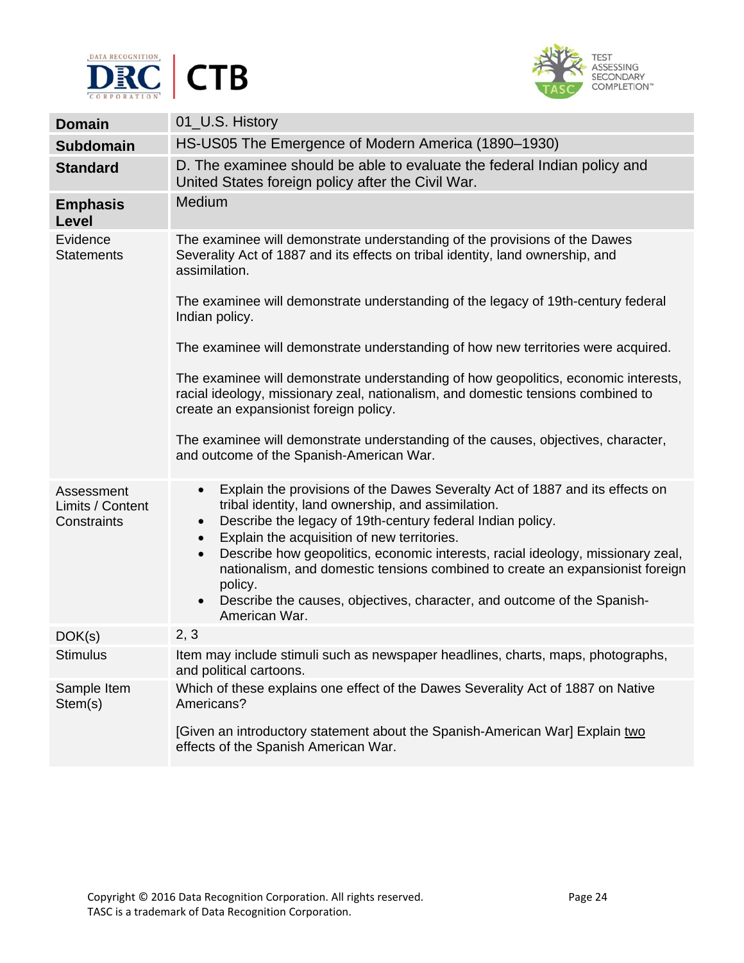



|                                               | 01_U.S. History                                                                                                                                                                                                                                                                                                                                                                                                                                                                                                                                                                             |
|-----------------------------------------------|---------------------------------------------------------------------------------------------------------------------------------------------------------------------------------------------------------------------------------------------------------------------------------------------------------------------------------------------------------------------------------------------------------------------------------------------------------------------------------------------------------------------------------------------------------------------------------------------|
| <b>Domain</b>                                 |                                                                                                                                                                                                                                                                                                                                                                                                                                                                                                                                                                                             |
| <b>Subdomain</b>                              | HS-US05 The Emergence of Modern America (1890-1930)                                                                                                                                                                                                                                                                                                                                                                                                                                                                                                                                         |
| <b>Standard</b>                               | D. The examinee should be able to evaluate the federal Indian policy and<br>United States foreign policy after the Civil War.                                                                                                                                                                                                                                                                                                                                                                                                                                                               |
| <b>Emphasis</b><br>Level                      | Medium                                                                                                                                                                                                                                                                                                                                                                                                                                                                                                                                                                                      |
| Evidence<br><b>Statements</b>                 | The examinee will demonstrate understanding of the provisions of the Dawes<br>Severality Act of 1887 and its effects on tribal identity, land ownership, and<br>assimilation.                                                                                                                                                                                                                                                                                                                                                                                                               |
|                                               | The examinee will demonstrate understanding of the legacy of 19th-century federal<br>Indian policy.                                                                                                                                                                                                                                                                                                                                                                                                                                                                                         |
|                                               | The examinee will demonstrate understanding of how new territories were acquired.                                                                                                                                                                                                                                                                                                                                                                                                                                                                                                           |
|                                               | The examinee will demonstrate understanding of how geopolitics, economic interests,<br>racial ideology, missionary zeal, nationalism, and domestic tensions combined to<br>create an expansionist foreign policy.                                                                                                                                                                                                                                                                                                                                                                           |
|                                               | The examinee will demonstrate understanding of the causes, objectives, character,<br>and outcome of the Spanish-American War.                                                                                                                                                                                                                                                                                                                                                                                                                                                               |
| Assessment<br>Limits / Content<br>Constraints | Explain the provisions of the Dawes Severalty Act of 1887 and its effects on<br>$\bullet$<br>tribal identity, land ownership, and assimilation.<br>Describe the legacy of 19th-century federal Indian policy.<br>$\bullet$<br>Explain the acquisition of new territories.<br>$\bullet$<br>Describe how geopolitics, economic interests, racial ideology, missionary zeal,<br>$\bullet$<br>nationalism, and domestic tensions combined to create an expansionist foreign<br>policy.<br>Describe the causes, objectives, character, and outcome of the Spanish-<br>$\bullet$<br>American War. |
| DOK(s)                                        | 2, 3                                                                                                                                                                                                                                                                                                                                                                                                                                                                                                                                                                                        |
| <b>Stimulus</b>                               | Item may include stimuli such as newspaper headlines, charts, maps, photographs,<br>and political cartoons.                                                                                                                                                                                                                                                                                                                                                                                                                                                                                 |
| Sample Item<br>Stem(s)                        | Which of these explains one effect of the Dawes Severality Act of 1887 on Native<br>Americans?                                                                                                                                                                                                                                                                                                                                                                                                                                                                                              |
|                                               | [Given an introductory statement about the Spanish-American War] Explain two<br>effects of the Spanish American War.                                                                                                                                                                                                                                                                                                                                                                                                                                                                        |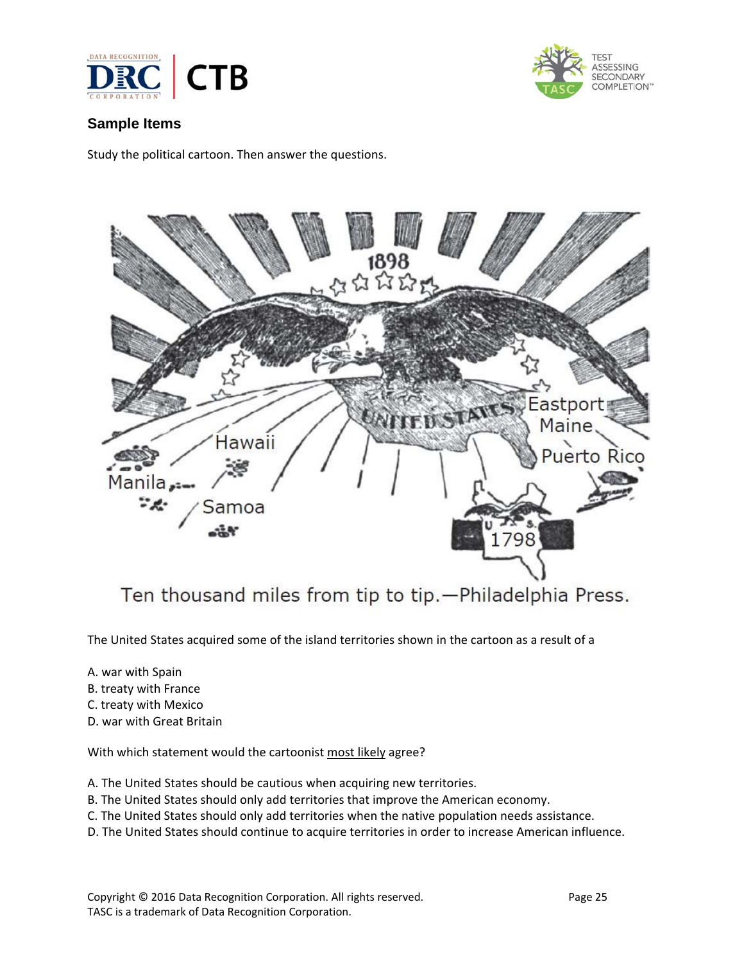



## **Sample Items**

Study the political cartoon. Then answer the questions.



Ten thousand miles from tip to tip. - Philadelphia Press.

The United States acquired some of the island territories shown in the cartoon as a result of a

- A. war with Spain
- B. treaty with France
- C. treaty with Mexico
- D. war with Great Britain

With which statement would the cartoonist most likely agree?

- A. The United States should be cautious when acquiring new territories.
- B. The United States should only add territories that improve the American economy.
- C. The United States should only add territories when the native population needs assistance.
- D. The United States should continue to acquire territories in order to increase American influence.

Copyright © 2016 Data Recognition Corporation. All rights reserved. 
Page 25 TASC is a trademark of Data Recognition Corporation.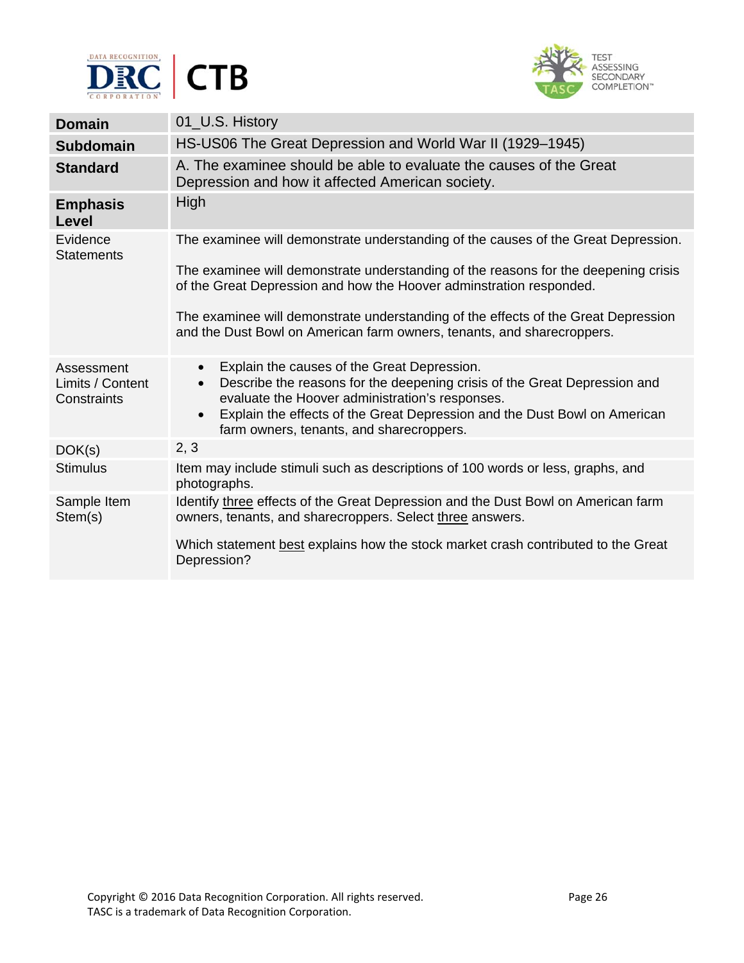



| <b>Domain</b>                                 | 01_U.S. History                                                                                                                                                                                                                                                                                                                             |
|-----------------------------------------------|---------------------------------------------------------------------------------------------------------------------------------------------------------------------------------------------------------------------------------------------------------------------------------------------------------------------------------------------|
|                                               |                                                                                                                                                                                                                                                                                                                                             |
| <b>Subdomain</b>                              | HS-US06 The Great Depression and World War II (1929–1945)                                                                                                                                                                                                                                                                                   |
| <b>Standard</b>                               | A. The examinee should be able to evaluate the causes of the Great<br>Depression and how it affected American society.                                                                                                                                                                                                                      |
| <b>Emphasis</b><br>Level                      | <b>High</b>                                                                                                                                                                                                                                                                                                                                 |
| Evidence<br><b>Statements</b>                 | The examinee will demonstrate understanding of the causes of the Great Depression.                                                                                                                                                                                                                                                          |
|                                               | The examinee will demonstrate understanding of the reasons for the deepening crisis<br>of the Great Depression and how the Hoover adminstration responded.                                                                                                                                                                                  |
|                                               | The examinee will demonstrate understanding of the effects of the Great Depression<br>and the Dust Bowl on American farm owners, tenants, and sharecroppers.                                                                                                                                                                                |
| Assessment<br>Limits / Content<br>Constraints | Explain the causes of the Great Depression.<br>$\bullet$<br>Describe the reasons for the deepening crisis of the Great Depression and<br>$\bullet$<br>evaluate the Hoover administration's responses.<br>Explain the effects of the Great Depression and the Dust Bowl on American<br>$\bullet$<br>farm owners, tenants, and sharecroppers. |
| DOK(s)                                        | 2, 3                                                                                                                                                                                                                                                                                                                                        |
| <b>Stimulus</b>                               | Item may include stimuli such as descriptions of 100 words or less, graphs, and<br>photographs.                                                                                                                                                                                                                                             |
| Sample Item<br>Stem(s)                        | Identify three effects of the Great Depression and the Dust Bowl on American farm<br>owners, tenants, and sharecroppers. Select three answers.                                                                                                                                                                                              |
|                                               | Which statement best explains how the stock market crash contributed to the Great<br>Depression?                                                                                                                                                                                                                                            |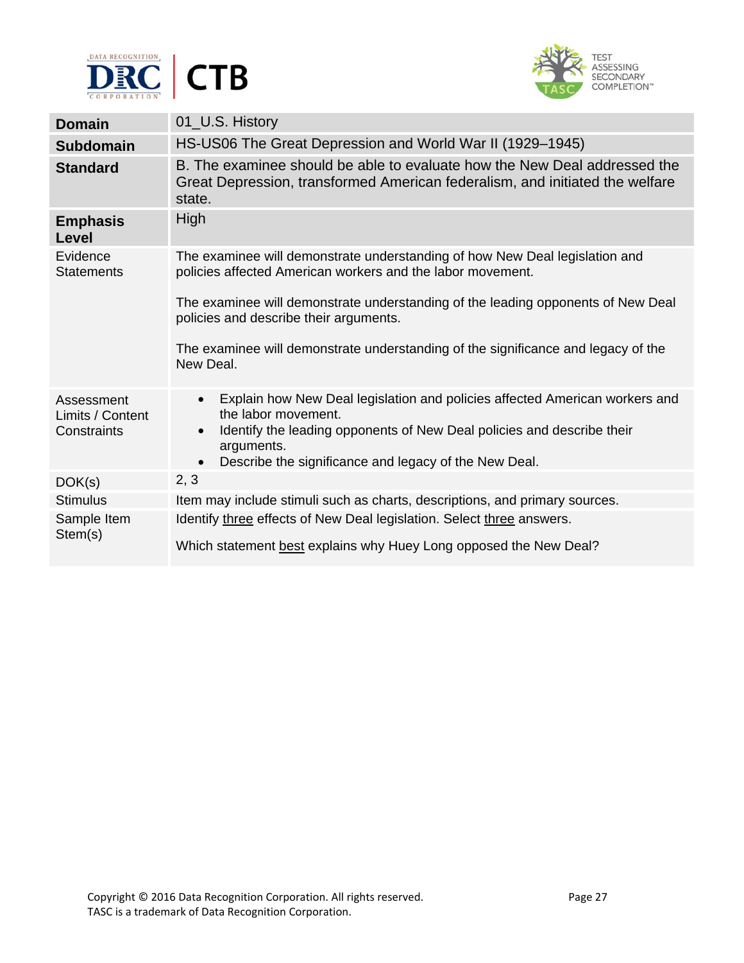



| <b>Domain</b>                  | 01_U.S. History                                                                                                                                                         |
|--------------------------------|-------------------------------------------------------------------------------------------------------------------------------------------------------------------------|
| <b>Subdomain</b>               | HS-US06 The Great Depression and World War II (1929–1945)                                                                                                               |
| <b>Standard</b>                | B. The examinee should be able to evaluate how the New Deal addressed the<br>Great Depression, transformed American federalism, and initiated the welfare<br>state.     |
| <b>Emphasis</b><br>Level       | High                                                                                                                                                                    |
| Evidence<br><b>Statements</b>  | The examinee will demonstrate understanding of how New Deal legislation and<br>policies affected American workers and the labor movement.                               |
|                                | The examinee will demonstrate understanding of the leading opponents of New Deal<br>policies and describe their arguments.                                              |
|                                | The examinee will demonstrate understanding of the significance and legacy of the<br>New Deal.                                                                          |
| Assessment<br>Limits / Content | Explain how New Deal legislation and policies affected American workers and<br>$\bullet$<br>the labor movement.                                                         |
| Constraints                    | Identify the leading opponents of New Deal policies and describe their<br>$\bullet$<br>arguments.<br>Describe the significance and legacy of the New Deal.<br>$\bullet$ |
| DOK(s)                         | 2, 3                                                                                                                                                                    |
| <b>Stimulus</b>                | Item may include stimuli such as charts, descriptions, and primary sources.                                                                                             |
| Sample Item<br>Stem(s)         | Identify three effects of New Deal legislation. Select three answers.<br>Which statement best explains why Huey Long opposed the New Deal?                              |
|                                |                                                                                                                                                                         |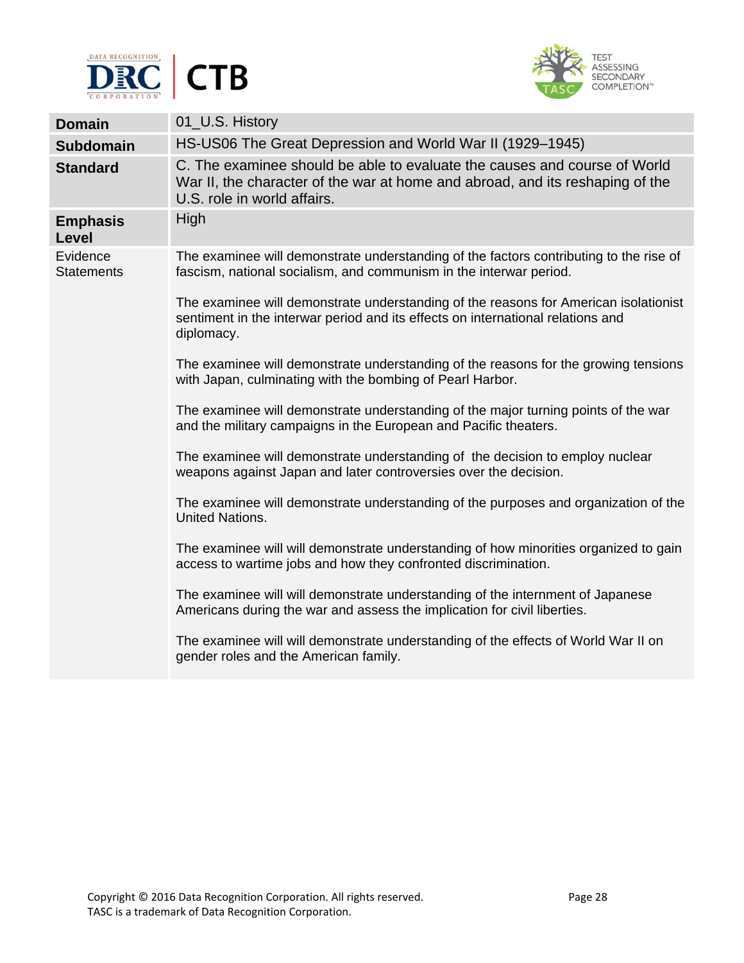



| <b>Domain</b>                 | 01_U.S. History                                                                                                                                                                           |
|-------------------------------|-------------------------------------------------------------------------------------------------------------------------------------------------------------------------------------------|
| <b>Subdomain</b>              | HS-US06 The Great Depression and World War II (1929–1945)                                                                                                                                 |
| <b>Standard</b>               | C. The examinee should be able to evaluate the causes and course of World<br>War II, the character of the war at home and abroad, and its reshaping of the<br>U.S. role in world affairs. |
| <b>Emphasis</b><br>Level      | High                                                                                                                                                                                      |
| Evidence<br><b>Statements</b> | The examinee will demonstrate understanding of the factors contributing to the rise of<br>fascism, national socialism, and communism in the interwar period.                              |
|                               | The examinee will demonstrate understanding of the reasons for American isolationist<br>sentiment in the interwar period and its effects on international relations and<br>diplomacy.     |
|                               | The examinee will demonstrate understanding of the reasons for the growing tensions<br>with Japan, culminating with the bombing of Pearl Harbor.                                          |
|                               | The examinee will demonstrate understanding of the major turning points of the war<br>and the military campaigns in the European and Pacific theaters.                                    |
|                               | The examinee will demonstrate understanding of the decision to employ nuclear<br>weapons against Japan and later controversies over the decision.                                         |
|                               | The examinee will demonstrate understanding of the purposes and organization of the<br><b>United Nations.</b>                                                                             |
|                               | The examinee will will demonstrate understanding of how minorities organized to gain<br>access to wartime jobs and how they confronted discrimination.                                    |
|                               | The examinee will will demonstrate understanding of the internment of Japanese<br>Americans during the war and assess the implication for civil liberties.                                |
|                               | The examinee will will demonstrate understanding of the effects of World War II on<br>gender roles and the American family.                                                               |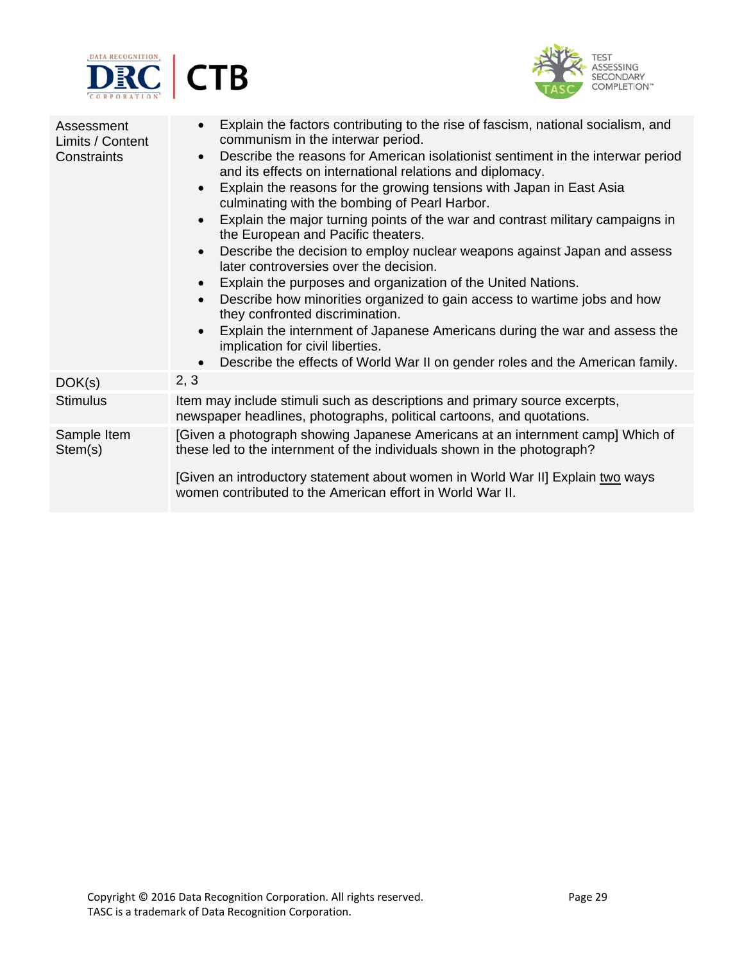



| Assessment<br>Limits / Content<br>Constraints | Explain the factors contributing to the rise of fascism, national socialism, and<br>$\bullet$<br>communism in the interwar period.<br>Describe the reasons for American isolationist sentiment in the interwar period<br>$\bullet$<br>and its effects on international relations and diplomacy.<br>Explain the reasons for the growing tensions with Japan in East Asia<br>$\bullet$<br>culminating with the bombing of Pearl Harbor.<br>Explain the major turning points of the war and contrast military campaigns in<br>$\bullet$<br>the European and Pacific theaters.<br>Describe the decision to employ nuclear weapons against Japan and assess<br>$\bullet$<br>later controversies over the decision.<br>Explain the purposes and organization of the United Nations.<br>Describe how minorities organized to gain access to wartime jobs and how<br>$\bullet$<br>they confronted discrimination.<br>Explain the internment of Japanese Americans during the war and assess the<br>$\bullet$<br>implication for civil liberties.<br>Describe the effects of World War II on gender roles and the American family.<br>$\bullet$ |
|-----------------------------------------------|----------------------------------------------------------------------------------------------------------------------------------------------------------------------------------------------------------------------------------------------------------------------------------------------------------------------------------------------------------------------------------------------------------------------------------------------------------------------------------------------------------------------------------------------------------------------------------------------------------------------------------------------------------------------------------------------------------------------------------------------------------------------------------------------------------------------------------------------------------------------------------------------------------------------------------------------------------------------------------------------------------------------------------------------------------------------------------------------------------------------------------------|
| DOK(s)                                        | 2, 3                                                                                                                                                                                                                                                                                                                                                                                                                                                                                                                                                                                                                                                                                                                                                                                                                                                                                                                                                                                                                                                                                                                                   |
| <b>Stimulus</b>                               | Item may include stimuli such as descriptions and primary source excerpts,<br>newspaper headlines, photographs, political cartoons, and quotations.                                                                                                                                                                                                                                                                                                                                                                                                                                                                                                                                                                                                                                                                                                                                                                                                                                                                                                                                                                                    |
| Sample Item<br>Stem(s)                        | [Given a photograph showing Japanese Americans at an internment camp] Which of<br>these led to the internment of the individuals shown in the photograph?<br>[Given an introductory statement about women in World War II] Explain two ways<br>women contributed to the American effort in World War II.                                                                                                                                                                                                                                                                                                                                                                                                                                                                                                                                                                                                                                                                                                                                                                                                                               |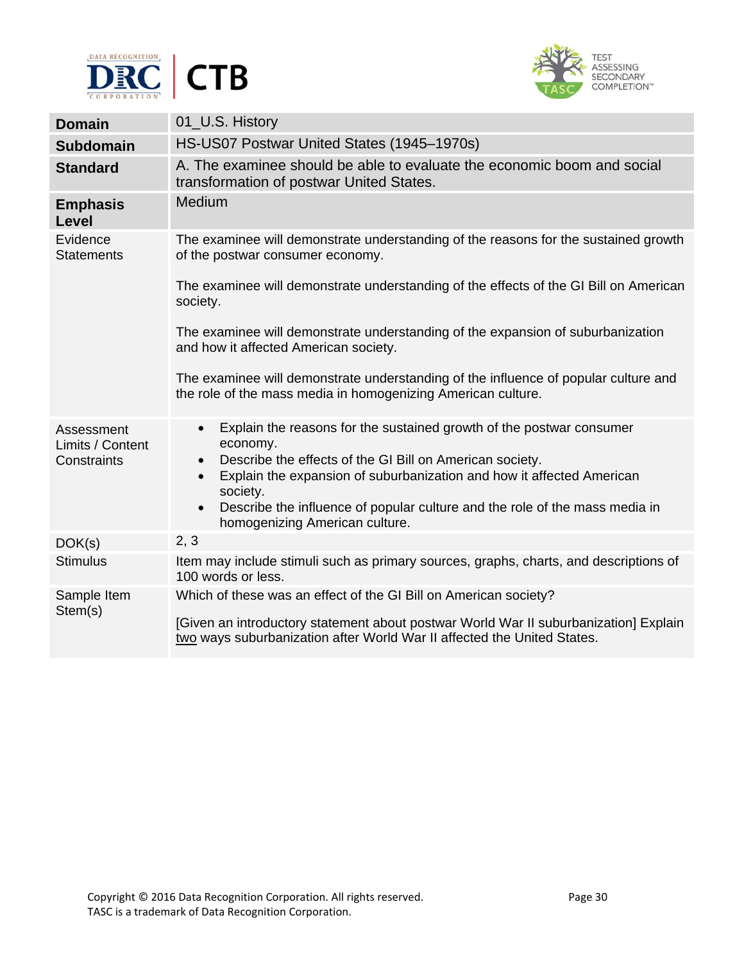



| <b>Domain</b>                                 | 01_U.S. History                                                                                                                                                                                                                                                                                                                                                                                        |
|-----------------------------------------------|--------------------------------------------------------------------------------------------------------------------------------------------------------------------------------------------------------------------------------------------------------------------------------------------------------------------------------------------------------------------------------------------------------|
| <b>Subdomain</b>                              | HS-US07 Postwar United States (1945-1970s)                                                                                                                                                                                                                                                                                                                                                             |
| <b>Standard</b>                               | A. The examinee should be able to evaluate the economic boom and social<br>transformation of postwar United States.                                                                                                                                                                                                                                                                                    |
| <b>Emphasis</b><br>Level                      | Medium                                                                                                                                                                                                                                                                                                                                                                                                 |
| Evidence<br><b>Statements</b>                 | The examinee will demonstrate understanding of the reasons for the sustained growth<br>of the postwar consumer economy.                                                                                                                                                                                                                                                                                |
|                                               | The examinee will demonstrate understanding of the effects of the GI Bill on American<br>society.                                                                                                                                                                                                                                                                                                      |
|                                               | The examinee will demonstrate understanding of the expansion of suburbanization<br>and how it affected American society.                                                                                                                                                                                                                                                                               |
|                                               | The examinee will demonstrate understanding of the influence of popular culture and<br>the role of the mass media in homogenizing American culture.                                                                                                                                                                                                                                                    |
| Assessment<br>Limits / Content<br>Constraints | Explain the reasons for the sustained growth of the postwar consumer<br>$\bullet$<br>economy.<br>Describe the effects of the GI Bill on American society.<br>$\bullet$<br>Explain the expansion of suburbanization and how it affected American<br>$\bullet$<br>society.<br>Describe the influence of popular culture and the role of the mass media in<br>$\bullet$<br>homogenizing American culture. |
| DOK(s)                                        | 2, 3                                                                                                                                                                                                                                                                                                                                                                                                   |
| <b>Stimulus</b>                               | Item may include stimuli such as primary sources, graphs, charts, and descriptions of<br>100 words or less.                                                                                                                                                                                                                                                                                            |
| Sample Item<br>Stem(s)                        | Which of these was an effect of the GI Bill on American society?<br>[Given an introductory statement about postwar World War II suburbanization] Explain<br>two ways suburbanization after World War II affected the United States.                                                                                                                                                                    |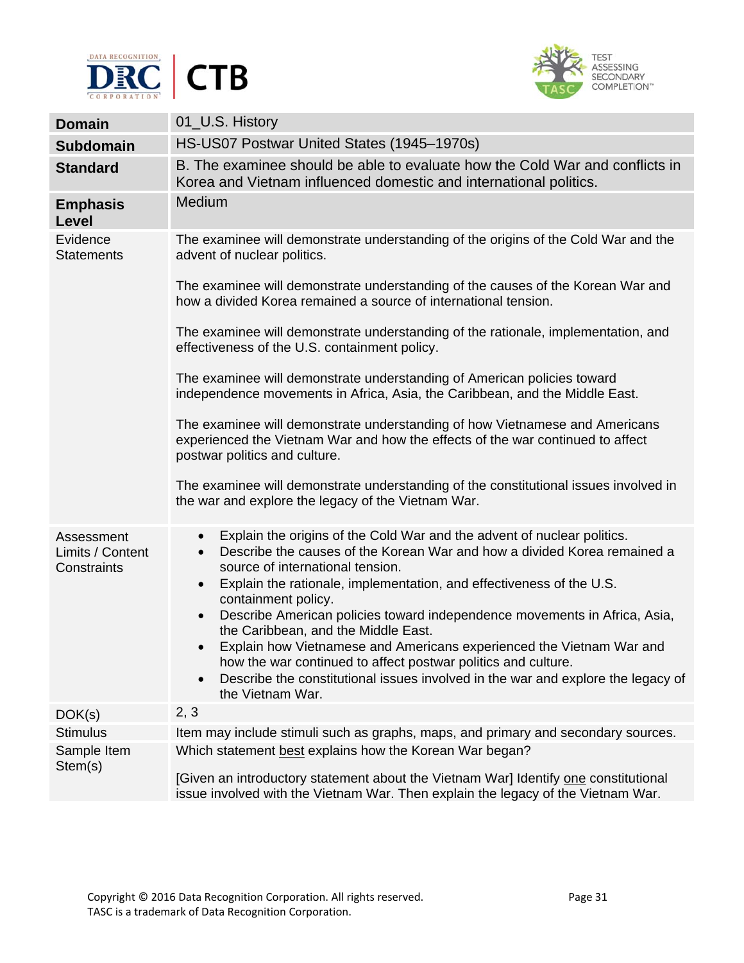



| <b>Domain</b>                                 | 01_U.S. History                                                                                                                                                                                                                                                                                                                                                         |
|-----------------------------------------------|-------------------------------------------------------------------------------------------------------------------------------------------------------------------------------------------------------------------------------------------------------------------------------------------------------------------------------------------------------------------------|
| <b>Subdomain</b>                              | HS-US07 Postwar United States (1945–1970s)                                                                                                                                                                                                                                                                                                                              |
| <b>Standard</b>                               | B. The examinee should be able to evaluate how the Cold War and conflicts in<br>Korea and Vietnam influenced domestic and international politics.                                                                                                                                                                                                                       |
| <b>Emphasis</b><br>Level                      | Medium                                                                                                                                                                                                                                                                                                                                                                  |
| Evidence<br><b>Statements</b>                 | The examinee will demonstrate understanding of the origins of the Cold War and the<br>advent of nuclear politics.                                                                                                                                                                                                                                                       |
|                                               | The examinee will demonstrate understanding of the causes of the Korean War and<br>how a divided Korea remained a source of international tension.                                                                                                                                                                                                                      |
|                                               | The examinee will demonstrate understanding of the rationale, implementation, and<br>effectiveness of the U.S. containment policy.                                                                                                                                                                                                                                      |
|                                               | The examinee will demonstrate understanding of American policies toward<br>independence movements in Africa, Asia, the Caribbean, and the Middle East.                                                                                                                                                                                                                  |
|                                               | The examinee will demonstrate understanding of how Vietnamese and Americans<br>experienced the Vietnam War and how the effects of the war continued to affect<br>postwar politics and culture.                                                                                                                                                                          |
|                                               | The examinee will demonstrate understanding of the constitutional issues involved in<br>the war and explore the legacy of the Vietnam War.                                                                                                                                                                                                                              |
| Assessment<br>Limits / Content<br>Constraints | Explain the origins of the Cold War and the advent of nuclear politics.<br>$\bullet$<br>Describe the causes of the Korean War and how a divided Korea remained a<br>$\bullet$<br>source of international tension.<br>Explain the rationale, implementation, and effectiveness of the U.S.<br>$\bullet$<br>containment policy.                                           |
|                                               | Describe American policies toward independence movements in Africa, Asia,<br>$\bullet$<br>the Caribbean, and the Middle East.<br>Explain how Vietnamese and Americans experienced the Vietnam War and<br>$\bullet$<br>how the war continued to affect postwar politics and culture.<br>Describe the constitutional issues involved in the war and explore the legacy of |
|                                               | the Vietnam War.                                                                                                                                                                                                                                                                                                                                                        |
| DOK(s)                                        | 2, 3                                                                                                                                                                                                                                                                                                                                                                    |
| <b>Stimulus</b>                               | Item may include stimuli such as graphs, maps, and primary and secondary sources.                                                                                                                                                                                                                                                                                       |
| Sample Item<br>Stem(s)                        | Which statement best explains how the Korean War began?                                                                                                                                                                                                                                                                                                                 |
|                                               | [Given an introductory statement about the Vietnam War] Identify one constitutional<br>issue involved with the Vietnam War. Then explain the legacy of the Vietnam War.                                                                                                                                                                                                 |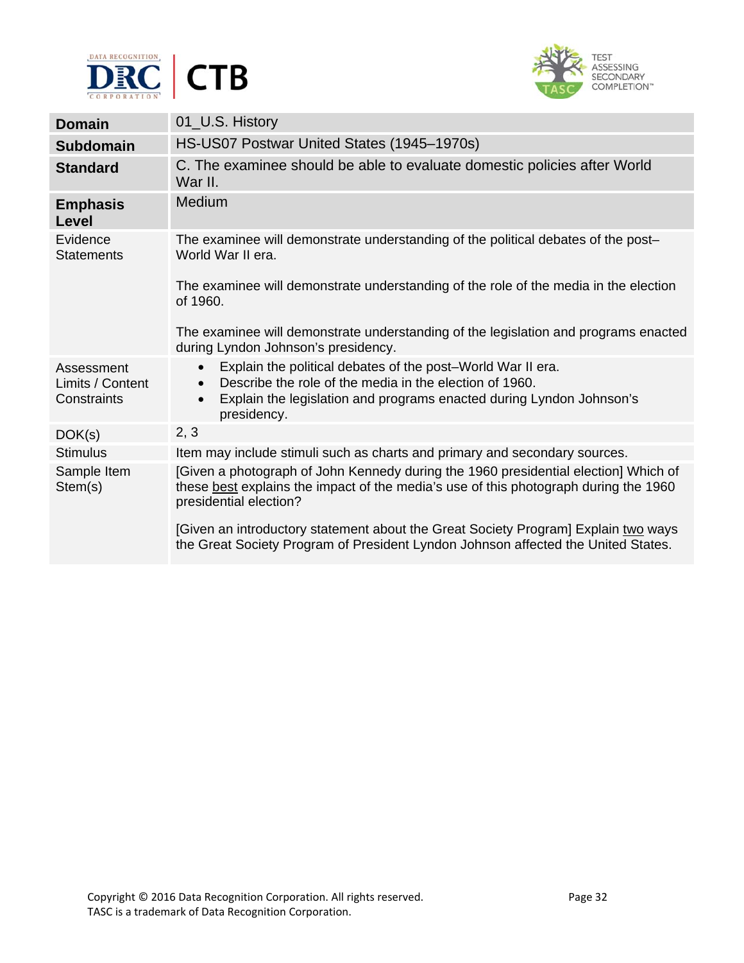



| <b>Domain</b>                                 | 01_U.S. History                                                                                                                                                                                                                                      |
|-----------------------------------------------|------------------------------------------------------------------------------------------------------------------------------------------------------------------------------------------------------------------------------------------------------|
| <b>Subdomain</b>                              | HS-US07 Postwar United States (1945–1970s)                                                                                                                                                                                                           |
| <b>Standard</b>                               | C. The examinee should be able to evaluate domestic policies after World<br>War II.                                                                                                                                                                  |
| <b>Emphasis</b><br><b>Level</b>               | Medium                                                                                                                                                                                                                                               |
| Evidence<br><b>Statements</b>                 | The examinee will demonstrate understanding of the political debates of the post-<br>World War II era.                                                                                                                                               |
|                                               | The examinee will demonstrate understanding of the role of the media in the election<br>of 1960.                                                                                                                                                     |
|                                               | The examinee will demonstrate understanding of the legislation and programs enacted<br>during Lyndon Johnson's presidency.                                                                                                                           |
| Assessment<br>Limits / Content<br>Constraints | Explain the political debates of the post-World War II era.<br>$\bullet$<br>Describe the role of the media in the election of 1960.<br>$\bullet$<br>Explain the legislation and programs enacted during Lyndon Johnson's<br>$\bullet$<br>presidency. |
| DOK(s)                                        | 2, 3                                                                                                                                                                                                                                                 |
| <b>Stimulus</b>                               | Item may include stimuli such as charts and primary and secondary sources.                                                                                                                                                                           |
| Sample Item<br>Stem(s)                        | [Given a photograph of John Kennedy during the 1960 presidential election] Which of<br>these best explains the impact of the media's use of this photograph during the 1960<br>presidential election?                                                |
|                                               | [Given an introductory statement about the Great Society Program] Explain two ways<br>the Great Society Program of President Lyndon Johnson affected the United States.                                                                              |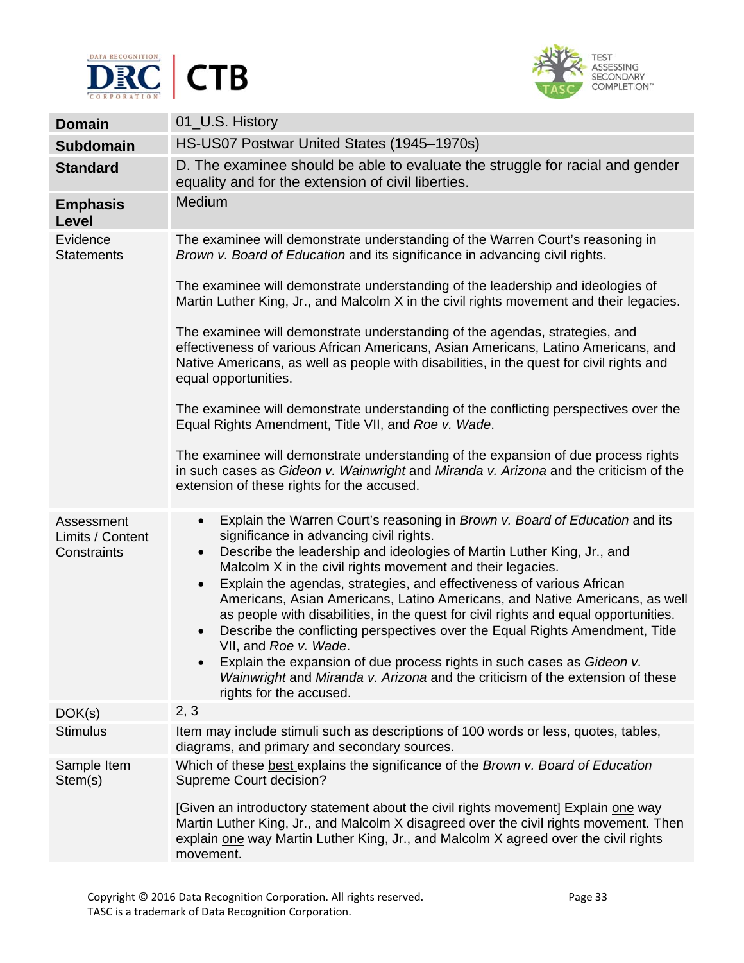



| <b>Domain</b>                                 | 01_U.S. History                                                                                                                                                                                                                                                                                                                                                                                                                                                                                                                                                                                                                                                                                                                                                                                                                                                               |
|-----------------------------------------------|-------------------------------------------------------------------------------------------------------------------------------------------------------------------------------------------------------------------------------------------------------------------------------------------------------------------------------------------------------------------------------------------------------------------------------------------------------------------------------------------------------------------------------------------------------------------------------------------------------------------------------------------------------------------------------------------------------------------------------------------------------------------------------------------------------------------------------------------------------------------------------|
| <b>Subdomain</b>                              | HS-US07 Postwar United States (1945-1970s)                                                                                                                                                                                                                                                                                                                                                                                                                                                                                                                                                                                                                                                                                                                                                                                                                                    |
| <b>Standard</b>                               | D. The examinee should be able to evaluate the struggle for racial and gender<br>equality and for the extension of civil liberties.                                                                                                                                                                                                                                                                                                                                                                                                                                                                                                                                                                                                                                                                                                                                           |
| <b>Emphasis</b><br>Level                      | Medium                                                                                                                                                                                                                                                                                                                                                                                                                                                                                                                                                                                                                                                                                                                                                                                                                                                                        |
| Evidence<br><b>Statements</b>                 | The examinee will demonstrate understanding of the Warren Court's reasoning in<br>Brown v. Board of Education and its significance in advancing civil rights.                                                                                                                                                                                                                                                                                                                                                                                                                                                                                                                                                                                                                                                                                                                 |
|                                               | The examinee will demonstrate understanding of the leadership and ideologies of<br>Martin Luther King, Jr., and Malcolm X in the civil rights movement and their legacies.                                                                                                                                                                                                                                                                                                                                                                                                                                                                                                                                                                                                                                                                                                    |
|                                               | The examinee will demonstrate understanding of the agendas, strategies, and<br>effectiveness of various African Americans, Asian Americans, Latino Americans, and<br>Native Americans, as well as people with disabilities, in the quest for civil rights and<br>equal opportunities.                                                                                                                                                                                                                                                                                                                                                                                                                                                                                                                                                                                         |
|                                               | The examinee will demonstrate understanding of the conflicting perspectives over the<br>Equal Rights Amendment, Title VII, and Roe v. Wade.                                                                                                                                                                                                                                                                                                                                                                                                                                                                                                                                                                                                                                                                                                                                   |
|                                               | The examinee will demonstrate understanding of the expansion of due process rights<br>in such cases as Gideon v. Wainwright and Miranda v. Arizona and the criticism of the<br>extension of these rights for the accused.                                                                                                                                                                                                                                                                                                                                                                                                                                                                                                                                                                                                                                                     |
| Assessment<br>Limits / Content<br>Constraints | Explain the Warren Court's reasoning in Brown v. Board of Education and its<br>$\bullet$<br>significance in advancing civil rights.<br>Describe the leadership and ideologies of Martin Luther King, Jr., and<br>$\bullet$<br>Malcolm X in the civil rights movement and their legacies.<br>Explain the agendas, strategies, and effectiveness of various African<br>$\bullet$<br>Americans, Asian Americans, Latino Americans, and Native Americans, as well<br>as people with disabilities, in the quest for civil rights and equal opportunities.<br>Describe the conflicting perspectives over the Equal Rights Amendment, Title<br>$\bullet$<br>VII, and Roe v. Wade.<br>Explain the expansion of due process rights in such cases as Gideon v.<br>$\bullet$<br>Wainwright and Miranda v. Arizona and the criticism of the extension of these<br>rights for the accused. |
| DOK(s)                                        | 2, 3                                                                                                                                                                                                                                                                                                                                                                                                                                                                                                                                                                                                                                                                                                                                                                                                                                                                          |
| <b>Stimulus</b>                               | Item may include stimuli such as descriptions of 100 words or less, quotes, tables,<br>diagrams, and primary and secondary sources.                                                                                                                                                                                                                                                                                                                                                                                                                                                                                                                                                                                                                                                                                                                                           |
| Sample Item<br>Stem(s)                        | Which of these best explains the significance of the Brown v. Board of Education<br>Supreme Court decision?<br>[Given an introductory statement about the civil rights movement] Explain one way<br>Martin Luther King, Jr., and Malcolm X disagreed over the civil rights movement. Then<br>explain one way Martin Luther King, Jr., and Malcolm X agreed over the civil rights<br>movement.                                                                                                                                                                                                                                                                                                                                                                                                                                                                                 |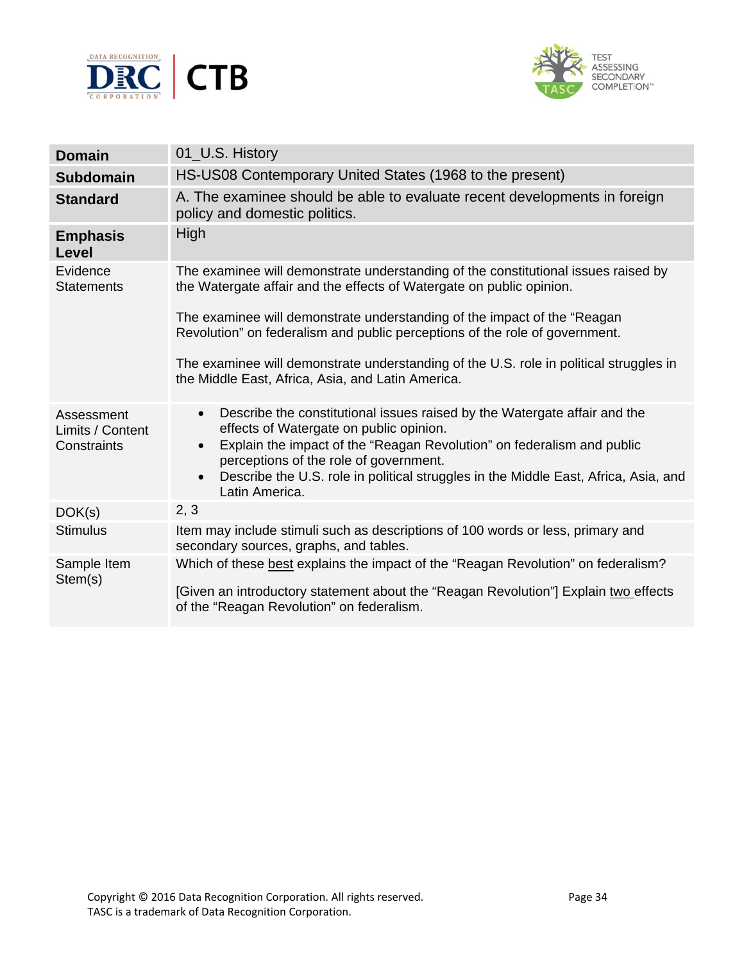



| <b>Domain</b>                                 | 01_U.S. History                                                                                                                                                                                                                                                                                                                                                                                                                                                      |
|-----------------------------------------------|----------------------------------------------------------------------------------------------------------------------------------------------------------------------------------------------------------------------------------------------------------------------------------------------------------------------------------------------------------------------------------------------------------------------------------------------------------------------|
| <b>Subdomain</b>                              | HS-US08 Contemporary United States (1968 to the present)                                                                                                                                                                                                                                                                                                                                                                                                             |
| <b>Standard</b>                               | A. The examinee should be able to evaluate recent developments in foreign<br>policy and domestic politics.                                                                                                                                                                                                                                                                                                                                                           |
| <b>Emphasis</b><br>Level                      | <b>High</b>                                                                                                                                                                                                                                                                                                                                                                                                                                                          |
| Evidence<br><b>Statements</b>                 | The examinee will demonstrate understanding of the constitutional issues raised by<br>the Watergate affair and the effects of Watergate on public opinion.<br>The examinee will demonstrate understanding of the impact of the "Reagan<br>Revolution" on federalism and public perceptions of the role of government.<br>The examinee will demonstrate understanding of the U.S. role in political struggles in<br>the Middle East, Africa, Asia, and Latin America. |
| Assessment<br>Limits / Content<br>Constraints | Describe the constitutional issues raised by the Watergate affair and the<br>$\bullet$<br>effects of Watergate on public opinion.<br>Explain the impact of the "Reagan Revolution" on federalism and public<br>$\bullet$<br>perceptions of the role of government.<br>Describe the U.S. role in political struggles in the Middle East, Africa, Asia, and<br>$\bullet$<br>Latin America.                                                                             |
| DOK(s)                                        | 2, 3                                                                                                                                                                                                                                                                                                                                                                                                                                                                 |
| <b>Stimulus</b>                               | Item may include stimuli such as descriptions of 100 words or less, primary and<br>secondary sources, graphs, and tables.                                                                                                                                                                                                                                                                                                                                            |
| Sample Item<br>Stem(s)                        | Which of these best explains the impact of the "Reagan Revolution" on federalism?<br>[Given an introductory statement about the "Reagan Revolution"] Explain two effects<br>of the "Reagan Revolution" on federalism.                                                                                                                                                                                                                                                |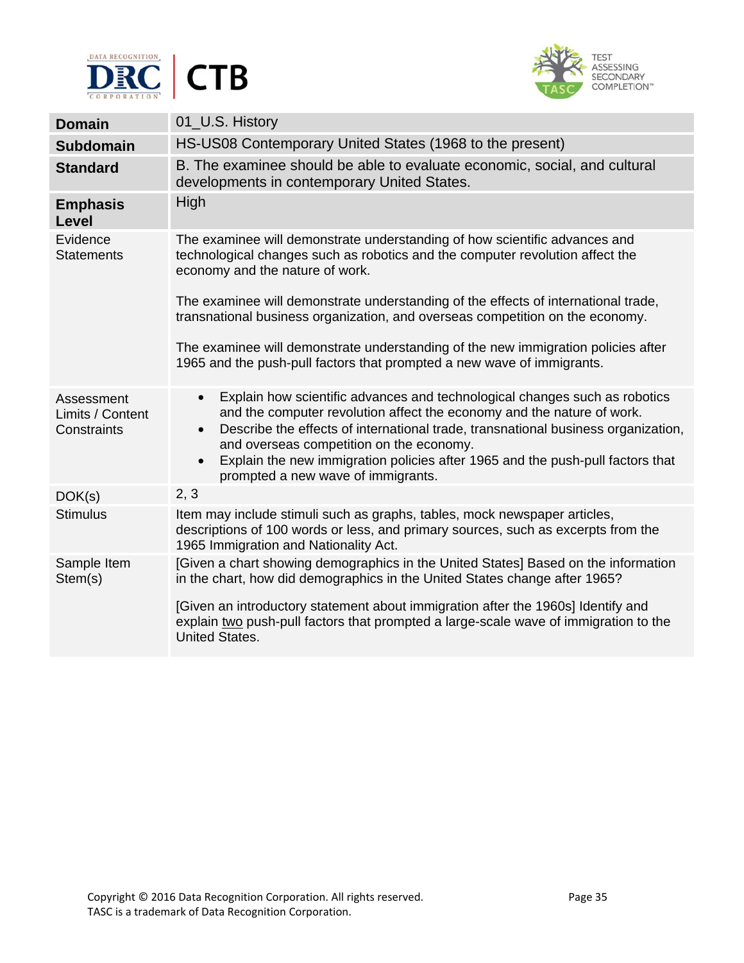



| <b>Domain</b>                                 | 01_U.S. History                                                                                                                                                                                                                                                                                                                                                                                                                         |
|-----------------------------------------------|-----------------------------------------------------------------------------------------------------------------------------------------------------------------------------------------------------------------------------------------------------------------------------------------------------------------------------------------------------------------------------------------------------------------------------------------|
| <b>Subdomain</b>                              | HS-US08 Contemporary United States (1968 to the present)                                                                                                                                                                                                                                                                                                                                                                                |
| <b>Standard</b>                               | B. The examinee should be able to evaluate economic, social, and cultural<br>developments in contemporary United States.                                                                                                                                                                                                                                                                                                                |
| <b>Emphasis</b><br>Level                      | High                                                                                                                                                                                                                                                                                                                                                                                                                                    |
| Evidence<br><b>Statements</b>                 | The examinee will demonstrate understanding of how scientific advances and<br>technological changes such as robotics and the computer revolution affect the<br>economy and the nature of work.<br>The examinee will demonstrate understanding of the effects of international trade,<br>transnational business organization, and overseas competition on the economy.                                                                   |
|                                               | The examinee will demonstrate understanding of the new immigration policies after<br>1965 and the push-pull factors that prompted a new wave of immigrants.                                                                                                                                                                                                                                                                             |
| Assessment<br>Limits / Content<br>Constraints | Explain how scientific advances and technological changes such as robotics<br>$\bullet$<br>and the computer revolution affect the economy and the nature of work.<br>Describe the effects of international trade, transnational business organization,<br>and overseas competition on the economy.<br>Explain the new immigration policies after 1965 and the push-pull factors that<br>$\bullet$<br>prompted a new wave of immigrants. |
| DOK(s)                                        | 2, 3                                                                                                                                                                                                                                                                                                                                                                                                                                    |
| <b>Stimulus</b>                               | Item may include stimuli such as graphs, tables, mock newspaper articles,<br>descriptions of 100 words or less, and primary sources, such as excerpts from the<br>1965 Immigration and Nationality Act.                                                                                                                                                                                                                                 |
| Sample Item<br>Stem(s)                        | [Given a chart showing demographics in the United States] Based on the information<br>in the chart, how did demographics in the United States change after 1965?<br>[Given an introductory statement about immigration after the 1960s] Identify and<br>explain two push-pull factors that prompted a large-scale wave of immigration to the<br><b>United States.</b>                                                                   |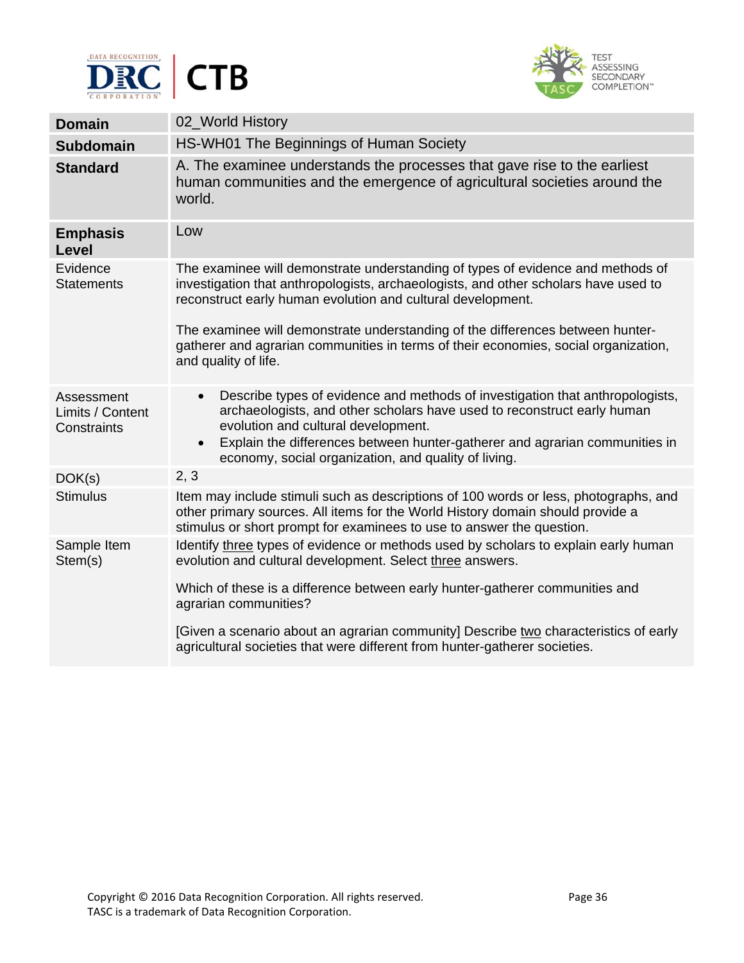



| <b>Domain</b>                                 | 02_World History                                                                                                                                                                                                                                                                                                                                                                                                                       |
|-----------------------------------------------|----------------------------------------------------------------------------------------------------------------------------------------------------------------------------------------------------------------------------------------------------------------------------------------------------------------------------------------------------------------------------------------------------------------------------------------|
| <b>Subdomain</b>                              | HS-WH01 The Beginnings of Human Society                                                                                                                                                                                                                                                                                                                                                                                                |
| <b>Standard</b>                               | A. The examinee understands the processes that gave rise to the earliest<br>human communities and the emergence of agricultural societies around the<br>world.                                                                                                                                                                                                                                                                         |
| <b>Emphasis</b><br>Level                      | Low                                                                                                                                                                                                                                                                                                                                                                                                                                    |
| Evidence<br><b>Statements</b>                 | The examinee will demonstrate understanding of types of evidence and methods of<br>investigation that anthropologists, archaeologists, and other scholars have used to<br>reconstruct early human evolution and cultural development.<br>The examinee will demonstrate understanding of the differences between hunter-<br>gatherer and agrarian communities in terms of their economies, social organization,<br>and quality of life. |
| Assessment<br>Limits / Content<br>Constraints | Describe types of evidence and methods of investigation that anthropologists,<br>$\bullet$<br>archaeologists, and other scholars have used to reconstruct early human<br>evolution and cultural development.<br>Explain the differences between hunter-gatherer and agrarian communities in<br>$\bullet$<br>economy, social organization, and quality of living.                                                                       |
| DOK(s)                                        | 2, 3                                                                                                                                                                                                                                                                                                                                                                                                                                   |
| <b>Stimulus</b>                               | Item may include stimuli such as descriptions of 100 words or less, photographs, and<br>other primary sources. All items for the World History domain should provide a<br>stimulus or short prompt for examinees to use to answer the question.                                                                                                                                                                                        |
| Sample Item<br>Stem(s)                        | Identify three types of evidence or methods used by scholars to explain early human<br>evolution and cultural development. Select three answers.<br>Which of these is a difference between early hunter-gatherer communities and<br>agrarian communities?<br>[Given a scenario about an agrarian community] Describe two characteristics of early<br>agricultural societies that were different from hunter-gatherer societies.        |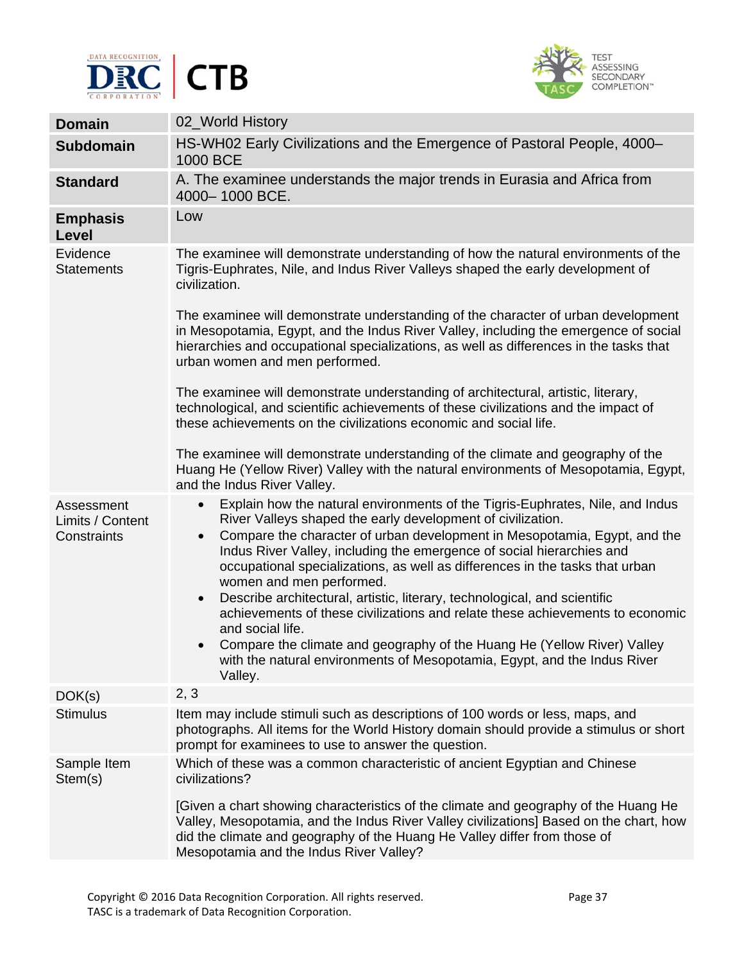



| <b>Domain</b>                                 | 02_World History                                                                                                                                                                                                                                                                                                                                                                                                                                                                                                                                                                                                                                                                                                                                                                |
|-----------------------------------------------|---------------------------------------------------------------------------------------------------------------------------------------------------------------------------------------------------------------------------------------------------------------------------------------------------------------------------------------------------------------------------------------------------------------------------------------------------------------------------------------------------------------------------------------------------------------------------------------------------------------------------------------------------------------------------------------------------------------------------------------------------------------------------------|
| <b>Subdomain</b>                              | HS-WH02 Early Civilizations and the Emergence of Pastoral People, 4000-<br>1000 BCE                                                                                                                                                                                                                                                                                                                                                                                                                                                                                                                                                                                                                                                                                             |
| <b>Standard</b>                               | A. The examinee understands the major trends in Eurasia and Africa from<br>4000-1000 BCE.                                                                                                                                                                                                                                                                                                                                                                                                                                                                                                                                                                                                                                                                                       |
| <b>Emphasis</b><br>Level                      | Low                                                                                                                                                                                                                                                                                                                                                                                                                                                                                                                                                                                                                                                                                                                                                                             |
| Evidence<br><b>Statements</b>                 | The examinee will demonstrate understanding of how the natural environments of the<br>Tigris-Euphrates, Nile, and Indus River Valleys shaped the early development of<br>civilization.                                                                                                                                                                                                                                                                                                                                                                                                                                                                                                                                                                                          |
|                                               | The examinee will demonstrate understanding of the character of urban development<br>in Mesopotamia, Egypt, and the Indus River Valley, including the emergence of social<br>hierarchies and occupational specializations, as well as differences in the tasks that<br>urban women and men performed.                                                                                                                                                                                                                                                                                                                                                                                                                                                                           |
|                                               | The examinee will demonstrate understanding of architectural, artistic, literary,<br>technological, and scientific achievements of these civilizations and the impact of<br>these achievements on the civilizations economic and social life.                                                                                                                                                                                                                                                                                                                                                                                                                                                                                                                                   |
|                                               | The examinee will demonstrate understanding of the climate and geography of the<br>Huang He (Yellow River) Valley with the natural environments of Mesopotamia, Egypt,<br>and the Indus River Valley.                                                                                                                                                                                                                                                                                                                                                                                                                                                                                                                                                                           |
| Assessment<br>Limits / Content<br>Constraints | Explain how the natural environments of the Tigris-Euphrates, Nile, and Indus<br>River Valleys shaped the early development of civilization.<br>Compare the character of urban development in Mesopotamia, Egypt, and the<br>Indus River Valley, including the emergence of social hierarchies and<br>occupational specializations, as well as differences in the tasks that urban<br>women and men performed.<br>Describe architectural, artistic, literary, technological, and scientific<br>$\bullet$<br>achievements of these civilizations and relate these achievements to economic<br>and social life.<br>Compare the climate and geography of the Huang He (Yellow River) Valley<br>with the natural environments of Mesopotamia, Egypt, and the Indus River<br>Valley. |
| DOK(s)                                        | 2, 3                                                                                                                                                                                                                                                                                                                                                                                                                                                                                                                                                                                                                                                                                                                                                                            |
| <b>Stimulus</b>                               | Item may include stimuli such as descriptions of 100 words or less, maps, and<br>photographs. All items for the World History domain should provide a stimulus or short<br>prompt for examinees to use to answer the question.                                                                                                                                                                                                                                                                                                                                                                                                                                                                                                                                                  |
| Sample Item<br>Stem(s)                        | Which of these was a common characteristic of ancient Egyptian and Chinese<br>civilizations?<br>[Given a chart showing characteristics of the climate and geography of the Huang He<br>Valley, Mesopotamia, and the Indus River Valley civilizations] Based on the chart, how<br>did the climate and geography of the Huang He Valley differ from those of<br>Mesopotamia and the Indus River Valley?                                                                                                                                                                                                                                                                                                                                                                           |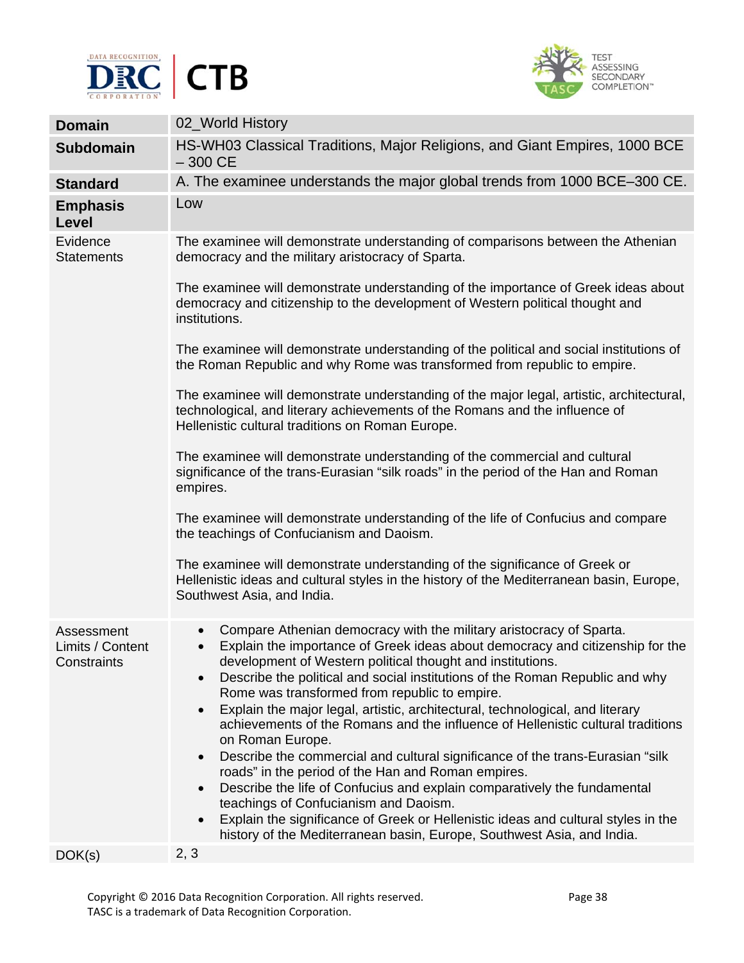



| <b>Domain</b>                                 | 02_World History                                                                                                                                                                                                                                                                                                                                                                                                                                                                                                                                                                                                                                                                                                                                                                                                                                                                                                                                                                                                                                     |
|-----------------------------------------------|------------------------------------------------------------------------------------------------------------------------------------------------------------------------------------------------------------------------------------------------------------------------------------------------------------------------------------------------------------------------------------------------------------------------------------------------------------------------------------------------------------------------------------------------------------------------------------------------------------------------------------------------------------------------------------------------------------------------------------------------------------------------------------------------------------------------------------------------------------------------------------------------------------------------------------------------------------------------------------------------------------------------------------------------------|
| <b>Subdomain</b>                              | HS-WH03 Classical Traditions, Major Religions, and Giant Empires, 1000 BCE<br>$-300$ CE                                                                                                                                                                                                                                                                                                                                                                                                                                                                                                                                                                                                                                                                                                                                                                                                                                                                                                                                                              |
| <b>Standard</b>                               | A. The examinee understands the major global trends from 1000 BCE-300 CE.                                                                                                                                                                                                                                                                                                                                                                                                                                                                                                                                                                                                                                                                                                                                                                                                                                                                                                                                                                            |
| <b>Emphasis</b><br>Level                      | Low                                                                                                                                                                                                                                                                                                                                                                                                                                                                                                                                                                                                                                                                                                                                                                                                                                                                                                                                                                                                                                                  |
| Evidence<br><b>Statements</b>                 | The examinee will demonstrate understanding of comparisons between the Athenian<br>democracy and the military aristocracy of Sparta.                                                                                                                                                                                                                                                                                                                                                                                                                                                                                                                                                                                                                                                                                                                                                                                                                                                                                                                 |
|                                               | The examinee will demonstrate understanding of the importance of Greek ideas about<br>democracy and citizenship to the development of Western political thought and<br>institutions.                                                                                                                                                                                                                                                                                                                                                                                                                                                                                                                                                                                                                                                                                                                                                                                                                                                                 |
|                                               | The examinee will demonstrate understanding of the political and social institutions of<br>the Roman Republic and why Rome was transformed from republic to empire.                                                                                                                                                                                                                                                                                                                                                                                                                                                                                                                                                                                                                                                                                                                                                                                                                                                                                  |
|                                               | The examinee will demonstrate understanding of the major legal, artistic, architectural,<br>technological, and literary achievements of the Romans and the influence of<br>Hellenistic cultural traditions on Roman Europe.                                                                                                                                                                                                                                                                                                                                                                                                                                                                                                                                                                                                                                                                                                                                                                                                                          |
|                                               | The examinee will demonstrate understanding of the commercial and cultural<br>significance of the trans-Eurasian "silk roads" in the period of the Han and Roman<br>empires.                                                                                                                                                                                                                                                                                                                                                                                                                                                                                                                                                                                                                                                                                                                                                                                                                                                                         |
|                                               | The examinee will demonstrate understanding of the life of Confucius and compare<br>the teachings of Confucianism and Daoism.                                                                                                                                                                                                                                                                                                                                                                                                                                                                                                                                                                                                                                                                                                                                                                                                                                                                                                                        |
|                                               | The examinee will demonstrate understanding of the significance of Greek or<br>Hellenistic ideas and cultural styles in the history of the Mediterranean basin, Europe,<br>Southwest Asia, and India.                                                                                                                                                                                                                                                                                                                                                                                                                                                                                                                                                                                                                                                                                                                                                                                                                                                |
| Assessment<br>Limits / Content<br>Constraints | Compare Athenian democracy with the military aristocracy of Sparta.<br>Explain the importance of Greek ideas about democracy and citizenship for the<br>$\bullet$<br>development of Western political thought and institutions.<br>Describe the political and social institutions of the Roman Republic and why<br>$\bullet$<br>Rome was transformed from republic to empire.<br>Explain the major legal, artistic, architectural, technological, and literary<br>$\bullet$<br>achievements of the Romans and the influence of Hellenistic cultural traditions<br>on Roman Europe.<br>Describe the commercial and cultural significance of the trans-Eurasian "silk<br>$\bullet$<br>roads" in the period of the Han and Roman empires.<br>Describe the life of Confucius and explain comparatively the fundamental<br>$\bullet$<br>teachings of Confucianism and Daoism.<br>Explain the significance of Greek or Hellenistic ideas and cultural styles in the<br>$\bullet$<br>history of the Mediterranean basin, Europe, Southwest Asia, and India. |
| DOK(s)                                        | 2, 3                                                                                                                                                                                                                                                                                                                                                                                                                                                                                                                                                                                                                                                                                                                                                                                                                                                                                                                                                                                                                                                 |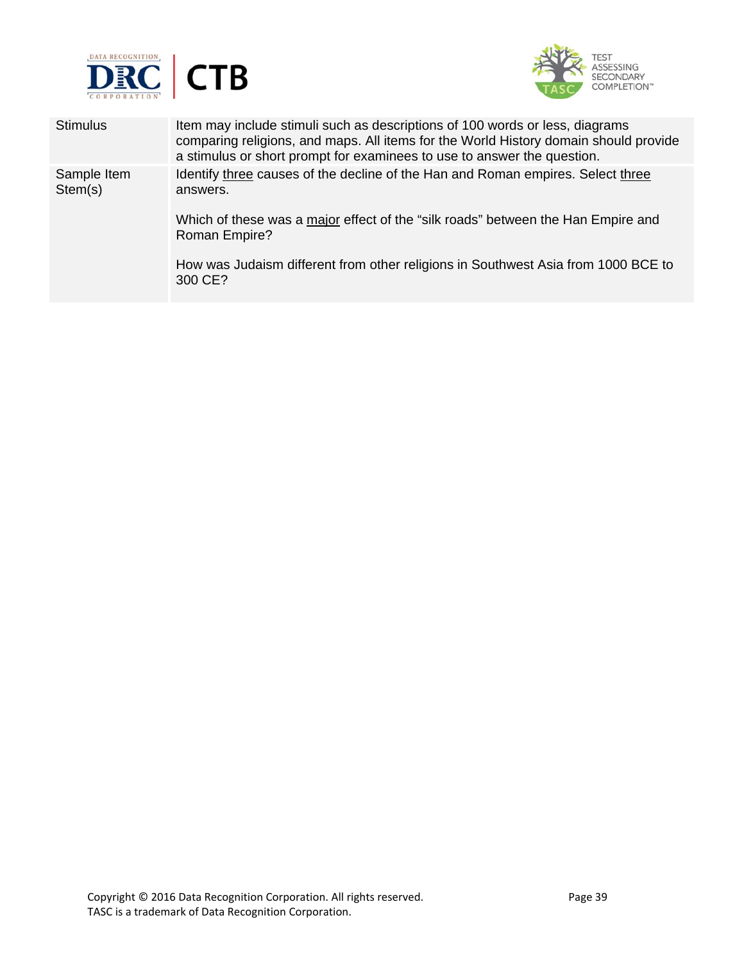



| <b>Stimulus</b>        | Item may include stimuli such as descriptions of 100 words or less, diagrams<br>comparing religions, and maps. All items for the World History domain should provide<br>a stimulus or short prompt for examinees to use to answer the question.                                                  |
|------------------------|--------------------------------------------------------------------------------------------------------------------------------------------------------------------------------------------------------------------------------------------------------------------------------------------------|
| Sample Item<br>Stem(s) | Identify three causes of the decline of the Han and Roman empires. Select three<br>answers.<br>Which of these was a major effect of the "silk roads" between the Han Empire and<br>Roman Empire?<br>How was Judaism different from other religions in Southwest Asia from 1000 BCE to<br>300 CE? |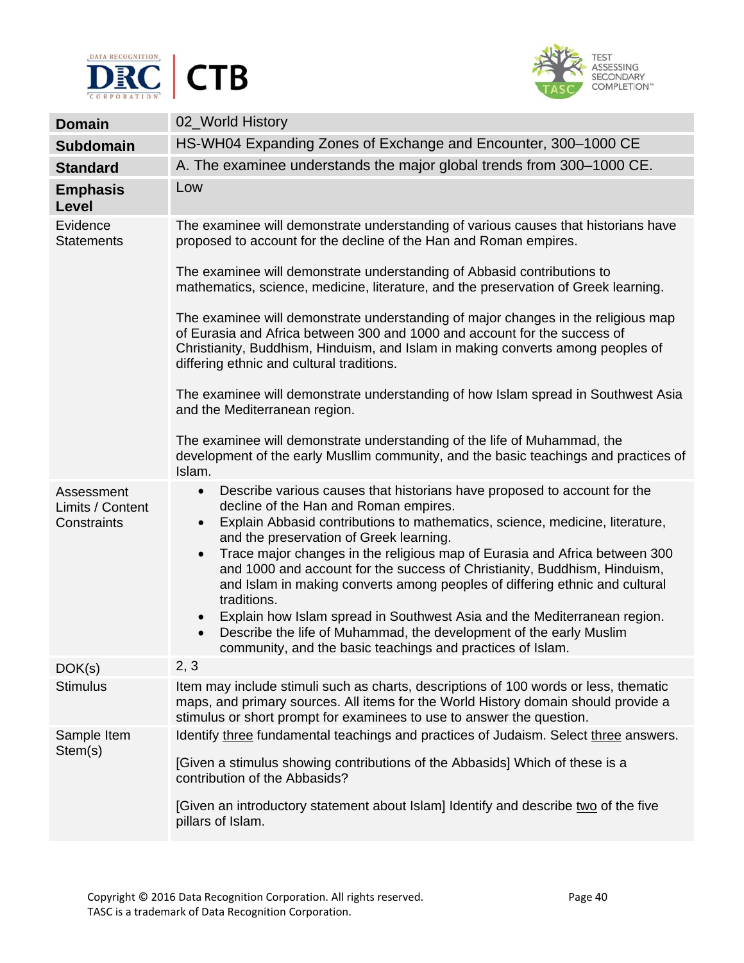



| <b>Domain</b>                                 | 02_World History                                                                                                                                                                                                                                                                                                                                                                                                                                                                                                                                                                                                                                                                                                                                                                       |
|-----------------------------------------------|----------------------------------------------------------------------------------------------------------------------------------------------------------------------------------------------------------------------------------------------------------------------------------------------------------------------------------------------------------------------------------------------------------------------------------------------------------------------------------------------------------------------------------------------------------------------------------------------------------------------------------------------------------------------------------------------------------------------------------------------------------------------------------------|
| <b>Subdomain</b>                              | HS-WH04 Expanding Zones of Exchange and Encounter, 300-1000 CE                                                                                                                                                                                                                                                                                                                                                                                                                                                                                                                                                                                                                                                                                                                         |
| <b>Standard</b>                               | A. The examinee understands the major global trends from 300-1000 CE.                                                                                                                                                                                                                                                                                                                                                                                                                                                                                                                                                                                                                                                                                                                  |
| <b>Emphasis</b><br>Level                      | Low                                                                                                                                                                                                                                                                                                                                                                                                                                                                                                                                                                                                                                                                                                                                                                                    |
| Evidence<br><b>Statements</b>                 | The examinee will demonstrate understanding of various causes that historians have<br>proposed to account for the decline of the Han and Roman empires.                                                                                                                                                                                                                                                                                                                                                                                                                                                                                                                                                                                                                                |
|                                               | The examinee will demonstrate understanding of Abbasid contributions to<br>mathematics, science, medicine, literature, and the preservation of Greek learning.                                                                                                                                                                                                                                                                                                                                                                                                                                                                                                                                                                                                                         |
|                                               | The examinee will demonstrate understanding of major changes in the religious map<br>of Eurasia and Africa between 300 and 1000 and account for the success of<br>Christianity, Buddhism, Hinduism, and Islam in making converts among peoples of<br>differing ethnic and cultural traditions.                                                                                                                                                                                                                                                                                                                                                                                                                                                                                         |
|                                               | The examinee will demonstrate understanding of how Islam spread in Southwest Asia<br>and the Mediterranean region.                                                                                                                                                                                                                                                                                                                                                                                                                                                                                                                                                                                                                                                                     |
|                                               | The examinee will demonstrate understanding of the life of Muhammad, the<br>development of the early Musllim community, and the basic teachings and practices of<br>Islam.                                                                                                                                                                                                                                                                                                                                                                                                                                                                                                                                                                                                             |
| Assessment<br>Limits / Content<br>Constraints | Describe various causes that historians have proposed to account for the<br>$\bullet$<br>decline of the Han and Roman empires.<br>Explain Abbasid contributions to mathematics, science, medicine, literature,<br>$\bullet$<br>and the preservation of Greek learning.<br>Trace major changes in the religious map of Eurasia and Africa between 300<br>$\bullet$<br>and 1000 and account for the success of Christianity, Buddhism, Hinduism,<br>and Islam in making converts among peoples of differing ethnic and cultural<br>traditions.<br>Explain how Islam spread in Southwest Asia and the Mediterranean region.<br>$\bullet$<br>Describe the life of Muhammad, the development of the early Muslim<br>$\bullet$<br>community, and the basic teachings and practices of Islam. |
| DOK(s)                                        | 2, 3                                                                                                                                                                                                                                                                                                                                                                                                                                                                                                                                                                                                                                                                                                                                                                                   |
| <b>Stimulus</b>                               | Item may include stimuli such as charts, descriptions of 100 words or less, thematic<br>maps, and primary sources. All items for the World History domain should provide a<br>stimulus or short prompt for examinees to use to answer the question.                                                                                                                                                                                                                                                                                                                                                                                                                                                                                                                                    |
| Sample Item<br>Stem(s)                        | Identify three fundamental teachings and practices of Judaism. Select three answers.<br>[Given a stimulus showing contributions of the Abbasids] Which of these is a<br>contribution of the Abbasids?<br>[Given an introductory statement about Islam] Identify and describe two of the five<br>pillars of Islam.                                                                                                                                                                                                                                                                                                                                                                                                                                                                      |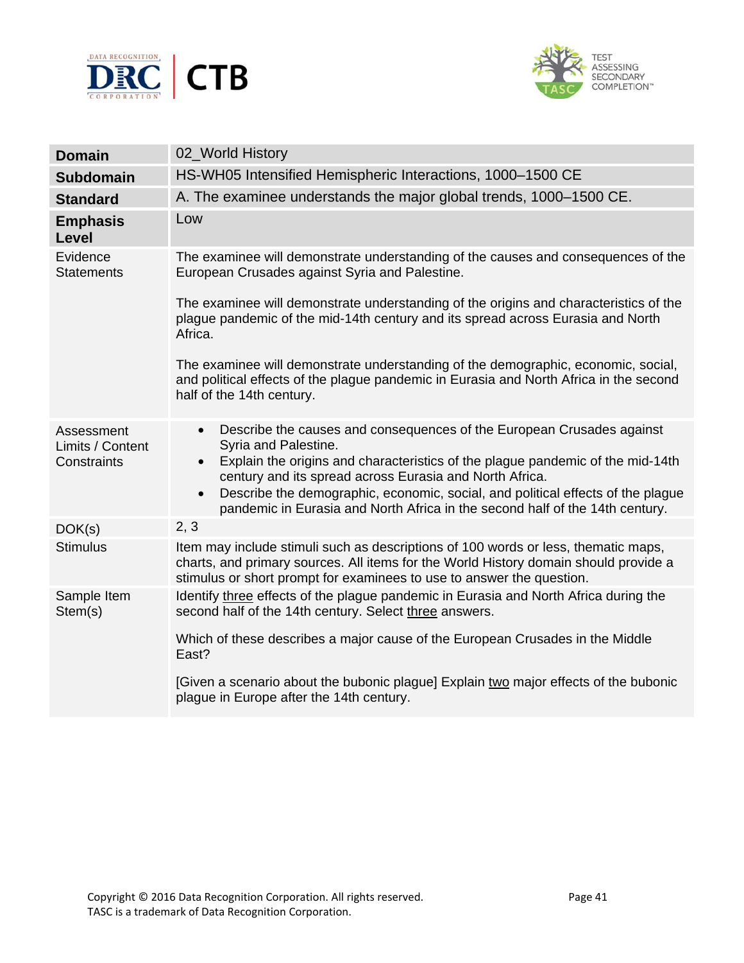



| <b>Domain</b>                                 | 02_World History                                                                                                                                                                                                                                                                                                                                                                                                                                     |
|-----------------------------------------------|------------------------------------------------------------------------------------------------------------------------------------------------------------------------------------------------------------------------------------------------------------------------------------------------------------------------------------------------------------------------------------------------------------------------------------------------------|
| <b>Subdomain</b>                              | HS-WH05 Intensified Hemispheric Interactions, 1000-1500 CE                                                                                                                                                                                                                                                                                                                                                                                           |
| <b>Standard</b>                               | A. The examinee understands the major global trends, 1000-1500 CE.                                                                                                                                                                                                                                                                                                                                                                                   |
| <b>Emphasis</b><br>Level                      | Low                                                                                                                                                                                                                                                                                                                                                                                                                                                  |
| Evidence<br><b>Statements</b>                 | The examinee will demonstrate understanding of the causes and consequences of the<br>European Crusades against Syria and Palestine.                                                                                                                                                                                                                                                                                                                  |
|                                               | The examinee will demonstrate understanding of the origins and characteristics of the<br>plague pandemic of the mid-14th century and its spread across Eurasia and North<br>Africa.                                                                                                                                                                                                                                                                  |
|                                               | The examinee will demonstrate understanding of the demographic, economic, social,<br>and political effects of the plague pandemic in Eurasia and North Africa in the second<br>half of the 14th century.                                                                                                                                                                                                                                             |
| Assessment<br>Limits / Content<br>Constraints | Describe the causes and consequences of the European Crusades against<br>$\bullet$<br>Syria and Palestine.<br>Explain the origins and characteristics of the plague pandemic of the mid-14th<br>$\bullet$<br>century and its spread across Eurasia and North Africa.<br>Describe the demographic, economic, social, and political effects of the plague<br>$\bullet$<br>pandemic in Eurasia and North Africa in the second half of the 14th century. |
| DOK(s)                                        | 2, 3                                                                                                                                                                                                                                                                                                                                                                                                                                                 |
| <b>Stimulus</b>                               | Item may include stimuli such as descriptions of 100 words or less, thematic maps,<br>charts, and primary sources. All items for the World History domain should provide a<br>stimulus or short prompt for examinees to use to answer the question.                                                                                                                                                                                                  |
| Sample Item<br>Stem(s)                        | Identify three effects of the plague pandemic in Eurasia and North Africa during the<br>second half of the 14th century. Select three answers.                                                                                                                                                                                                                                                                                                       |
|                                               | Which of these describes a major cause of the European Crusades in the Middle<br>East?                                                                                                                                                                                                                                                                                                                                                               |
|                                               | [Given a scenario about the bubonic plague] Explain two major effects of the bubonic<br>plague in Europe after the 14th century.                                                                                                                                                                                                                                                                                                                     |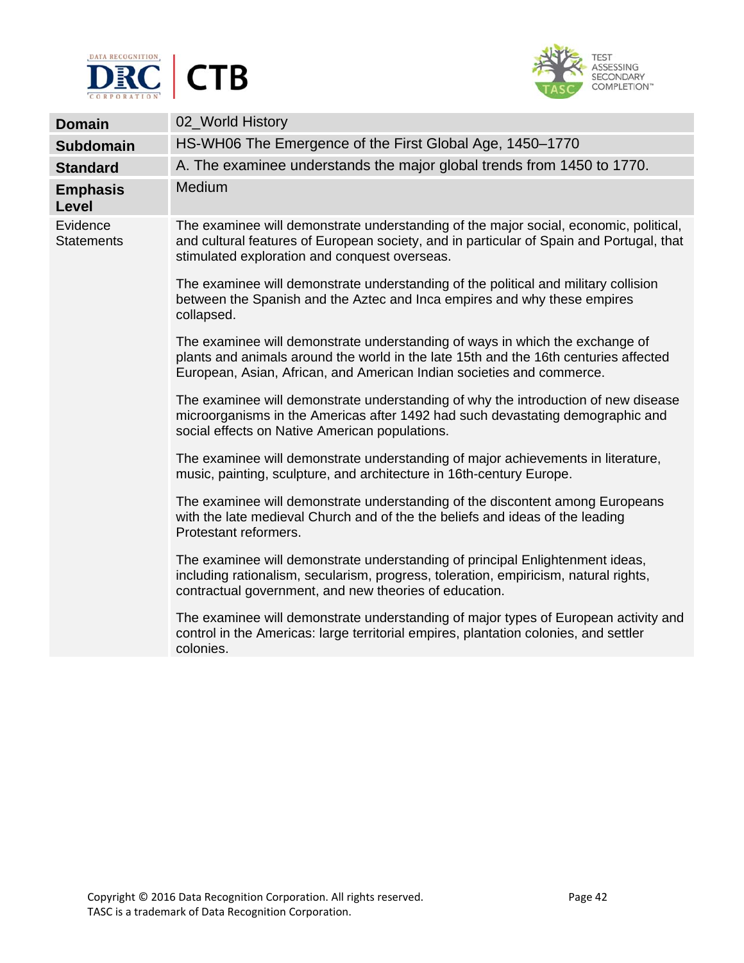



| <b>Domain</b>                 | 02_World History                                                                                                                                                                                                                              |
|-------------------------------|-----------------------------------------------------------------------------------------------------------------------------------------------------------------------------------------------------------------------------------------------|
| <b>Subdomain</b>              | HS-WH06 The Emergence of the First Global Age, 1450-1770                                                                                                                                                                                      |
| <b>Standard</b>               | A. The examinee understands the major global trends from 1450 to 1770.                                                                                                                                                                        |
| <b>Emphasis</b><br>Level      | Medium                                                                                                                                                                                                                                        |
| Evidence<br><b>Statements</b> | The examinee will demonstrate understanding of the major social, economic, political,<br>and cultural features of European society, and in particular of Spain and Portugal, that<br>stimulated exploration and conquest overseas.            |
|                               | The examinee will demonstrate understanding of the political and military collision<br>between the Spanish and the Aztec and Inca empires and why these empires<br>collapsed.                                                                 |
|                               | The examinee will demonstrate understanding of ways in which the exchange of<br>plants and animals around the world in the late 15th and the 16th centuries affected<br>European, Asian, African, and American Indian societies and commerce. |
|                               | The examinee will demonstrate understanding of why the introduction of new disease<br>microorganisms in the Americas after 1492 had such devastating demographic and<br>social effects on Native American populations.                        |
|                               | The examinee will demonstrate understanding of major achievements in literature,<br>music, painting, sculpture, and architecture in 16th-century Europe.                                                                                      |
|                               | The examinee will demonstrate understanding of the discontent among Europeans<br>with the late medieval Church and of the the beliefs and ideas of the leading<br>Protestant reformers.                                                       |
|                               | The examinee will demonstrate understanding of principal Enlightenment ideas,<br>including rationalism, secularism, progress, toleration, empiricism, natural rights,<br>contractual government, and new theories of education.               |
|                               | The examinee will demonstrate understanding of major types of European activity and<br>control in the Americas: large territorial empires, plantation colonies, and settler<br>colonies.                                                      |
|                               |                                                                                                                                                                                                                                               |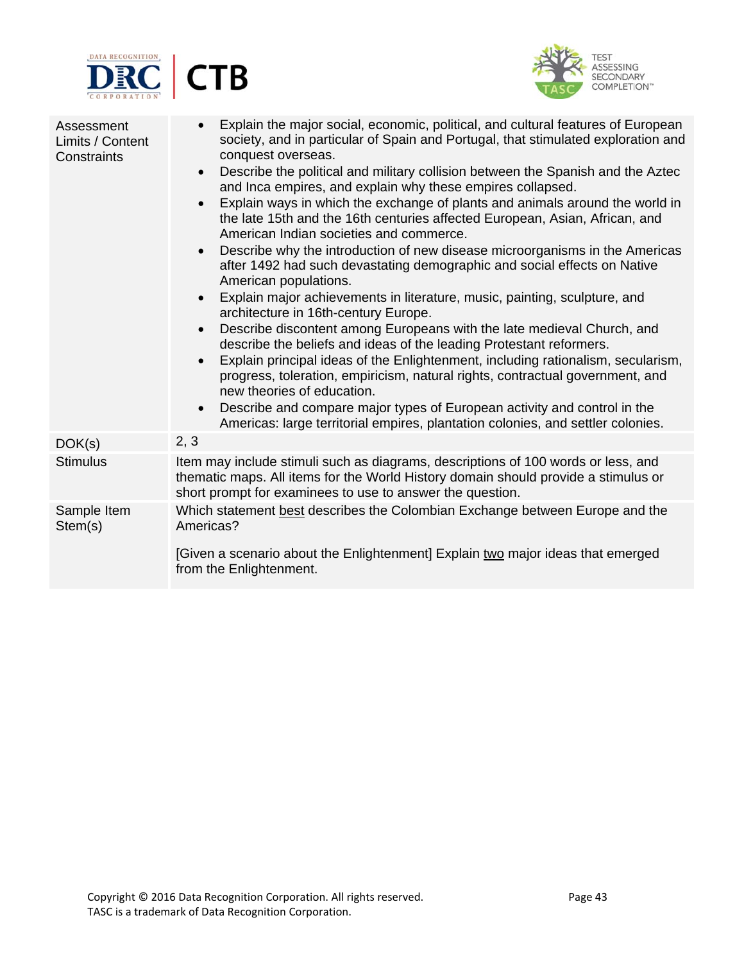



| Assessment<br>Limits / Content<br>Constraints | Explain the major social, economic, political, and cultural features of European<br>$\bullet$<br>society, and in particular of Spain and Portugal, that stimulated exploration and<br>conquest overseas.<br>Describe the political and military collision between the Spanish and the Aztec<br>$\bullet$<br>and Inca empires, and explain why these empires collapsed.<br>Explain ways in which the exchange of plants and animals around the world in<br>$\bullet$<br>the late 15th and the 16th centuries affected European, Asian, African, and<br>American Indian societies and commerce.<br>Describe why the introduction of new disease microorganisms in the Americas<br>$\bullet$<br>after 1492 had such devastating demographic and social effects on Native<br>American populations.<br>Explain major achievements in literature, music, painting, sculpture, and<br>$\bullet$<br>architecture in 16th-century Europe.<br>Describe discontent among Europeans with the late medieval Church, and<br>$\bullet$<br>describe the beliefs and ideas of the leading Protestant reformers.<br>Explain principal ideas of the Enlightenment, including rationalism, secularism,<br>$\bullet$<br>progress, toleration, empiricism, natural rights, contractual government, and<br>new theories of education.<br>Describe and compare major types of European activity and control in the<br>$\bullet$<br>Americas: large territorial empires, plantation colonies, and settler colonies. |
|-----------------------------------------------|--------------------------------------------------------------------------------------------------------------------------------------------------------------------------------------------------------------------------------------------------------------------------------------------------------------------------------------------------------------------------------------------------------------------------------------------------------------------------------------------------------------------------------------------------------------------------------------------------------------------------------------------------------------------------------------------------------------------------------------------------------------------------------------------------------------------------------------------------------------------------------------------------------------------------------------------------------------------------------------------------------------------------------------------------------------------------------------------------------------------------------------------------------------------------------------------------------------------------------------------------------------------------------------------------------------------------------------------------------------------------------------------------------------------------------------------------------------------------------------------|
| DOK(s)                                        | 2, 3                                                                                                                                                                                                                                                                                                                                                                                                                                                                                                                                                                                                                                                                                                                                                                                                                                                                                                                                                                                                                                                                                                                                                                                                                                                                                                                                                                                                                                                                                       |
| <b>Stimulus</b>                               | Item may include stimuli such as diagrams, descriptions of 100 words or less, and<br>thematic maps. All items for the World History domain should provide a stimulus or<br>short prompt for examinees to use to answer the question.                                                                                                                                                                                                                                                                                                                                                                                                                                                                                                                                                                                                                                                                                                                                                                                                                                                                                                                                                                                                                                                                                                                                                                                                                                                       |
| Sample Item<br>Stem(s)                        | Which statement best describes the Colombian Exchange between Europe and the<br>Americas?<br>[Given a scenario about the Enlightenment] Explain two major ideas that emerged                                                                                                                                                                                                                                                                                                                                                                                                                                                                                                                                                                                                                                                                                                                                                                                                                                                                                                                                                                                                                                                                                                                                                                                                                                                                                                               |
|                                               | from the Enlightenment.                                                                                                                                                                                                                                                                                                                                                                                                                                                                                                                                                                                                                                                                                                                                                                                                                                                                                                                                                                                                                                                                                                                                                                                                                                                                                                                                                                                                                                                                    |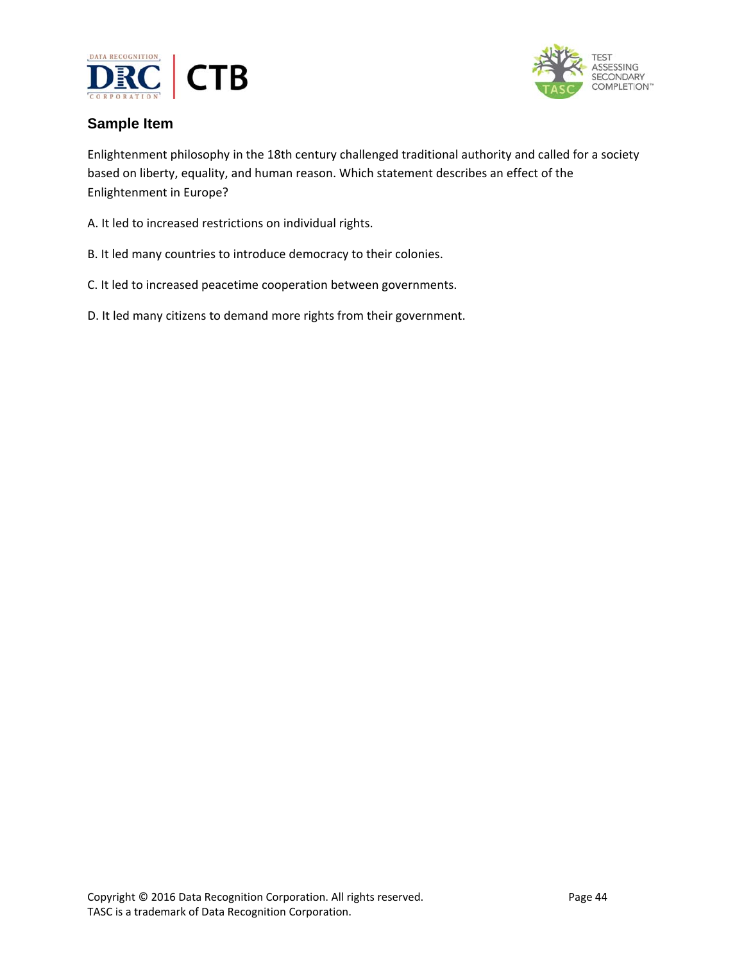



## **Sample Item**

Enlightenment philosophy in the 18th century challenged traditional authority and called for a society based on liberty, equality, and human reason. Which statement describes an effect of the Enlightenment in Europe?

- A. It led to increased restrictions on individual rights.
- B. It led many countries to introduce democracy to their colonies.
- C. It led to increased peacetime cooperation between governments.
- D. It led many citizens to demand more rights from their government.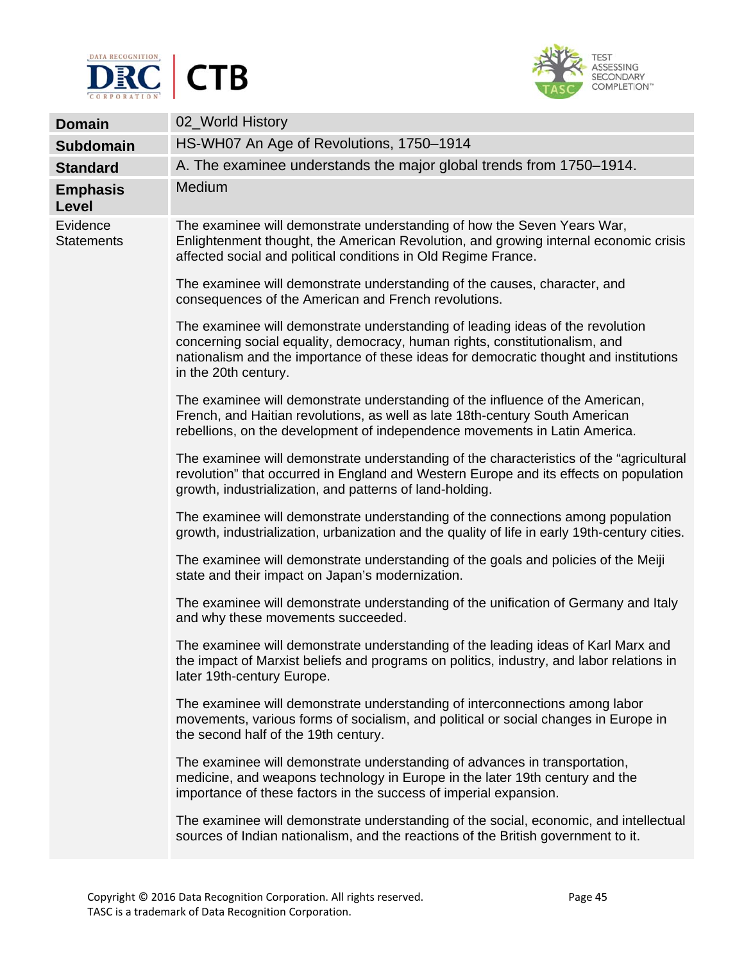



| <b>Domain</b>                 | 02_World History                                                                                                                                                                                                                                                               |
|-------------------------------|--------------------------------------------------------------------------------------------------------------------------------------------------------------------------------------------------------------------------------------------------------------------------------|
| <b>Subdomain</b>              | HS-WH07 An Age of Revolutions, 1750-1914                                                                                                                                                                                                                                       |
| <b>Standard</b>               | A. The examinee understands the major global trends from 1750–1914.                                                                                                                                                                                                            |
| <b>Emphasis</b><br>Level      | Medium                                                                                                                                                                                                                                                                         |
| Evidence<br><b>Statements</b> | The examinee will demonstrate understanding of how the Seven Years War,<br>Enlightenment thought, the American Revolution, and growing internal economic crisis<br>affected social and political conditions in Old Regime France.                                              |
|                               | The examinee will demonstrate understanding of the causes, character, and<br>consequences of the American and French revolutions.                                                                                                                                              |
|                               | The examinee will demonstrate understanding of leading ideas of the revolution<br>concerning social equality, democracy, human rights, constitutionalism, and<br>nationalism and the importance of these ideas for democratic thought and institutions<br>in the 20th century. |
|                               | The examinee will demonstrate understanding of the influence of the American,<br>French, and Haitian revolutions, as well as late 18th-century South American<br>rebellions, on the development of independence movements in Latin America.                                    |
|                               | The examinee will demonstrate understanding of the characteristics of the "agricultural"<br>revolution" that occurred in England and Western Europe and its effects on population<br>growth, industrialization, and patterns of land-holding.                                  |
|                               | The examinee will demonstrate understanding of the connections among population<br>growth, industrialization, urbanization and the quality of life in early 19th-century cities.                                                                                               |
|                               | The examinee will demonstrate understanding of the goals and policies of the Meiji<br>state and their impact on Japan's modernization.                                                                                                                                         |
|                               | The examinee will demonstrate understanding of the unification of Germany and Italy<br>and why these movements succeeded.                                                                                                                                                      |
|                               | The examinee will demonstrate understanding of the leading ideas of Karl Marx and<br>the impact of Marxist beliefs and programs on politics, industry, and labor relations in<br>later 19th-century Europe.                                                                    |
|                               | The examinee will demonstrate understanding of interconnections among labor<br>movements, various forms of socialism, and political or social changes in Europe in<br>the second half of the 19th century.                                                                     |
|                               | The examinee will demonstrate understanding of advances in transportation,<br>medicine, and weapons technology in Europe in the later 19th century and the<br>importance of these factors in the success of imperial expansion.                                                |
|                               | The examinee will demonstrate understanding of the social, economic, and intellectual<br>sources of Indian nationalism, and the reactions of the British government to it.                                                                                                     |
|                               |                                                                                                                                                                                                                                                                                |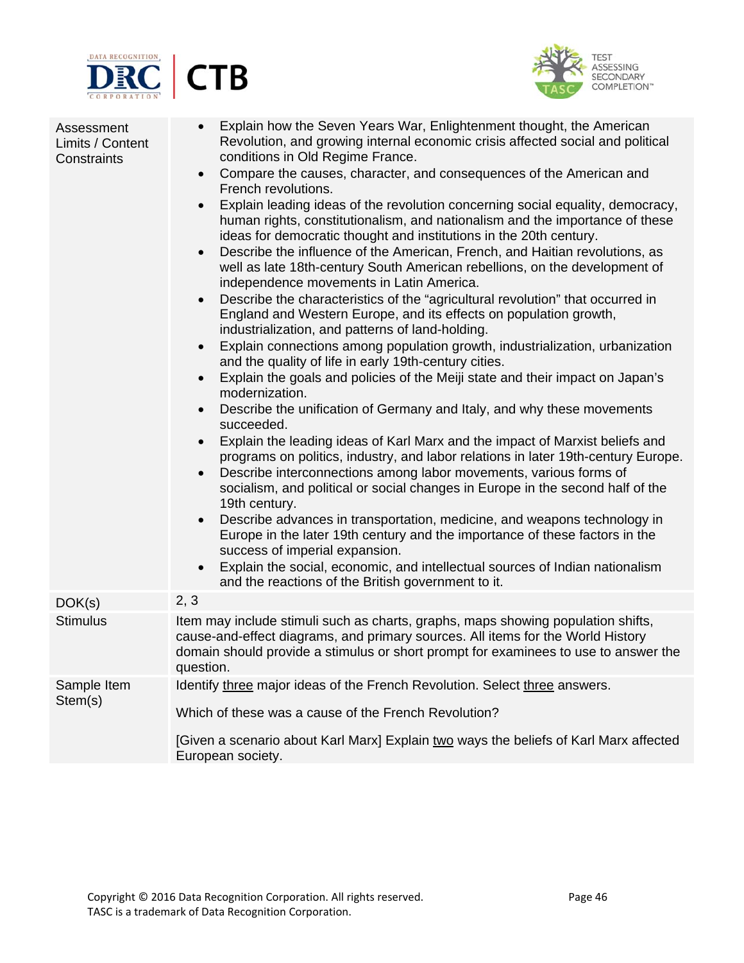



| Assessment<br>Limits / Content<br>Constraints | Explain how the Seven Years War, Enlightenment thought, the American<br>$\bullet$<br>Revolution, and growing internal economic crisis affected social and political<br>conditions in Old Regime France.<br>Compare the causes, character, and consequences of the American and<br>$\bullet$<br>French revolutions.<br>Explain leading ideas of the revolution concerning social equality, democracy,<br>$\bullet$<br>human rights, constitutionalism, and nationalism and the importance of these<br>ideas for democratic thought and institutions in the 20th century.<br>Describe the influence of the American, French, and Haitian revolutions, as<br>$\bullet$<br>well as late 18th-century South American rebellions, on the development of<br>independence movements in Latin America.<br>Describe the characteristics of the "agricultural revolution" that occurred in<br>$\bullet$<br>England and Western Europe, and its effects on population growth,<br>industrialization, and patterns of land-holding.<br>Explain connections among population growth, industrialization, urbanization<br>$\bullet$<br>and the quality of life in early 19th-century cities.<br>Explain the goals and policies of the Meiji state and their impact on Japan's<br>$\bullet$<br>modernization.<br>Describe the unification of Germany and Italy, and why these movements<br>succeeded.<br>Explain the leading ideas of Karl Marx and the impact of Marxist beliefs and<br>$\bullet$<br>programs on politics, industry, and labor relations in later 19th-century Europe.<br>Describe interconnections among labor movements, various forms of<br>$\bullet$<br>socialism, and political or social changes in Europe in the second half of the<br>19th century.<br>Describe advances in transportation, medicine, and weapons technology in<br>$\bullet$<br>Europe in the later 19th century and the importance of these factors in the<br>success of imperial expansion.<br>Explain the social, economic, and intellectual sources of Indian nationalism<br>$\bullet$<br>and the reactions of the British government to it. |
|-----------------------------------------------|-------------------------------------------------------------------------------------------------------------------------------------------------------------------------------------------------------------------------------------------------------------------------------------------------------------------------------------------------------------------------------------------------------------------------------------------------------------------------------------------------------------------------------------------------------------------------------------------------------------------------------------------------------------------------------------------------------------------------------------------------------------------------------------------------------------------------------------------------------------------------------------------------------------------------------------------------------------------------------------------------------------------------------------------------------------------------------------------------------------------------------------------------------------------------------------------------------------------------------------------------------------------------------------------------------------------------------------------------------------------------------------------------------------------------------------------------------------------------------------------------------------------------------------------------------------------------------------------------------------------------------------------------------------------------------------------------------------------------------------------------------------------------------------------------------------------------------------------------------------------------------------------------------------------------------------------------------------------------------------------------------------------------------------------------------------------------------------------------------------------------|
| DOK(s)                                        | 2, 3                                                                                                                                                                                                                                                                                                                                                                                                                                                                                                                                                                                                                                                                                                                                                                                                                                                                                                                                                                                                                                                                                                                                                                                                                                                                                                                                                                                                                                                                                                                                                                                                                                                                                                                                                                                                                                                                                                                                                                                                                                                                                                                    |
| <b>Stimulus</b>                               | Item may include stimuli such as charts, graphs, maps showing population shifts,<br>cause-and-effect diagrams, and primary sources. All items for the World History<br>domain should provide a stimulus or short prompt for examinees to use to answer the<br>question.                                                                                                                                                                                                                                                                                                                                                                                                                                                                                                                                                                                                                                                                                                                                                                                                                                                                                                                                                                                                                                                                                                                                                                                                                                                                                                                                                                                                                                                                                                                                                                                                                                                                                                                                                                                                                                                 |
| Sample Item                                   | Identify three major ideas of the French Revolution. Select three answers.                                                                                                                                                                                                                                                                                                                                                                                                                                                                                                                                                                                                                                                                                                                                                                                                                                                                                                                                                                                                                                                                                                                                                                                                                                                                                                                                                                                                                                                                                                                                                                                                                                                                                                                                                                                                                                                                                                                                                                                                                                              |
| Stem(s)                                       | Which of these was a cause of the French Revolution?                                                                                                                                                                                                                                                                                                                                                                                                                                                                                                                                                                                                                                                                                                                                                                                                                                                                                                                                                                                                                                                                                                                                                                                                                                                                                                                                                                                                                                                                                                                                                                                                                                                                                                                                                                                                                                                                                                                                                                                                                                                                    |
|                                               | [Given a scenario about Karl Marx] Explain two ways the beliefs of Karl Marx affected<br>European society.                                                                                                                                                                                                                                                                                                                                                                                                                                                                                                                                                                                                                                                                                                                                                                                                                                                                                                                                                                                                                                                                                                                                                                                                                                                                                                                                                                                                                                                                                                                                                                                                                                                                                                                                                                                                                                                                                                                                                                                                              |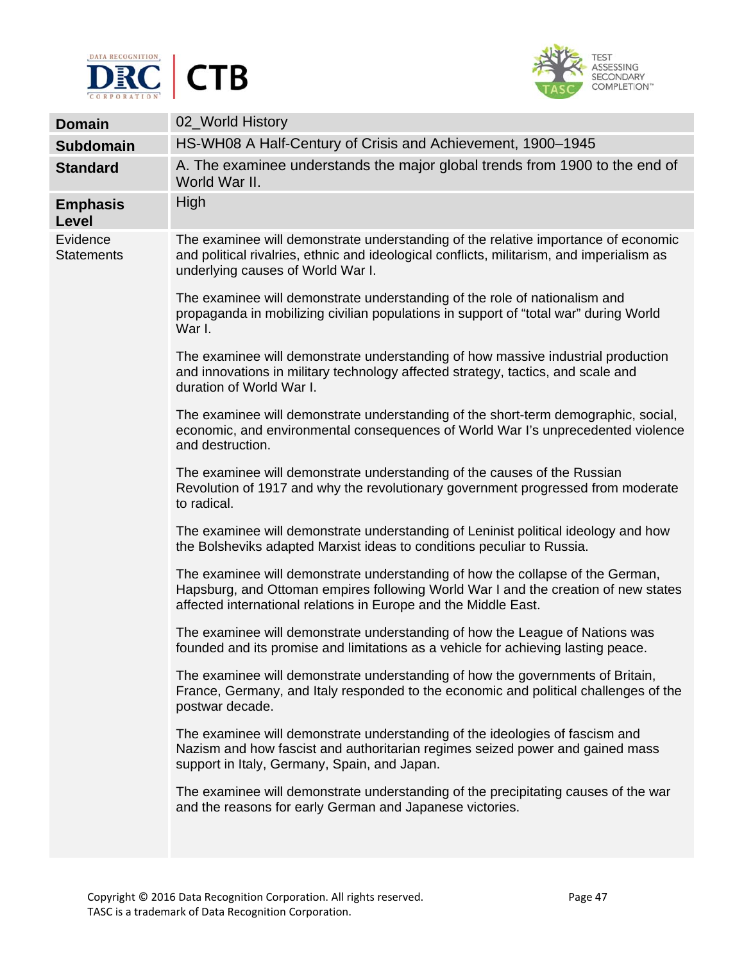



| <b>Domain</b>                 | 02_World History                                                                                                                                                                                                                        |
|-------------------------------|-----------------------------------------------------------------------------------------------------------------------------------------------------------------------------------------------------------------------------------------|
| <b>Subdomain</b>              | HS-WH08 A Half-Century of Crisis and Achievement, 1900–1945                                                                                                                                                                             |
| <b>Standard</b>               | A. The examinee understands the major global trends from 1900 to the end of<br>World War II.                                                                                                                                            |
| <b>Emphasis</b><br>Level      | High                                                                                                                                                                                                                                    |
| Evidence<br><b>Statements</b> | The examinee will demonstrate understanding of the relative importance of economic<br>and political rivalries, ethnic and ideological conflicts, militarism, and imperialism as<br>underlying causes of World War I.                    |
|                               | The examinee will demonstrate understanding of the role of nationalism and<br>propaganda in mobilizing civilian populations in support of "total war" during World<br>War I.                                                            |
|                               | The examinee will demonstrate understanding of how massive industrial production<br>and innovations in military technology affected strategy, tactics, and scale and<br>duration of World War I.                                        |
|                               | The examinee will demonstrate understanding of the short-term demographic, social,<br>economic, and environmental consequences of World War I's unprecedented violence<br>and destruction.                                              |
|                               | The examinee will demonstrate understanding of the causes of the Russian<br>Revolution of 1917 and why the revolutionary government progressed from moderate<br>to radical.                                                             |
|                               | The examinee will demonstrate understanding of Leninist political ideology and how<br>the Bolsheviks adapted Marxist ideas to conditions peculiar to Russia.                                                                            |
|                               | The examinee will demonstrate understanding of how the collapse of the German,<br>Hapsburg, and Ottoman empires following World War I and the creation of new states<br>affected international relations in Europe and the Middle East. |
|                               | The examinee will demonstrate understanding of how the League of Nations was<br>founded and its promise and limitations as a vehicle for achieving lasting peace.                                                                       |
|                               | The examinee will demonstrate understanding of how the governments of Britain,<br>France, Germany, and Italy responded to the economic and political challenges of the<br>postwar decade.                                               |
|                               | The examinee will demonstrate understanding of the ideologies of fascism and<br>Nazism and how fascist and authoritarian regimes seized power and gained mass<br>support in Italy, Germany, Spain, and Japan.                           |
|                               | The examinee will demonstrate understanding of the precipitating causes of the war<br>and the reasons for early German and Japanese victories.                                                                                          |
|                               |                                                                                                                                                                                                                                         |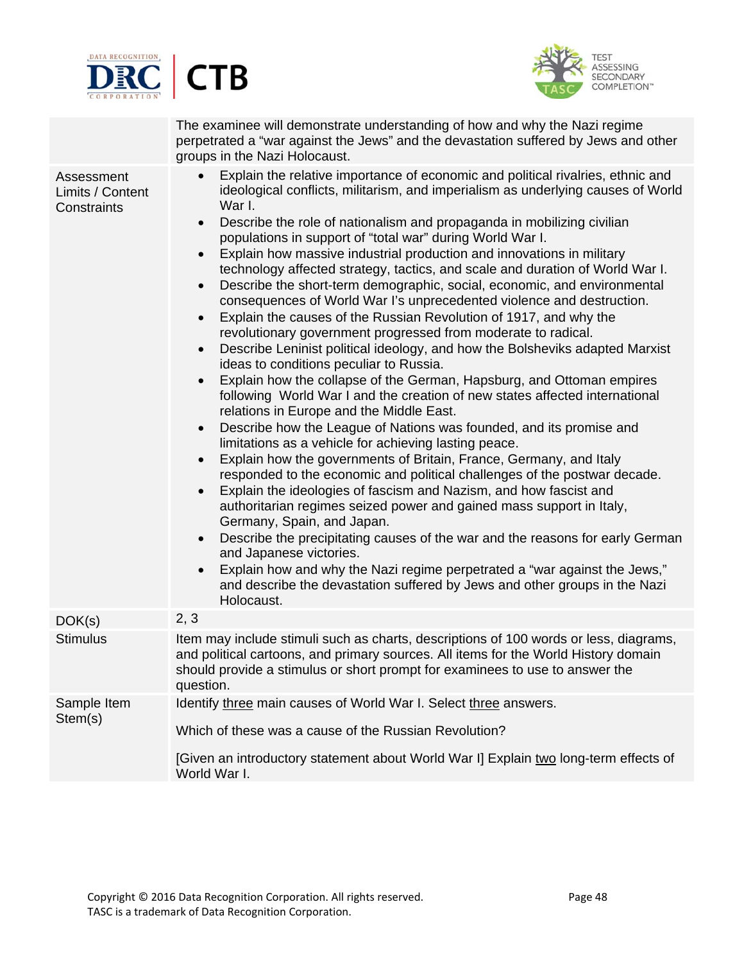



The examinee will demonstrate understanding of how and why the Nazi regime perpetrated a "war against the Jews" and the devastation suffered by Jews and other groups in the Nazi Holocaust.

| Assessment<br>Limits / Content<br>Constraints | Explain the relative importance of economic and political rivalries, ethnic and<br>$\bullet$<br>ideological conflicts, militarism, and imperialism as underlying causes of World<br>War I.<br>Describe the role of nationalism and propaganda in mobilizing civilian<br>$\bullet$<br>populations in support of "total war" during World War I.<br>Explain how massive industrial production and innovations in military<br>$\bullet$<br>technology affected strategy, tactics, and scale and duration of World War I.<br>Describe the short-term demographic, social, economic, and environmental<br>$\bullet$<br>consequences of World War I's unprecedented violence and destruction.<br>Explain the causes of the Russian Revolution of 1917, and why the<br>$\bullet$<br>revolutionary government progressed from moderate to radical.<br>Describe Leninist political ideology, and how the Bolsheviks adapted Marxist<br>$\bullet$<br>ideas to conditions peculiar to Russia.<br>Explain how the collapse of the German, Hapsburg, and Ottoman empires<br>$\bullet$<br>following World War I and the creation of new states affected international<br>relations in Europe and the Middle East.<br>Describe how the League of Nations was founded, and its promise and<br>$\bullet$<br>limitations as a vehicle for achieving lasting peace.<br>Explain how the governments of Britain, France, Germany, and Italy<br>$\bullet$<br>responded to the economic and political challenges of the postwar decade.<br>Explain the ideologies of fascism and Nazism, and how fascist and<br>$\bullet$<br>authoritarian regimes seized power and gained mass support in Italy,<br>Germany, Spain, and Japan.<br>Describe the precipitating causes of the war and the reasons for early German<br>$\bullet$<br>and Japanese victories.<br>Explain how and why the Nazi regime perpetrated a "war against the Jews,"<br>$\bullet$<br>and describe the devastation suffered by Jews and other groups in the Nazi<br>Holocaust. |
|-----------------------------------------------|-------------------------------------------------------------------------------------------------------------------------------------------------------------------------------------------------------------------------------------------------------------------------------------------------------------------------------------------------------------------------------------------------------------------------------------------------------------------------------------------------------------------------------------------------------------------------------------------------------------------------------------------------------------------------------------------------------------------------------------------------------------------------------------------------------------------------------------------------------------------------------------------------------------------------------------------------------------------------------------------------------------------------------------------------------------------------------------------------------------------------------------------------------------------------------------------------------------------------------------------------------------------------------------------------------------------------------------------------------------------------------------------------------------------------------------------------------------------------------------------------------------------------------------------------------------------------------------------------------------------------------------------------------------------------------------------------------------------------------------------------------------------------------------------------------------------------------------------------------------------------------------------------------------------------------------------------------------------------------------------------------------------------|
| DOK(s)                                        | 2, 3                                                                                                                                                                                                                                                                                                                                                                                                                                                                                                                                                                                                                                                                                                                                                                                                                                                                                                                                                                                                                                                                                                                                                                                                                                                                                                                                                                                                                                                                                                                                                                                                                                                                                                                                                                                                                                                                                                                                                                                                                    |
| <b>Stimulus</b>                               | Item may include stimuli such as charts, descriptions of 100 words or less, diagrams,<br>and political cartoons, and primary sources. All items for the World History domain<br>should provide a stimulus or short prompt for examinees to use to answer the<br>question.                                                                                                                                                                                                                                                                                                                                                                                                                                                                                                                                                                                                                                                                                                                                                                                                                                                                                                                                                                                                                                                                                                                                                                                                                                                                                                                                                                                                                                                                                                                                                                                                                                                                                                                                               |
| Sample Item<br>Stem(s)                        | Identify three main causes of World War I. Select three answers.<br>Which of these was a cause of the Russian Revolution?<br>[Given an introductory statement about World War I] Explain two long-term effects of<br>World War I.                                                                                                                                                                                                                                                                                                                                                                                                                                                                                                                                                                                                                                                                                                                                                                                                                                                                                                                                                                                                                                                                                                                                                                                                                                                                                                                                                                                                                                                                                                                                                                                                                                                                                                                                                                                       |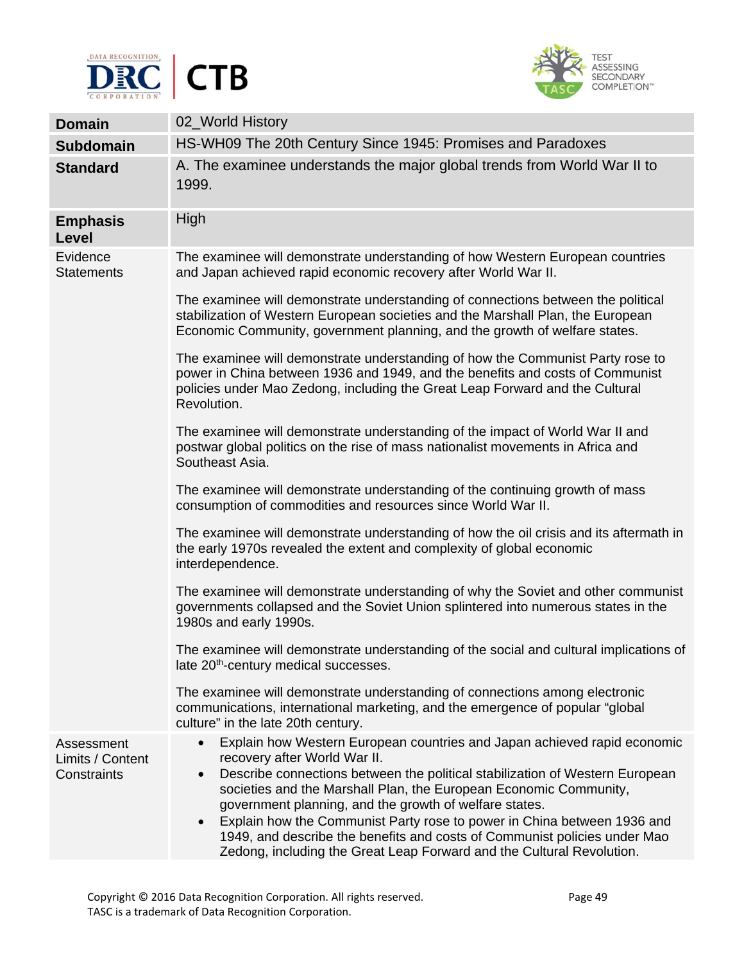



| <b>Domain</b>                                 | 02_World History                                                                                                                                                                                                                                                                                                                                                                                                                                                                                                                                                                   |
|-----------------------------------------------|------------------------------------------------------------------------------------------------------------------------------------------------------------------------------------------------------------------------------------------------------------------------------------------------------------------------------------------------------------------------------------------------------------------------------------------------------------------------------------------------------------------------------------------------------------------------------------|
| <b>Subdomain</b>                              | HS-WH09 The 20th Century Since 1945: Promises and Paradoxes                                                                                                                                                                                                                                                                                                                                                                                                                                                                                                                        |
| <b>Standard</b>                               | A. The examinee understands the major global trends from World War II to<br>1999.                                                                                                                                                                                                                                                                                                                                                                                                                                                                                                  |
| <b>Emphasis</b><br>Level                      | High                                                                                                                                                                                                                                                                                                                                                                                                                                                                                                                                                                               |
| Evidence<br><b>Statements</b>                 | The examinee will demonstrate understanding of how Western European countries<br>and Japan achieved rapid economic recovery after World War II.                                                                                                                                                                                                                                                                                                                                                                                                                                    |
|                                               | The examinee will demonstrate understanding of connections between the political<br>stabilization of Western European societies and the Marshall Plan, the European<br>Economic Community, government planning, and the growth of welfare states.                                                                                                                                                                                                                                                                                                                                  |
|                                               | The examinee will demonstrate understanding of how the Communist Party rose to<br>power in China between 1936 and 1949, and the benefits and costs of Communist<br>policies under Mao Zedong, including the Great Leap Forward and the Cultural<br>Revolution.                                                                                                                                                                                                                                                                                                                     |
|                                               | The examinee will demonstrate understanding of the impact of World War II and<br>postwar global politics on the rise of mass nationalist movements in Africa and<br>Southeast Asia.                                                                                                                                                                                                                                                                                                                                                                                                |
|                                               | The examinee will demonstrate understanding of the continuing growth of mass<br>consumption of commodities and resources since World War II.                                                                                                                                                                                                                                                                                                                                                                                                                                       |
|                                               | The examinee will demonstrate understanding of how the oil crisis and its aftermath in<br>the early 1970s revealed the extent and complexity of global economic<br>interdependence.                                                                                                                                                                                                                                                                                                                                                                                                |
|                                               | The examinee will demonstrate understanding of why the Soviet and other communist<br>governments collapsed and the Soviet Union splintered into numerous states in the<br>1980s and early 1990s.                                                                                                                                                                                                                                                                                                                                                                                   |
|                                               | The examinee will demonstrate understanding of the social and cultural implications of<br>late 20 <sup>th</sup> -century medical successes.                                                                                                                                                                                                                                                                                                                                                                                                                                        |
|                                               | The examinee will demonstrate understanding of connections among electronic<br>communications, international marketing, and the emergence of popular "global"<br>culture" in the late 20th century.                                                                                                                                                                                                                                                                                                                                                                                |
| Assessment<br>Limits / Content<br>Constraints | Explain how Western European countries and Japan achieved rapid economic<br>recovery after World War II.<br>Describe connections between the political stabilization of Western European<br>$\bullet$<br>societies and the Marshall Plan, the European Economic Community,<br>government planning, and the growth of welfare states.<br>Explain how the Communist Party rose to power in China between 1936 and<br>$\bullet$<br>1949, and describe the benefits and costs of Communist policies under Mao<br>Zedong, including the Great Leap Forward and the Cultural Revolution. |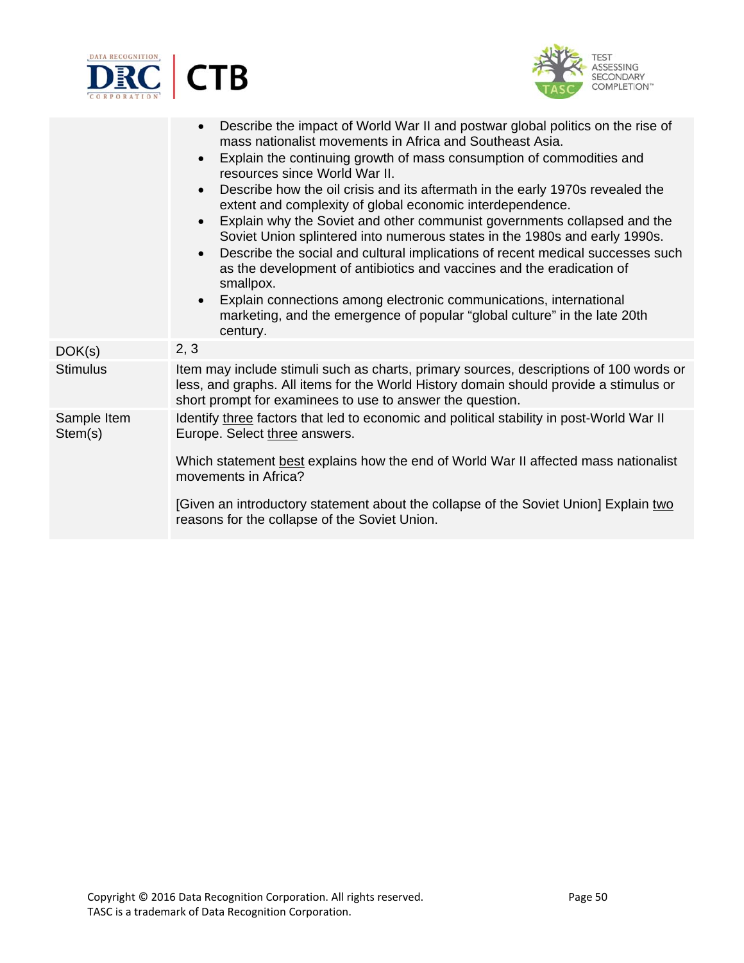



|                        | Describe the impact of World War II and postwar global politics on the rise of<br>$\bullet$<br>mass nationalist movements in Africa and Southeast Asia.<br>Explain the continuing growth of mass consumption of commodities and<br>$\bullet$<br>resources since World War II.<br>Describe how the oil crisis and its aftermath in the early 1970s revealed the<br>$\bullet$<br>extent and complexity of global economic interdependence.<br>Explain why the Soviet and other communist governments collapsed and the<br>$\bullet$<br>Soviet Union splintered into numerous states in the 1980s and early 1990s.<br>Describe the social and cultural implications of recent medical successes such<br>$\bullet$<br>as the development of antibiotics and vaccines and the eradication of<br>smallpox.<br>Explain connections among electronic communications, international<br>$\bullet$<br>marketing, and the emergence of popular "global culture" in the late 20th<br>century. |
|------------------------|----------------------------------------------------------------------------------------------------------------------------------------------------------------------------------------------------------------------------------------------------------------------------------------------------------------------------------------------------------------------------------------------------------------------------------------------------------------------------------------------------------------------------------------------------------------------------------------------------------------------------------------------------------------------------------------------------------------------------------------------------------------------------------------------------------------------------------------------------------------------------------------------------------------------------------------------------------------------------------|
| DOK(s)                 | 2, 3                                                                                                                                                                                                                                                                                                                                                                                                                                                                                                                                                                                                                                                                                                                                                                                                                                                                                                                                                                             |
| <b>Stimulus</b>        | Item may include stimuli such as charts, primary sources, descriptions of 100 words or<br>less, and graphs. All items for the World History domain should provide a stimulus or<br>short prompt for examinees to use to answer the question.                                                                                                                                                                                                                                                                                                                                                                                                                                                                                                                                                                                                                                                                                                                                     |
| Sample Item<br>Stem(s) | Identify three factors that led to economic and political stability in post-World War II<br>Europe. Select three answers.<br>Which statement best explains how the end of World War II affected mass nationalist<br>movements in Africa?                                                                                                                                                                                                                                                                                                                                                                                                                                                                                                                                                                                                                                                                                                                                         |
|                        | [Given an introductory statement about the collapse of the Soviet Union] Explain two<br>reasons for the collapse of the Soviet Union.                                                                                                                                                                                                                                                                                                                                                                                                                                                                                                                                                                                                                                                                                                                                                                                                                                            |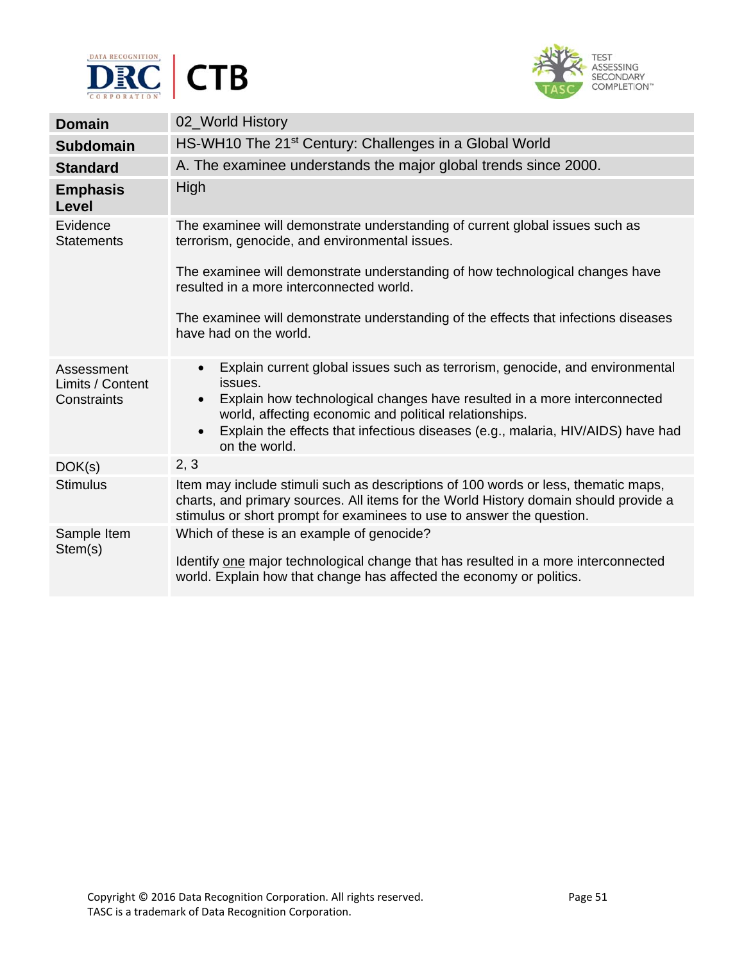



| <b>Domain</b>                                 | 02_World History                                                                                                                                                                                                                                                                                                                                                         |
|-----------------------------------------------|--------------------------------------------------------------------------------------------------------------------------------------------------------------------------------------------------------------------------------------------------------------------------------------------------------------------------------------------------------------------------|
| <b>Subdomain</b>                              | HS-WH10 The 21 <sup>st</sup> Century: Challenges in a Global World                                                                                                                                                                                                                                                                                                       |
| <b>Standard</b>                               | A. The examinee understands the major global trends since 2000.                                                                                                                                                                                                                                                                                                          |
| <b>Emphasis</b><br><b>Level</b>               | High                                                                                                                                                                                                                                                                                                                                                                     |
| Evidence<br><b>Statements</b>                 | The examinee will demonstrate understanding of current global issues such as<br>terrorism, genocide, and environmental issues.                                                                                                                                                                                                                                           |
|                                               | The examinee will demonstrate understanding of how technological changes have<br>resulted in a more interconnected world.                                                                                                                                                                                                                                                |
|                                               | The examinee will demonstrate understanding of the effects that infections diseases<br>have had on the world.                                                                                                                                                                                                                                                            |
| Assessment<br>Limits / Content<br>Constraints | Explain current global issues such as terrorism, genocide, and environmental<br>$\bullet$<br>issues.<br>Explain how technological changes have resulted in a more interconnected<br>$\bullet$<br>world, affecting economic and political relationships.<br>Explain the effects that infectious diseases (e.g., malaria, HIV/AIDS) have had<br>$\bullet$<br>on the world. |
| DOK(s)                                        | 2, 3                                                                                                                                                                                                                                                                                                                                                                     |
| <b>Stimulus</b>                               | Item may include stimuli such as descriptions of 100 words or less, thematic maps,<br>charts, and primary sources. All items for the World History domain should provide a<br>stimulus or short prompt for examinees to use to answer the question.                                                                                                                      |
| Sample Item<br>Stem(s)                        | Which of these is an example of genocide?<br>Identify one major technological change that has resulted in a more interconnected<br>world. Explain how that change has affected the economy or politics.                                                                                                                                                                  |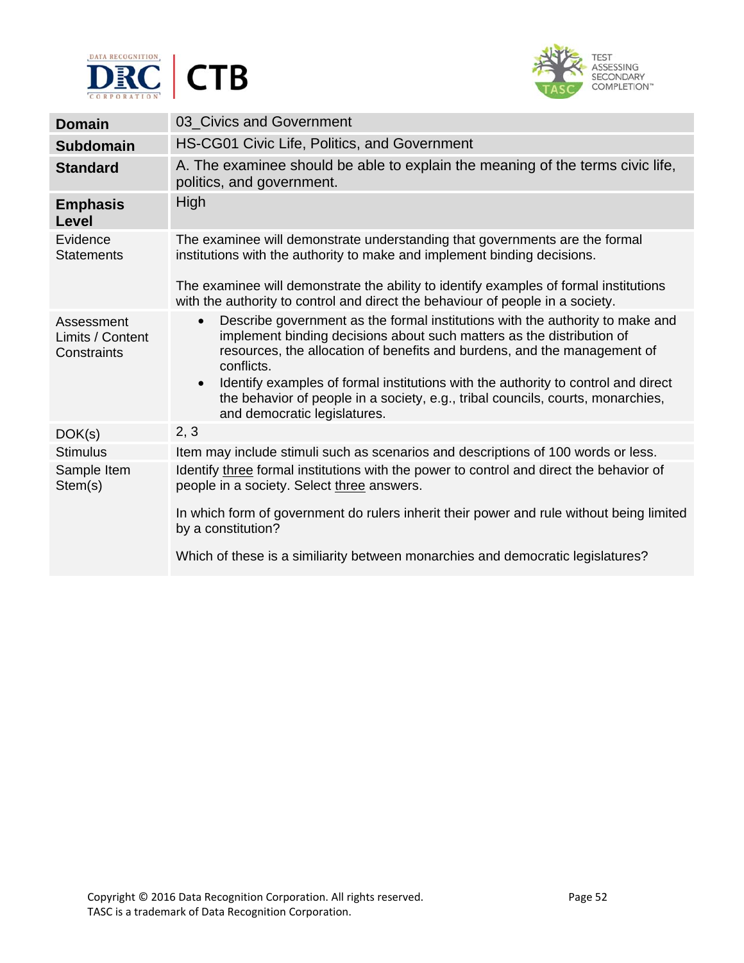



| <b>Domain</b>                                 | 03_Civics and Government                                                                                                                                                                                                                                                                                                                                                                                                                                                           |
|-----------------------------------------------|------------------------------------------------------------------------------------------------------------------------------------------------------------------------------------------------------------------------------------------------------------------------------------------------------------------------------------------------------------------------------------------------------------------------------------------------------------------------------------|
| <b>Subdomain</b>                              | HS-CG01 Civic Life, Politics, and Government                                                                                                                                                                                                                                                                                                                                                                                                                                       |
| <b>Standard</b>                               | A. The examinee should be able to explain the meaning of the terms civic life,<br>politics, and government.                                                                                                                                                                                                                                                                                                                                                                        |
| <b>Emphasis</b><br>Level                      | High                                                                                                                                                                                                                                                                                                                                                                                                                                                                               |
| Evidence<br><b>Statements</b>                 | The examinee will demonstrate understanding that governments are the formal<br>institutions with the authority to make and implement binding decisions.<br>The examinee will demonstrate the ability to identify examples of formal institutions<br>with the authority to control and direct the behaviour of people in a society.                                                                                                                                                 |
| Assessment<br>Limits / Content<br>Constraints | Describe government as the formal institutions with the authority to make and<br>$\bullet$<br>implement binding decisions about such matters as the distribution of<br>resources, the allocation of benefits and burdens, and the management of<br>conflicts.<br>Identify examples of formal institutions with the authority to control and direct<br>$\bullet$<br>the behavior of people in a society, e.g., tribal councils, courts, monarchies,<br>and democratic legislatures. |
| DOK(s)                                        | 2, 3                                                                                                                                                                                                                                                                                                                                                                                                                                                                               |
| <b>Stimulus</b>                               | Item may include stimuli such as scenarios and descriptions of 100 words or less.                                                                                                                                                                                                                                                                                                                                                                                                  |
| Sample Item<br>Stem(s)                        | Identify three formal institutions with the power to control and direct the behavior of<br>people in a society. Select three answers.<br>In which form of government do rulers inherit their power and rule without being limited                                                                                                                                                                                                                                                  |
|                                               | by a constitution?<br>Which of these is a similiarity between monarchies and democratic legislatures?                                                                                                                                                                                                                                                                                                                                                                              |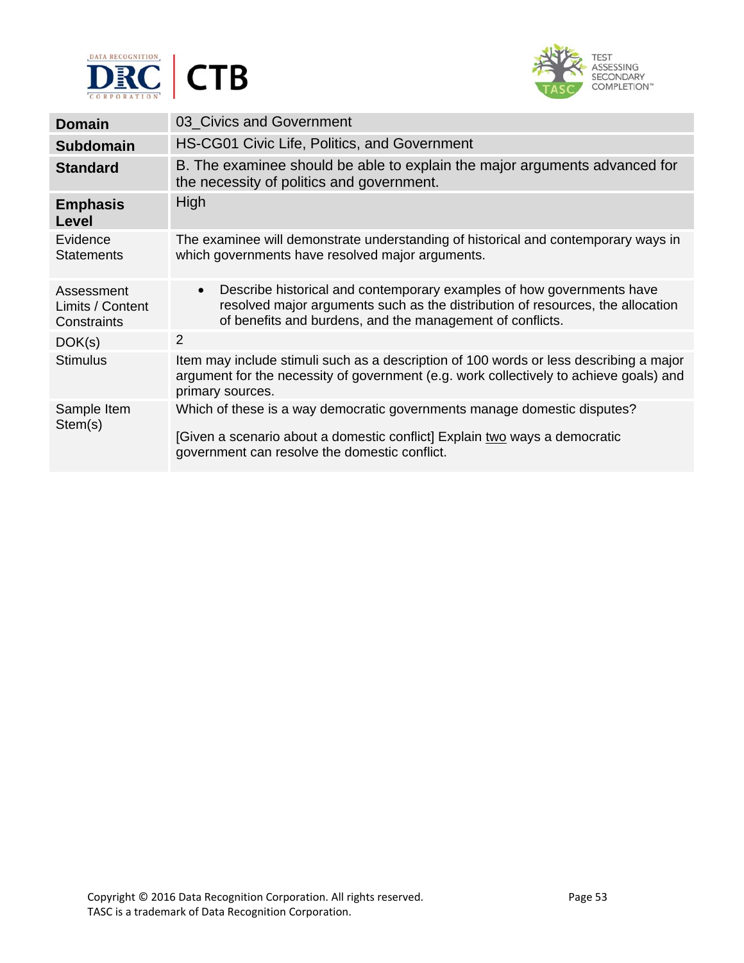



| <b>Domain</b>                                 | 03_Civics and Government                                                                                                                                                                                                          |
|-----------------------------------------------|-----------------------------------------------------------------------------------------------------------------------------------------------------------------------------------------------------------------------------------|
| <b>Subdomain</b>                              | HS-CG01 Civic Life, Politics, and Government                                                                                                                                                                                      |
| <b>Standard</b>                               | B. The examinee should be able to explain the major arguments advanced for<br>the necessity of politics and government.                                                                                                           |
| <b>Emphasis</b><br>Level                      | High                                                                                                                                                                                                                              |
| Evidence<br><b>Statements</b>                 | The examinee will demonstrate understanding of historical and contemporary ways in<br>which governments have resolved major arguments.                                                                                            |
| Assessment<br>Limits / Content<br>Constraints | Describe historical and contemporary examples of how governments have<br>$\bullet$<br>resolved major arguments such as the distribution of resources, the allocation<br>of benefits and burdens, and the management of conflicts. |
| DOK(s)                                        | 2                                                                                                                                                                                                                                 |
| <b>Stimulus</b>                               | Item may include stimuli such as a description of 100 words or less describing a major<br>argument for the necessity of government (e.g. work collectively to achieve goals) and<br>primary sources.                              |
| Sample Item<br>Stem(s)                        | Which of these is a way democratic governments manage domestic disputes?<br>[Given a scenario about a domestic conflict] Explain two ways a democratic<br>government can resolve the domestic conflict.                           |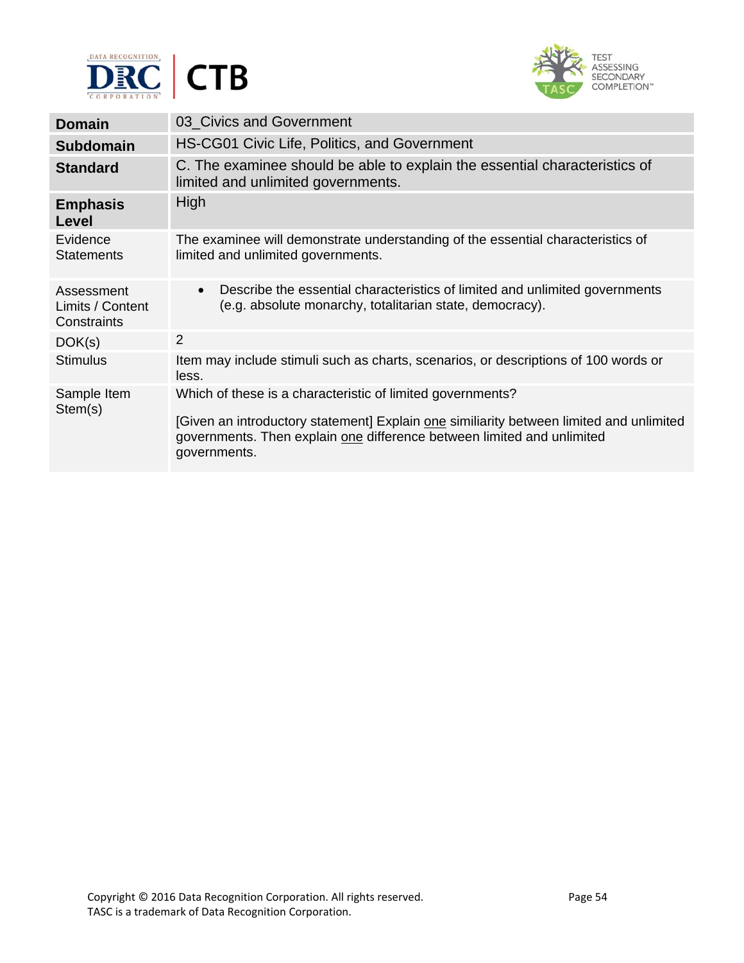



| <b>Domain</b>                                 | 03_Civics and Government                                                                                                                                                                                                                        |
|-----------------------------------------------|-------------------------------------------------------------------------------------------------------------------------------------------------------------------------------------------------------------------------------------------------|
| <b>Subdomain</b>                              | HS-CG01 Civic Life, Politics, and Government                                                                                                                                                                                                    |
| <b>Standard</b>                               | C. The examinee should be able to explain the essential characteristics of<br>limited and unlimited governments.                                                                                                                                |
| <b>Emphasis</b><br>Level                      | High                                                                                                                                                                                                                                            |
| Evidence<br><b>Statements</b>                 | The examinee will demonstrate understanding of the essential characteristics of<br>limited and unlimited governments.                                                                                                                           |
| Assessment<br>Limits / Content<br>Constraints | Describe the essential characteristics of limited and unlimited governments<br>$\bullet$<br>(e.g. absolute monarchy, totalitarian state, democracy).                                                                                            |
| DOK(s)                                        | 2                                                                                                                                                                                                                                               |
| <b>Stimulus</b>                               | Item may include stimuli such as charts, scenarios, or descriptions of 100 words or<br>less.                                                                                                                                                    |
| Sample Item<br>Stem(s)                        | Which of these is a characteristic of limited governments?<br>[Given an introductory statement] Explain one similiarity between limited and unlimited<br>governments. Then explain one difference between limited and unlimited<br>governments. |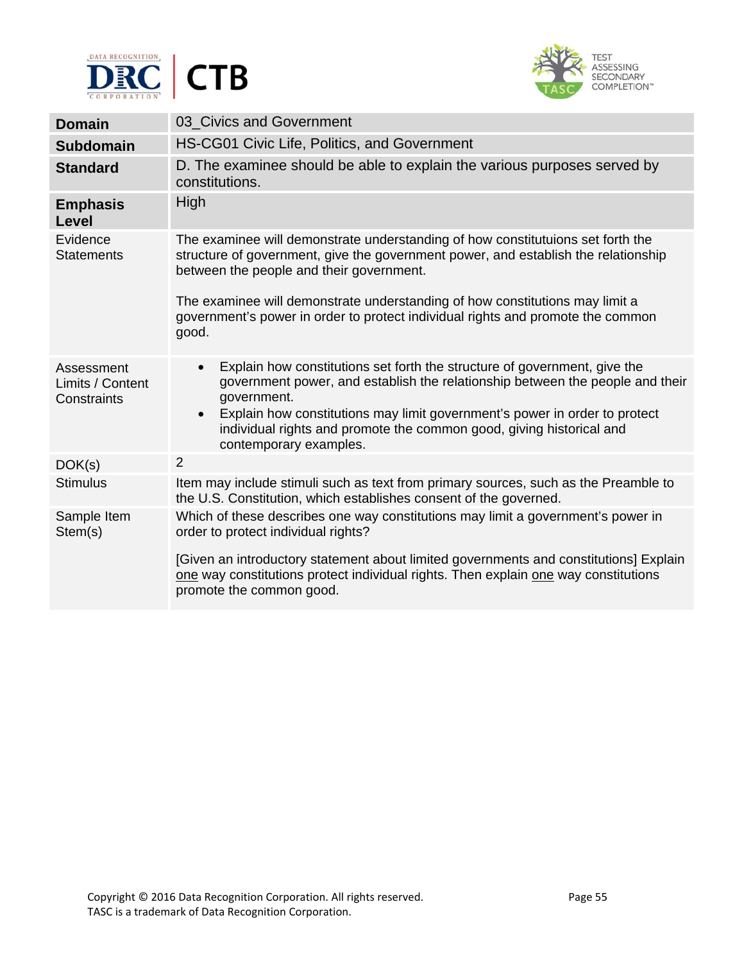



| <b>Domain</b>                                 | 03 Civics and Government                                                                                                                                                                                                                                                                                                                                                             |
|-----------------------------------------------|--------------------------------------------------------------------------------------------------------------------------------------------------------------------------------------------------------------------------------------------------------------------------------------------------------------------------------------------------------------------------------------|
| <b>Subdomain</b>                              | HS-CG01 Civic Life, Politics, and Government                                                                                                                                                                                                                                                                                                                                         |
| <b>Standard</b>                               | D. The examinee should be able to explain the various purposes served by<br>constitutions.                                                                                                                                                                                                                                                                                           |
| <b>Emphasis</b><br>Level                      | High                                                                                                                                                                                                                                                                                                                                                                                 |
| Evidence<br><b>Statements</b>                 | The examinee will demonstrate understanding of how constitutuions set forth the<br>structure of government, give the government power, and establish the relationship<br>between the people and their government.<br>The examinee will demonstrate understanding of how constitutions may limit a<br>government's power in order to protect individual rights and promote the common |
|                                               | good.                                                                                                                                                                                                                                                                                                                                                                                |
| Assessment<br>Limits / Content<br>Constraints | Explain how constitutions set forth the structure of government, give the<br>$\bullet$<br>government power, and establish the relationship between the people and their<br>government.<br>Explain how constitutions may limit government's power in order to protect<br>$\bullet$<br>individual rights and promote the common good, giving historical and<br>contemporary examples.  |
| DOK(s)                                        | $\overline{2}$                                                                                                                                                                                                                                                                                                                                                                       |
| <b>Stimulus</b>                               | Item may include stimuli such as text from primary sources, such as the Preamble to<br>the U.S. Constitution, which establishes consent of the governed.                                                                                                                                                                                                                             |
| Sample Item<br>Stem(s)                        | Which of these describes one way constitutions may limit a government's power in<br>order to protect individual rights?                                                                                                                                                                                                                                                              |
|                                               | [Given an introductory statement about limited governments and constitutions] Explain<br>one way constitutions protect individual rights. Then explain one way constitutions<br>promote the common good.                                                                                                                                                                             |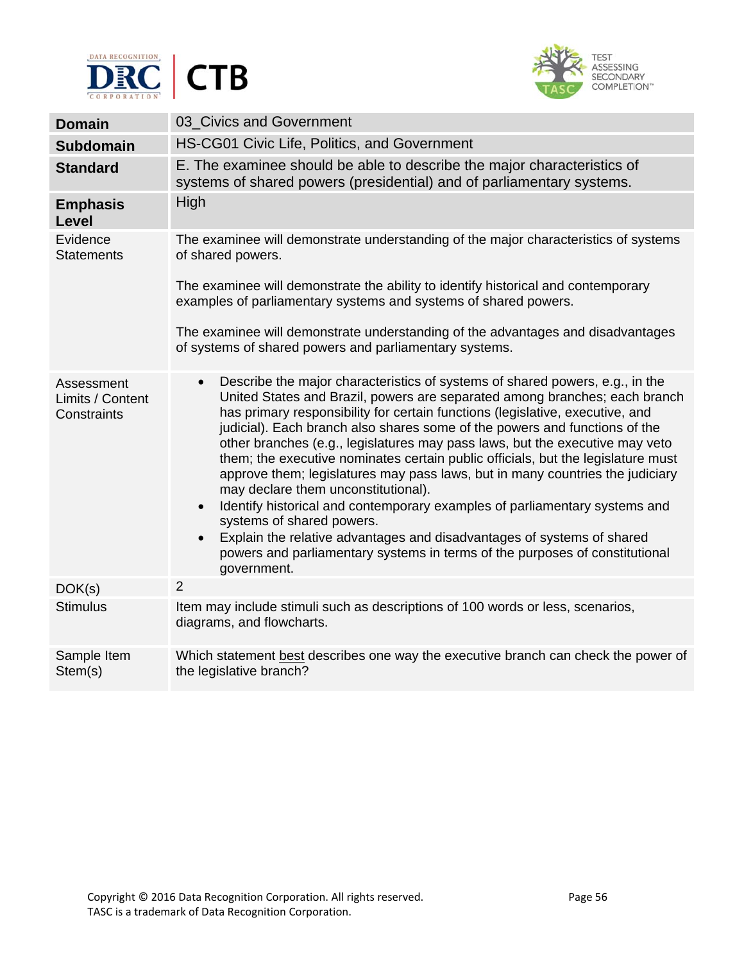



| <b>Domain</b>                                 | 03_Civics and Government                                                                                                                                                                                                                                                                                                                                                                                                                                                                                                                                                                                                                                                                                                                                                                                                                                                                                                                        |
|-----------------------------------------------|-------------------------------------------------------------------------------------------------------------------------------------------------------------------------------------------------------------------------------------------------------------------------------------------------------------------------------------------------------------------------------------------------------------------------------------------------------------------------------------------------------------------------------------------------------------------------------------------------------------------------------------------------------------------------------------------------------------------------------------------------------------------------------------------------------------------------------------------------------------------------------------------------------------------------------------------------|
| <b>Subdomain</b>                              | HS-CG01 Civic Life, Politics, and Government                                                                                                                                                                                                                                                                                                                                                                                                                                                                                                                                                                                                                                                                                                                                                                                                                                                                                                    |
| <b>Standard</b>                               | E. The examinee should be able to describe the major characteristics of<br>systems of shared powers (presidential) and of parliamentary systems.                                                                                                                                                                                                                                                                                                                                                                                                                                                                                                                                                                                                                                                                                                                                                                                                |
| <b>Emphasis</b><br>Level                      | High                                                                                                                                                                                                                                                                                                                                                                                                                                                                                                                                                                                                                                                                                                                                                                                                                                                                                                                                            |
| Evidence<br><b>Statements</b>                 | The examinee will demonstrate understanding of the major characteristics of systems<br>of shared powers.<br>The examinee will demonstrate the ability to identify historical and contemporary<br>examples of parliamentary systems and systems of shared powers.<br>The examinee will demonstrate understanding of the advantages and disadvantages<br>of systems of shared powers and parliamentary systems.                                                                                                                                                                                                                                                                                                                                                                                                                                                                                                                                   |
| Assessment<br>Limits / Content<br>Constraints | Describe the major characteristics of systems of shared powers, e.g., in the<br>$\bullet$<br>United States and Brazil, powers are separated among branches; each branch<br>has primary responsibility for certain functions (legislative, executive, and<br>judicial). Each branch also shares some of the powers and functions of the<br>other branches (e.g., legislatures may pass laws, but the executive may veto<br>them; the executive nominates certain public officials, but the legislature must<br>approve them; legislatures may pass laws, but in many countries the judiciary<br>may declare them unconstitutional).<br>Identify historical and contemporary examples of parliamentary systems and<br>$\bullet$<br>systems of shared powers.<br>Explain the relative advantages and disadvantages of systems of shared<br>$\bullet$<br>powers and parliamentary systems in terms of the purposes of constitutional<br>government. |
| DOK(s)                                        | $\overline{2}$                                                                                                                                                                                                                                                                                                                                                                                                                                                                                                                                                                                                                                                                                                                                                                                                                                                                                                                                  |
| <b>Stimulus</b>                               | Item may include stimuli such as descriptions of 100 words or less, scenarios,<br>diagrams, and flowcharts.                                                                                                                                                                                                                                                                                                                                                                                                                                                                                                                                                                                                                                                                                                                                                                                                                                     |
| Sample Item<br>Stem(s)                        | Which statement best describes one way the executive branch can check the power of<br>the legislative branch?                                                                                                                                                                                                                                                                                                                                                                                                                                                                                                                                                                                                                                                                                                                                                                                                                                   |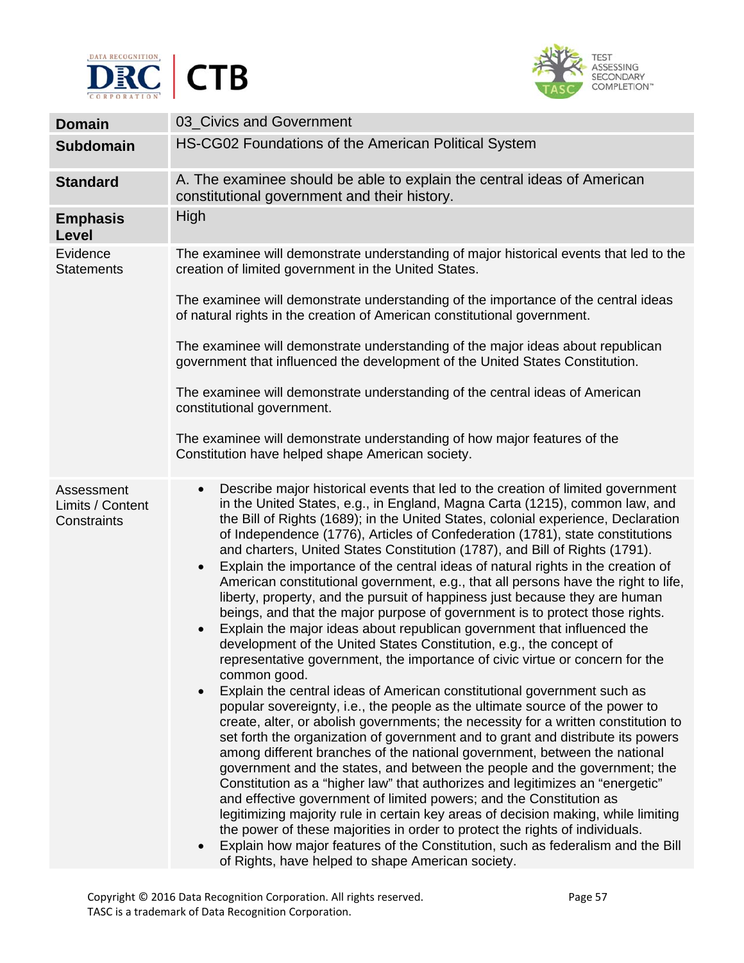



| <b>Domain</b>                                 | 03_Civics and Government                                                                                                                                                                                                                                                                                                                                                                                                                                                                                                                                                                                                                                                                                                                                                                                                                                                                                                                                                                                                                                                                                                                                                                                                                                                                                                                                                                                                                                                                                                                                                                                                                                                                                                                                                                                                                                                                                                                                                                                                                            |
|-----------------------------------------------|-----------------------------------------------------------------------------------------------------------------------------------------------------------------------------------------------------------------------------------------------------------------------------------------------------------------------------------------------------------------------------------------------------------------------------------------------------------------------------------------------------------------------------------------------------------------------------------------------------------------------------------------------------------------------------------------------------------------------------------------------------------------------------------------------------------------------------------------------------------------------------------------------------------------------------------------------------------------------------------------------------------------------------------------------------------------------------------------------------------------------------------------------------------------------------------------------------------------------------------------------------------------------------------------------------------------------------------------------------------------------------------------------------------------------------------------------------------------------------------------------------------------------------------------------------------------------------------------------------------------------------------------------------------------------------------------------------------------------------------------------------------------------------------------------------------------------------------------------------------------------------------------------------------------------------------------------------------------------------------------------------------------------------------------------------|
| <b>Subdomain</b>                              | HS-CG02 Foundations of the American Political System                                                                                                                                                                                                                                                                                                                                                                                                                                                                                                                                                                                                                                                                                                                                                                                                                                                                                                                                                                                                                                                                                                                                                                                                                                                                                                                                                                                                                                                                                                                                                                                                                                                                                                                                                                                                                                                                                                                                                                                                |
| <b>Standard</b>                               | A. The examinee should be able to explain the central ideas of American<br>constitutional government and their history.                                                                                                                                                                                                                                                                                                                                                                                                                                                                                                                                                                                                                                                                                                                                                                                                                                                                                                                                                                                                                                                                                                                                                                                                                                                                                                                                                                                                                                                                                                                                                                                                                                                                                                                                                                                                                                                                                                                             |
| <b>Emphasis</b><br>Level                      | High                                                                                                                                                                                                                                                                                                                                                                                                                                                                                                                                                                                                                                                                                                                                                                                                                                                                                                                                                                                                                                                                                                                                                                                                                                                                                                                                                                                                                                                                                                                                                                                                                                                                                                                                                                                                                                                                                                                                                                                                                                                |
| Evidence<br><b>Statements</b>                 | The examinee will demonstrate understanding of major historical events that led to the<br>creation of limited government in the United States.<br>The examinee will demonstrate understanding of the importance of the central ideas<br>of natural rights in the creation of American constitutional government.<br>The examinee will demonstrate understanding of the major ideas about republican<br>government that influenced the development of the United States Constitution.                                                                                                                                                                                                                                                                                                                                                                                                                                                                                                                                                                                                                                                                                                                                                                                                                                                                                                                                                                                                                                                                                                                                                                                                                                                                                                                                                                                                                                                                                                                                                                |
|                                               | The examinee will demonstrate understanding of the central ideas of American<br>constitutional government.<br>The examinee will demonstrate understanding of how major features of the<br>Constitution have helped shape American society.                                                                                                                                                                                                                                                                                                                                                                                                                                                                                                                                                                                                                                                                                                                                                                                                                                                                                                                                                                                                                                                                                                                                                                                                                                                                                                                                                                                                                                                                                                                                                                                                                                                                                                                                                                                                          |
| Assessment<br>Limits / Content<br>Constraints | Describe major historical events that led to the creation of limited government<br>$\bullet$<br>in the United States, e.g., in England, Magna Carta (1215), common law, and<br>the Bill of Rights (1689); in the United States, colonial experience, Declaration<br>of Independence (1776), Articles of Confederation (1781), state constitutions<br>and charters, United States Constitution (1787), and Bill of Rights (1791).<br>Explain the importance of the central ideas of natural rights in the creation of<br>$\bullet$<br>American constitutional government, e.g., that all persons have the right to life,<br>liberty, property, and the pursuit of happiness just because they are human<br>beings, and that the major purpose of government is to protect those rights.<br>Explain the major ideas about republican government that influenced the<br>$\bullet$<br>development of the United States Constitution, e.g., the concept of<br>representative government, the importance of civic virtue or concern for the<br>common good.<br>Explain the central ideas of American constitutional government such as<br>$\bullet$<br>popular sovereignty, i.e., the people as the ultimate source of the power to<br>create, alter, or abolish governments; the necessity for a written constitution to<br>set forth the organization of government and to grant and distribute its powers<br>among different branches of the national government, between the national<br>government and the states, and between the people and the government; the<br>Constitution as a "higher law" that authorizes and legitimizes an "energetic"<br>and effective government of limited powers; and the Constitution as<br>legitimizing majority rule in certain key areas of decision making, while limiting<br>the power of these majorities in order to protect the rights of individuals.<br>Explain how major features of the Constitution, such as federalism and the Bill<br>$\bullet$<br>of Rights, have helped to shape American society. |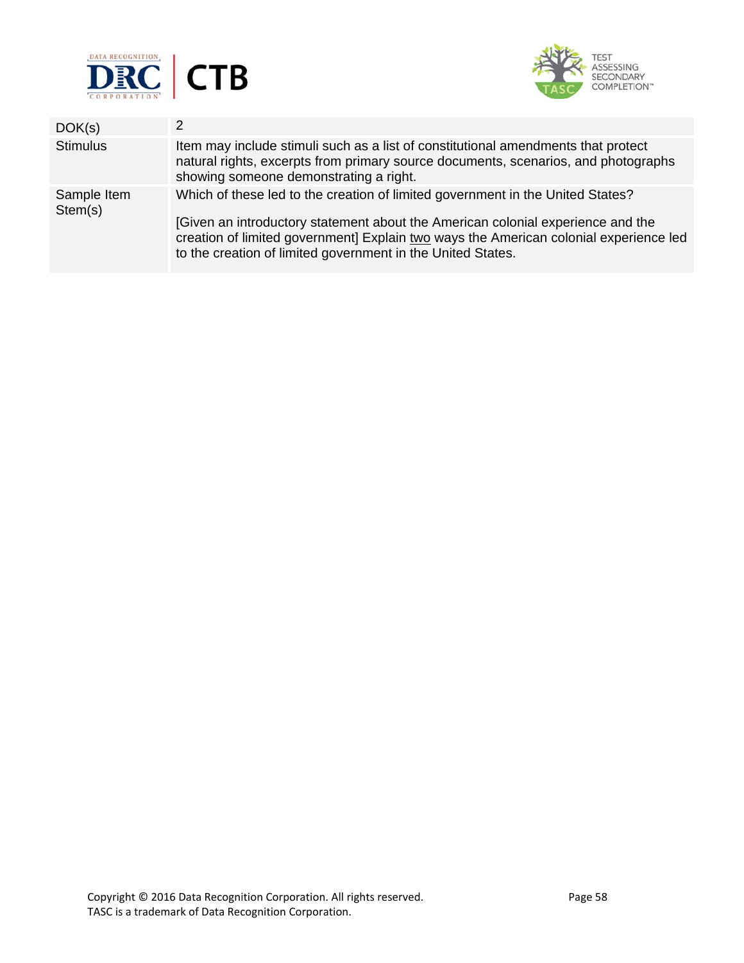



| Item may include stimuli such as a list of constitutional amendments that protect                                                                                                                                                                                                                                         |
|---------------------------------------------------------------------------------------------------------------------------------------------------------------------------------------------------------------------------------------------------------------------------------------------------------------------------|
| natural rights, excerpts from primary source documents, scenarios, and photographs<br>showing someone demonstrating a right.                                                                                                                                                                                              |
| Which of these led to the creation of limited government in the United States?<br>[Given an introductory statement about the American colonial experience and the<br>creation of limited government] Explain two ways the American colonial experience led<br>to the creation of limited government in the United States. |
|                                                                                                                                                                                                                                                                                                                           |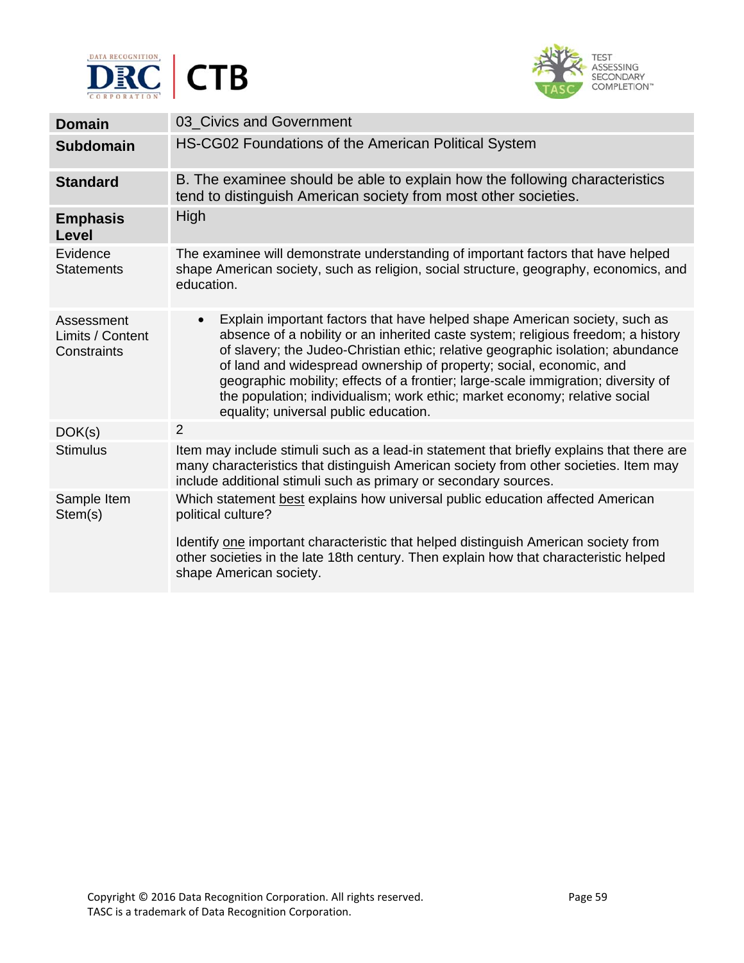



| <b>Domain</b>                                 | 03_Civics and Government                                                                                                                                                                                                                                                                                                                                                                                                                                                                                                                          |
|-----------------------------------------------|---------------------------------------------------------------------------------------------------------------------------------------------------------------------------------------------------------------------------------------------------------------------------------------------------------------------------------------------------------------------------------------------------------------------------------------------------------------------------------------------------------------------------------------------------|
| <b>Subdomain</b>                              | HS-CG02 Foundations of the American Political System                                                                                                                                                                                                                                                                                                                                                                                                                                                                                              |
| <b>Standard</b>                               | B. The examinee should be able to explain how the following characteristics<br>tend to distinguish American society from most other societies.                                                                                                                                                                                                                                                                                                                                                                                                    |
| <b>Emphasis</b><br>Level                      | High                                                                                                                                                                                                                                                                                                                                                                                                                                                                                                                                              |
| Evidence<br><b>Statements</b>                 | The examinee will demonstrate understanding of important factors that have helped<br>shape American society, such as religion, social structure, geography, economics, and<br>education.                                                                                                                                                                                                                                                                                                                                                          |
| Assessment<br>Limits / Content<br>Constraints | Explain important factors that have helped shape American society, such as<br>$\bullet$<br>absence of a nobility or an inherited caste system; religious freedom; a history<br>of slavery; the Judeo-Christian ethic; relative geographic isolation; abundance<br>of land and widespread ownership of property; social, economic, and<br>geographic mobility; effects of a frontier; large-scale immigration; diversity of<br>the population; individualism; work ethic; market economy; relative social<br>equality; universal public education. |
| DOK(s)                                        | $\overline{2}$                                                                                                                                                                                                                                                                                                                                                                                                                                                                                                                                    |
| <b>Stimulus</b>                               | Item may include stimuli such as a lead-in statement that briefly explains that there are<br>many characteristics that distinguish American society from other societies. Item may<br>include additional stimuli such as primary or secondary sources.                                                                                                                                                                                                                                                                                            |
| Sample Item<br>Stem(s)                        | Which statement best explains how universal public education affected American<br>political culture?<br>Identify one important characteristic that helped distinguish American society from<br>other societies in the late 18th century. Then explain how that characteristic helped<br>shape American society.                                                                                                                                                                                                                                   |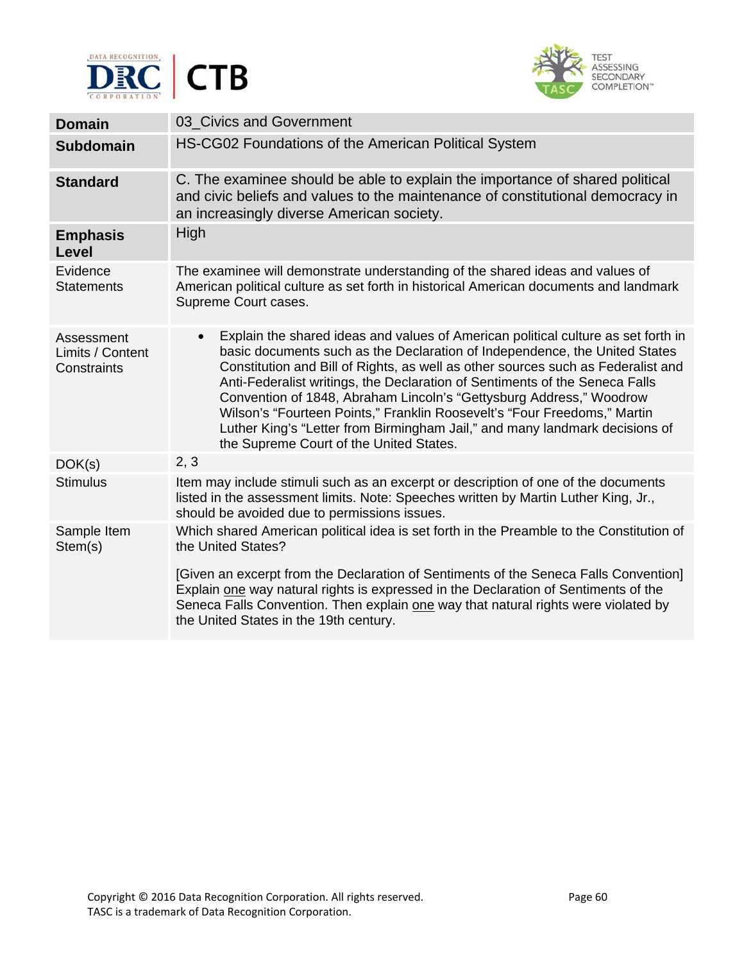



| <b>Domain</b>                                 | 03_Civics and Government                                                                                                                                                                                                                                                                                                                                                                                                                                                                                                                                                                                                     |
|-----------------------------------------------|------------------------------------------------------------------------------------------------------------------------------------------------------------------------------------------------------------------------------------------------------------------------------------------------------------------------------------------------------------------------------------------------------------------------------------------------------------------------------------------------------------------------------------------------------------------------------------------------------------------------------|
| <b>Subdomain</b>                              | HS-CG02 Foundations of the American Political System                                                                                                                                                                                                                                                                                                                                                                                                                                                                                                                                                                         |
| <b>Standard</b>                               | C. The examinee should be able to explain the importance of shared political<br>and civic beliefs and values to the maintenance of constitutional democracy in<br>an increasingly diverse American society.                                                                                                                                                                                                                                                                                                                                                                                                                  |
| <b>Emphasis</b><br><b>Level</b>               | High                                                                                                                                                                                                                                                                                                                                                                                                                                                                                                                                                                                                                         |
| Evidence<br><b>Statements</b>                 | The examinee will demonstrate understanding of the shared ideas and values of<br>American political culture as set forth in historical American documents and landmark<br>Supreme Court cases.                                                                                                                                                                                                                                                                                                                                                                                                                               |
| Assessment<br>Limits / Content<br>Constraints | Explain the shared ideas and values of American political culture as set forth in<br>$\bullet$<br>basic documents such as the Declaration of Independence, the United States<br>Constitution and Bill of Rights, as well as other sources such as Federalist and<br>Anti-Federalist writings, the Declaration of Sentiments of the Seneca Falls<br>Convention of 1848, Abraham Lincoln's "Gettysburg Address," Woodrow<br>Wilson's "Fourteen Points," Franklin Roosevelt's "Four Freedoms," Martin<br>Luther King's "Letter from Birmingham Jail," and many landmark decisions of<br>the Supreme Court of the United States. |
| DOK(s)                                        | 2, 3                                                                                                                                                                                                                                                                                                                                                                                                                                                                                                                                                                                                                         |
| <b>Stimulus</b>                               | Item may include stimuli such as an excerpt or description of one of the documents<br>listed in the assessment limits. Note: Speeches written by Martin Luther King, Jr.,<br>should be avoided due to permissions issues.                                                                                                                                                                                                                                                                                                                                                                                                    |
| Sample Item<br>Stem(s)                        | Which shared American political idea is set forth in the Preamble to the Constitution of<br>the United States?<br>[Given an excerpt from the Declaration of Sentiments of the Seneca Falls Convention]<br>Explain one way natural rights is expressed in the Declaration of Sentiments of the<br>Seneca Falls Convention. Then explain one way that natural rights were violated by<br>the United States in the 19th century.                                                                                                                                                                                                |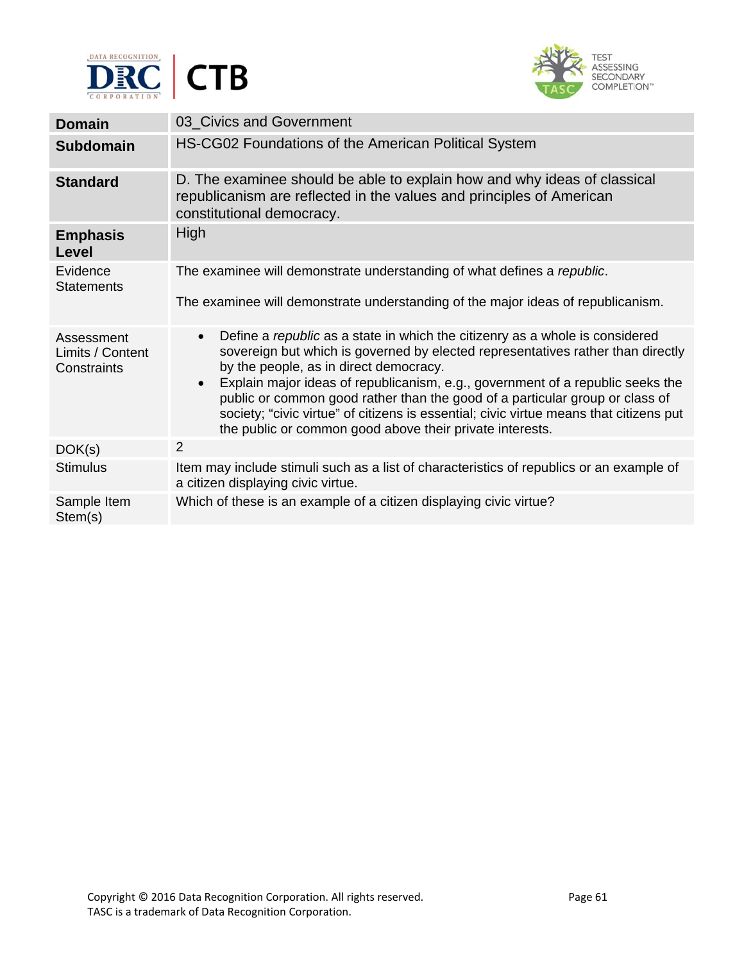



| <b>Domain</b>                                 | 03 Civics and Government                                                                                                                                                                                                                                                                                                                                                                                                                                                                                                                                    |
|-----------------------------------------------|-------------------------------------------------------------------------------------------------------------------------------------------------------------------------------------------------------------------------------------------------------------------------------------------------------------------------------------------------------------------------------------------------------------------------------------------------------------------------------------------------------------------------------------------------------------|
| <b>Subdomain</b>                              | HS-CG02 Foundations of the American Political System                                                                                                                                                                                                                                                                                                                                                                                                                                                                                                        |
| <b>Standard</b>                               | D. The examinee should be able to explain how and why ideas of classical<br>republicanism are reflected in the values and principles of American<br>constitutional democracy.                                                                                                                                                                                                                                                                                                                                                                               |
| <b>Emphasis</b><br>Level                      | High                                                                                                                                                                                                                                                                                                                                                                                                                                                                                                                                                        |
| Evidence                                      | The examinee will demonstrate understanding of what defines a republic.                                                                                                                                                                                                                                                                                                                                                                                                                                                                                     |
| <b>Statements</b>                             | The examinee will demonstrate understanding of the major ideas of republicanism.                                                                                                                                                                                                                                                                                                                                                                                                                                                                            |
| Assessment<br>Limits / Content<br>Constraints | Define a republic as a state in which the citizenry as a whole is considered<br>$\bullet$<br>sovereign but which is governed by elected representatives rather than directly<br>by the people, as in direct democracy.<br>Explain major ideas of republicanism, e.g., government of a republic seeks the<br>$\bullet$<br>public or common good rather than the good of a particular group or class of<br>society; "civic virtue" of citizens is essential; civic virtue means that citizens put<br>the public or common good above their private interests. |
| DOK(s)                                        | $\overline{2}$                                                                                                                                                                                                                                                                                                                                                                                                                                                                                                                                              |
| <b>Stimulus</b>                               | Item may include stimuli such as a list of characteristics of republics or an example of<br>a citizen displaying civic virtue.                                                                                                                                                                                                                                                                                                                                                                                                                              |
| Sample Item<br>Stem(s)                        | Which of these is an example of a citizen displaying civic virtue?                                                                                                                                                                                                                                                                                                                                                                                                                                                                                          |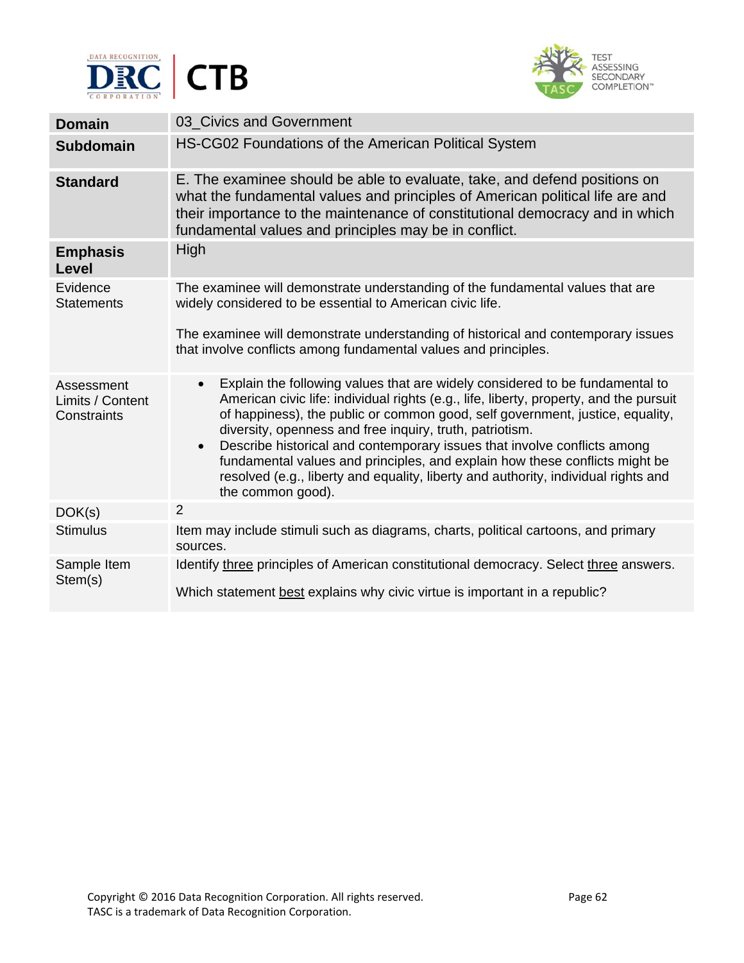



| <b>Domain</b>                                 | 03 Civics and Government                                                                                                                                                                                                                                                                                                                                                                                                                                                                                                                                                                                            |
|-----------------------------------------------|---------------------------------------------------------------------------------------------------------------------------------------------------------------------------------------------------------------------------------------------------------------------------------------------------------------------------------------------------------------------------------------------------------------------------------------------------------------------------------------------------------------------------------------------------------------------------------------------------------------------|
| <b>Subdomain</b>                              | HS-CG02 Foundations of the American Political System                                                                                                                                                                                                                                                                                                                                                                                                                                                                                                                                                                |
| <b>Standard</b>                               | E. The examinee should be able to evaluate, take, and defend positions on<br>what the fundamental values and principles of American political life are and<br>their importance to the maintenance of constitutional democracy and in which<br>fundamental values and principles may be in conflict.                                                                                                                                                                                                                                                                                                                 |
| <b>Emphasis</b><br><b>Level</b>               | High                                                                                                                                                                                                                                                                                                                                                                                                                                                                                                                                                                                                                |
| Evidence<br><b>Statements</b>                 | The examinee will demonstrate understanding of the fundamental values that are<br>widely considered to be essential to American civic life.                                                                                                                                                                                                                                                                                                                                                                                                                                                                         |
|                                               | The examinee will demonstrate understanding of historical and contemporary issues<br>that involve conflicts among fundamental values and principles.                                                                                                                                                                                                                                                                                                                                                                                                                                                                |
| Assessment<br>Limits / Content<br>Constraints | Explain the following values that are widely considered to be fundamental to<br>$\bullet$<br>American civic life: individual rights (e.g., life, liberty, property, and the pursuit<br>of happiness), the public or common good, self government, justice, equality,<br>diversity, openness and free inquiry, truth, patriotism.<br>Describe historical and contemporary issues that involve conflicts among<br>$\bullet$<br>fundamental values and principles, and explain how these conflicts might be<br>resolved (e.g., liberty and equality, liberty and authority, individual rights and<br>the common good). |
| DOK(s)                                        | 2                                                                                                                                                                                                                                                                                                                                                                                                                                                                                                                                                                                                                   |
| <b>Stimulus</b>                               | Item may include stimuli such as diagrams, charts, political cartoons, and primary<br>sources.                                                                                                                                                                                                                                                                                                                                                                                                                                                                                                                      |
| Sample Item<br>Stem(s)                        | Identify three principles of American constitutional democracy. Select three answers.<br>Which statement best explains why civic virtue is important in a republic?                                                                                                                                                                                                                                                                                                                                                                                                                                                 |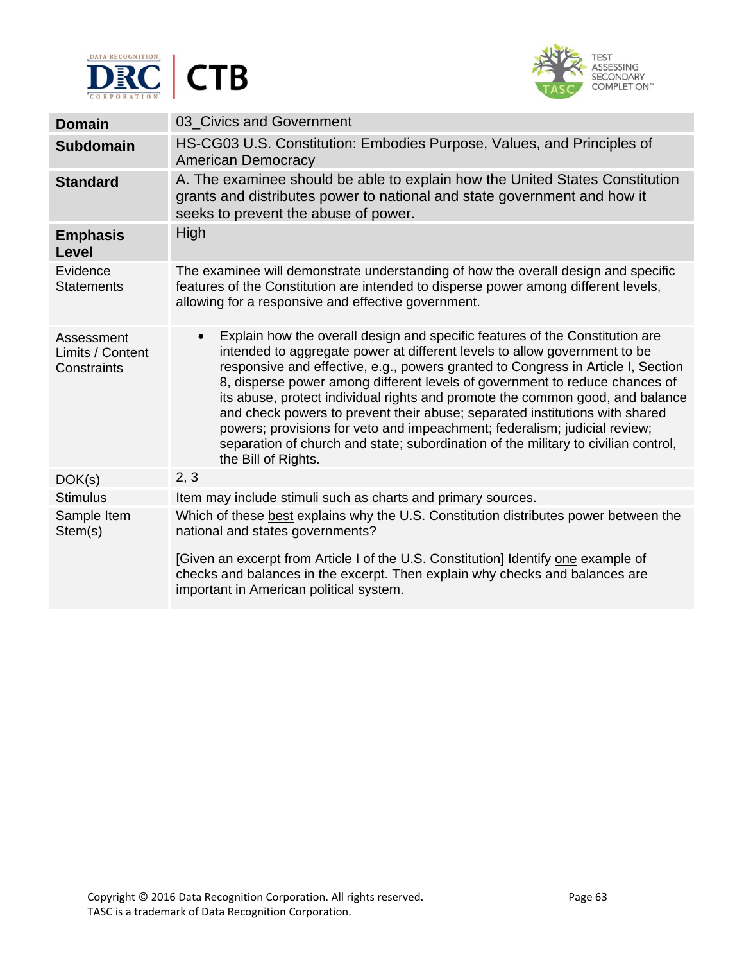



| <b>Domain</b>                                 | 03 Civics and Government                                                                                                                                                                                                                                                                                                                                                                                                                                                                                                                                                                                                                                                                            |
|-----------------------------------------------|-----------------------------------------------------------------------------------------------------------------------------------------------------------------------------------------------------------------------------------------------------------------------------------------------------------------------------------------------------------------------------------------------------------------------------------------------------------------------------------------------------------------------------------------------------------------------------------------------------------------------------------------------------------------------------------------------------|
| <b>Subdomain</b>                              | HS-CG03 U.S. Constitution: Embodies Purpose, Values, and Principles of<br><b>American Democracy</b>                                                                                                                                                                                                                                                                                                                                                                                                                                                                                                                                                                                                 |
| <b>Standard</b>                               | A. The examinee should be able to explain how the United States Constitution<br>grants and distributes power to national and state government and how it<br>seeks to prevent the abuse of power.                                                                                                                                                                                                                                                                                                                                                                                                                                                                                                    |
| <b>Emphasis</b><br>Level                      | High                                                                                                                                                                                                                                                                                                                                                                                                                                                                                                                                                                                                                                                                                                |
| Evidence<br><b>Statements</b>                 | The examinee will demonstrate understanding of how the overall design and specific<br>features of the Constitution are intended to disperse power among different levels,<br>allowing for a responsive and effective government.                                                                                                                                                                                                                                                                                                                                                                                                                                                                    |
| Assessment<br>Limits / Content<br>Constraints | Explain how the overall design and specific features of the Constitution are<br>$\bullet$<br>intended to aggregate power at different levels to allow government to be<br>responsive and effective, e.g., powers granted to Congress in Article I, Section<br>8, disperse power among different levels of government to reduce chances of<br>its abuse, protect individual rights and promote the common good, and balance<br>and check powers to prevent their abuse; separated institutions with shared<br>powers; provisions for veto and impeachment; federalism; judicial review;<br>separation of church and state; subordination of the military to civilian control,<br>the Bill of Rights. |
| DOK(s)                                        | 2, 3                                                                                                                                                                                                                                                                                                                                                                                                                                                                                                                                                                                                                                                                                                |
| <b>Stimulus</b>                               | Item may include stimuli such as charts and primary sources.                                                                                                                                                                                                                                                                                                                                                                                                                                                                                                                                                                                                                                        |
| Sample Item<br>Stem(s)                        | Which of these best explains why the U.S. Constitution distributes power between the<br>national and states governments?                                                                                                                                                                                                                                                                                                                                                                                                                                                                                                                                                                            |
|                                               | [Given an excerpt from Article I of the U.S. Constitution] Identify one example of<br>checks and balances in the excerpt. Then explain why checks and balances are<br>important in American political system.                                                                                                                                                                                                                                                                                                                                                                                                                                                                                       |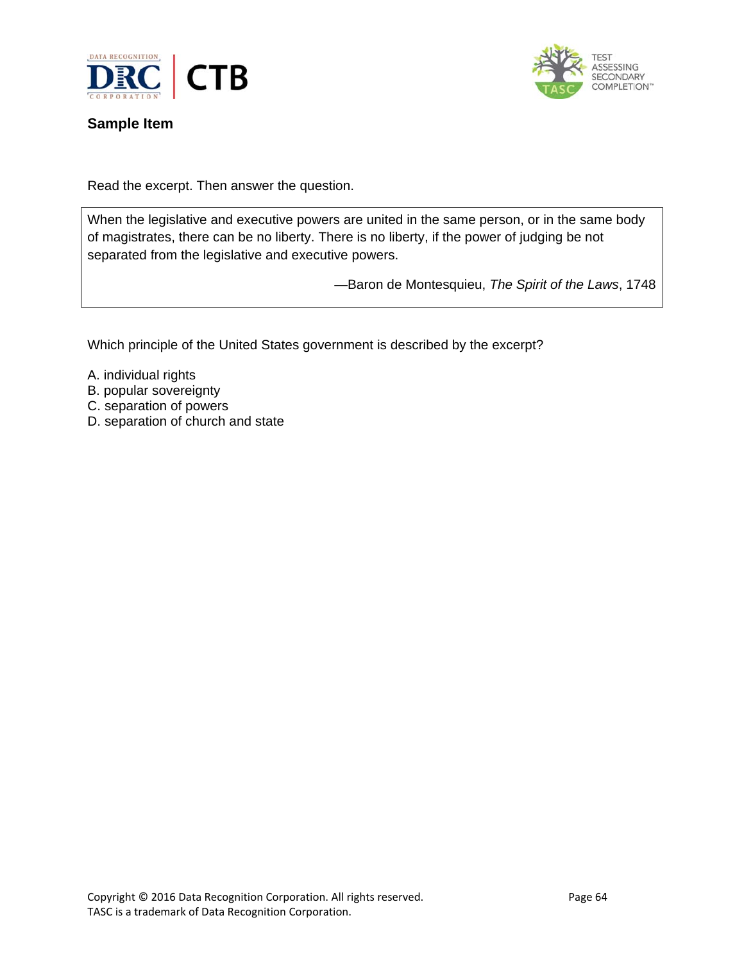



## **Sample Item**

Read the excerpt. Then answer the question.

When the legislative and executive powers are united in the same person, or in the same body of magistrates, there can be no liberty. There is no liberty, if the power of judging be not separated from the legislative and executive powers.

—Baron de Montesquieu, *The Spirit of the Laws*, 1748

Which principle of the United States government is described by the excerpt?

- A. individual rights
- B. popular sovereignty
- C. separation of powers
- D. separation of church and state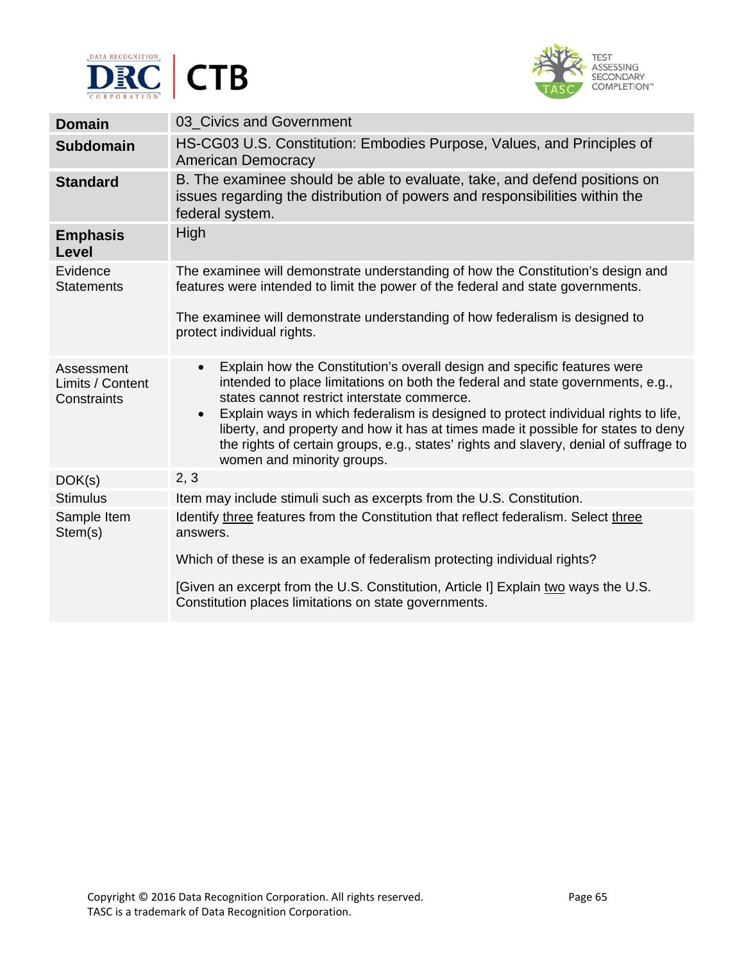



| <b>Domain</b>                                 | 03 Civics and Government                                                                                                                                                                                                                                                                                                                                                                                                                                                                                                              |
|-----------------------------------------------|---------------------------------------------------------------------------------------------------------------------------------------------------------------------------------------------------------------------------------------------------------------------------------------------------------------------------------------------------------------------------------------------------------------------------------------------------------------------------------------------------------------------------------------|
| <b>Subdomain</b>                              | HS-CG03 U.S. Constitution: Embodies Purpose, Values, and Principles of<br><b>American Democracy</b>                                                                                                                                                                                                                                                                                                                                                                                                                                   |
| <b>Standard</b>                               | B. The examinee should be able to evaluate, take, and defend positions on<br>issues regarding the distribution of powers and responsibilities within the<br>federal system.                                                                                                                                                                                                                                                                                                                                                           |
| <b>Emphasis</b><br>Level                      | High                                                                                                                                                                                                                                                                                                                                                                                                                                                                                                                                  |
| Evidence<br><b>Statements</b>                 | The examinee will demonstrate understanding of how the Constitution's design and<br>features were intended to limit the power of the federal and state governments.                                                                                                                                                                                                                                                                                                                                                                   |
|                                               | The examinee will demonstrate understanding of how federalism is designed to<br>protect individual rights.                                                                                                                                                                                                                                                                                                                                                                                                                            |
| Assessment<br>Limits / Content<br>Constraints | Explain how the Constitution's overall design and specific features were<br>$\bullet$<br>intended to place limitations on both the federal and state governments, e.g.,<br>states cannot restrict interstate commerce.<br>Explain ways in which federalism is designed to protect individual rights to life,<br>$\bullet$<br>liberty, and property and how it has at times made it possible for states to deny<br>the rights of certain groups, e.g., states' rights and slavery, denial of suffrage to<br>women and minority groups. |
| DOK(s)                                        | 2, 3                                                                                                                                                                                                                                                                                                                                                                                                                                                                                                                                  |
| <b>Stimulus</b>                               | Item may include stimuli such as excerpts from the U.S. Constitution.                                                                                                                                                                                                                                                                                                                                                                                                                                                                 |
| Sample Item<br>Stem(s)                        | Identify three features from the Constitution that reflect federalism. Select three<br>answers.<br>Which of these is an example of federalism protecting individual rights?<br>[Given an excerpt from the U.S. Constitution, Article I] Explain two ways the U.S.                                                                                                                                                                                                                                                                     |
|                                               | Constitution places limitations on state governments.                                                                                                                                                                                                                                                                                                                                                                                                                                                                                 |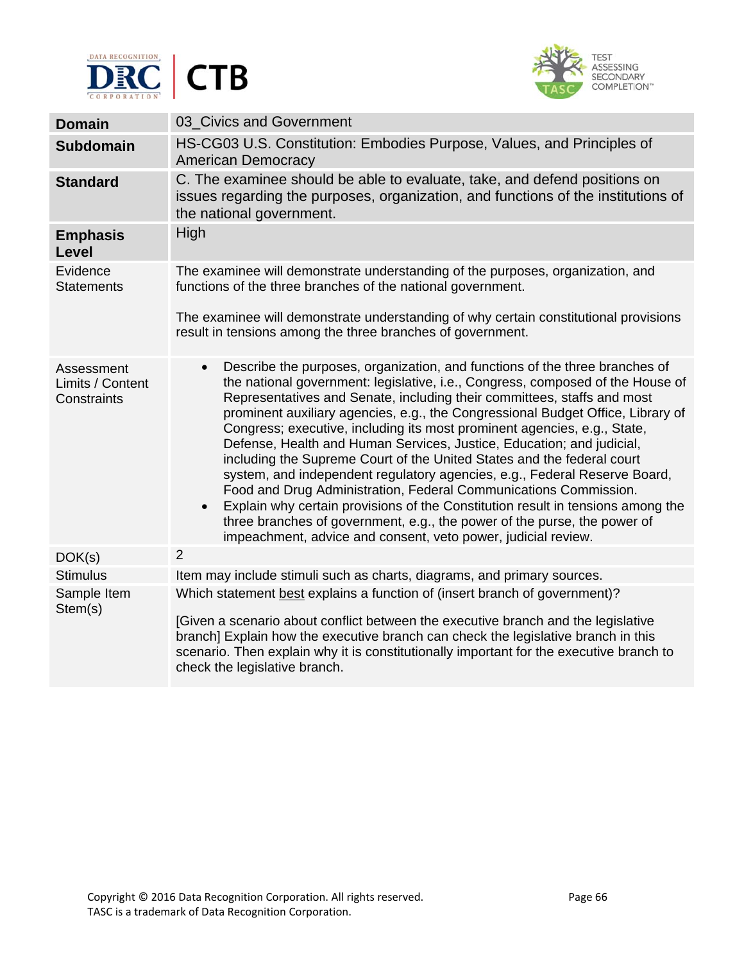



| <b>Domain</b>                                 | 03_Civics and Government                                                                                                                                                                                                                                                                                                                                                                                                                                                                                                                                                                                                                                                                                                                                                                                                                                                                                                                                              |
|-----------------------------------------------|-----------------------------------------------------------------------------------------------------------------------------------------------------------------------------------------------------------------------------------------------------------------------------------------------------------------------------------------------------------------------------------------------------------------------------------------------------------------------------------------------------------------------------------------------------------------------------------------------------------------------------------------------------------------------------------------------------------------------------------------------------------------------------------------------------------------------------------------------------------------------------------------------------------------------------------------------------------------------|
| <b>Subdomain</b>                              | HS-CG03 U.S. Constitution: Embodies Purpose, Values, and Principles of<br><b>American Democracy</b>                                                                                                                                                                                                                                                                                                                                                                                                                                                                                                                                                                                                                                                                                                                                                                                                                                                                   |
| <b>Standard</b>                               | C. The examinee should be able to evaluate, take, and defend positions on<br>issues regarding the purposes, organization, and functions of the institutions of<br>the national government.                                                                                                                                                                                                                                                                                                                                                                                                                                                                                                                                                                                                                                                                                                                                                                            |
| <b>Emphasis</b><br>Level                      | High                                                                                                                                                                                                                                                                                                                                                                                                                                                                                                                                                                                                                                                                                                                                                                                                                                                                                                                                                                  |
| Evidence<br><b>Statements</b>                 | The examinee will demonstrate understanding of the purposes, organization, and<br>functions of the three branches of the national government.<br>The examinee will demonstrate understanding of why certain constitutional provisions<br>result in tensions among the three branches of government.                                                                                                                                                                                                                                                                                                                                                                                                                                                                                                                                                                                                                                                                   |
| Assessment<br>Limits / Content<br>Constraints | Describe the purposes, organization, and functions of the three branches of<br>$\bullet$<br>the national government: legislative, i.e., Congress, composed of the House of<br>Representatives and Senate, including their committees, staffs and most<br>prominent auxiliary agencies, e.g., the Congressional Budget Office, Library of<br>Congress; executive, including its most prominent agencies, e.g., State,<br>Defense, Health and Human Services, Justice, Education; and judicial,<br>including the Supreme Court of the United States and the federal court<br>system, and independent regulatory agencies, e.g., Federal Reserve Board,<br>Food and Drug Administration, Federal Communications Commission.<br>Explain why certain provisions of the Constitution result in tensions among the<br>$\bullet$<br>three branches of government, e.g., the power of the purse, the power of<br>impeachment, advice and consent, veto power, judicial review. |
| DOK(s)                                        | $\overline{2}$                                                                                                                                                                                                                                                                                                                                                                                                                                                                                                                                                                                                                                                                                                                                                                                                                                                                                                                                                        |
| <b>Stimulus</b>                               | Item may include stimuli such as charts, diagrams, and primary sources.                                                                                                                                                                                                                                                                                                                                                                                                                                                                                                                                                                                                                                                                                                                                                                                                                                                                                               |
| Sample Item<br>Stem(s)                        | Which statement best explains a function of (insert branch of government)?                                                                                                                                                                                                                                                                                                                                                                                                                                                                                                                                                                                                                                                                                                                                                                                                                                                                                            |
|                                               | [Given a scenario about conflict between the executive branch and the legislative<br>branch] Explain how the executive branch can check the legislative branch in this<br>scenario. Then explain why it is constitutionally important for the executive branch to<br>check the legislative branch.                                                                                                                                                                                                                                                                                                                                                                                                                                                                                                                                                                                                                                                                    |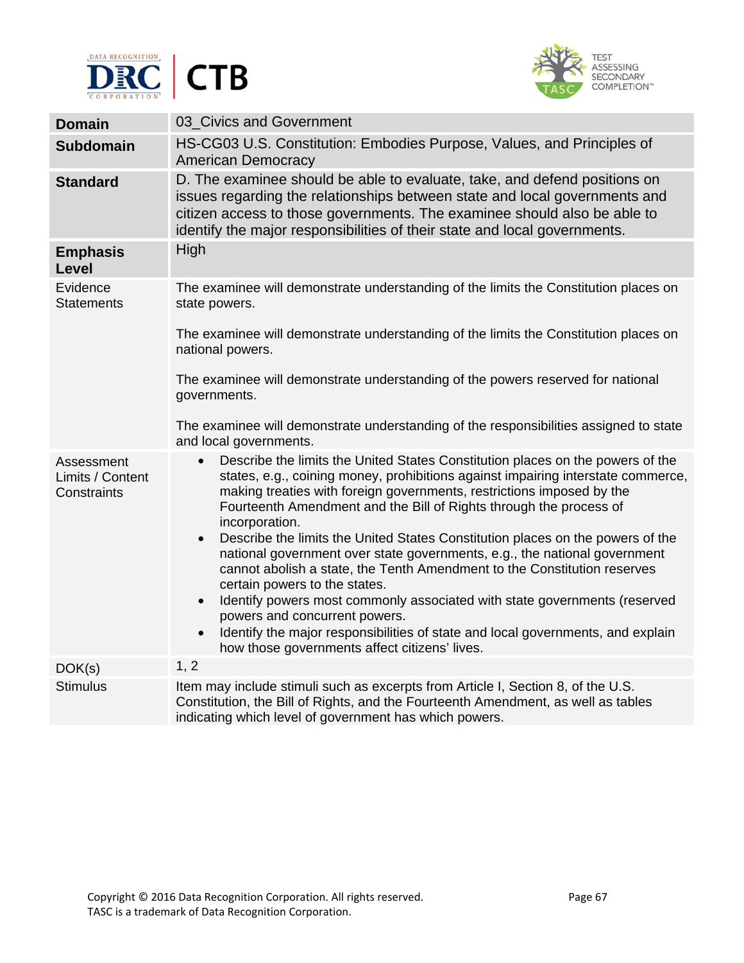



| <b>Domain</b>                                 | 03 Civics and Government                                                                                                                                                                                                                                                                                                                         |
|-----------------------------------------------|--------------------------------------------------------------------------------------------------------------------------------------------------------------------------------------------------------------------------------------------------------------------------------------------------------------------------------------------------|
| <b>Subdomain</b>                              | HS-CG03 U.S. Constitution: Embodies Purpose, Values, and Principles of<br><b>American Democracy</b>                                                                                                                                                                                                                                              |
| <b>Standard</b>                               | D. The examinee should be able to evaluate, take, and defend positions on<br>issues regarding the relationships between state and local governments and<br>citizen access to those governments. The examinee should also be able to<br>identify the major responsibilities of their state and local governments.                                 |
| <b>Emphasis</b><br>Level                      | High                                                                                                                                                                                                                                                                                                                                             |
| Evidence<br><b>Statements</b>                 | The examinee will demonstrate understanding of the limits the Constitution places on<br>state powers.                                                                                                                                                                                                                                            |
|                                               | The examinee will demonstrate understanding of the limits the Constitution places on<br>national powers.                                                                                                                                                                                                                                         |
|                                               | The examinee will demonstrate understanding of the powers reserved for national<br>governments.                                                                                                                                                                                                                                                  |
|                                               | The examinee will demonstrate understanding of the responsibilities assigned to state<br>and local governments.                                                                                                                                                                                                                                  |
| Assessment<br>Limits / Content<br>Constraints | Describe the limits the United States Constitution places on the powers of the<br>$\bullet$<br>states, e.g., coining money, prohibitions against impairing interstate commerce,<br>making treaties with foreign governments, restrictions imposed by the<br>Fourteenth Amendment and the Bill of Rights through the process of<br>incorporation. |
|                                               | Describe the limits the United States Constitution places on the powers of the<br>$\bullet$<br>national government over state governments, e.g., the national government<br>cannot abolish a state, the Tenth Amendment to the Constitution reserves<br>certain powers to the states.                                                            |
|                                               | Identify powers most commonly associated with state governments (reserved<br>$\bullet$<br>powers and concurrent powers.                                                                                                                                                                                                                          |
|                                               | Identify the major responsibilities of state and local governments, and explain<br>$\bullet$<br>how those governments affect citizens' lives.                                                                                                                                                                                                    |
| DOK(s)                                        | 1, 2                                                                                                                                                                                                                                                                                                                                             |
| <b>Stimulus</b>                               | Item may include stimuli such as excerpts from Article I, Section 8, of the U.S.<br>Constitution, the Bill of Rights, and the Fourteenth Amendment, as well as tables<br>indicating which level of government has which powers.                                                                                                                  |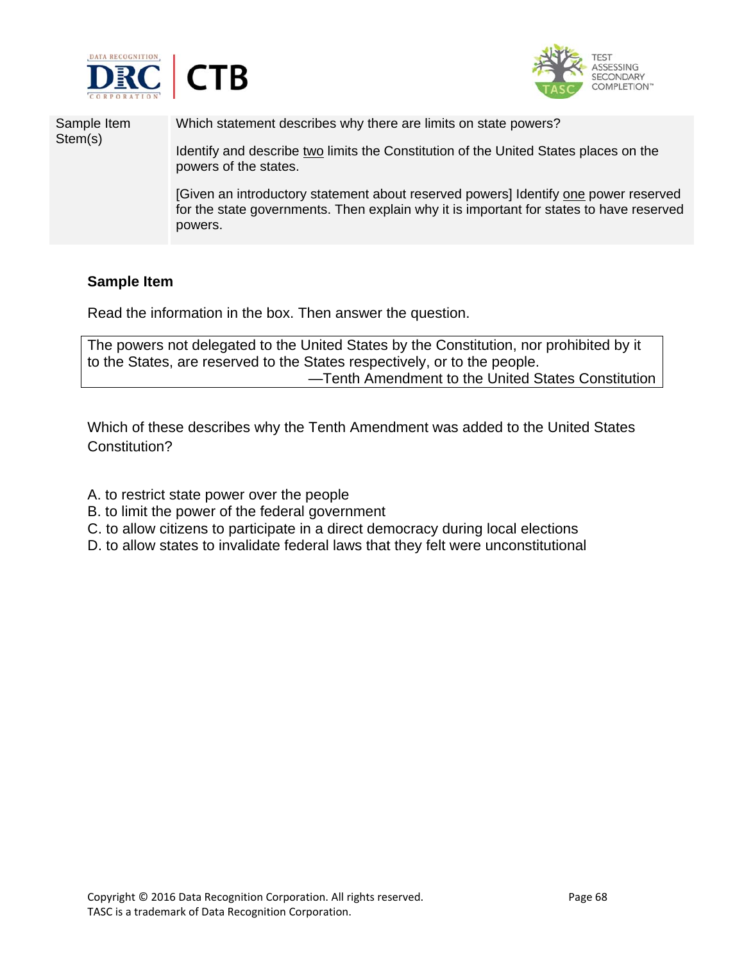



Sample Item Stem(s) Which statement describes why there are limits on state powers? Identify and describe two limits the Constitution of the United States places on the powers of the states. [Given an introductory statement about reserved powers] Identify one power reserved for the state governments. Then explain why it is important for states to have reserved powers.

## **Sample Item**

Read the information in the box. Then answer the question.

The powers not delegated to the United States by the Constitution, nor prohibited by it to the States, are reserved to the States respectively, or to the people. —Tenth Amendment to the United States Constitution

Which of these describes why the Tenth Amendment was added to the United States Constitution?

- A. to restrict state power over the people
- B. to limit the power of the federal government
- C. to allow citizens to participate in a direct democracy during local elections
- D. to allow states to invalidate federal laws that they felt were unconstitutional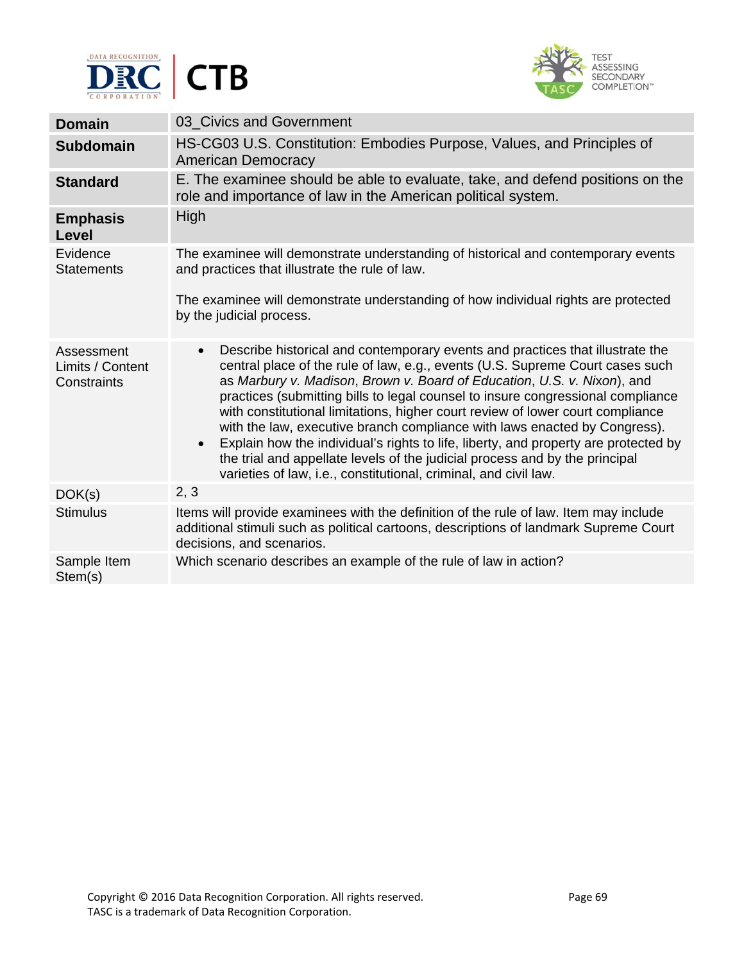



| <b>Domain</b>                                 | 03_Civics and Government                                                                                                                                                                                                                                                                                                                                                                                                                                                                                                                                                                                                                                                                                                                                        |
|-----------------------------------------------|-----------------------------------------------------------------------------------------------------------------------------------------------------------------------------------------------------------------------------------------------------------------------------------------------------------------------------------------------------------------------------------------------------------------------------------------------------------------------------------------------------------------------------------------------------------------------------------------------------------------------------------------------------------------------------------------------------------------------------------------------------------------|
| <b>Subdomain</b>                              | HS-CG03 U.S. Constitution: Embodies Purpose, Values, and Principles of<br><b>American Democracy</b>                                                                                                                                                                                                                                                                                                                                                                                                                                                                                                                                                                                                                                                             |
| <b>Standard</b>                               | E. The examinee should be able to evaluate, take, and defend positions on the<br>role and importance of law in the American political system.                                                                                                                                                                                                                                                                                                                                                                                                                                                                                                                                                                                                                   |
| <b>Emphasis</b><br><b>Level</b>               | <b>High</b>                                                                                                                                                                                                                                                                                                                                                                                                                                                                                                                                                                                                                                                                                                                                                     |
| Evidence<br><b>Statements</b>                 | The examinee will demonstrate understanding of historical and contemporary events<br>and practices that illustrate the rule of law.                                                                                                                                                                                                                                                                                                                                                                                                                                                                                                                                                                                                                             |
|                                               | The examinee will demonstrate understanding of how individual rights are protected<br>by the judicial process.                                                                                                                                                                                                                                                                                                                                                                                                                                                                                                                                                                                                                                                  |
| Assessment<br>Limits / Content<br>Constraints | Describe historical and contemporary events and practices that illustrate the<br>$\bullet$<br>central place of the rule of law, e.g., events (U.S. Supreme Court cases such<br>as Marbury v. Madison, Brown v. Board of Education, U.S. v. Nixon), and<br>practices (submitting bills to legal counsel to insure congressional compliance<br>with constitutional limitations, higher court review of lower court compliance<br>with the law, executive branch compliance with laws enacted by Congress).<br>Explain how the individual's rights to life, liberty, and property are protected by<br>$\bullet$<br>the trial and appellate levels of the judicial process and by the principal<br>varieties of law, i.e., constitutional, criminal, and civil law. |
| DOK(s)                                        | 2, 3                                                                                                                                                                                                                                                                                                                                                                                                                                                                                                                                                                                                                                                                                                                                                            |
| <b>Stimulus</b>                               | Items will provide examinees with the definition of the rule of law. Item may include<br>additional stimuli such as political cartoons, descriptions of landmark Supreme Court<br>decisions, and scenarios.                                                                                                                                                                                                                                                                                                                                                                                                                                                                                                                                                     |
| Sample Item<br>Stem(s)                        | Which scenario describes an example of the rule of law in action?                                                                                                                                                                                                                                                                                                                                                                                                                                                                                                                                                                                                                                                                                               |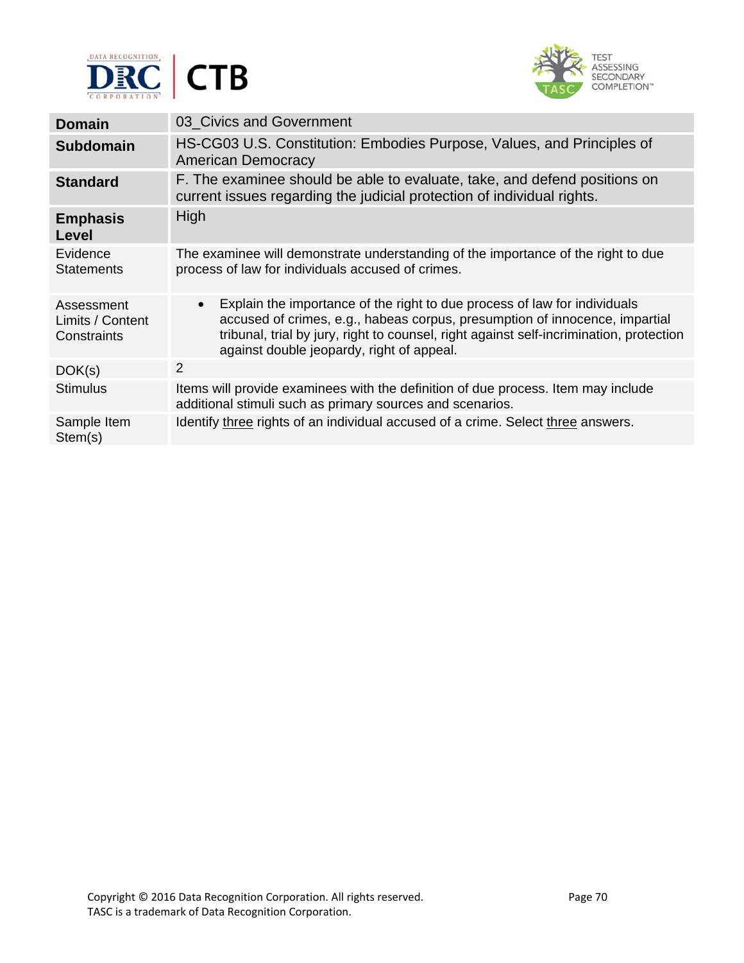



| <b>Domain</b>                                 | 03 Civics and Government                                                                                                                                                                                                                                                                                      |
|-----------------------------------------------|---------------------------------------------------------------------------------------------------------------------------------------------------------------------------------------------------------------------------------------------------------------------------------------------------------------|
| <b>Subdomain</b>                              | HS-CG03 U.S. Constitution: Embodies Purpose, Values, and Principles of<br>American Democracy                                                                                                                                                                                                                  |
| <b>Standard</b>                               | F. The examinee should be able to evaluate, take, and defend positions on<br>current issues regarding the judicial protection of individual rights.                                                                                                                                                           |
| <b>Emphasis</b><br>Level                      | High                                                                                                                                                                                                                                                                                                          |
| Evidence<br><b>Statements</b>                 | The examinee will demonstrate understanding of the importance of the right to due<br>process of law for individuals accused of crimes.                                                                                                                                                                        |
| Assessment<br>Limits / Content<br>Constraints | Explain the importance of the right to due process of law for individuals<br>$\bullet$<br>accused of crimes, e.g., habeas corpus, presumption of innocence, impartial<br>tribunal, trial by jury, right to counsel, right against self-incrimination, protection<br>against double jeopardy, right of appeal. |
| DOK(s)                                        | 2                                                                                                                                                                                                                                                                                                             |
| <b>Stimulus</b>                               | Items will provide examinees with the definition of due process. Item may include<br>additional stimuli such as primary sources and scenarios.                                                                                                                                                                |
| Sample Item<br>Stem(s)                        | Identify three rights of an individual accused of a crime. Select three answers.                                                                                                                                                                                                                              |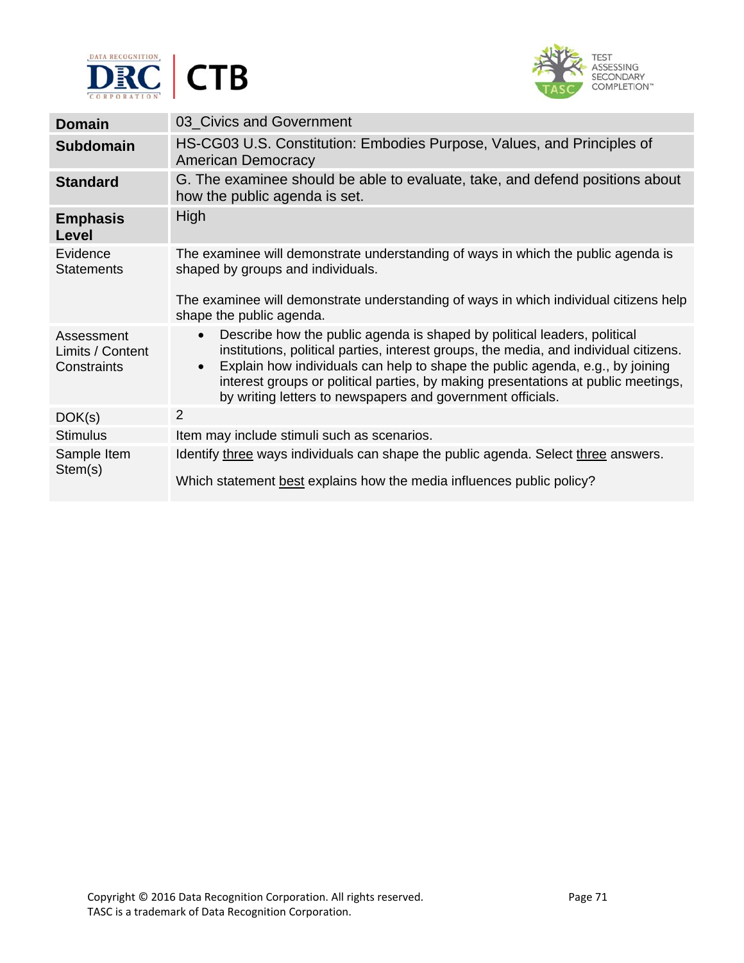



| <b>Domain</b>                                 | 03 Civics and Government                                                                                                                                                                                                                                                                                                                                                                                                        |
|-----------------------------------------------|---------------------------------------------------------------------------------------------------------------------------------------------------------------------------------------------------------------------------------------------------------------------------------------------------------------------------------------------------------------------------------------------------------------------------------|
| <b>Subdomain</b>                              | HS-CG03 U.S. Constitution: Embodies Purpose, Values, and Principles of<br><b>American Democracy</b>                                                                                                                                                                                                                                                                                                                             |
| <b>Standard</b>                               | G. The examinee should be able to evaluate, take, and defend positions about<br>how the public agenda is set.                                                                                                                                                                                                                                                                                                                   |
| <b>Emphasis</b><br>Level                      | High                                                                                                                                                                                                                                                                                                                                                                                                                            |
| Evidence<br><b>Statements</b>                 | The examinee will demonstrate understanding of ways in which the public agenda is<br>shaped by groups and individuals.                                                                                                                                                                                                                                                                                                          |
|                                               | The examinee will demonstrate understanding of ways in which individual citizens help<br>shape the public agenda.                                                                                                                                                                                                                                                                                                               |
| Assessment<br>Limits / Content<br>Constraints | Describe how the public agenda is shaped by political leaders, political<br>$\bullet$<br>institutions, political parties, interest groups, the media, and individual citizens.<br>Explain how individuals can help to shape the public agenda, e.g., by joining<br>$\bullet$<br>interest groups or political parties, by making presentations at public meetings,<br>by writing letters to newspapers and government officials. |
| DOK(s)                                        | 2                                                                                                                                                                                                                                                                                                                                                                                                                               |
| <b>Stimulus</b>                               | Item may include stimuli such as scenarios.                                                                                                                                                                                                                                                                                                                                                                                     |
| Sample Item<br>Stem(s)                        | Identify three ways individuals can shape the public agenda. Select three answers.                                                                                                                                                                                                                                                                                                                                              |
|                                               | Which statement best explains how the media influences public policy?                                                                                                                                                                                                                                                                                                                                                           |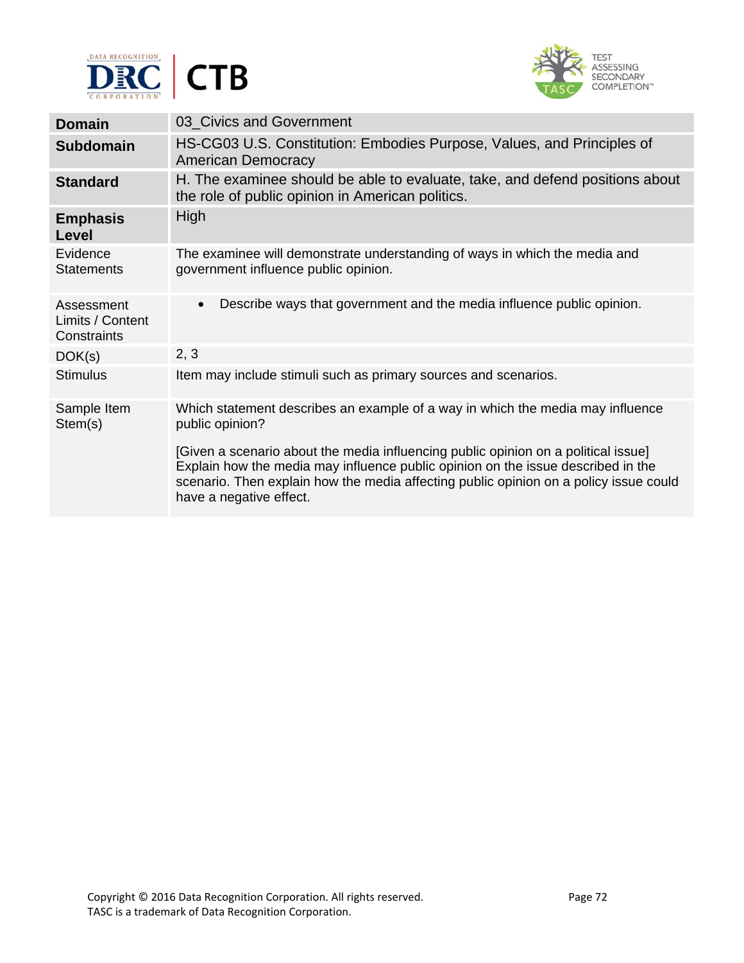



| <b>Domain</b>                                 | 03_Civics and Government                                                                                                                                                                                                                                                                   |
|-----------------------------------------------|--------------------------------------------------------------------------------------------------------------------------------------------------------------------------------------------------------------------------------------------------------------------------------------------|
| <b>Subdomain</b>                              | HS-CG03 U.S. Constitution: Embodies Purpose, Values, and Principles of<br><b>American Democracy</b>                                                                                                                                                                                        |
| <b>Standard</b>                               | H. The examinee should be able to evaluate, take, and defend positions about<br>the role of public opinion in American politics.                                                                                                                                                           |
| <b>Emphasis</b><br>Level                      | High                                                                                                                                                                                                                                                                                       |
| Evidence<br><b>Statements</b>                 | The examinee will demonstrate understanding of ways in which the media and<br>government influence public opinion.                                                                                                                                                                         |
| Assessment<br>Limits / Content<br>Constraints | Describe ways that government and the media influence public opinion.<br>$\bullet$                                                                                                                                                                                                         |
| DOK(s)                                        | 2, 3                                                                                                                                                                                                                                                                                       |
| <b>Stimulus</b>                               | Item may include stimuli such as primary sources and scenarios.                                                                                                                                                                                                                            |
| Sample Item<br>Stem(s)                        | Which statement describes an example of a way in which the media may influence<br>public opinion?                                                                                                                                                                                          |
|                                               | [Given a scenario about the media influencing public opinion on a political issue]<br>Explain how the media may influence public opinion on the issue described in the<br>scenario. Then explain how the media affecting public opinion on a policy issue could<br>have a negative effect. |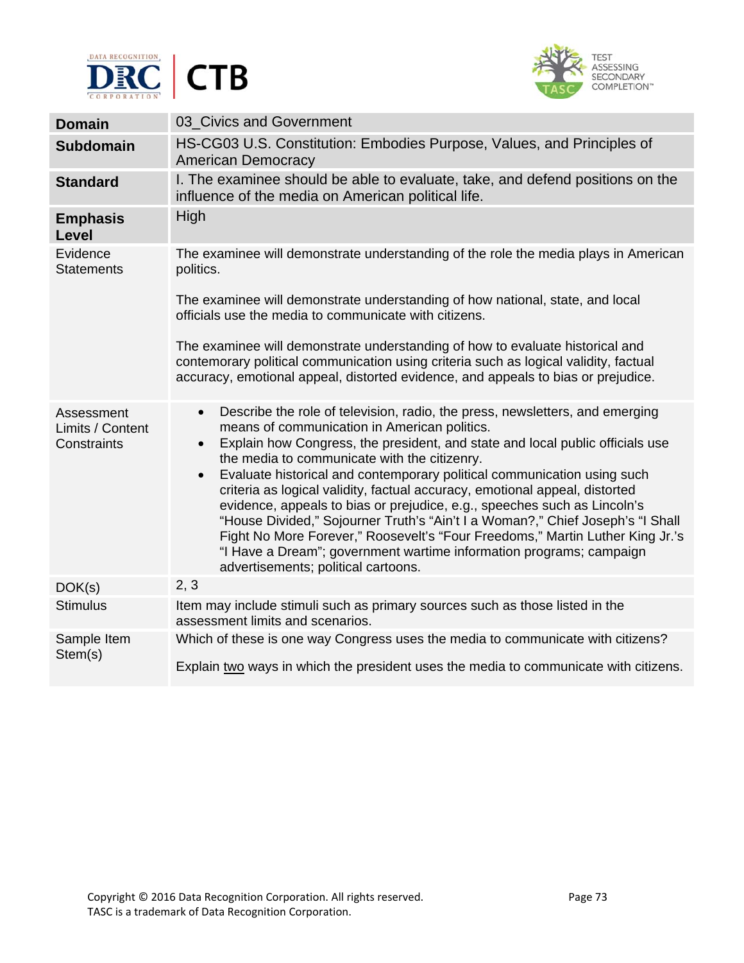



| <b>Domain</b>                                 | 03 Civics and Government                                                                                                                                                                                                                                                                                                                                                                                                                                                                                                                                                                                                                                                                                                                                                                                                    |
|-----------------------------------------------|-----------------------------------------------------------------------------------------------------------------------------------------------------------------------------------------------------------------------------------------------------------------------------------------------------------------------------------------------------------------------------------------------------------------------------------------------------------------------------------------------------------------------------------------------------------------------------------------------------------------------------------------------------------------------------------------------------------------------------------------------------------------------------------------------------------------------------|
| <b>Subdomain</b>                              | HS-CG03 U.S. Constitution: Embodies Purpose, Values, and Principles of<br><b>American Democracy</b>                                                                                                                                                                                                                                                                                                                                                                                                                                                                                                                                                                                                                                                                                                                         |
| <b>Standard</b>                               | I. The examinee should be able to evaluate, take, and defend positions on the<br>influence of the media on American political life.                                                                                                                                                                                                                                                                                                                                                                                                                                                                                                                                                                                                                                                                                         |
| <b>Emphasis</b><br>Level                      | High                                                                                                                                                                                                                                                                                                                                                                                                                                                                                                                                                                                                                                                                                                                                                                                                                        |
| Evidence<br><b>Statements</b>                 | The examinee will demonstrate understanding of the role the media plays in American<br>politics.                                                                                                                                                                                                                                                                                                                                                                                                                                                                                                                                                                                                                                                                                                                            |
|                                               | The examinee will demonstrate understanding of how national, state, and local<br>officials use the media to communicate with citizens.                                                                                                                                                                                                                                                                                                                                                                                                                                                                                                                                                                                                                                                                                      |
|                                               | The examinee will demonstrate understanding of how to evaluate historical and<br>contemorary political communication using criteria such as logical validity, factual<br>accuracy, emotional appeal, distorted evidence, and appeals to bias or prejudice.                                                                                                                                                                                                                                                                                                                                                                                                                                                                                                                                                                  |
| Assessment<br>Limits / Content<br>Constraints | Describe the role of television, radio, the press, newsletters, and emerging<br>$\bullet$<br>means of communication in American politics.<br>Explain how Congress, the president, and state and local public officials use<br>$\bullet$<br>the media to communicate with the citizenry.<br>Evaluate historical and contemporary political communication using such<br>$\bullet$<br>criteria as logical validity, factual accuracy, emotional appeal, distorted<br>evidence, appeals to bias or prejudice, e.g., speeches such as Lincoln's<br>"House Divided," Sojourner Truth's "Ain't I a Woman?," Chief Joseph's "I Shall<br>Fight No More Forever," Roosevelt's "Four Freedoms," Martin Luther King Jr.'s<br>"I Have a Dream"; government wartime information programs; campaign<br>advertisements; political cartoons. |
| DOK(s)                                        | 2, 3                                                                                                                                                                                                                                                                                                                                                                                                                                                                                                                                                                                                                                                                                                                                                                                                                        |
| <b>Stimulus</b>                               | Item may include stimuli such as primary sources such as those listed in the<br>assessment limits and scenarios.                                                                                                                                                                                                                                                                                                                                                                                                                                                                                                                                                                                                                                                                                                            |
| Sample Item<br>Stem(s)                        | Which of these is one way Congress uses the media to communicate with citizens?<br>Explain two ways in which the president uses the media to communicate with citizens.                                                                                                                                                                                                                                                                                                                                                                                                                                                                                                                                                                                                                                                     |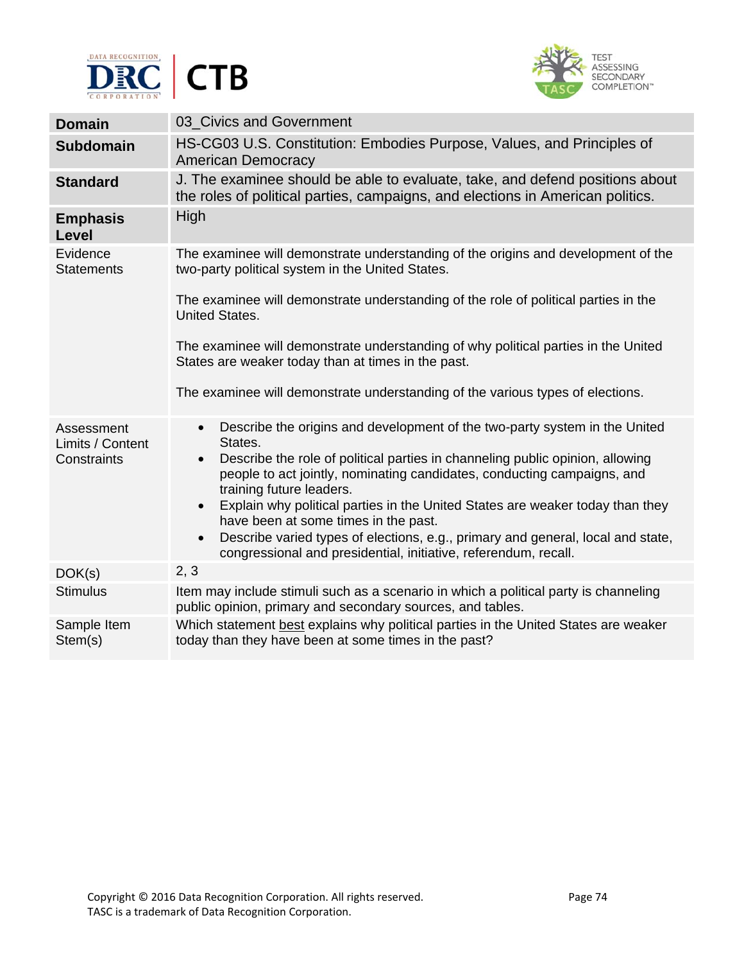



T,

| <b>Domain</b>                                 | 03_Civics and Government                                                                                                                                                                                                                                                                                                                                                                                                                                                                                                                      |
|-----------------------------------------------|-----------------------------------------------------------------------------------------------------------------------------------------------------------------------------------------------------------------------------------------------------------------------------------------------------------------------------------------------------------------------------------------------------------------------------------------------------------------------------------------------------------------------------------------------|
| <b>Subdomain</b>                              | HS-CG03 U.S. Constitution: Embodies Purpose, Values, and Principles of<br><b>American Democracy</b>                                                                                                                                                                                                                                                                                                                                                                                                                                           |
| <b>Standard</b>                               | J. The examinee should be able to evaluate, take, and defend positions about<br>the roles of political parties, campaigns, and elections in American politics.                                                                                                                                                                                                                                                                                                                                                                                |
| <b>Emphasis</b><br>Level                      | High                                                                                                                                                                                                                                                                                                                                                                                                                                                                                                                                          |
| Evidence<br><b>Statements</b>                 | The examinee will demonstrate understanding of the origins and development of the<br>two-party political system in the United States.                                                                                                                                                                                                                                                                                                                                                                                                         |
|                                               | The examinee will demonstrate understanding of the role of political parties in the<br><b>United States.</b>                                                                                                                                                                                                                                                                                                                                                                                                                                  |
|                                               | The examinee will demonstrate understanding of why political parties in the United<br>States are weaker today than at times in the past.                                                                                                                                                                                                                                                                                                                                                                                                      |
|                                               | The examinee will demonstrate understanding of the various types of elections.                                                                                                                                                                                                                                                                                                                                                                                                                                                                |
| Assessment<br>Limits / Content<br>Constraints | Describe the origins and development of the two-party system in the United<br>$\bullet$<br>States.<br>Describe the role of political parties in channeling public opinion, allowing<br>$\bullet$<br>people to act jointly, nominating candidates, conducting campaigns, and<br>training future leaders.<br>Explain why political parties in the United States are weaker today than they<br>$\bullet$<br>have been at some times in the past.<br>Describe varied types of elections, e.g., primary and general, local and state,<br>$\bullet$ |
|                                               | congressional and presidential, initiative, referendum, recall.<br>2, 3                                                                                                                                                                                                                                                                                                                                                                                                                                                                       |
| DOK(s)                                        |                                                                                                                                                                                                                                                                                                                                                                                                                                                                                                                                               |
| <b>Stimulus</b>                               | Item may include stimuli such as a scenario in which a political party is channeling<br>public opinion, primary and secondary sources, and tables.                                                                                                                                                                                                                                                                                                                                                                                            |
| Sample Item<br>Stem(s)                        | Which statement best explains why political parties in the United States are weaker<br>today than they have been at some times in the past?                                                                                                                                                                                                                                                                                                                                                                                                   |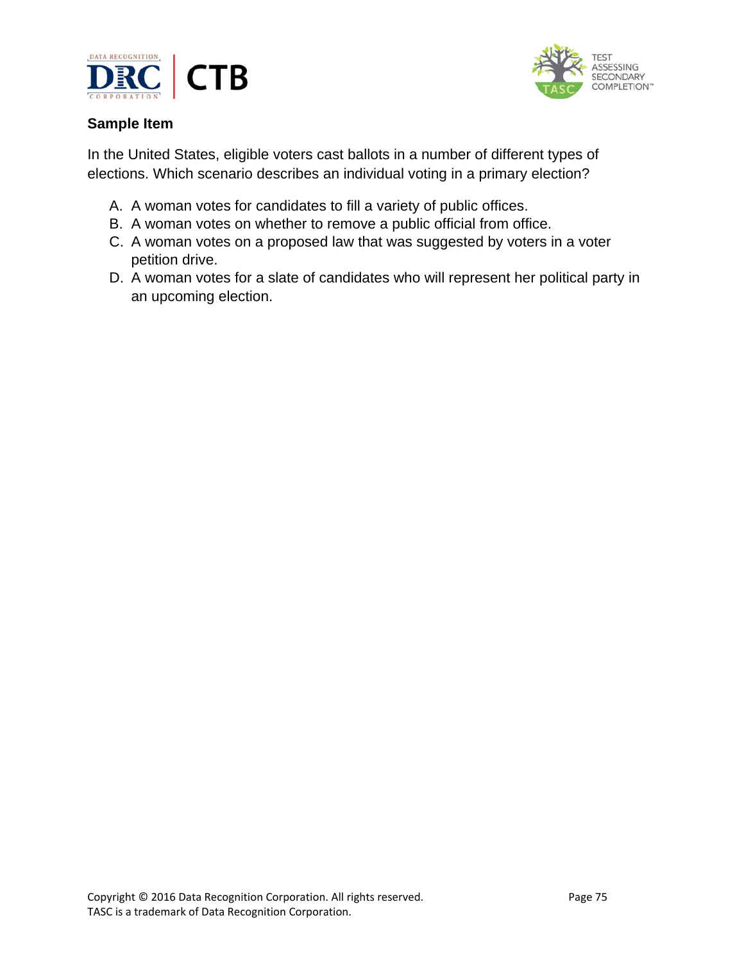



In the United States, eligible voters cast ballots in a number of different types of elections. Which scenario describes an individual voting in a primary election?

- A. A woman votes for candidates to fill a variety of public offices.
- B. A woman votes on whether to remove a public official from office.
- C. A woman votes on a proposed law that was suggested by voters in a voter petition drive.
- D. A woman votes for a slate of candidates who will represent her political party in an upcoming election.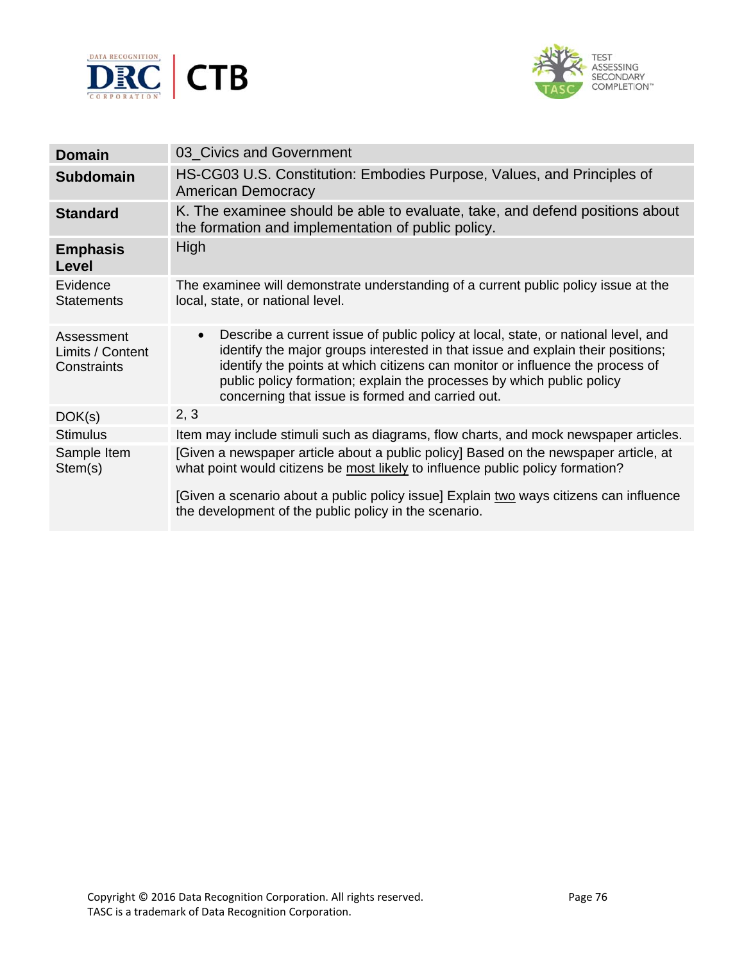



| <b>Domain</b>                                 | 03 Civics and Government                                                                                                                                                                                                                                                                                                                                                                        |
|-----------------------------------------------|-------------------------------------------------------------------------------------------------------------------------------------------------------------------------------------------------------------------------------------------------------------------------------------------------------------------------------------------------------------------------------------------------|
| <b>Subdomain</b>                              | HS-CG03 U.S. Constitution: Embodies Purpose, Values, and Principles of<br><b>American Democracy</b>                                                                                                                                                                                                                                                                                             |
| <b>Standard</b>                               | K. The examinee should be able to evaluate, take, and defend positions about<br>the formation and implementation of public policy.                                                                                                                                                                                                                                                              |
| <b>Emphasis</b><br>Level                      | High                                                                                                                                                                                                                                                                                                                                                                                            |
| Evidence<br><b>Statements</b>                 | The examinee will demonstrate understanding of a current public policy issue at the<br>local, state, or national level.                                                                                                                                                                                                                                                                         |
| Assessment<br>Limits / Content<br>Constraints | Describe a current issue of public policy at local, state, or national level, and<br>$\bullet$<br>identify the major groups interested in that issue and explain their positions;<br>identify the points at which citizens can monitor or influence the process of<br>public policy formation; explain the processes by which public policy<br>concerning that issue is formed and carried out. |
| DOK(s)                                        | 2, 3                                                                                                                                                                                                                                                                                                                                                                                            |
| <b>Stimulus</b>                               | Item may include stimuli such as diagrams, flow charts, and mock newspaper articles.                                                                                                                                                                                                                                                                                                            |
| Sample Item<br>Stem(s)                        | [Given a newspaper article about a public policy] Based on the newspaper article, at<br>what point would citizens be most likely to influence public policy formation?                                                                                                                                                                                                                          |
|                                               | [Given a scenario about a public policy issue] Explain two ways citizens can influence<br>the development of the public policy in the scenario.                                                                                                                                                                                                                                                 |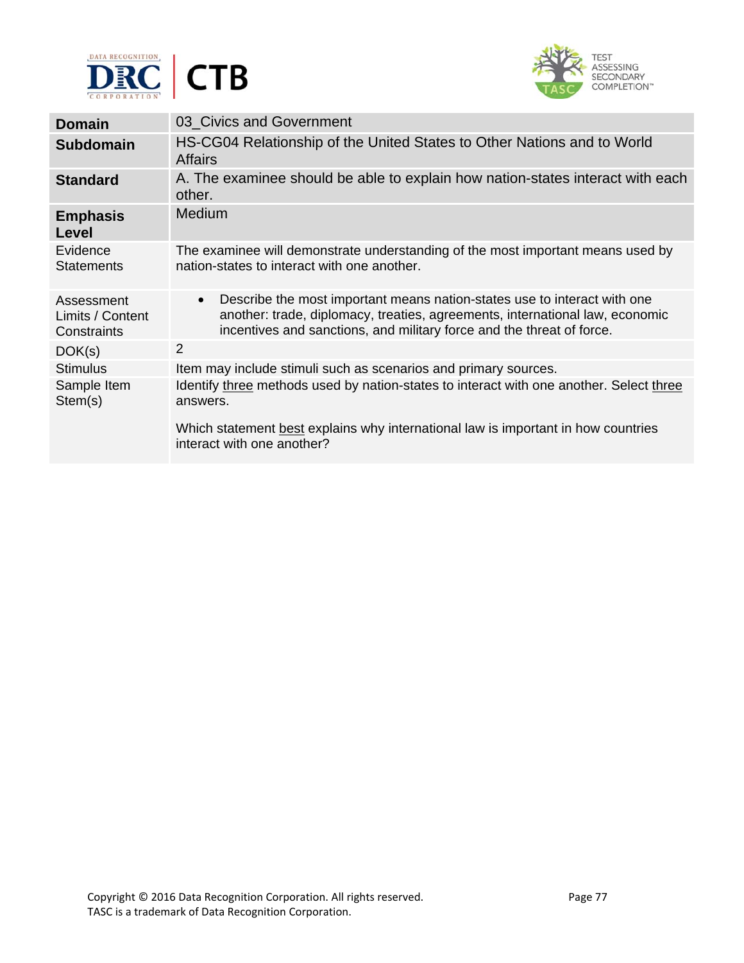



| <b>Domain</b>                                 | 03 Civics and Government                                                                                                                                                                                                                       |
|-----------------------------------------------|------------------------------------------------------------------------------------------------------------------------------------------------------------------------------------------------------------------------------------------------|
| <b>Subdomain</b>                              | HS-CG04 Relationship of the United States to Other Nations and to World<br><b>Affairs</b>                                                                                                                                                      |
| <b>Standard</b>                               | A. The examinee should be able to explain how nation-states interact with each<br>other.                                                                                                                                                       |
| <b>Emphasis</b><br>Level                      | Medium                                                                                                                                                                                                                                         |
| Evidence<br><b>Statements</b>                 | The examinee will demonstrate understanding of the most important means used by<br>nation-states to interact with one another.                                                                                                                 |
| Assessment<br>Limits / Content<br>Constraints | Describe the most important means nation-states use to interact with one<br>$\bullet$<br>another: trade, diplomacy, treaties, agreements, international law, economic<br>incentives and sanctions, and military force and the threat of force. |
| DOK(s)                                        | 2                                                                                                                                                                                                                                              |
| <b>Stimulus</b>                               | Item may include stimuli such as scenarios and primary sources.                                                                                                                                                                                |
| Sample Item<br>Stem(s)                        | Identify three methods used by nation-states to interact with one another. Select three<br>answers.<br>Which statement best explains why international law is important in how countries<br>interact with one another?                         |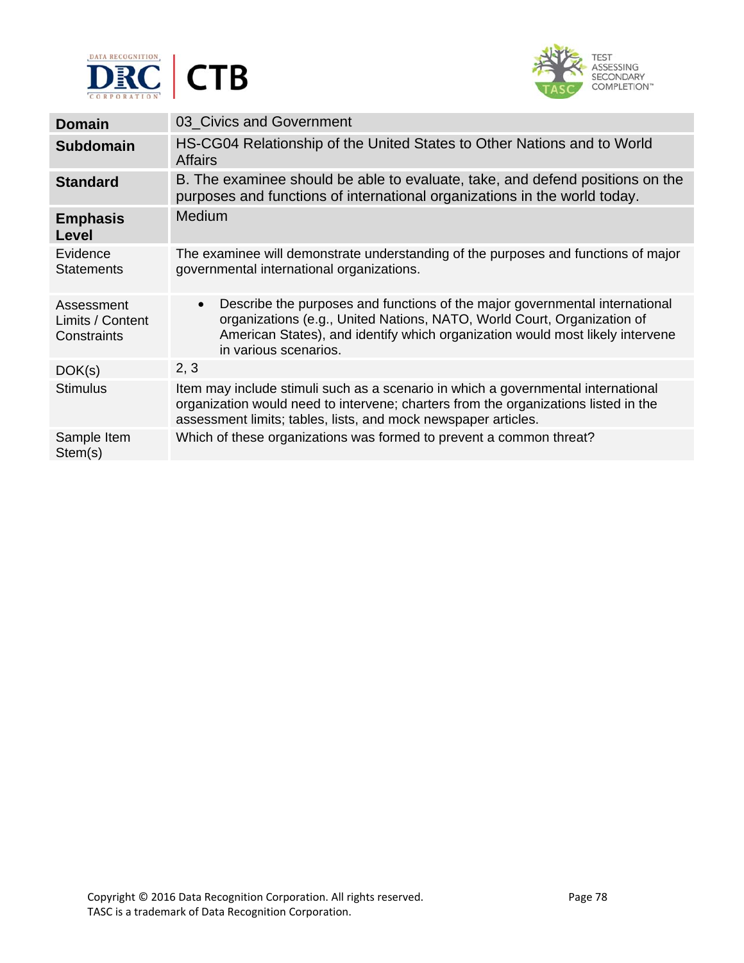



| <b>Domain</b>                                 | 03 Civics and Government                                                                                                                                                                                                                                                      |
|-----------------------------------------------|-------------------------------------------------------------------------------------------------------------------------------------------------------------------------------------------------------------------------------------------------------------------------------|
| <b>Subdomain</b>                              | HS-CG04 Relationship of the United States to Other Nations and to World<br><b>Affairs</b>                                                                                                                                                                                     |
| <b>Standard</b>                               | B. The examinee should be able to evaluate, take, and defend positions on the<br>purposes and functions of international organizations in the world today.                                                                                                                    |
| <b>Emphasis</b><br>Level                      | <b>Medium</b>                                                                                                                                                                                                                                                                 |
| Evidence<br><b>Statements</b>                 | The examinee will demonstrate understanding of the purposes and functions of major<br>governmental international organizations.                                                                                                                                               |
| Assessment<br>Limits / Content<br>Constraints | Describe the purposes and functions of the major governmental international<br>$\bullet$<br>organizations (e.g., United Nations, NATO, World Court, Organization of<br>American States), and identify which organization would most likely intervene<br>in various scenarios. |
| DOK(s)                                        | 2, 3                                                                                                                                                                                                                                                                          |
| <b>Stimulus</b>                               | Item may include stimuli such as a scenario in which a governmental international<br>organization would need to intervene; charters from the organizations listed in the<br>assessment limits; tables, lists, and mock newspaper articles.                                    |
| Sample Item<br>Stem(s)                        | Which of these organizations was formed to prevent a common threat?                                                                                                                                                                                                           |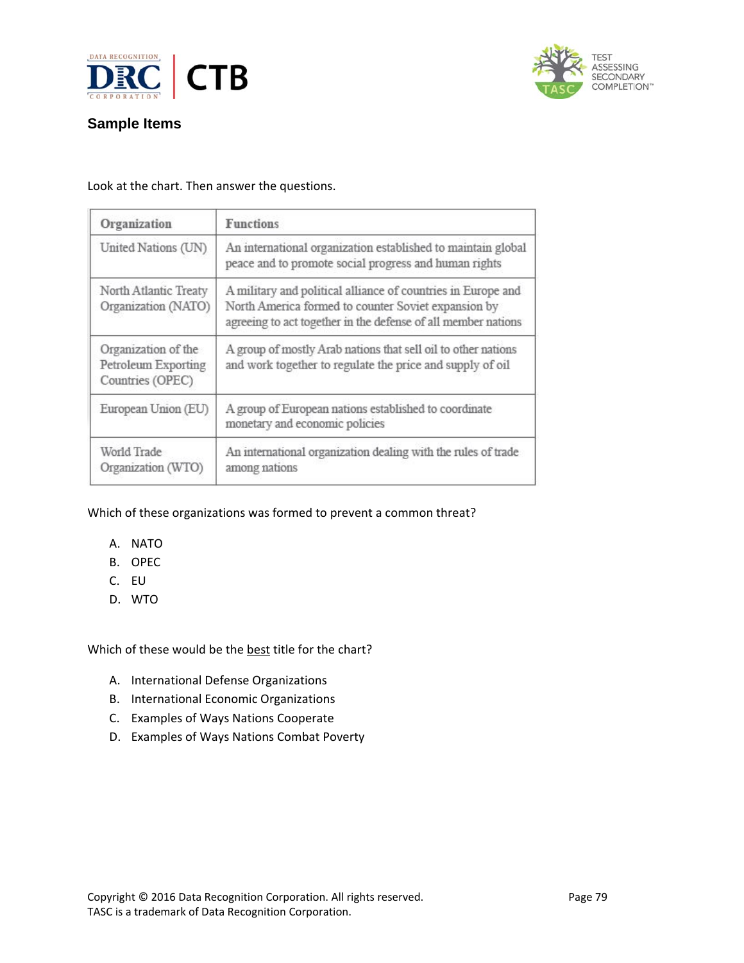



#### Look at the chart. Then answer the questions.

| Organization                                                   | <b>Functions</b>                                                                                                                                                                     |
|----------------------------------------------------------------|--------------------------------------------------------------------------------------------------------------------------------------------------------------------------------------|
| United Nations (UN)                                            | An international organization established to maintain global<br>peace and to promote social progress and human rights                                                                |
| North Atlantic Treaty<br>Organization (NATO)                   | A military and political alliance of countries in Europe and<br>North America formed to counter Soviet expansion by<br>agreeing to act together in the defense of all member nations |
| Organization of the<br>Petroleum Exporting<br>Countries (OPEC) | A group of mostly Arab nations that sell oil to other nations<br>and work together to regulate the price and supply of oil                                                           |
| European Union (EU)                                            | A group of European nations established to coordinate<br>monetary and economic policies                                                                                              |
| World Trade<br>Organization (WTO)                              | An international organization dealing with the rules of trade<br>among nations                                                                                                       |

### Which of these organizations was formed to prevent a common threat?

- A. NATO
- B. OPEC
- C. EU
- D. WTO

Which of these would be the best title for the chart?

- A. International Defense Organizations
- B. International Economic Organizations
- C. Examples of Ways Nations Cooperate
- D. Examples of Ways Nations Combat Poverty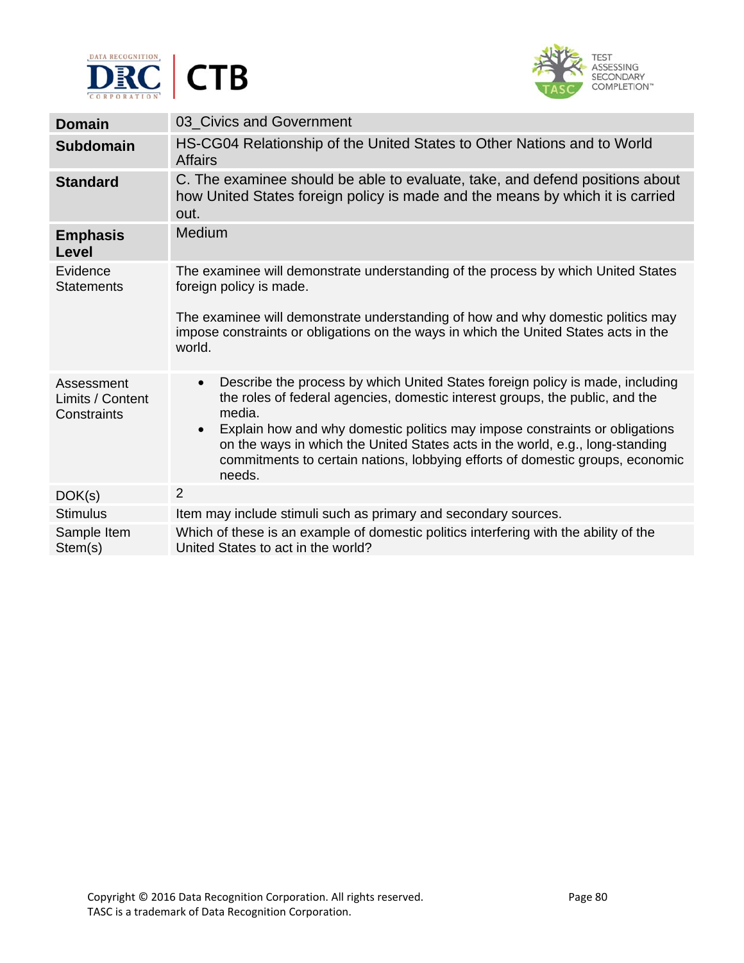



| <b>Domain</b>                                 | 03 Civics and Government                                                                                                                                                                                                                                             |
|-----------------------------------------------|----------------------------------------------------------------------------------------------------------------------------------------------------------------------------------------------------------------------------------------------------------------------|
| <b>Subdomain</b>                              | HS-CG04 Relationship of the United States to Other Nations and to World<br><b>Affairs</b>                                                                                                                                                                            |
| <b>Standard</b>                               | C. The examinee should be able to evaluate, take, and defend positions about<br>how United States foreign policy is made and the means by which it is carried<br>out.                                                                                                |
| <b>Emphasis</b><br><b>Level</b>               | Medium                                                                                                                                                                                                                                                               |
| Evidence<br><b>Statements</b>                 | The examinee will demonstrate understanding of the process by which United States<br>foreign policy is made.                                                                                                                                                         |
|                                               | The examinee will demonstrate understanding of how and why domestic politics may<br>impose constraints or obligations on the ways in which the United States acts in the<br>world.                                                                                   |
| Assessment<br>Limits / Content<br>Constraints | Describe the process by which United States foreign policy is made, including<br>$\bullet$<br>the roles of federal agencies, domestic interest groups, the public, and the<br>media.                                                                                 |
|                                               | Explain how and why domestic politics may impose constraints or obligations<br>$\bullet$<br>on the ways in which the United States acts in the world, e.g., long-standing<br>commitments to certain nations, lobbying efforts of domestic groups, economic<br>needs. |
| DOK(s)                                        | $\overline{2}$                                                                                                                                                                                                                                                       |
| <b>Stimulus</b>                               | Item may include stimuli such as primary and secondary sources.                                                                                                                                                                                                      |
| Sample Item<br>Stem(s)                        | Which of these is an example of domestic politics interfering with the ability of the<br>United States to act in the world?                                                                                                                                          |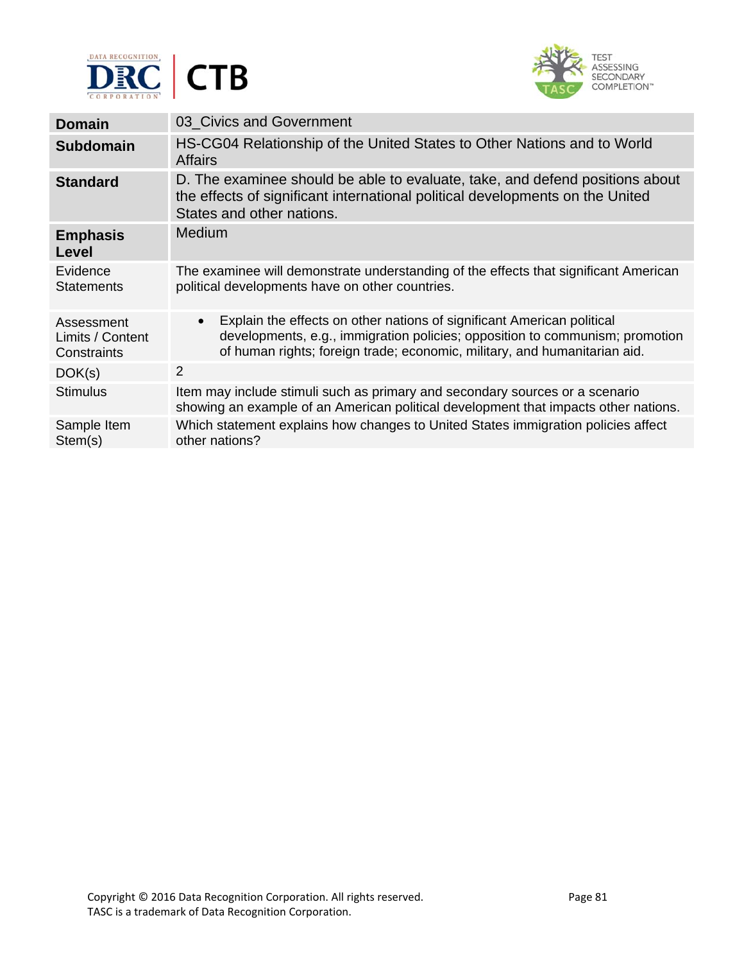



| <b>Domain</b>                                 | 03 Civics and Government                                                                                                                                                                                                                         |
|-----------------------------------------------|--------------------------------------------------------------------------------------------------------------------------------------------------------------------------------------------------------------------------------------------------|
| <b>Subdomain</b>                              | HS-CG04 Relationship of the United States to Other Nations and to World<br><b>Affairs</b>                                                                                                                                                        |
| <b>Standard</b>                               | D. The examinee should be able to evaluate, take, and defend positions about<br>the effects of significant international political developments on the United<br>States and other nations.                                                       |
| <b>Emphasis</b><br>Level                      | <b>Medium</b>                                                                                                                                                                                                                                    |
| Evidence<br><b>Statements</b>                 | The examinee will demonstrate understanding of the effects that significant American<br>political developments have on other countries.                                                                                                          |
| Assessment<br>Limits / Content<br>Constraints | Explain the effects on other nations of significant American political<br>$\bullet$<br>developments, e.g., immigration policies; opposition to communism; promotion<br>of human rights; foreign trade; economic, military, and humanitarian aid. |
| DOK(s)                                        | 2                                                                                                                                                                                                                                                |
| <b>Stimulus</b>                               | Item may include stimuli such as primary and secondary sources or a scenario<br>showing an example of an American political development that impacts other nations.                                                                              |
| Sample Item<br>Stem(s)                        | Which statement explains how changes to United States immigration policies affect<br>other nations?                                                                                                                                              |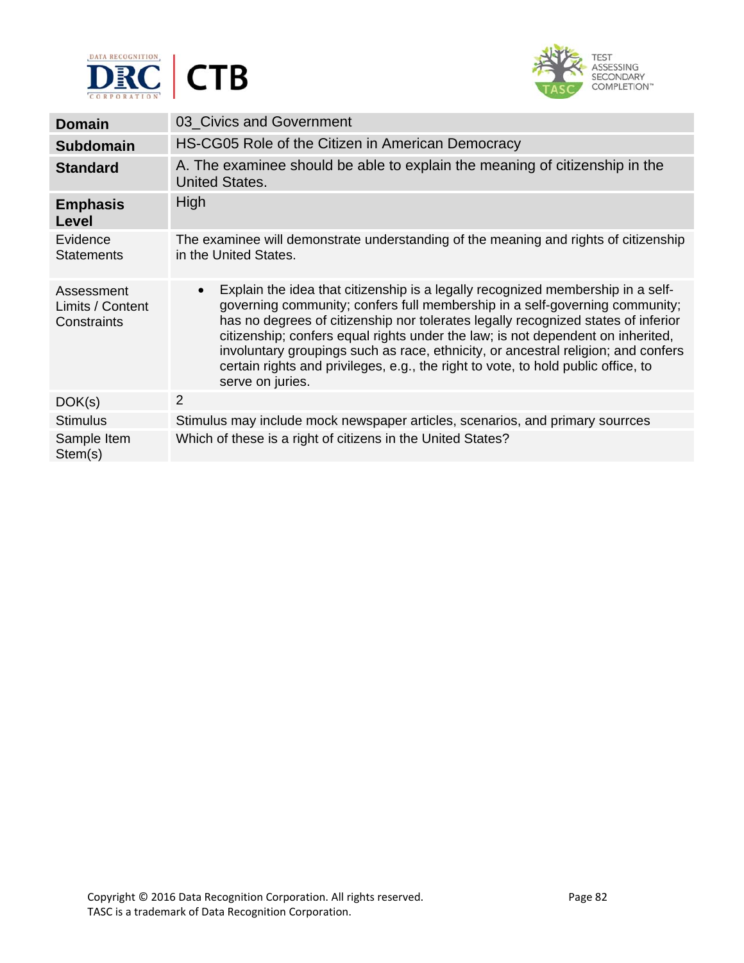



| 03 Civics and Government                                                                                                                                                                                                                                                                                                                                                                                                                                                                                                                          |
|---------------------------------------------------------------------------------------------------------------------------------------------------------------------------------------------------------------------------------------------------------------------------------------------------------------------------------------------------------------------------------------------------------------------------------------------------------------------------------------------------------------------------------------------------|
| HS-CG05 Role of the Citizen in American Democracy                                                                                                                                                                                                                                                                                                                                                                                                                                                                                                 |
| A. The examinee should be able to explain the meaning of citizenship in the<br><b>United States.</b>                                                                                                                                                                                                                                                                                                                                                                                                                                              |
| High                                                                                                                                                                                                                                                                                                                                                                                                                                                                                                                                              |
| The examinee will demonstrate understanding of the meaning and rights of citizenship<br>in the United States.                                                                                                                                                                                                                                                                                                                                                                                                                                     |
| Explain the idea that citizenship is a legally recognized membership in a self-<br>$\bullet$<br>governing community; confers full membership in a self-governing community;<br>has no degrees of citizenship nor tolerates legally recognized states of inferior<br>citizenship; confers equal rights under the law; is not dependent on inherited,<br>involuntary groupings such as race, ethnicity, or ancestral religion; and confers<br>certain rights and privileges, e.g., the right to vote, to hold public office, to<br>serve on juries. |
| $\overline{2}$                                                                                                                                                                                                                                                                                                                                                                                                                                                                                                                                    |
| Stimulus may include mock newspaper articles, scenarios, and primary sourrces                                                                                                                                                                                                                                                                                                                                                                                                                                                                     |
| Which of these is a right of citizens in the United States?                                                                                                                                                                                                                                                                                                                                                                                                                                                                                       |
|                                                                                                                                                                                                                                                                                                                                                                                                                                                                                                                                                   |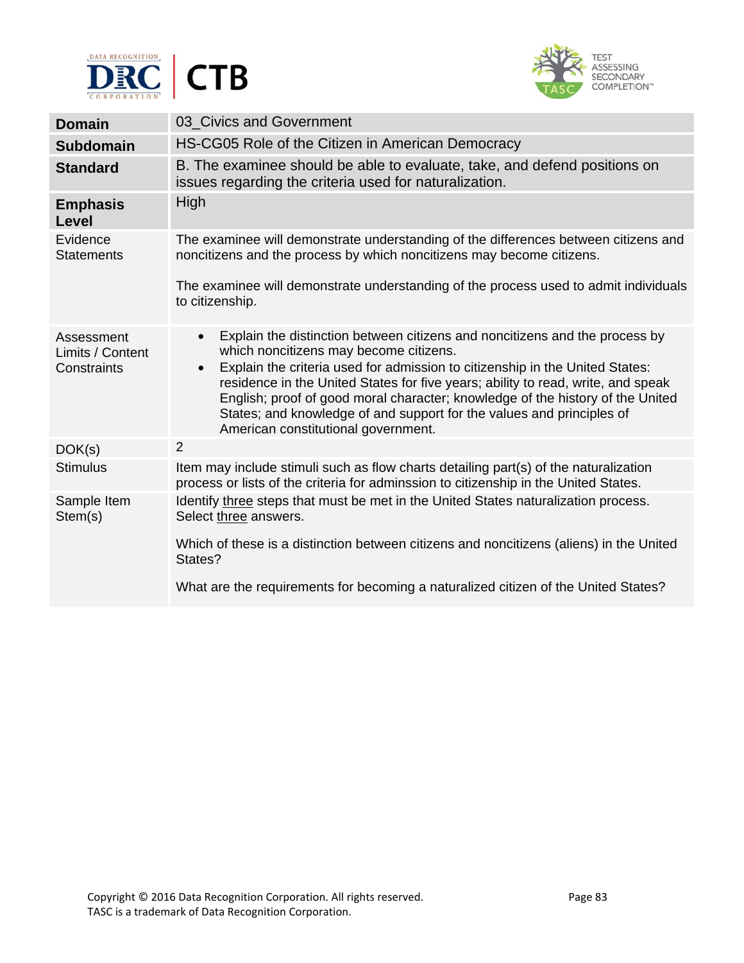



| <b>Domain</b>                                 | 03 Civics and Government                                                                                                                                                                                                                                                                                                                                                                                                                                                                                              |
|-----------------------------------------------|-----------------------------------------------------------------------------------------------------------------------------------------------------------------------------------------------------------------------------------------------------------------------------------------------------------------------------------------------------------------------------------------------------------------------------------------------------------------------------------------------------------------------|
| <b>Subdomain</b>                              | HS-CG05 Role of the Citizen in American Democracy                                                                                                                                                                                                                                                                                                                                                                                                                                                                     |
| <b>Standard</b>                               | B. The examinee should be able to evaluate, take, and defend positions on<br>issues regarding the criteria used for naturalization.                                                                                                                                                                                                                                                                                                                                                                                   |
| <b>Emphasis</b><br>Level                      | High                                                                                                                                                                                                                                                                                                                                                                                                                                                                                                                  |
| Evidence<br><b>Statements</b>                 | The examinee will demonstrate understanding of the differences between citizens and<br>noncitizens and the process by which noncitizens may become citizens.                                                                                                                                                                                                                                                                                                                                                          |
|                                               | The examinee will demonstrate understanding of the process used to admit individuals<br>to citizenship.                                                                                                                                                                                                                                                                                                                                                                                                               |
| Assessment<br>Limits / Content<br>Constraints | Explain the distinction between citizens and noncitizens and the process by<br>$\bullet$<br>which noncitizens may become citizens.<br>Explain the criteria used for admission to citizenship in the United States:<br>$\bullet$<br>residence in the United States for five years; ability to read, write, and speak<br>English; proof of good moral character; knowledge of the history of the United<br>States; and knowledge of and support for the values and principles of<br>American constitutional government. |
| DOK(s)                                        | $\overline{2}$                                                                                                                                                                                                                                                                                                                                                                                                                                                                                                        |
| <b>Stimulus</b>                               | Item may include stimuli such as flow charts detailing part(s) of the naturalization<br>process or lists of the criteria for adminssion to citizenship in the United States.                                                                                                                                                                                                                                                                                                                                          |
| Sample Item<br>Stem(s)                        | Identify three steps that must be met in the United States naturalization process.<br>Select three answers.<br>Which of these is a distinction between citizens and noncitizens (aliens) in the United<br>States?                                                                                                                                                                                                                                                                                                     |
|                                               | What are the requirements for becoming a naturalized citizen of the United States?                                                                                                                                                                                                                                                                                                                                                                                                                                    |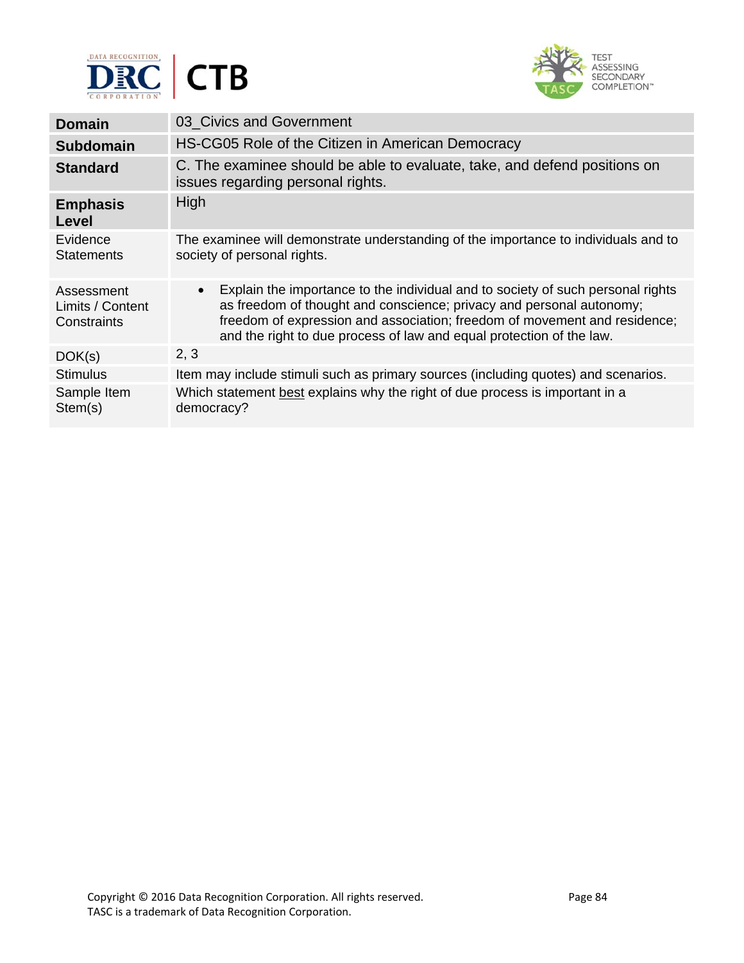



| <b>Domain</b>                                 | 03_Civics and Government                                                                                                                                                                                                                                                                                                  |
|-----------------------------------------------|---------------------------------------------------------------------------------------------------------------------------------------------------------------------------------------------------------------------------------------------------------------------------------------------------------------------------|
| <b>Subdomain</b>                              | HS-CG05 Role of the Citizen in American Democracy                                                                                                                                                                                                                                                                         |
| <b>Standard</b>                               | C. The examinee should be able to evaluate, take, and defend positions on<br>issues regarding personal rights.                                                                                                                                                                                                            |
| <b>Emphasis</b><br>Level                      | High                                                                                                                                                                                                                                                                                                                      |
| Evidence<br><b>Statements</b>                 | The examinee will demonstrate understanding of the importance to individuals and to<br>society of personal rights.                                                                                                                                                                                                        |
| Assessment<br>Limits / Content<br>Constraints | Explain the importance to the individual and to society of such personal rights<br>$\bullet$<br>as freedom of thought and conscience; privacy and personal autonomy;<br>freedom of expression and association; freedom of movement and residence;<br>and the right to due process of law and equal protection of the law. |
| DOK(s)                                        | 2, 3                                                                                                                                                                                                                                                                                                                      |
| <b>Stimulus</b>                               | Item may include stimuli such as primary sources (including quotes) and scenarios.                                                                                                                                                                                                                                        |
| Sample Item<br>Stem(s)                        | Which statement best explains why the right of due process is important in a<br>democracy?                                                                                                                                                                                                                                |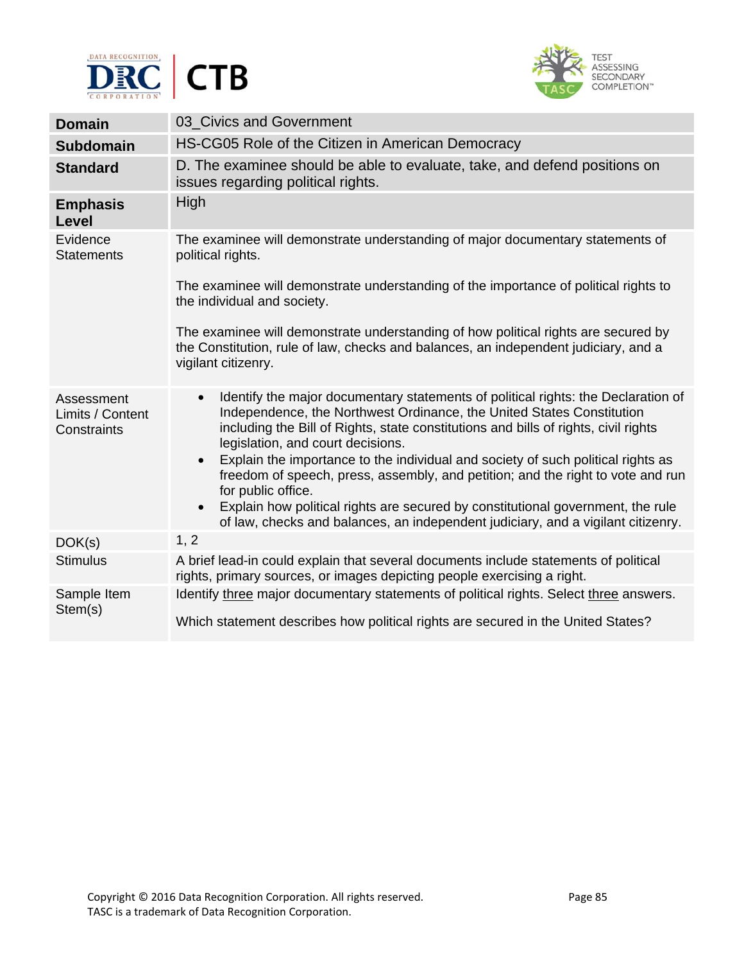



| <b>Domain</b>                                 | 03_Civics and Government                                                                                                                                                                                                                                                                                                                                                                                                                                                                                                                                                                                                                                                                          |
|-----------------------------------------------|---------------------------------------------------------------------------------------------------------------------------------------------------------------------------------------------------------------------------------------------------------------------------------------------------------------------------------------------------------------------------------------------------------------------------------------------------------------------------------------------------------------------------------------------------------------------------------------------------------------------------------------------------------------------------------------------------|
| <b>Subdomain</b>                              | HS-CG05 Role of the Citizen in American Democracy                                                                                                                                                                                                                                                                                                                                                                                                                                                                                                                                                                                                                                                 |
| <b>Standard</b>                               | D. The examinee should be able to evaluate, take, and defend positions on<br>issues regarding political rights.                                                                                                                                                                                                                                                                                                                                                                                                                                                                                                                                                                                   |
| <b>Emphasis</b><br>Level                      | High                                                                                                                                                                                                                                                                                                                                                                                                                                                                                                                                                                                                                                                                                              |
| Evidence<br><b>Statements</b>                 | The examinee will demonstrate understanding of major documentary statements of<br>political rights.                                                                                                                                                                                                                                                                                                                                                                                                                                                                                                                                                                                               |
|                                               | The examinee will demonstrate understanding of the importance of political rights to<br>the individual and society.                                                                                                                                                                                                                                                                                                                                                                                                                                                                                                                                                                               |
|                                               | The examinee will demonstrate understanding of how political rights are secured by<br>the Constitution, rule of law, checks and balances, an independent judiciary, and a<br>vigilant citizenry.                                                                                                                                                                                                                                                                                                                                                                                                                                                                                                  |
| Assessment<br>Limits / Content<br>Constraints | Identify the major documentary statements of political rights: the Declaration of<br>$\bullet$<br>Independence, the Northwest Ordinance, the United States Constitution<br>including the Bill of Rights, state constitutions and bills of rights, civil rights<br>legislation, and court decisions.<br>Explain the importance to the individual and society of such political rights as<br>$\bullet$<br>freedom of speech, press, assembly, and petition; and the right to vote and run<br>for public office.<br>Explain how political rights are secured by constitutional government, the rule<br>$\bullet$<br>of law, checks and balances, an independent judiciary, and a vigilant citizenry. |
| DOK(s)                                        | 1, 2                                                                                                                                                                                                                                                                                                                                                                                                                                                                                                                                                                                                                                                                                              |
| <b>Stimulus</b>                               | A brief lead-in could explain that several documents include statements of political<br>rights, primary sources, or images depicting people exercising a right.                                                                                                                                                                                                                                                                                                                                                                                                                                                                                                                                   |
| Sample Item                                   | Identify three major documentary statements of political rights. Select three answers.                                                                                                                                                                                                                                                                                                                                                                                                                                                                                                                                                                                                            |
| Stem(s)                                       | Which statement describes how political rights are secured in the United States?                                                                                                                                                                                                                                                                                                                                                                                                                                                                                                                                                                                                                  |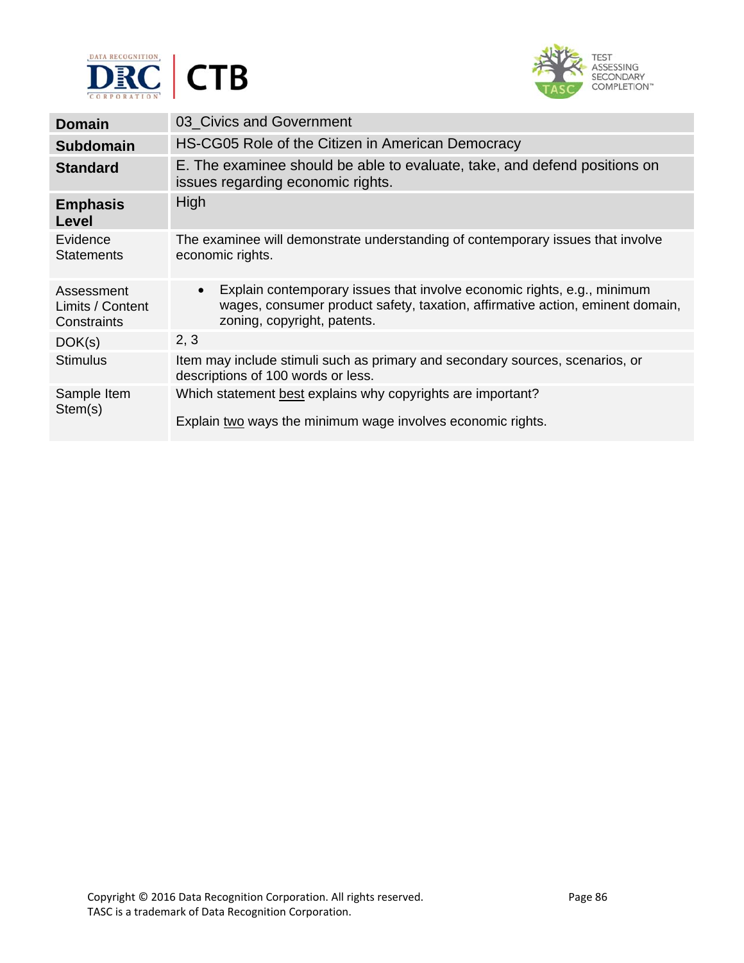



| <b>Domain</b>                                 | 03_Civics and Government                                                                                                                                                                             |
|-----------------------------------------------|------------------------------------------------------------------------------------------------------------------------------------------------------------------------------------------------------|
| <b>Subdomain</b>                              | HS-CG05 Role of the Citizen in American Democracy                                                                                                                                                    |
| <b>Standard</b>                               | E. The examinee should be able to evaluate, take, and defend positions on<br>issues regarding economic rights.                                                                                       |
| <b>Emphasis</b><br>Level                      | High                                                                                                                                                                                                 |
| Evidence<br><b>Statements</b>                 | The examinee will demonstrate understanding of contemporary issues that involve<br>economic rights.                                                                                                  |
| Assessment<br>Limits / Content<br>Constraints | Explain contemporary issues that involve economic rights, e.g., minimum<br>$\bullet$<br>wages, consumer product safety, taxation, affirmative action, eminent domain,<br>zoning, copyright, patents. |
| DOK(s)                                        | 2, 3                                                                                                                                                                                                 |
| <b>Stimulus</b>                               | Item may include stimuli such as primary and secondary sources, scenarios, or<br>descriptions of 100 words or less.                                                                                  |
| Sample Item<br>Stem(s)                        | Which statement best explains why copyrights are important?<br>Explain two ways the minimum wage involves economic rights.                                                                           |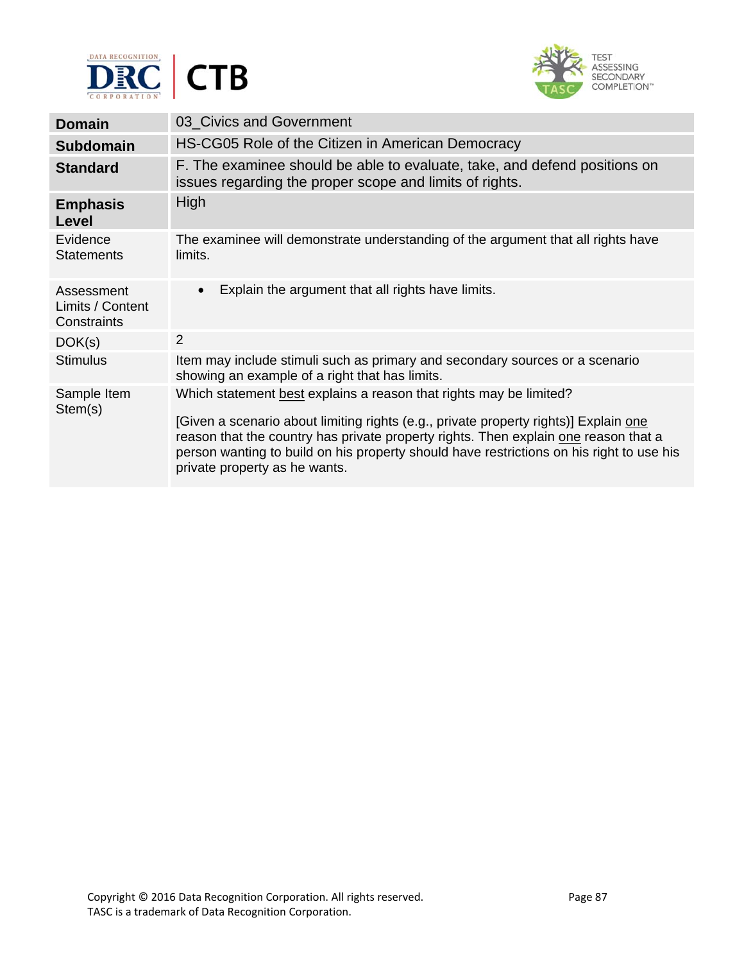



| <b>Domain</b>                                 | 03 Civics and Government                                                                                                                                                                                                                                                                                                                                                       |
|-----------------------------------------------|--------------------------------------------------------------------------------------------------------------------------------------------------------------------------------------------------------------------------------------------------------------------------------------------------------------------------------------------------------------------------------|
| <b>Subdomain</b>                              | HS-CG05 Role of the Citizen in American Democracy                                                                                                                                                                                                                                                                                                                              |
| <b>Standard</b>                               | F. The examinee should be able to evaluate, take, and defend positions on<br>issues regarding the proper scope and limits of rights.                                                                                                                                                                                                                                           |
| <b>Emphasis</b><br>Level                      | High                                                                                                                                                                                                                                                                                                                                                                           |
| Evidence<br><b>Statements</b>                 | The examinee will demonstrate understanding of the argument that all rights have<br>limits.                                                                                                                                                                                                                                                                                    |
| Assessment<br>Limits / Content<br>Constraints | Explain the argument that all rights have limits.<br>$\bullet$                                                                                                                                                                                                                                                                                                                 |
| DOK(s)                                        | 2                                                                                                                                                                                                                                                                                                                                                                              |
| <b>Stimulus</b>                               | Item may include stimuli such as primary and secondary sources or a scenario<br>showing an example of a right that has limits.                                                                                                                                                                                                                                                 |
| Sample Item<br>Stem(s)                        | Which statement best explains a reason that rights may be limited?<br>[Given a scenario about limiting rights (e.g., private property rights)] Explain one<br>reason that the country has private property rights. Then explain one reason that a<br>person wanting to build on his property should have restrictions on his right to use his<br>private property as he wants. |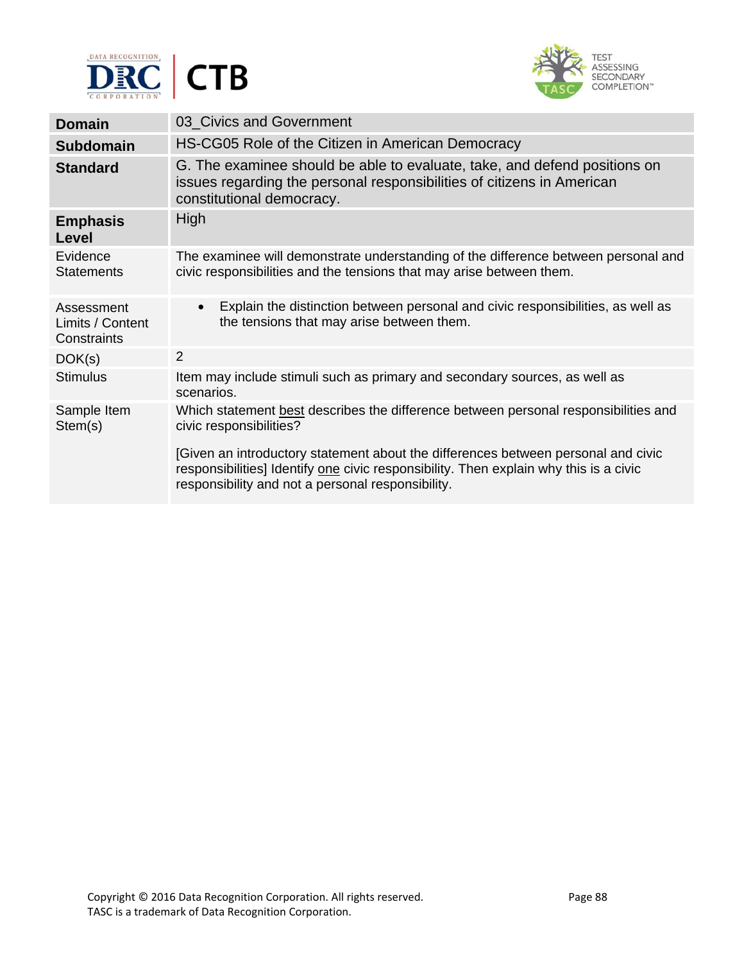



| <b>Domain</b>                                 | 03 Civics and Government                                                                                                                                                                                                        |
|-----------------------------------------------|---------------------------------------------------------------------------------------------------------------------------------------------------------------------------------------------------------------------------------|
| <b>Subdomain</b>                              | HS-CG05 Role of the Citizen in American Democracy                                                                                                                                                                               |
| <b>Standard</b>                               | G. The examinee should be able to evaluate, take, and defend positions on<br>issues regarding the personal responsibilities of citizens in American<br>constitutional democracy.                                                |
| <b>Emphasis</b><br>Level                      | High                                                                                                                                                                                                                            |
| Evidence<br><b>Statements</b>                 | The examinee will demonstrate understanding of the difference between personal and<br>civic responsibilities and the tensions that may arise between them.                                                                      |
| Assessment<br>Limits / Content<br>Constraints | Explain the distinction between personal and civic responsibilities, as well as<br>$\bullet$<br>the tensions that may arise between them.                                                                                       |
| DOK(s)                                        | 2                                                                                                                                                                                                                               |
| <b>Stimulus</b>                               | Item may include stimuli such as primary and secondary sources, as well as<br>scenarios.                                                                                                                                        |
| Sample Item<br>Stem(s)                        | Which statement best describes the difference between personal responsibilities and<br>civic responsibilities?                                                                                                                  |
|                                               | [Given an introductory statement about the differences between personal and civic<br>responsibilities] Identify one civic responsibility. Then explain why this is a civic<br>responsibility and not a personal responsibility. |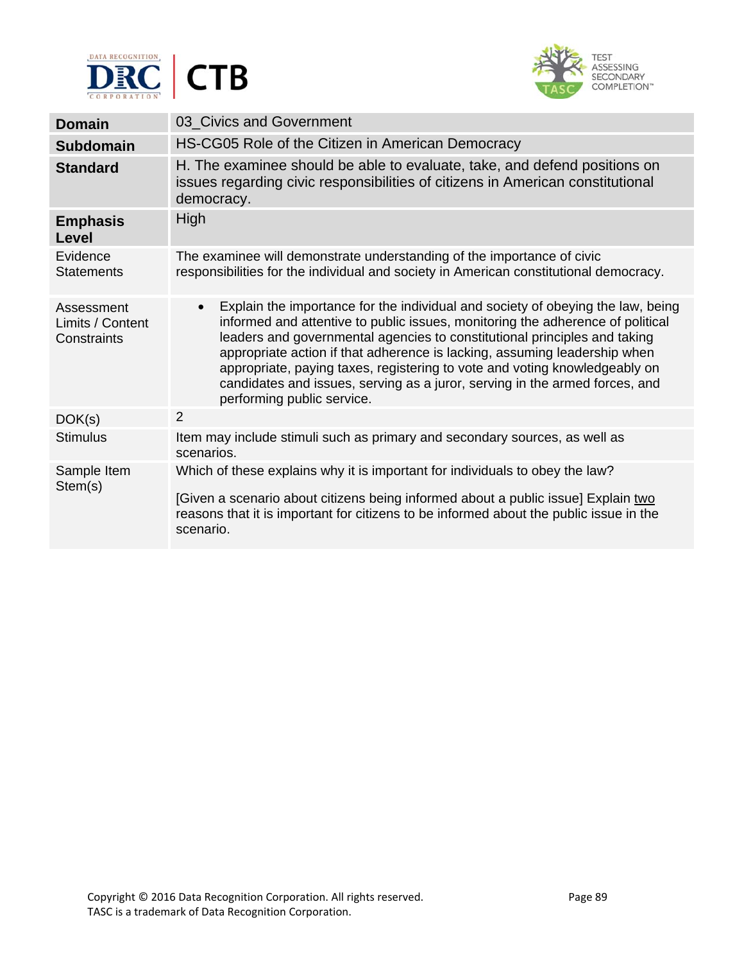



| <b>Domain</b>                                 | 03 Civics and Government                                                                                                                                                                                                                                                                                                                                                                                                                                                                                                            |
|-----------------------------------------------|-------------------------------------------------------------------------------------------------------------------------------------------------------------------------------------------------------------------------------------------------------------------------------------------------------------------------------------------------------------------------------------------------------------------------------------------------------------------------------------------------------------------------------------|
| <b>Subdomain</b>                              | HS-CG05 Role of the Citizen in American Democracy                                                                                                                                                                                                                                                                                                                                                                                                                                                                                   |
| <b>Standard</b>                               | H. The examinee should be able to evaluate, take, and defend positions on<br>issues regarding civic responsibilities of citizens in American constitutional<br>democracy.                                                                                                                                                                                                                                                                                                                                                           |
| <b>Emphasis</b><br>Level                      | High                                                                                                                                                                                                                                                                                                                                                                                                                                                                                                                                |
| Evidence<br><b>Statements</b>                 | The examinee will demonstrate understanding of the importance of civic<br>responsibilities for the individual and society in American constitutional democracy.                                                                                                                                                                                                                                                                                                                                                                     |
| Assessment<br>Limits / Content<br>Constraints | Explain the importance for the individual and society of obeying the law, being<br>$\bullet$<br>informed and attentive to public issues, monitoring the adherence of political<br>leaders and governmental agencies to constitutional principles and taking<br>appropriate action if that adherence is lacking, assuming leadership when<br>appropriate, paying taxes, registering to vote and voting knowledgeably on<br>candidates and issues, serving as a juror, serving in the armed forces, and<br>performing public service. |
| DOK(s)                                        | 2                                                                                                                                                                                                                                                                                                                                                                                                                                                                                                                                   |
| <b>Stimulus</b>                               | Item may include stimuli such as primary and secondary sources, as well as<br>scenarios.                                                                                                                                                                                                                                                                                                                                                                                                                                            |
| Sample Item<br>Stem(s)                        | Which of these explains why it is important for individuals to obey the law?<br>[Given a scenario about citizens being informed about a public issue] Explain two<br>reasons that it is important for citizens to be informed about the public issue in the<br>scenario.                                                                                                                                                                                                                                                            |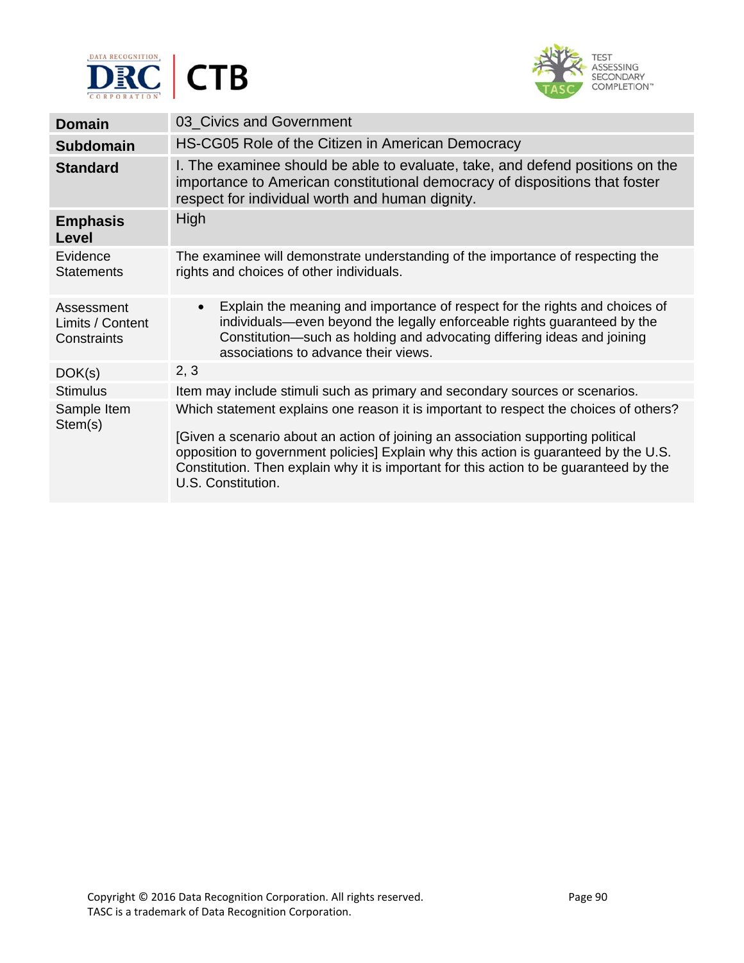



| <b>Domain</b>                                 | 03_Civics and Government                                                                                                                                                                                                                                                                                                                                                          |
|-----------------------------------------------|-----------------------------------------------------------------------------------------------------------------------------------------------------------------------------------------------------------------------------------------------------------------------------------------------------------------------------------------------------------------------------------|
| <b>Subdomain</b>                              | HS-CG05 Role of the Citizen in American Democracy                                                                                                                                                                                                                                                                                                                                 |
| <b>Standard</b>                               | I. The examinee should be able to evaluate, take, and defend positions on the<br>importance to American constitutional democracy of dispositions that foster<br>respect for individual worth and human dignity.                                                                                                                                                                   |
| <b>Emphasis</b><br>Level                      | High                                                                                                                                                                                                                                                                                                                                                                              |
| Evidence<br><b>Statements</b>                 | The examinee will demonstrate understanding of the importance of respecting the<br>rights and choices of other individuals.                                                                                                                                                                                                                                                       |
| Assessment<br>Limits / Content<br>Constraints | Explain the meaning and importance of respect for the rights and choices of<br>$\bullet$<br>individuals—even beyond the legally enforceable rights guaranteed by the<br>Constitution—such as holding and advocating differing ideas and joining<br>associations to advance their views.                                                                                           |
| DOK(s)                                        | 2, 3                                                                                                                                                                                                                                                                                                                                                                              |
| <b>Stimulus</b>                               | Item may include stimuli such as primary and secondary sources or scenarios.                                                                                                                                                                                                                                                                                                      |
| Sample Item<br>Stem(s)                        | Which statement explains one reason it is important to respect the choices of others?<br>[Given a scenario about an action of joining an association supporting political<br>opposition to government policies] Explain why this action is guaranteed by the U.S.<br>Constitution. Then explain why it is important for this action to be guaranteed by the<br>U.S. Constitution. |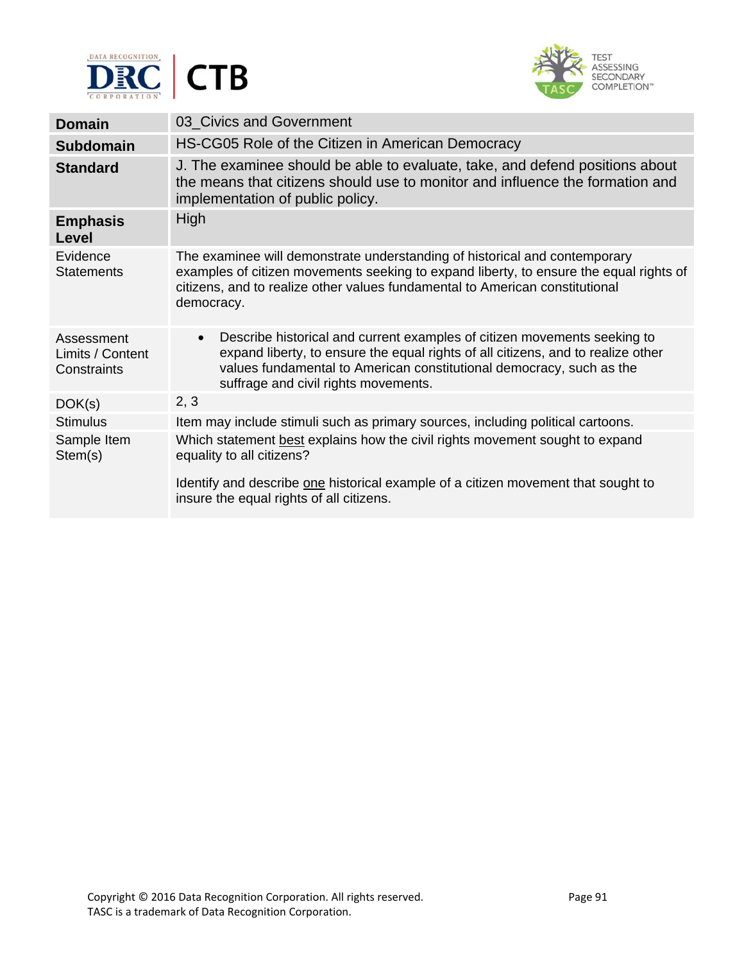



| <b>Domain</b>                                 | 03 Civics and Government                                                                                                                                                                                                                                                                  |
|-----------------------------------------------|-------------------------------------------------------------------------------------------------------------------------------------------------------------------------------------------------------------------------------------------------------------------------------------------|
| <b>Subdomain</b>                              | HS-CG05 Role of the Citizen in American Democracy                                                                                                                                                                                                                                         |
| <b>Standard</b>                               | J. The examinee should be able to evaluate, take, and defend positions about<br>the means that citizens should use to monitor and influence the formation and<br>implementation of public policy.                                                                                         |
| <b>Emphasis</b><br><b>Level</b>               | High                                                                                                                                                                                                                                                                                      |
| Evidence<br><b>Statements</b>                 | The examinee will demonstrate understanding of historical and contemporary<br>examples of citizen movements seeking to expand liberty, to ensure the equal rights of<br>citizens, and to realize other values fundamental to American constitutional<br>democracy.                        |
| Assessment<br>Limits / Content<br>Constraints | Describe historical and current examples of citizen movements seeking to<br>$\bullet$<br>expand liberty, to ensure the equal rights of all citizens, and to realize other<br>values fundamental to American constitutional democracy, such as the<br>suffrage and civil rights movements. |
| DOK(s)                                        | 2, 3                                                                                                                                                                                                                                                                                      |
| <b>Stimulus</b>                               | Item may include stimuli such as primary sources, including political cartoons.                                                                                                                                                                                                           |
| Sample Item<br>Stem(s)                        | Which statement best explains how the civil rights movement sought to expand<br>equality to all citizens?<br>Identify and describe one historical example of a citizen movement that sought to<br>insure the equal rights of all citizens.                                                |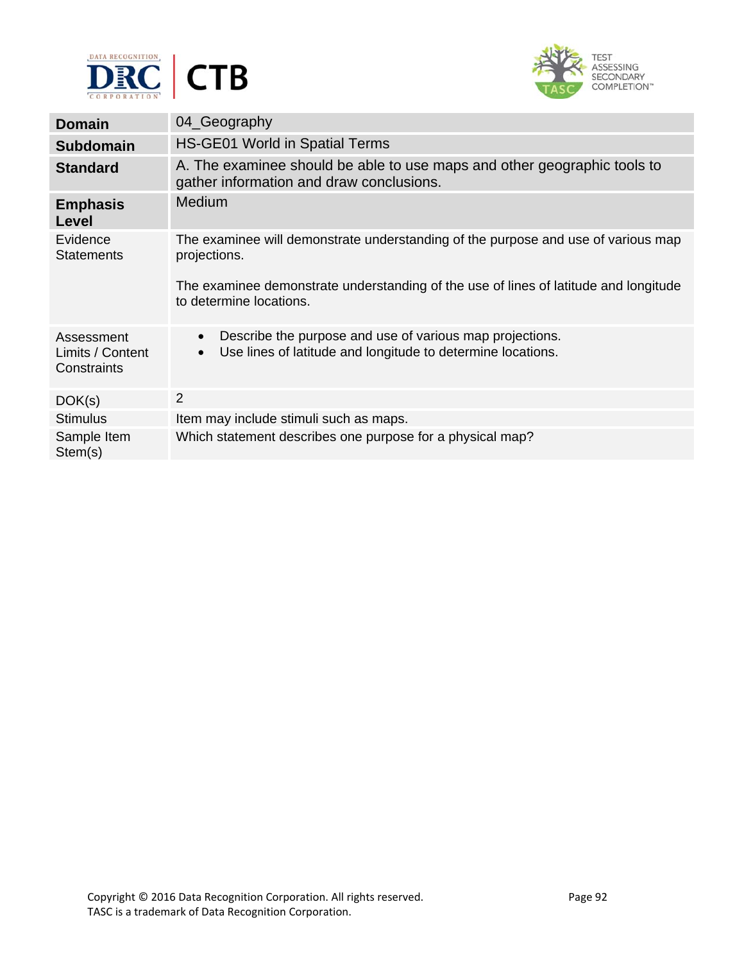



| <b>Domain</b>                                 | 04_Geography                                                                                                                                      |
|-----------------------------------------------|---------------------------------------------------------------------------------------------------------------------------------------------------|
| <b>Subdomain</b>                              | HS-GE01 World in Spatial Terms                                                                                                                    |
| <b>Standard</b>                               | A. The examinee should be able to use maps and other geographic tools to<br>gather information and draw conclusions.                              |
| <b>Emphasis</b><br>Level                      | <b>Medium</b>                                                                                                                                     |
| Evidence<br><b>Statements</b>                 | The examinee will demonstrate understanding of the purpose and use of various map<br>projections.                                                 |
|                                               | The examinee demonstrate understanding of the use of lines of latitude and longitude<br>to determine locations.                                   |
| Assessment<br>Limits / Content<br>Constraints | Describe the purpose and use of various map projections.<br>$\bullet$<br>Use lines of latitude and longitude to determine locations.<br>$\bullet$ |
| DOK(s)                                        | $\overline{2}$                                                                                                                                    |
| <b>Stimulus</b>                               | Item may include stimuli such as maps.                                                                                                            |
| Sample Item<br>Stem(s)                        | Which statement describes one purpose for a physical map?                                                                                         |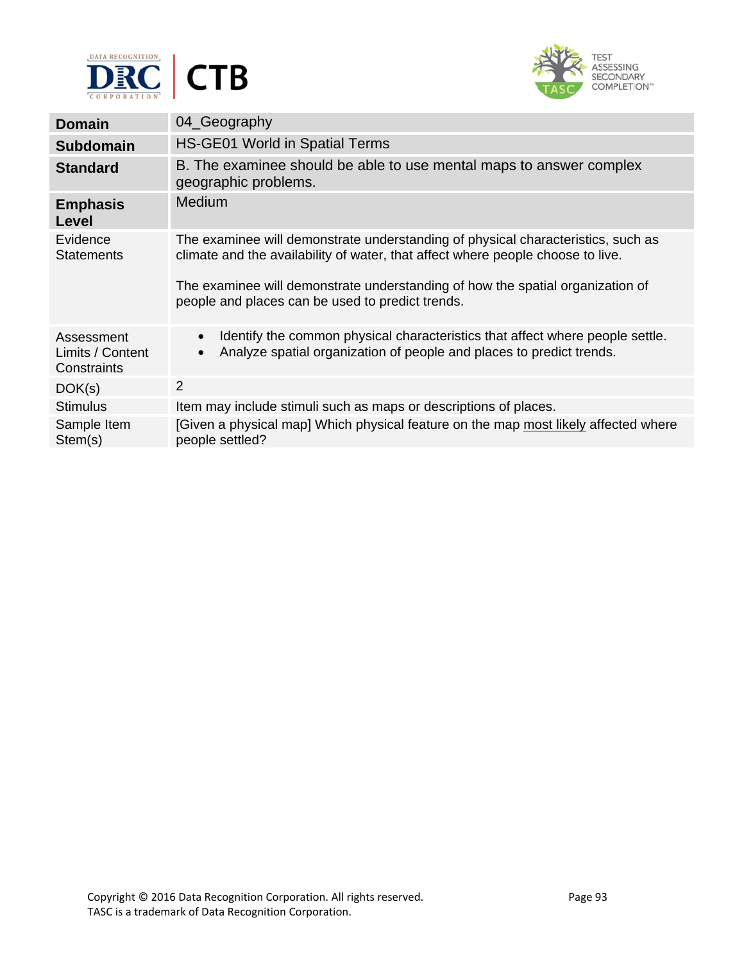



| <b>Domain</b>                                 | 04_Geography                                                                                                                                                                                                                                                                                              |
|-----------------------------------------------|-----------------------------------------------------------------------------------------------------------------------------------------------------------------------------------------------------------------------------------------------------------------------------------------------------------|
| <b>Subdomain</b>                              | <b>HS-GE01 World in Spatial Terms</b>                                                                                                                                                                                                                                                                     |
| <b>Standard</b>                               | B. The examinee should be able to use mental maps to answer complex<br>geographic problems.                                                                                                                                                                                                               |
| <b>Emphasis</b><br>Level                      | Medium                                                                                                                                                                                                                                                                                                    |
| Evidence<br><b>Statements</b>                 | The examinee will demonstrate understanding of physical characteristics, such as<br>climate and the availability of water, that affect where people choose to live.<br>The examinee will demonstrate understanding of how the spatial organization of<br>people and places can be used to predict trends. |
| Assessment<br>Limits / Content<br>Constraints | Identify the common physical characteristics that affect where people settle.<br>$\bullet$<br>Analyze spatial organization of people and places to predict trends.<br>$\bullet$                                                                                                                           |
| DOK(s)                                        | 2                                                                                                                                                                                                                                                                                                         |
| <b>Stimulus</b>                               | Item may include stimuli such as maps or descriptions of places.                                                                                                                                                                                                                                          |
| Sample Item<br>Stem(s)                        | [Given a physical map] Which physical feature on the map most likely affected where<br>people settled?                                                                                                                                                                                                    |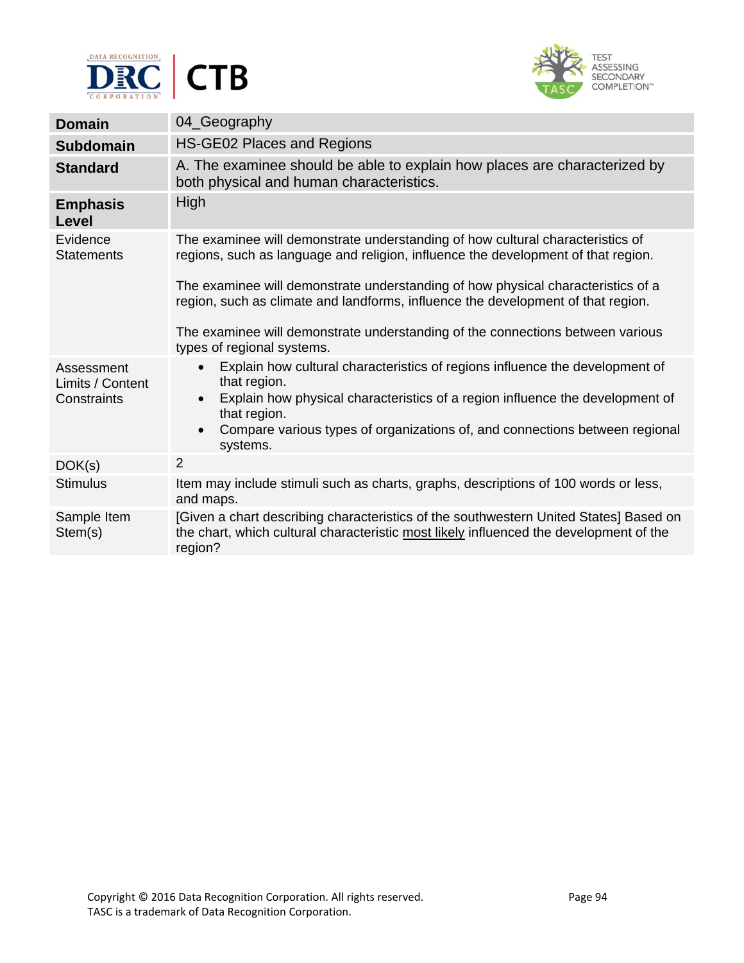



| <b>Domain</b>                                 | 04_Geography                                                                                                                                                                                                                                           |
|-----------------------------------------------|--------------------------------------------------------------------------------------------------------------------------------------------------------------------------------------------------------------------------------------------------------|
| <b>Subdomain</b>                              | HS-GE02 Places and Regions                                                                                                                                                                                                                             |
| <b>Standard</b>                               | A. The examinee should be able to explain how places are characterized by<br>both physical and human characteristics.                                                                                                                                  |
| <b>Emphasis</b><br><b>Level</b>               | High                                                                                                                                                                                                                                                   |
| Evidence<br><b>Statements</b>                 | The examinee will demonstrate understanding of how cultural characteristics of<br>regions, such as language and religion, influence the development of that region.                                                                                    |
|                                               | The examinee will demonstrate understanding of how physical characteristics of a<br>region, such as climate and landforms, influence the development of that region.<br>The examinee will demonstrate understanding of the connections between various |
|                                               | types of regional systems.                                                                                                                                                                                                                             |
| Assessment<br>Limits / Content<br>Constraints | Explain how cultural characteristics of regions influence the development of<br>$\bullet$<br>that region.<br>Explain how physical characteristics of a region influence the development of<br>$\bullet$                                                |
|                                               | that region.<br>Compare various types of organizations of, and connections between regional<br>$\bullet$<br>systems.                                                                                                                                   |
| DOK(s)                                        | 2                                                                                                                                                                                                                                                      |
| <b>Stimulus</b>                               | Item may include stimuli such as charts, graphs, descriptions of 100 words or less,<br>and maps.                                                                                                                                                       |
| Sample Item<br>Stem(s)                        | [Given a chart describing characteristics of the southwestern United States] Based on<br>the chart, which cultural characteristic most likely influenced the development of the<br>region?                                                             |
|                                               |                                                                                                                                                                                                                                                        |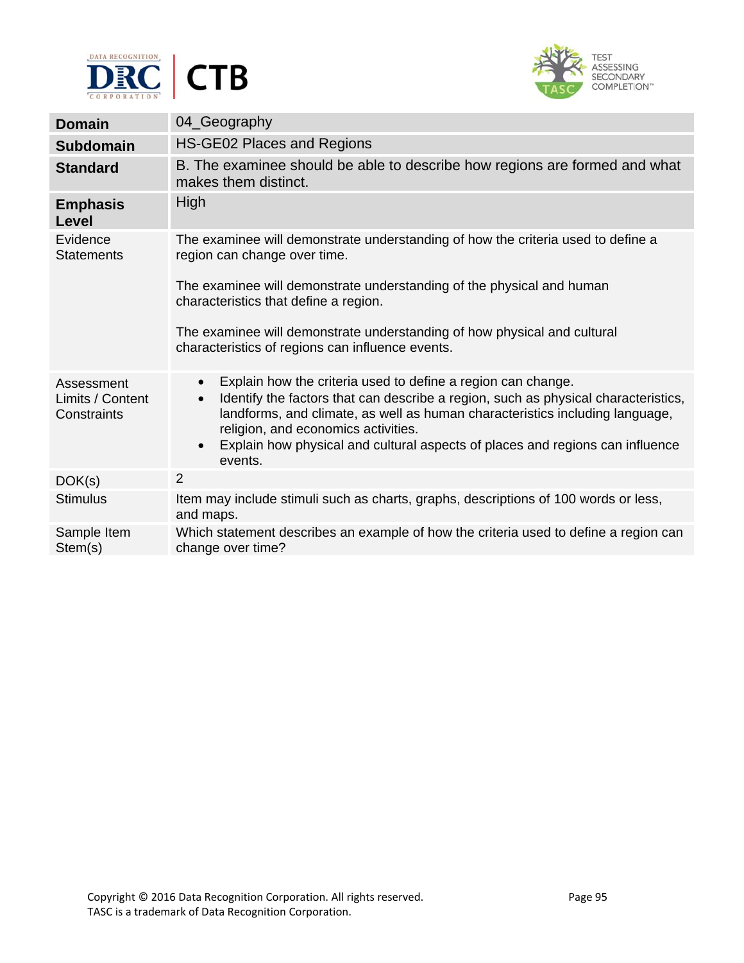



| <b>Domain</b>                                 | 04_Geography                                                                                                                                                                                                                                                                                                                                                                                      |
|-----------------------------------------------|---------------------------------------------------------------------------------------------------------------------------------------------------------------------------------------------------------------------------------------------------------------------------------------------------------------------------------------------------------------------------------------------------|
| <b>Subdomain</b>                              | HS-GE02 Places and Regions                                                                                                                                                                                                                                                                                                                                                                        |
| <b>Standard</b>                               | B. The examinee should be able to describe how regions are formed and what<br>makes them distinct.                                                                                                                                                                                                                                                                                                |
| <b>Emphasis</b><br><b>Level</b>               | High                                                                                                                                                                                                                                                                                                                                                                                              |
| Evidence<br><b>Statements</b>                 | The examinee will demonstrate understanding of how the criteria used to define a<br>region can change over time.                                                                                                                                                                                                                                                                                  |
|                                               | The examinee will demonstrate understanding of the physical and human<br>characteristics that define a region.                                                                                                                                                                                                                                                                                    |
|                                               | The examinee will demonstrate understanding of how physical and cultural<br>characteristics of regions can influence events.                                                                                                                                                                                                                                                                      |
| Assessment<br>Limits / Content<br>Constraints | Explain how the criteria used to define a region can change.<br>$\bullet$<br>Identify the factors that can describe a region, such as physical characteristics,<br>$\bullet$<br>landforms, and climate, as well as human characteristics including language,<br>religion, and economics activities.<br>Explain how physical and cultural aspects of places and regions can influence<br>$\bullet$ |
|                                               | events.                                                                                                                                                                                                                                                                                                                                                                                           |
| DOK(s)                                        | $\overline{2}$                                                                                                                                                                                                                                                                                                                                                                                    |
| <b>Stimulus</b>                               | Item may include stimuli such as charts, graphs, descriptions of 100 words or less,<br>and maps.                                                                                                                                                                                                                                                                                                  |
| Sample Item<br>Stem(s)                        | Which statement describes an example of how the criteria used to define a region can<br>change over time?                                                                                                                                                                                                                                                                                         |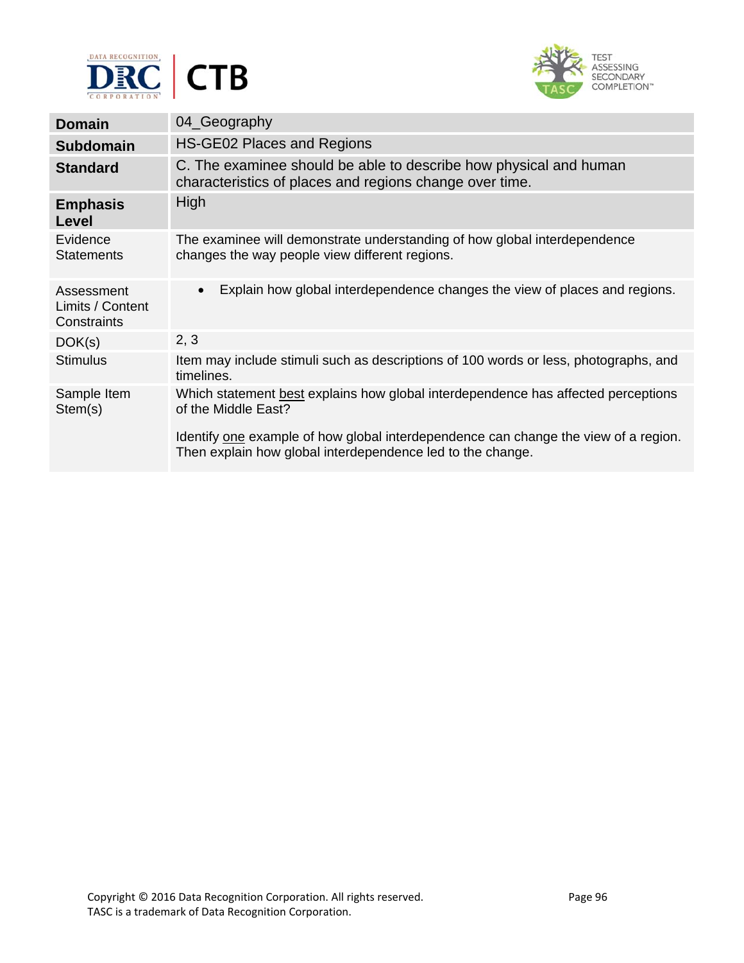



| <b>Domain</b>                                 | 04_Geography                                                                                                                                                                                    |
|-----------------------------------------------|-------------------------------------------------------------------------------------------------------------------------------------------------------------------------------------------------|
| <b>Subdomain</b>                              | HS-GE02 Places and Regions                                                                                                                                                                      |
| <b>Standard</b>                               | C. The examinee should be able to describe how physical and human<br>characteristics of places and regions change over time.                                                                    |
| <b>Emphasis</b><br>Level                      | High                                                                                                                                                                                            |
| Evidence<br><b>Statements</b>                 | The examinee will demonstrate understanding of how global interdependence<br>changes the way people view different regions.                                                                     |
| Assessment<br>Limits / Content<br>Constraints | Explain how global interdependence changes the view of places and regions.<br>$\bullet$                                                                                                         |
| DOK(s)                                        | 2, 3                                                                                                                                                                                            |
| <b>Stimulus</b>                               | Item may include stimuli such as descriptions of 100 words or less, photographs, and<br>timelines.                                                                                              |
| Sample Item<br>Stem(s)                        | Which statement best explains how global interdependence has affected perceptions<br>of the Middle East?<br>Identify one example of how global interdependence can change the view of a region. |
|                                               | Then explain how global interdependence led to the change.                                                                                                                                      |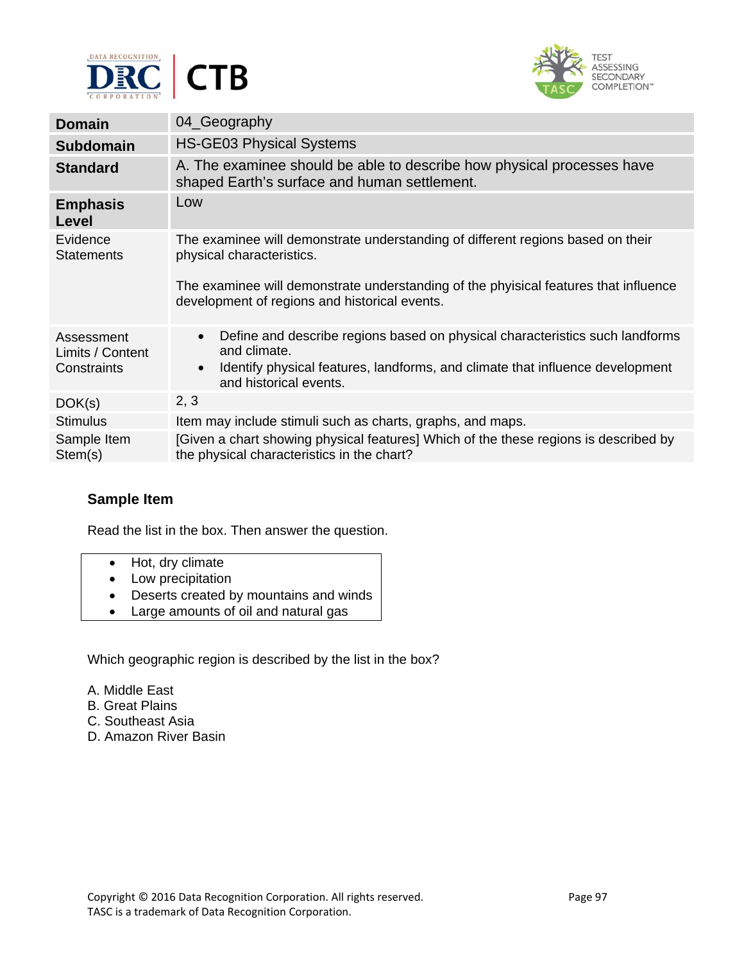



| <b>Domain</b>                                 | 04_Geography                                                                                                                                                                                                                                          |
|-----------------------------------------------|-------------------------------------------------------------------------------------------------------------------------------------------------------------------------------------------------------------------------------------------------------|
| <b>Subdomain</b>                              | <b>HS-GE03 Physical Systems</b>                                                                                                                                                                                                                       |
| <b>Standard</b>                               | A. The examinee should be able to describe how physical processes have<br>shaped Earth's surface and human settlement.                                                                                                                                |
| <b>Emphasis</b><br>Level                      | Low                                                                                                                                                                                                                                                   |
| Evidence<br><b>Statements</b>                 | The examinee will demonstrate understanding of different regions based on their<br>physical characteristics.<br>The examinee will demonstrate understanding of the phyisical features that influence<br>development of regions and historical events. |
| Assessment<br>Limits / Content<br>Constraints | Define and describe regions based on physical characteristics such landforms<br>$\bullet$<br>and climate.<br>Identify physical features, landforms, and climate that influence development<br>$\bullet$<br>and historical events.                     |
| DOK(s)                                        | 2, 3                                                                                                                                                                                                                                                  |
| <b>Stimulus</b>                               | Item may include stimuli such as charts, graphs, and maps.                                                                                                                                                                                            |
| Sample Item<br>Stem(s)                        | [Given a chart showing physical features] Which of the these regions is described by<br>the physical characteristics in the chart?                                                                                                                    |

Read the list in the box. Then answer the question.

- Hot, dry climate
- Low precipitation
- Deserts created by mountains and winds
- Large amounts of oil and natural gas

Which geographic region is described by the list in the box?

- A. Middle East
- B. Great Plains
- C. Southeast Asia
- D. Amazon River Basin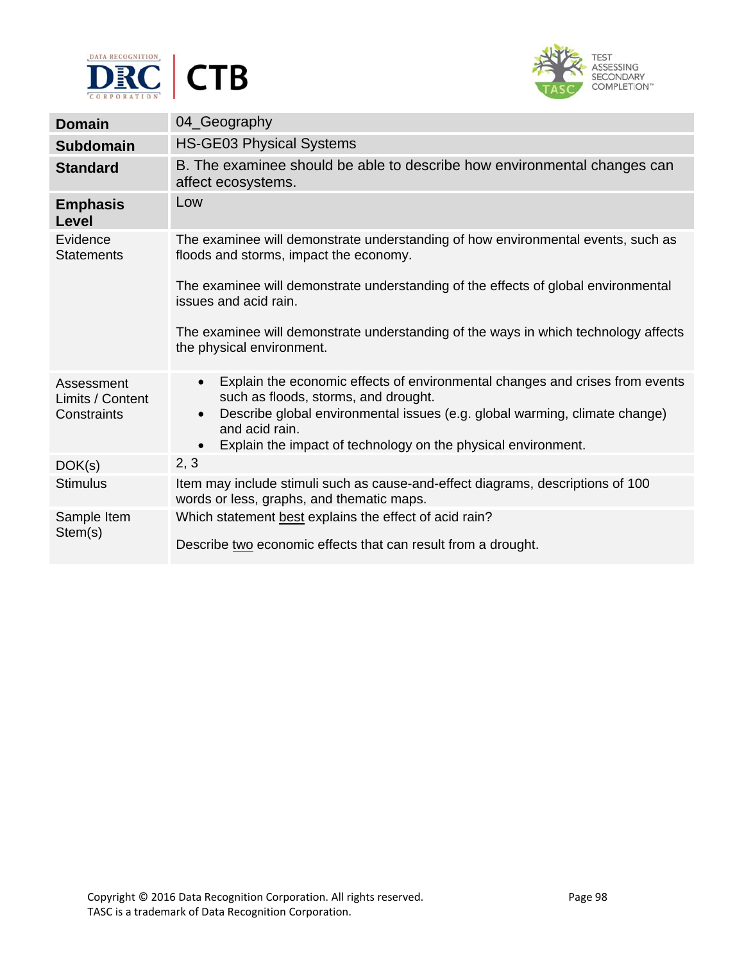



| <b>Domain</b>                                 | 04_Geography                                                                                                                                                                                                                                                                                                                 |
|-----------------------------------------------|------------------------------------------------------------------------------------------------------------------------------------------------------------------------------------------------------------------------------------------------------------------------------------------------------------------------------|
| <b>Subdomain</b>                              | <b>HS-GE03 Physical Systems</b>                                                                                                                                                                                                                                                                                              |
| <b>Standard</b>                               | B. The examinee should be able to describe how environmental changes can<br>affect ecosystems.                                                                                                                                                                                                                               |
| <b>Emphasis</b><br><b>Level</b>               | Low                                                                                                                                                                                                                                                                                                                          |
| Evidence<br><b>Statements</b>                 | The examinee will demonstrate understanding of how environmental events, such as<br>floods and storms, impact the economy.                                                                                                                                                                                                   |
|                                               | The examinee will demonstrate understanding of the effects of global environmental<br>issues and acid rain.                                                                                                                                                                                                                  |
|                                               | The examinee will demonstrate understanding of the ways in which technology affects<br>the physical environment.                                                                                                                                                                                                             |
| Assessment<br>Limits / Content<br>Constraints | Explain the economic effects of environmental changes and crises from events<br>$\bullet$<br>such as floods, storms, and drought.<br>Describe global environmental issues (e.g. global warming, climate change)<br>$\bullet$<br>and acid rain.<br>Explain the impact of technology on the physical environment.<br>$\bullet$ |
| DOK(s)                                        | 2, 3                                                                                                                                                                                                                                                                                                                         |
| <b>Stimulus</b>                               | Item may include stimuli such as cause-and-effect diagrams, descriptions of 100<br>words or less, graphs, and thematic maps.                                                                                                                                                                                                 |
| Sample Item<br>Stem(s)                        | Which statement best explains the effect of acid rain?<br>Describe two economic effects that can result from a drought.                                                                                                                                                                                                      |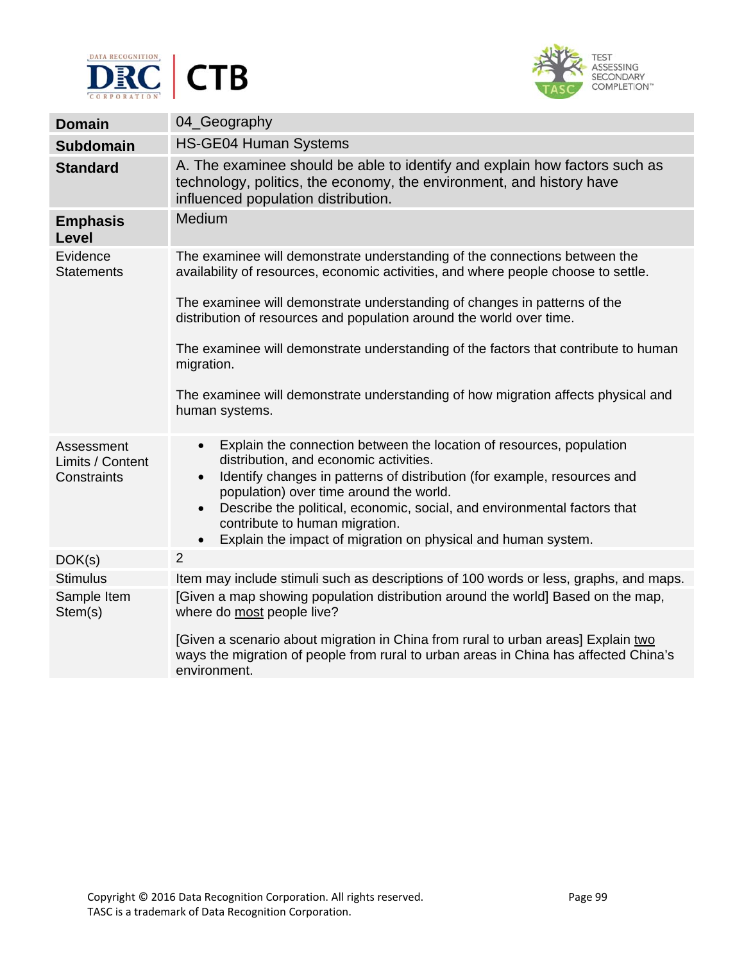



| <b>Domain</b>                  | 04_Geography                                                                                                                                                                              |
|--------------------------------|-------------------------------------------------------------------------------------------------------------------------------------------------------------------------------------------|
| <b>Subdomain</b>               | <b>HS-GE04 Human Systems</b>                                                                                                                                                              |
| <b>Standard</b>                | A. The examinee should be able to identify and explain how factors such as<br>technology, politics, the economy, the environment, and history have<br>influenced population distribution. |
| <b>Emphasis</b><br>Level       | <b>Medium</b>                                                                                                                                                                             |
| Evidence<br><b>Statements</b>  | The examinee will demonstrate understanding of the connections between the<br>availability of resources, economic activities, and where people choose to settle.                          |
|                                | The examinee will demonstrate understanding of changes in patterns of the<br>distribution of resources and population around the world over time.                                         |
|                                | The examinee will demonstrate understanding of the factors that contribute to human<br>migration.                                                                                         |
|                                | The examinee will demonstrate understanding of how migration affects physical and<br>human systems.                                                                                       |
| Assessment<br>Limits / Content | Explain the connection between the location of resources, population<br>$\bullet$<br>distribution, and economic activities.                                                               |
| Constraints                    | Identify changes in patterns of distribution (for example, resources and<br>$\bullet$<br>population) over time around the world.                                                          |
|                                | Describe the political, economic, social, and environmental factors that<br>$\bullet$<br>contribute to human migration.                                                                   |
|                                | Explain the impact of migration on physical and human system.<br>$\bullet$                                                                                                                |
| DOK(s)                         | $\overline{2}$                                                                                                                                                                            |
| <b>Stimulus</b>                | Item may include stimuli such as descriptions of 100 words or less, graphs, and maps.                                                                                                     |
| Sample Item<br>Stem(s)         | [Given a map showing population distribution around the world] Based on the map,<br>where do most people live?                                                                            |
|                                | [Given a scenario about migration in China from rural to urban areas] Explain two<br>ways the migration of people from rural to urban areas in China has affected China's<br>environment. |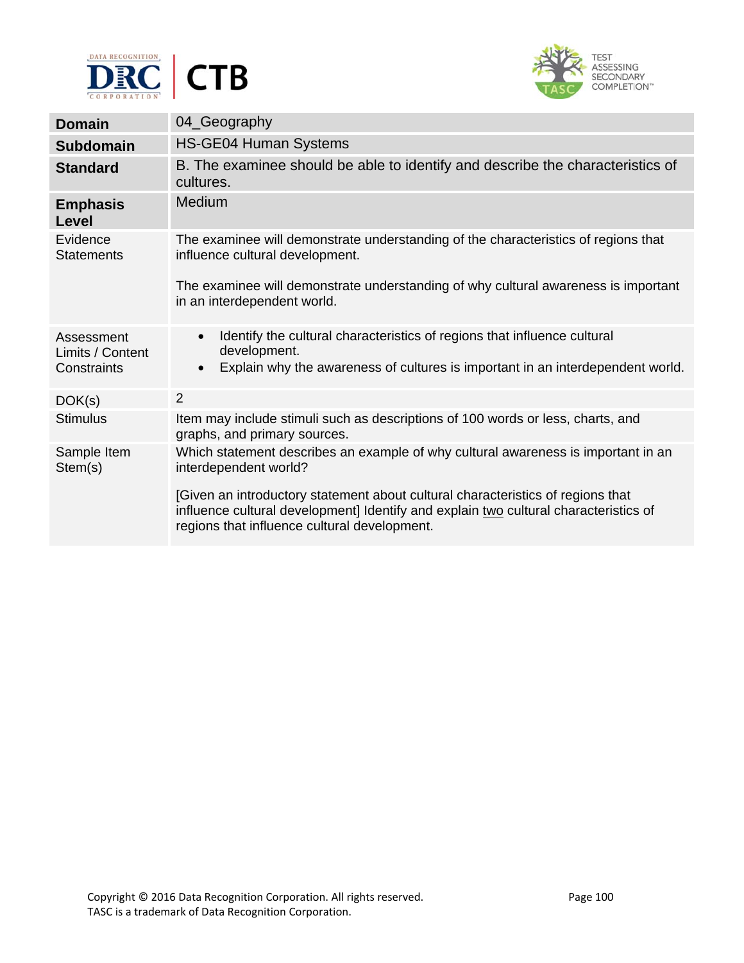



| <b>Domain</b>                                 | 04_Geography                                                                                                                                                                                         |
|-----------------------------------------------|------------------------------------------------------------------------------------------------------------------------------------------------------------------------------------------------------|
| <b>Subdomain</b>                              | <b>HS-GE04 Human Systems</b>                                                                                                                                                                         |
| <b>Standard</b>                               | B. The examinee should be able to identify and describe the characteristics of<br>cultures.                                                                                                          |
| <b>Emphasis</b><br>Level                      | Medium                                                                                                                                                                                               |
| Evidence<br><b>Statements</b>                 | The examinee will demonstrate understanding of the characteristics of regions that<br>influence cultural development.                                                                                |
|                                               | The examinee will demonstrate understanding of why cultural awareness is important<br>in an interdependent world.                                                                                    |
| Assessment<br>Limits / Content<br>Constraints | Identify the cultural characteristics of regions that influence cultural<br>$\bullet$<br>development.<br>Explain why the awareness of cultures is important in an interdependent world.<br>$\bullet$ |
| DOK(s)                                        | $\overline{2}$                                                                                                                                                                                       |
| <b>Stimulus</b>                               | Item may include stimuli such as descriptions of 100 words or less, charts, and<br>graphs, and primary sources.                                                                                      |
| Sample Item<br>Stem(s)                        | Which statement describes an example of why cultural awareness is important in an<br>interdependent world?<br>[Given an introductory statement about cultural characteristics of regions that        |
|                                               | influence cultural development] Identify and explain two cultural characteristics of<br>regions that influence cultural development.                                                                 |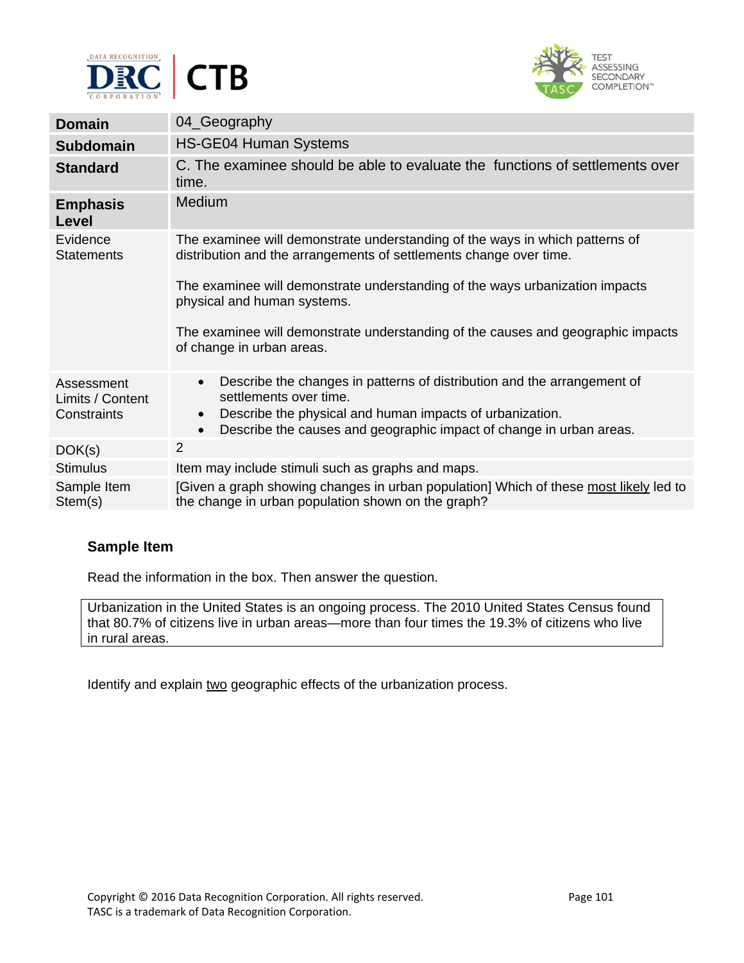



| <b>Domain</b>                  | 04_Geography                                                                                                                                              |
|--------------------------------|-----------------------------------------------------------------------------------------------------------------------------------------------------------|
| <b>Subdomain</b>               | <b>HS-GE04 Human Systems</b>                                                                                                                              |
| <b>Standard</b>                | C. The examinee should be able to evaluate the functions of settlements over<br>time.                                                                     |
| <b>Emphasis</b><br>Level       | Medium                                                                                                                                                    |
| Evidence<br><b>Statements</b>  | The examinee will demonstrate understanding of the ways in which patterns of<br>distribution and the arrangements of settlements change over time.        |
|                                | The examinee will demonstrate understanding of the ways urbanization impacts<br>physical and human systems.                                               |
|                                | The examinee will demonstrate understanding of the causes and geographic impacts<br>of change in urban areas.                                             |
| Assessment<br>Limits / Content | Describe the changes in patterns of distribution and the arrangement of<br>$\bullet$<br>settlements over time.                                            |
| Constraints                    | Describe the physical and human impacts of urbanization.<br>$\bullet$<br>Describe the causes and geographic impact of change in urban areas.<br>$\bullet$ |
| DOK(s)                         | $\overline{2}$                                                                                                                                            |
| <b>Stimulus</b>                | Item may include stimuli such as graphs and maps.                                                                                                         |
| Sample Item<br>Stem(s)         | [Given a graph showing changes in urban population] Which of these most likely led to<br>the change in urban population shown on the graph?               |

Read the information in the box. Then answer the question.

Urbanization in the United States is an ongoing process. The 2010 United States Census found that 80.7% of citizens live in urban areas—more than four times the 19.3% of citizens who live in rural areas.

Identify and explain two geographic effects of the urbanization process.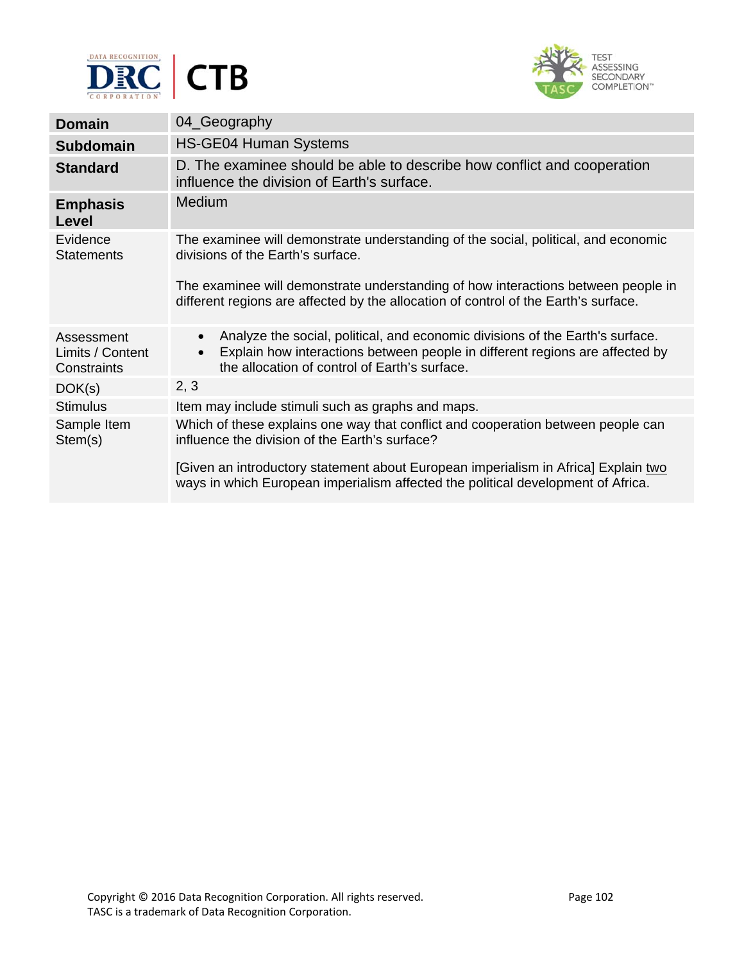



| <b>Domain</b>                                 | 04_Geography                                                                                                                                                                                                                             |
|-----------------------------------------------|------------------------------------------------------------------------------------------------------------------------------------------------------------------------------------------------------------------------------------------|
| <b>Subdomain</b>                              | <b>HS-GE04 Human Systems</b>                                                                                                                                                                                                             |
| <b>Standard</b>                               | D. The examinee should be able to describe how conflict and cooperation<br>influence the division of Earth's surface.                                                                                                                    |
| <b>Emphasis</b><br>Level                      | Medium                                                                                                                                                                                                                                   |
| Evidence<br><b>Statements</b>                 | The examinee will demonstrate understanding of the social, political, and economic<br>divisions of the Earth's surface.                                                                                                                  |
|                                               | The examinee will demonstrate understanding of how interactions between people in<br>different regions are affected by the allocation of control of the Earth's surface.                                                                 |
| Assessment<br>Limits / Content<br>Constraints | Analyze the social, political, and economic divisions of the Earth's surface.<br>$\bullet$<br>Explain how interactions between people in different regions are affected by<br>$\bullet$<br>the allocation of control of Earth's surface. |
| DOK(s)                                        | 2, 3                                                                                                                                                                                                                                     |
| <b>Stimulus</b>                               | Item may include stimuli such as graphs and maps.                                                                                                                                                                                        |
| Sample Item<br>Stem(s)                        | Which of these explains one way that conflict and cooperation between people can<br>influence the division of the Earth's surface?                                                                                                       |
|                                               | [Given an introductory statement about European imperialism in Africa] Explain two<br>ways in which European imperialism affected the political development of Africa.                                                                   |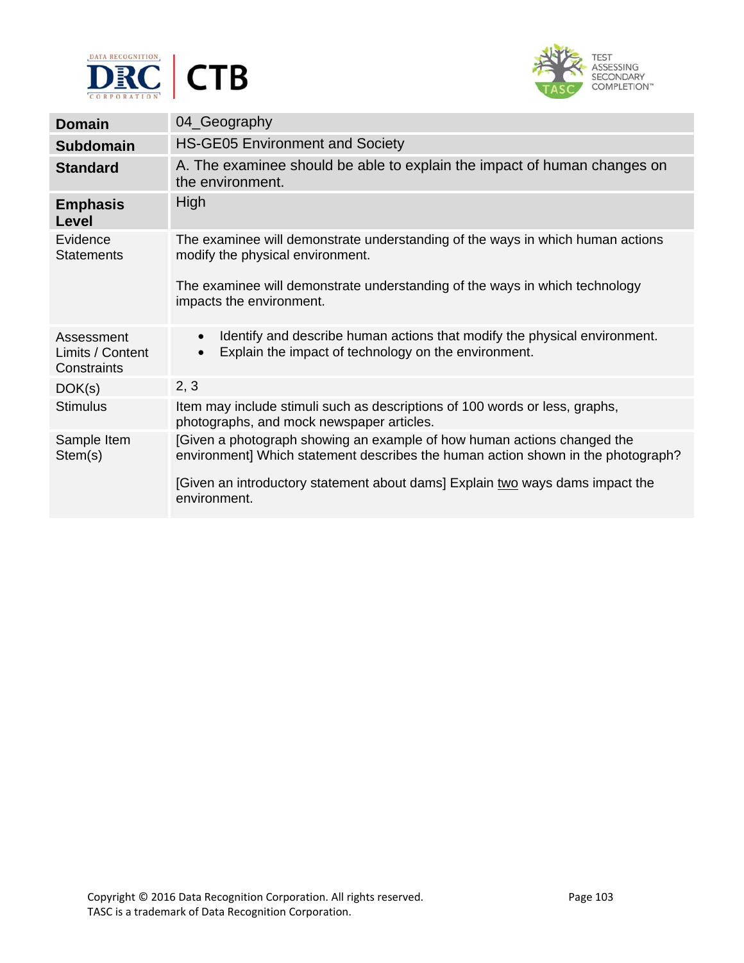



| <b>Domain</b>                                 | 04_Geography                                                                                                                                                                                                                                                 |
|-----------------------------------------------|--------------------------------------------------------------------------------------------------------------------------------------------------------------------------------------------------------------------------------------------------------------|
| <b>Subdomain</b>                              | <b>HS-GE05 Environment and Society</b>                                                                                                                                                                                                                       |
| <b>Standard</b>                               | A. The examinee should be able to explain the impact of human changes on<br>the environment.                                                                                                                                                                 |
| <b>Emphasis</b><br>Level                      | High                                                                                                                                                                                                                                                         |
| Evidence<br><b>Statements</b>                 | The examinee will demonstrate understanding of the ways in which human actions<br>modify the physical environment.                                                                                                                                           |
|                                               | The examinee will demonstrate understanding of the ways in which technology<br>impacts the environment.                                                                                                                                                      |
| Assessment<br>Limits / Content<br>Constraints | Identify and describe human actions that modify the physical environment.<br>$\bullet$<br>Explain the impact of technology on the environment.<br>$\bullet$                                                                                                  |
| DOK(s)                                        | 2, 3                                                                                                                                                                                                                                                         |
| <b>Stimulus</b>                               | Item may include stimuli such as descriptions of 100 words or less, graphs,<br>photographs, and mock newspaper articles.                                                                                                                                     |
| Sample Item<br>Stem(s)                        | [Given a photograph showing an example of how human actions changed the<br>environment] Which statement describes the human action shown in the photograph?<br>[Given an introductory statement about dams] Explain two ways dams impact the<br>environment. |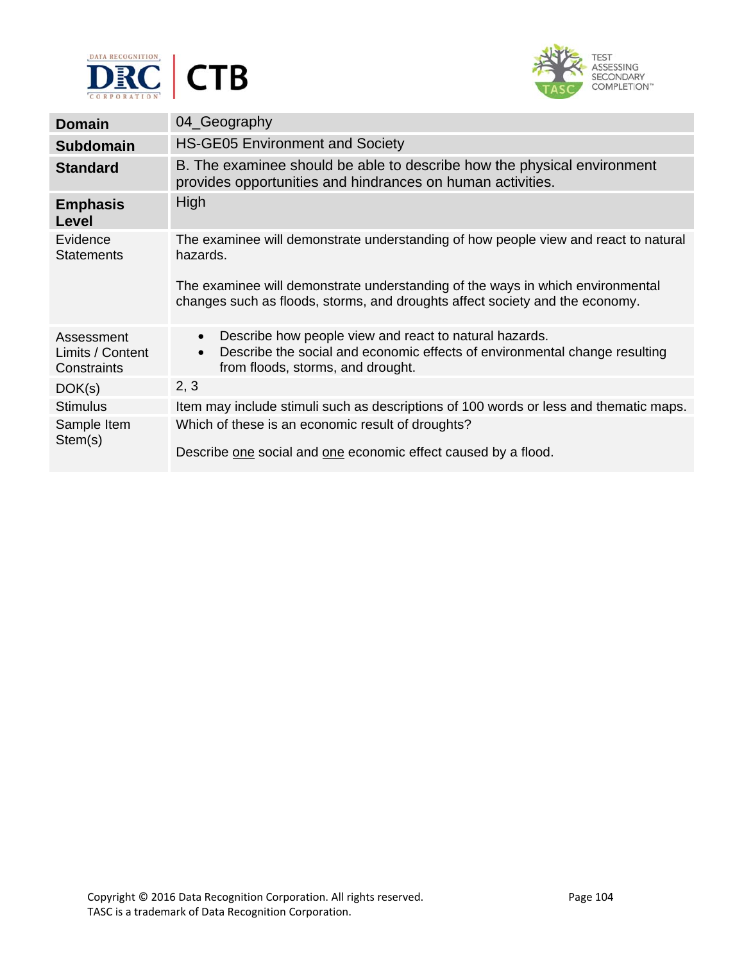



| <b>Domain</b>                                 | 04_Geography                                                                                                                                                                                                                                                      |
|-----------------------------------------------|-------------------------------------------------------------------------------------------------------------------------------------------------------------------------------------------------------------------------------------------------------------------|
| <b>Subdomain</b>                              | <b>HS-GE05 Environment and Society</b>                                                                                                                                                                                                                            |
| <b>Standard</b>                               | B. The examinee should be able to describe how the physical environment<br>provides opportunities and hindrances on human activities.                                                                                                                             |
| <b>Emphasis</b><br>Level                      | High                                                                                                                                                                                                                                                              |
| Evidence<br><b>Statements</b>                 | The examinee will demonstrate understanding of how people view and react to natural<br>hazards.<br>The examinee will demonstrate understanding of the ways in which environmental<br>changes such as floods, storms, and droughts affect society and the economy. |
| Assessment<br>Limits / Content<br>Constraints | Describe how people view and react to natural hazards.<br>$\bullet$<br>Describe the social and economic effects of environmental change resulting<br>$\bullet$<br>from floods, storms, and drought.                                                               |
| DOK(s)                                        | 2, 3                                                                                                                                                                                                                                                              |
| <b>Stimulus</b>                               | Item may include stimuli such as descriptions of 100 words or less and thematic maps.                                                                                                                                                                             |
| Sample Item<br>Stem(s)                        | Which of these is an economic result of droughts?<br>Describe one social and one economic effect caused by a flood.                                                                                                                                               |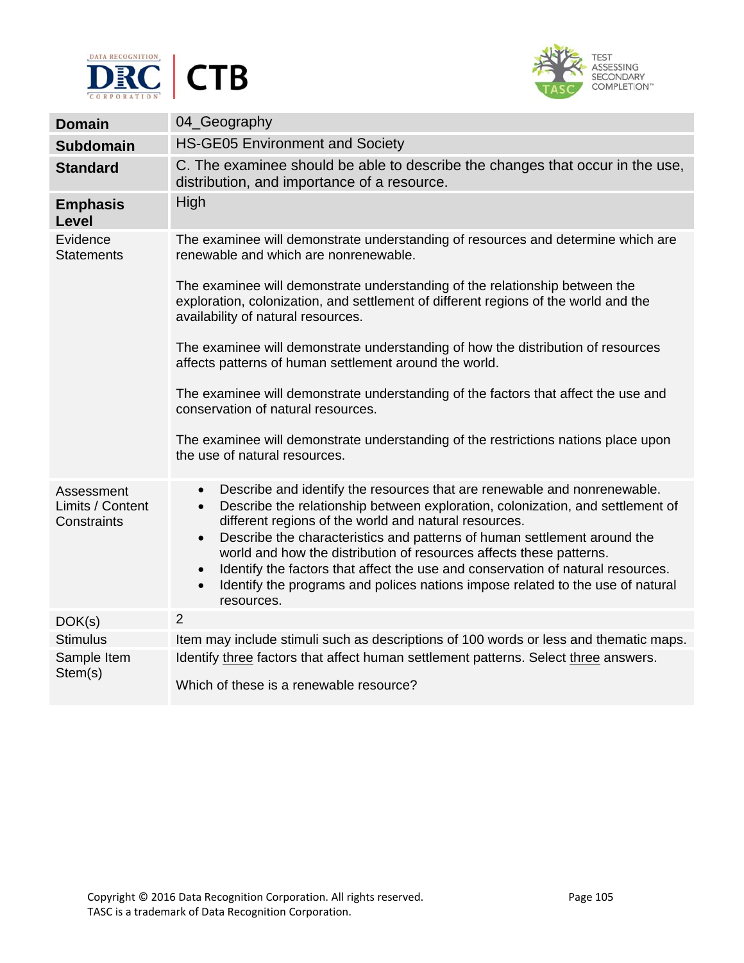



| <b>Domain</b>                                 | 04_Geography                                                                                                                                                                                                                                                                                                                                                                                                                                                                                                                                                                                                               |  |
|-----------------------------------------------|----------------------------------------------------------------------------------------------------------------------------------------------------------------------------------------------------------------------------------------------------------------------------------------------------------------------------------------------------------------------------------------------------------------------------------------------------------------------------------------------------------------------------------------------------------------------------------------------------------------------------|--|
| Subdomain                                     | <b>HS-GE05 Environment and Society</b>                                                                                                                                                                                                                                                                                                                                                                                                                                                                                                                                                                                     |  |
| <b>Standard</b>                               | C. The examinee should be able to describe the changes that occur in the use,<br>distribution, and importance of a resource.                                                                                                                                                                                                                                                                                                                                                                                                                                                                                               |  |
| <b>Emphasis</b><br><b>Level</b>               | High                                                                                                                                                                                                                                                                                                                                                                                                                                                                                                                                                                                                                       |  |
| Evidence<br><b>Statements</b>                 | The examinee will demonstrate understanding of resources and determine which are<br>renewable and which are nonrenewable.                                                                                                                                                                                                                                                                                                                                                                                                                                                                                                  |  |
|                                               | The examinee will demonstrate understanding of the relationship between the<br>exploration, colonization, and settlement of different regions of the world and the<br>availability of natural resources.                                                                                                                                                                                                                                                                                                                                                                                                                   |  |
|                                               | The examinee will demonstrate understanding of how the distribution of resources<br>affects patterns of human settlement around the world.                                                                                                                                                                                                                                                                                                                                                                                                                                                                                 |  |
|                                               | The examinee will demonstrate understanding of the factors that affect the use and<br>conservation of natural resources.                                                                                                                                                                                                                                                                                                                                                                                                                                                                                                   |  |
|                                               | The examinee will demonstrate understanding of the restrictions nations place upon<br>the use of natural resources.                                                                                                                                                                                                                                                                                                                                                                                                                                                                                                        |  |
| Assessment<br>Limits / Content<br>Constraints | Describe and identify the resources that are renewable and nonrenewable.<br>$\bullet$<br>Describe the relationship between exploration, colonization, and settlement of<br>$\bullet$<br>different regions of the world and natural resources.<br>Describe the characteristics and patterns of human settlement around the<br>$\bullet$<br>world and how the distribution of resources affects these patterns.<br>Identify the factors that affect the use and conservation of natural resources.<br>$\bullet$<br>Identify the programs and polices nations impose related to the use of natural<br>$\bullet$<br>resources. |  |
| DOK(s)                                        | $\overline{2}$                                                                                                                                                                                                                                                                                                                                                                                                                                                                                                                                                                                                             |  |
| <b>Stimulus</b>                               | Item may include stimuli such as descriptions of 100 words or less and thematic maps.                                                                                                                                                                                                                                                                                                                                                                                                                                                                                                                                      |  |
| Sample Item<br>Stem(s)                        | Identify three factors that affect human settlement patterns. Select three answers.<br>Which of these is a renewable resource?                                                                                                                                                                                                                                                                                                                                                                                                                                                                                             |  |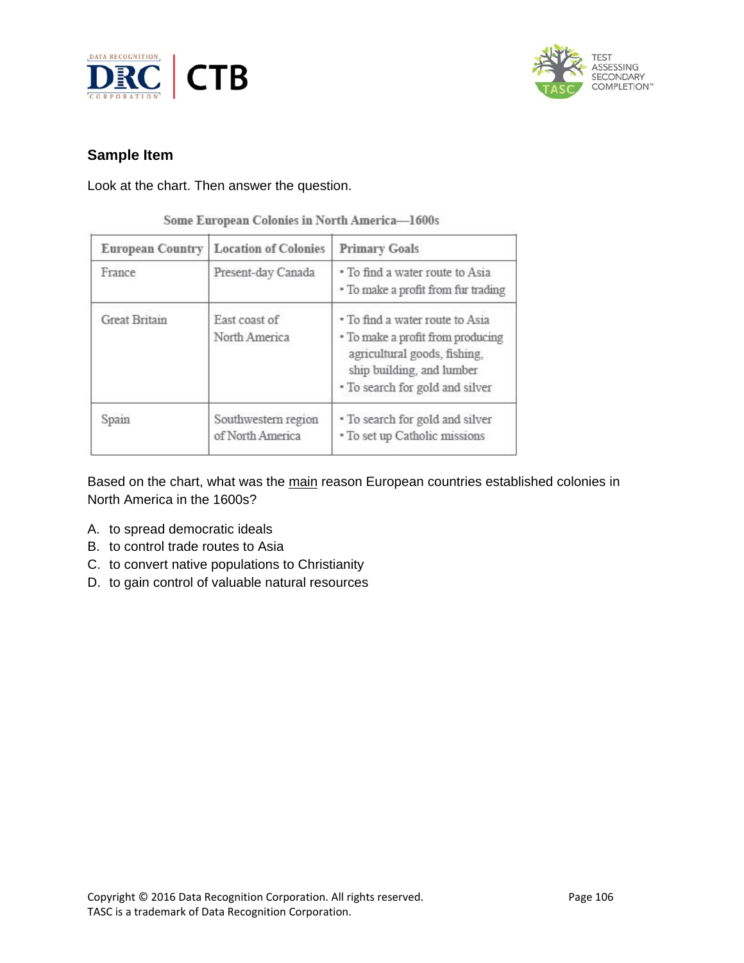



Look at the chart. Then answer the question.

| Some European Colonies in North America-1600s |  |  |  |  |
|-----------------------------------------------|--|--|--|--|
|-----------------------------------------------|--|--|--|--|

| <b>European Country</b> | <b>Location of Colonies</b>             | <b>Primary Goals</b>                                                                                                                                                 |
|-------------------------|-----------------------------------------|----------------------------------------------------------------------------------------------------------------------------------------------------------------------|
| France                  | Present-day Canada                      | • To find a water route to Asia<br>• To make a profit from fur trading                                                                                               |
| <b>Great Britain</b>    | East coast of<br>North America          | • To find a water route to Asia<br>• To make a profit from producing<br>agricultural goods, fishing,<br>ship building, and lumber<br>• To search for gold and silver |
| Spain                   | Southwestern region<br>of North America | • To search for gold and silver<br>• To set up Catholic missions                                                                                                     |

Based on the chart, what was the main reason European countries established colonies in North America in the 1600s?

- A. to spread democratic ideals
- B. to control trade routes to Asia
- C. to convert native populations to Christianity
- D. to gain control of valuable natural resources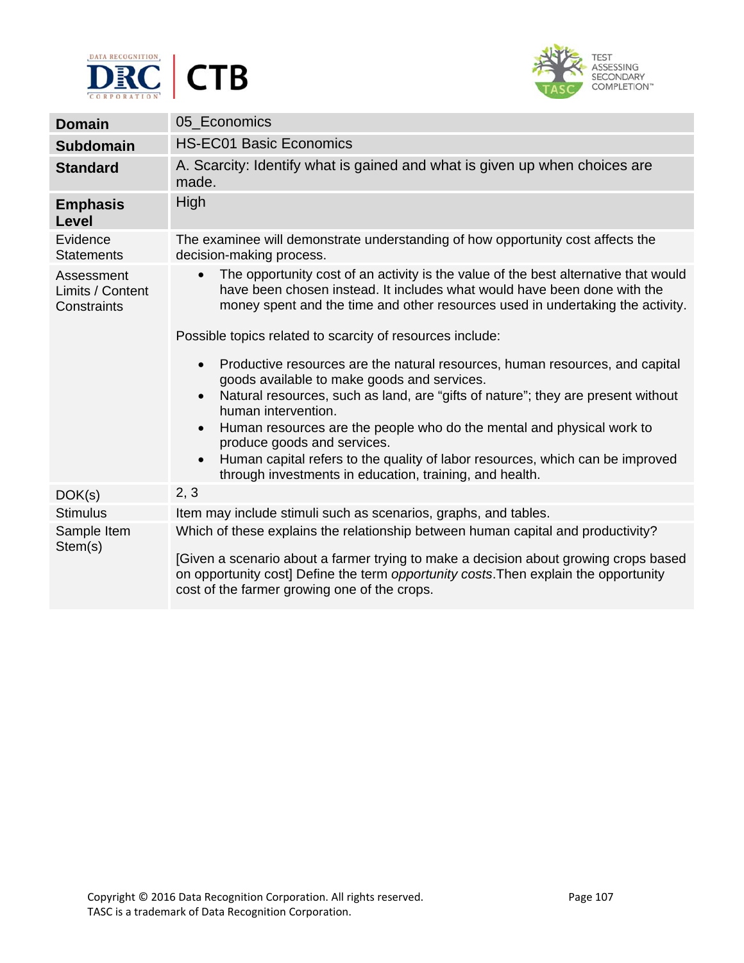



| <b>Domain</b>                                 | 05 Economics                                                                                                                                                                                                                                                   |  |  |
|-----------------------------------------------|----------------------------------------------------------------------------------------------------------------------------------------------------------------------------------------------------------------------------------------------------------------|--|--|
| <b>Subdomain</b>                              | <b>HS-EC01 Basic Economics</b>                                                                                                                                                                                                                                 |  |  |
| <b>Standard</b>                               | A. Scarcity: Identify what is gained and what is given up when choices are<br>made.                                                                                                                                                                            |  |  |
| <b>Emphasis</b><br><b>Level</b>               | <b>High</b>                                                                                                                                                                                                                                                    |  |  |
| Evidence<br><b>Statements</b>                 | The examinee will demonstrate understanding of how opportunity cost affects the<br>decision-making process.                                                                                                                                                    |  |  |
| Assessment<br>Limits / Content<br>Constraints | The opportunity cost of an activity is the value of the best alternative that would<br>$\bullet$<br>have been chosen instead. It includes what would have been done with the<br>money spent and the time and other resources used in undertaking the activity. |  |  |
|                                               | Possible topics related to scarcity of resources include:                                                                                                                                                                                                      |  |  |
|                                               | Productive resources are the natural resources, human resources, and capital<br>$\bullet$<br>goods available to make goods and services.                                                                                                                       |  |  |
|                                               | Natural resources, such as land, are "gifts of nature"; they are present without<br>$\bullet$<br>human intervention.                                                                                                                                           |  |  |
|                                               | Human resources are the people who do the mental and physical work to<br>$\bullet$<br>produce goods and services.                                                                                                                                              |  |  |
|                                               | Human capital refers to the quality of labor resources, which can be improved<br>$\bullet$<br>through investments in education, training, and health.                                                                                                          |  |  |
| DOK(s)                                        | 2, 3                                                                                                                                                                                                                                                           |  |  |
| <b>Stimulus</b>                               | Item may include stimuli such as scenarios, graphs, and tables.                                                                                                                                                                                                |  |  |
| Sample Item<br>Stem(s)                        | Which of these explains the relationship between human capital and productivity?                                                                                                                                                                               |  |  |
|                                               | [Given a scenario about a farmer trying to make a decision about growing crops based<br>on opportunity cost] Define the term opportunity costs. Then explain the opportunity<br>cost of the farmer growing one of the crops.                                   |  |  |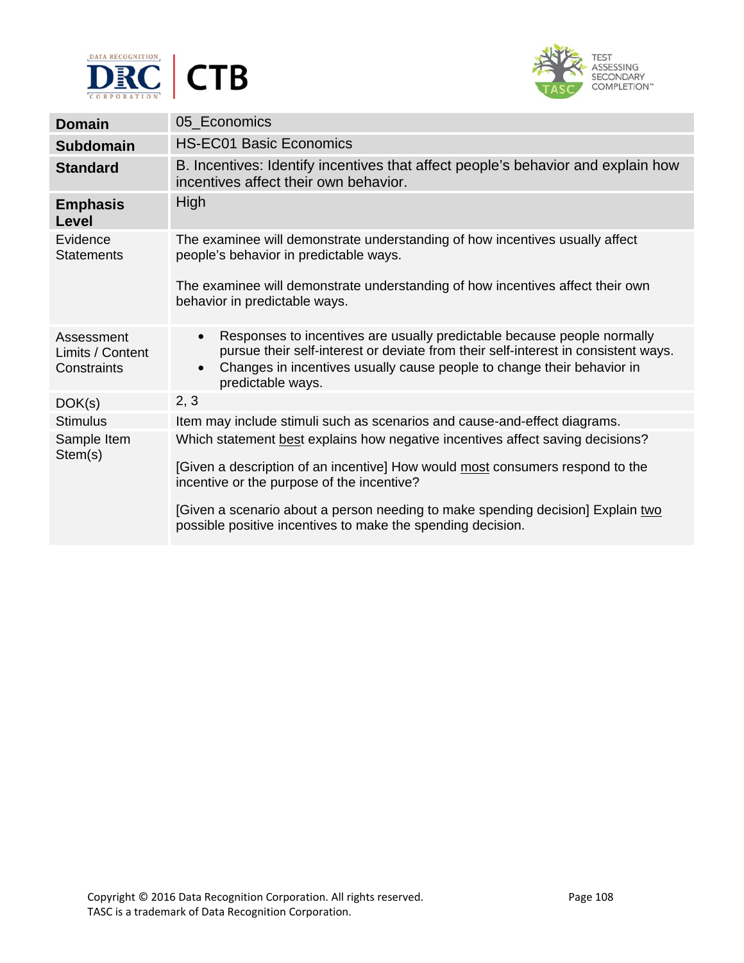



| <b>Domain</b>                                 | 05_Economics                                                                                                                                                                                                                                                                           |
|-----------------------------------------------|----------------------------------------------------------------------------------------------------------------------------------------------------------------------------------------------------------------------------------------------------------------------------------------|
| <b>Subdomain</b>                              | <b>HS-EC01 Basic Economics</b>                                                                                                                                                                                                                                                         |
| <b>Standard</b>                               | B. Incentives: Identify incentives that affect people's behavior and explain how<br>incentives affect their own behavior.                                                                                                                                                              |
| <b>Emphasis</b><br>Level                      | High                                                                                                                                                                                                                                                                                   |
| Evidence<br><b>Statements</b>                 | The examinee will demonstrate understanding of how incentives usually affect<br>people's behavior in predictable ways.                                                                                                                                                                 |
|                                               | The examinee will demonstrate understanding of how incentives affect their own<br>behavior in predictable ways.                                                                                                                                                                        |
| Assessment<br>Limits / Content<br>Constraints | Responses to incentives are usually predictable because people normally<br>$\bullet$<br>pursue their self-interest or deviate from their self-interest in consistent ways.<br>Changes in incentives usually cause people to change their behavior in<br>$\bullet$<br>predictable ways. |
| DOK(s)                                        | 2, 3                                                                                                                                                                                                                                                                                   |
| <b>Stimulus</b>                               | Item may include stimuli such as scenarios and cause-and-effect diagrams.                                                                                                                                                                                                              |
| Sample Item<br>Stem(s)                        | Which statement best explains how negative incentives affect saving decisions?                                                                                                                                                                                                         |
|                                               | [Given a description of an incentive] How would most consumers respond to the<br>incentive or the purpose of the incentive?                                                                                                                                                            |
|                                               | [Given a scenario about a person needing to make spending decision] Explain two<br>possible positive incentives to make the spending decision.                                                                                                                                         |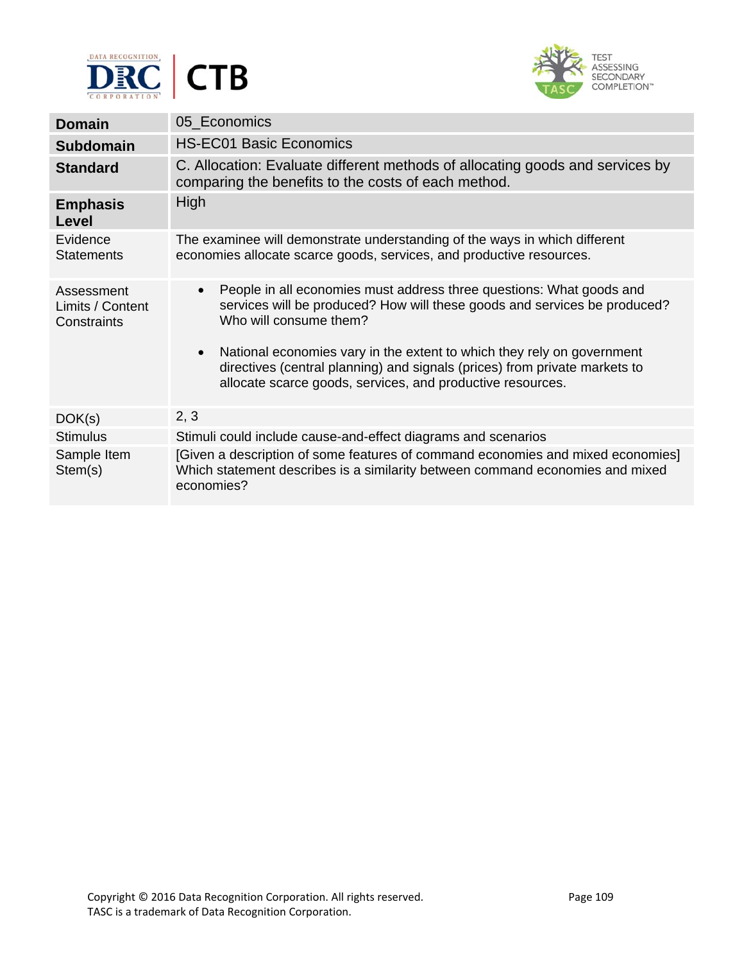



| <b>Domain</b>                                 | 05_Economics                                                                                                                                                                                                                                                                                                                                                                                                                |
|-----------------------------------------------|-----------------------------------------------------------------------------------------------------------------------------------------------------------------------------------------------------------------------------------------------------------------------------------------------------------------------------------------------------------------------------------------------------------------------------|
| <b>Subdomain</b>                              | <b>HS-EC01 Basic Economics</b>                                                                                                                                                                                                                                                                                                                                                                                              |
| <b>Standard</b>                               | C. Allocation: Evaluate different methods of allocating goods and services by<br>comparing the benefits to the costs of each method.                                                                                                                                                                                                                                                                                        |
| <b>Emphasis</b><br>Level                      | High                                                                                                                                                                                                                                                                                                                                                                                                                        |
| Evidence<br><b>Statements</b>                 | The examinee will demonstrate understanding of the ways in which different<br>economies allocate scarce goods, services, and productive resources.                                                                                                                                                                                                                                                                          |
| Assessment<br>Limits / Content<br>Constraints | People in all economies must address three questions: What goods and<br>$\bullet$<br>services will be produced? How will these goods and services be produced?<br>Who will consume them?<br>National economies vary in the extent to which they rely on government<br>$\bullet$<br>directives (central planning) and signals (prices) from private markets to<br>allocate scarce goods, services, and productive resources. |
| DOK(s)                                        | 2, 3                                                                                                                                                                                                                                                                                                                                                                                                                        |
| <b>Stimulus</b>                               | Stimuli could include cause-and-effect diagrams and scenarios                                                                                                                                                                                                                                                                                                                                                               |
| Sample Item<br>Stem(s)                        | [Given a description of some features of command economies and mixed economies]<br>Which statement describes is a similarity between command economies and mixed<br>economies?                                                                                                                                                                                                                                              |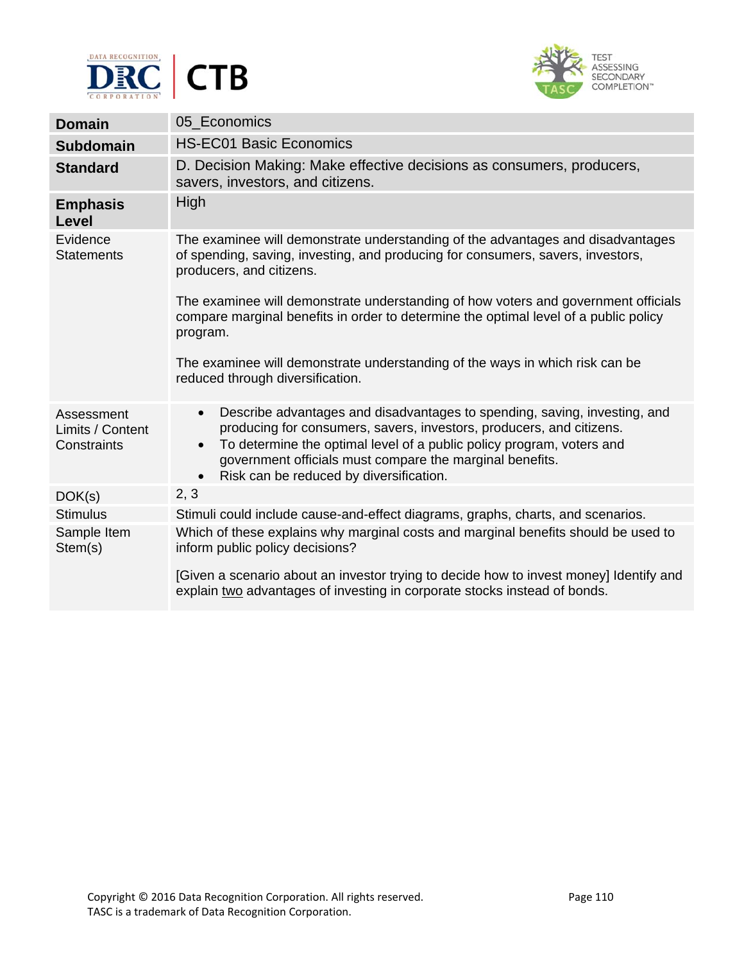



| <b>Domain</b>                                 | 05 Economics                                                                                                                                                                                                                                                                                                                                                |
|-----------------------------------------------|-------------------------------------------------------------------------------------------------------------------------------------------------------------------------------------------------------------------------------------------------------------------------------------------------------------------------------------------------------------|
| <b>Subdomain</b>                              | <b>HS-EC01 Basic Economics</b>                                                                                                                                                                                                                                                                                                                              |
| <b>Standard</b>                               | D. Decision Making: Make effective decisions as consumers, producers,<br>savers, investors, and citizens.                                                                                                                                                                                                                                                   |
| <b>Emphasis</b><br><b>Level</b>               | <b>High</b>                                                                                                                                                                                                                                                                                                                                                 |
| Evidence<br><b>Statements</b>                 | The examinee will demonstrate understanding of the advantages and disadvantages<br>of spending, saving, investing, and producing for consumers, savers, investors,<br>producers, and citizens.<br>The examinee will demonstrate understanding of how voters and government officials                                                                        |
|                                               | compare marginal benefits in order to determine the optimal level of a public policy<br>program.                                                                                                                                                                                                                                                            |
|                                               | The examinee will demonstrate understanding of the ways in which risk can be<br>reduced through diversification.                                                                                                                                                                                                                                            |
| Assessment<br>Limits / Content<br>Constraints | Describe advantages and disadvantages to spending, saving, investing, and<br>$\bullet$<br>producing for consumers, savers, investors, producers, and citizens.<br>To determine the optimal level of a public policy program, voters and<br>$\bullet$<br>government officials must compare the marginal benefits.<br>Risk can be reduced by diversification. |
| DOK(s)                                        | 2, 3                                                                                                                                                                                                                                                                                                                                                        |
| <b>Stimulus</b>                               | Stimuli could include cause-and-effect diagrams, graphs, charts, and scenarios.                                                                                                                                                                                                                                                                             |
| Sample Item<br>Stem(s)                        | Which of these explains why marginal costs and marginal benefits should be used to<br>inform public policy decisions?                                                                                                                                                                                                                                       |
|                                               | [Given a scenario about an investor trying to decide how to invest money] Identify and<br>explain two advantages of investing in corporate stocks instead of bonds.                                                                                                                                                                                         |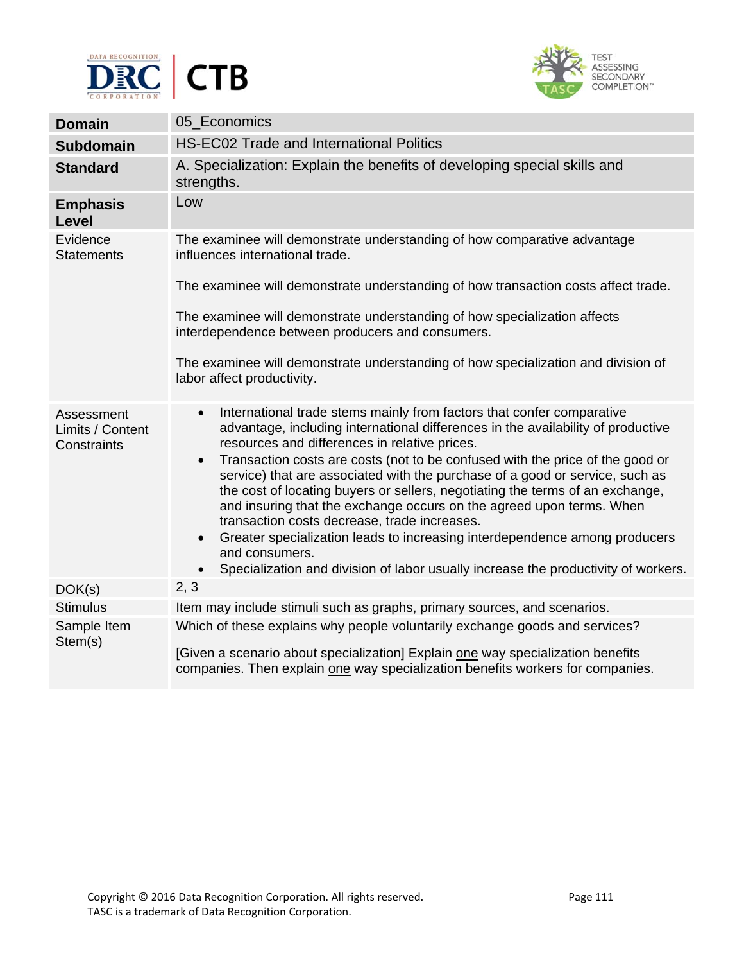



| <b>Domain</b>                                 | 05 Economics                                                                                                                                                                                                                                                                                                                                                                                                                                                                                                                                                                                                                                                                                                                                                                                                                   |
|-----------------------------------------------|--------------------------------------------------------------------------------------------------------------------------------------------------------------------------------------------------------------------------------------------------------------------------------------------------------------------------------------------------------------------------------------------------------------------------------------------------------------------------------------------------------------------------------------------------------------------------------------------------------------------------------------------------------------------------------------------------------------------------------------------------------------------------------------------------------------------------------|
| <b>Subdomain</b>                              | HS-EC02 Trade and International Politics                                                                                                                                                                                                                                                                                                                                                                                                                                                                                                                                                                                                                                                                                                                                                                                       |
| <b>Standard</b>                               | A. Specialization: Explain the benefits of developing special skills and<br>strengths.                                                                                                                                                                                                                                                                                                                                                                                                                                                                                                                                                                                                                                                                                                                                         |
| <b>Emphasis</b><br>Level                      | Low                                                                                                                                                                                                                                                                                                                                                                                                                                                                                                                                                                                                                                                                                                                                                                                                                            |
| Evidence<br><b>Statements</b>                 | The examinee will demonstrate understanding of how comparative advantage<br>influences international trade.                                                                                                                                                                                                                                                                                                                                                                                                                                                                                                                                                                                                                                                                                                                    |
|                                               | The examinee will demonstrate understanding of how transaction costs affect trade.                                                                                                                                                                                                                                                                                                                                                                                                                                                                                                                                                                                                                                                                                                                                             |
|                                               | The examinee will demonstrate understanding of how specialization affects<br>interdependence between producers and consumers.                                                                                                                                                                                                                                                                                                                                                                                                                                                                                                                                                                                                                                                                                                  |
|                                               | The examinee will demonstrate understanding of how specialization and division of<br>labor affect productivity.                                                                                                                                                                                                                                                                                                                                                                                                                                                                                                                                                                                                                                                                                                                |
| Assessment<br>Limits / Content<br>Constraints | International trade stems mainly from factors that confer comparative<br>$\bullet$<br>advantage, including international differences in the availability of productive<br>resources and differences in relative prices.<br>Transaction costs are costs (not to be confused with the price of the good or<br>$\bullet$<br>service) that are associated with the purchase of a good or service, such as<br>the cost of locating buyers or sellers, negotiating the terms of an exchange,<br>and insuring that the exchange occurs on the agreed upon terms. When<br>transaction costs decrease, trade increases.<br>Greater specialization leads to increasing interdependence among producers<br>$\bullet$<br>and consumers.<br>Specialization and division of labor usually increase the productivity of workers.<br>$\bullet$ |
| DOK(s)                                        | 2, 3                                                                                                                                                                                                                                                                                                                                                                                                                                                                                                                                                                                                                                                                                                                                                                                                                           |
| <b>Stimulus</b>                               | Item may include stimuli such as graphs, primary sources, and scenarios.                                                                                                                                                                                                                                                                                                                                                                                                                                                                                                                                                                                                                                                                                                                                                       |
| Sample Item<br>Stem(s)                        | Which of these explains why people voluntarily exchange goods and services?<br>[Given a scenario about specialization] Explain one way specialization benefits<br>companies. Then explain one way specialization benefits workers for companies.                                                                                                                                                                                                                                                                                                                                                                                                                                                                                                                                                                               |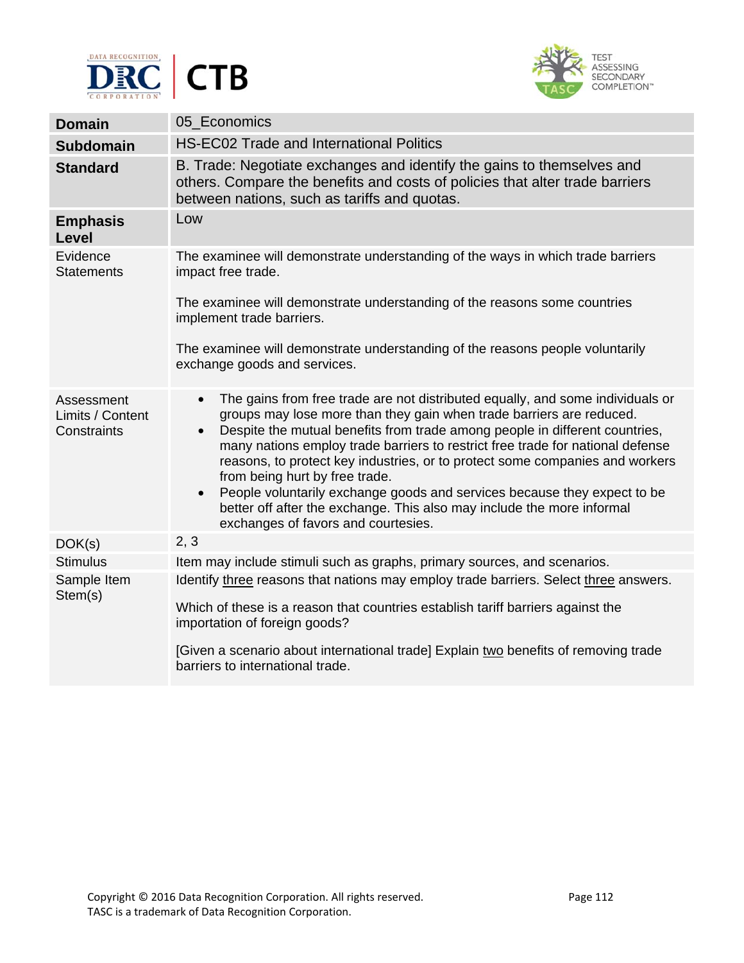



| 05 Economics                                                                                                                                                                                                                                                                                                                                                                                                                                                                                                                                                                                                                                                     |
|------------------------------------------------------------------------------------------------------------------------------------------------------------------------------------------------------------------------------------------------------------------------------------------------------------------------------------------------------------------------------------------------------------------------------------------------------------------------------------------------------------------------------------------------------------------------------------------------------------------------------------------------------------------|
| <b>HS-EC02 Trade and International Politics</b>                                                                                                                                                                                                                                                                                                                                                                                                                                                                                                                                                                                                                  |
| B. Trade: Negotiate exchanges and identify the gains to themselves and<br>others. Compare the benefits and costs of policies that alter trade barriers<br>between nations, such as tariffs and quotas.                                                                                                                                                                                                                                                                                                                                                                                                                                                           |
| Low                                                                                                                                                                                                                                                                                                                                                                                                                                                                                                                                                                                                                                                              |
| The examinee will demonstrate understanding of the ways in which trade barriers<br>impact free trade.                                                                                                                                                                                                                                                                                                                                                                                                                                                                                                                                                            |
| The examinee will demonstrate understanding of the reasons some countries<br>implement trade barriers.                                                                                                                                                                                                                                                                                                                                                                                                                                                                                                                                                           |
| The examinee will demonstrate understanding of the reasons people voluntarily<br>exchange goods and services.                                                                                                                                                                                                                                                                                                                                                                                                                                                                                                                                                    |
| The gains from free trade are not distributed equally, and some individuals or<br>$\bullet$<br>groups may lose more than they gain when trade barriers are reduced.<br>Despite the mutual benefits from trade among people in different countries,<br>many nations employ trade barriers to restrict free trade for national defense<br>reasons, to protect key industries, or to protect some companies and workers<br>from being hurt by free trade.<br>People voluntarily exchange goods and services because they expect to be<br>$\bullet$<br>better off after the exchange. This also may include the more informal<br>exchanges of favors and courtesies. |
| 2, 3                                                                                                                                                                                                                                                                                                                                                                                                                                                                                                                                                                                                                                                             |
| Item may include stimuli such as graphs, primary sources, and scenarios.                                                                                                                                                                                                                                                                                                                                                                                                                                                                                                                                                                                         |
| Identify three reasons that nations may employ trade barriers. Select three answers.<br>Which of these is a reason that countries establish tariff barriers against the<br>importation of foreign goods?<br>[Given a scenario about international trade] Explain two benefits of removing trade<br>barriers to international trade.                                                                                                                                                                                                                                                                                                                              |
|                                                                                                                                                                                                                                                                                                                                                                                                                                                                                                                                                                                                                                                                  |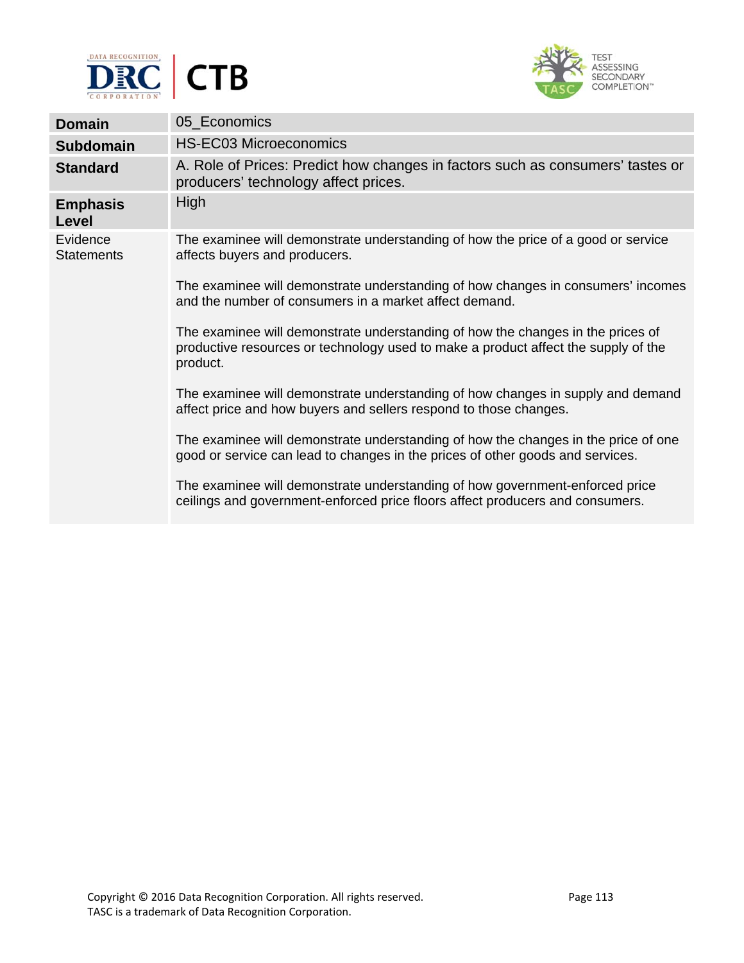



| <b>Domain</b>                 | 05_Economics                                                                                                                                                                      |
|-------------------------------|-----------------------------------------------------------------------------------------------------------------------------------------------------------------------------------|
| <b>Subdomain</b>              | <b>HS-EC03 Microeconomics</b>                                                                                                                                                     |
| <b>Standard</b>               | A. Role of Prices: Predict how changes in factors such as consumers' tastes or<br>producers' technology affect prices.                                                            |
| <b>Emphasis</b><br>Level      | High                                                                                                                                                                              |
| Evidence<br><b>Statements</b> | The examinee will demonstrate understanding of how the price of a good or service<br>affects buyers and producers.                                                                |
|                               | The examinee will demonstrate understanding of how changes in consumers' incomes<br>and the number of consumers in a market affect demand.                                        |
|                               | The examinee will demonstrate understanding of how the changes in the prices of<br>productive resources or technology used to make a product affect the supply of the<br>product. |
|                               | The examinee will demonstrate understanding of how changes in supply and demand<br>affect price and how buyers and sellers respond to those changes.                              |
|                               | The examinee will demonstrate understanding of how the changes in the price of one<br>good or service can lead to changes in the prices of other goods and services.              |
|                               | The examinee will demonstrate understanding of how government-enforced price<br>ceilings and government-enforced price floors affect producers and consumers.                     |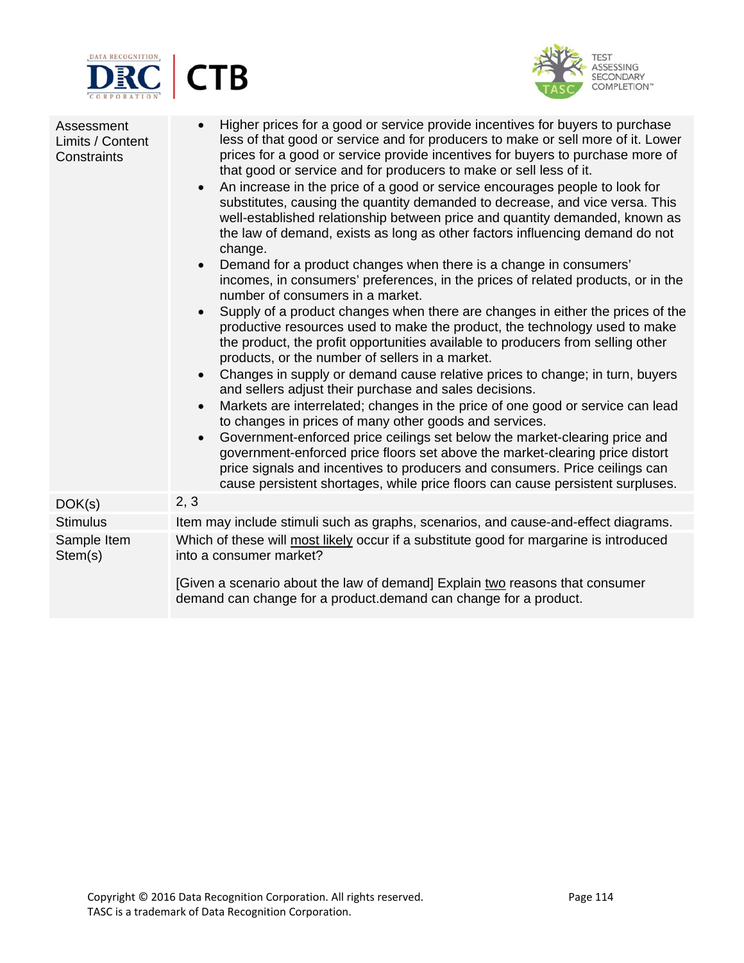



| Assessment<br>Limits / Content<br>Constraints | Higher prices for a good or service provide incentives for buyers to purchase<br>$\bullet$<br>less of that good or service and for producers to make or sell more of it. Lower<br>prices for a good or service provide incentives for buyers to purchase more of<br>that good or service and for producers to make or sell less of it.<br>An increase in the price of a good or service encourages people to look for<br>$\bullet$<br>substitutes, causing the quantity demanded to decrease, and vice versa. This<br>well-established relationship between price and quantity demanded, known as<br>the law of demand, exists as long as other factors influencing demand do not<br>change.<br>Demand for a product changes when there is a change in consumers'<br>$\bullet$<br>incomes, in consumers' preferences, in the prices of related products, or in the<br>number of consumers in a market.<br>Supply of a product changes when there are changes in either the prices of the<br>$\bullet$<br>productive resources used to make the product, the technology used to make<br>the product, the profit opportunities available to producers from selling other<br>products, or the number of sellers in a market.<br>Changes in supply or demand cause relative prices to change; in turn, buyers<br>$\bullet$<br>and sellers adjust their purchase and sales decisions.<br>Markets are interrelated; changes in the price of one good or service can lead<br>$\bullet$<br>to changes in prices of many other goods and services.<br>Government-enforced price ceilings set below the market-clearing price and<br>$\bullet$<br>government-enforced price floors set above the market-clearing price distort<br>price signals and incentives to producers and consumers. Price ceilings can<br>cause persistent shortages, while price floors can cause persistent surpluses. |
|-----------------------------------------------|---------------------------------------------------------------------------------------------------------------------------------------------------------------------------------------------------------------------------------------------------------------------------------------------------------------------------------------------------------------------------------------------------------------------------------------------------------------------------------------------------------------------------------------------------------------------------------------------------------------------------------------------------------------------------------------------------------------------------------------------------------------------------------------------------------------------------------------------------------------------------------------------------------------------------------------------------------------------------------------------------------------------------------------------------------------------------------------------------------------------------------------------------------------------------------------------------------------------------------------------------------------------------------------------------------------------------------------------------------------------------------------------------------------------------------------------------------------------------------------------------------------------------------------------------------------------------------------------------------------------------------------------------------------------------------------------------------------------------------------------------------------------------------------------------------------------------------------------------------------------------------------|
| DOK(s)                                        | 2, 3                                                                                                                                                                                                                                                                                                                                                                                                                                                                                                                                                                                                                                                                                                                                                                                                                                                                                                                                                                                                                                                                                                                                                                                                                                                                                                                                                                                                                                                                                                                                                                                                                                                                                                                                                                                                                                                                                  |
| <b>Stimulus</b>                               | Item may include stimuli such as graphs, scenarios, and cause-and-effect diagrams.                                                                                                                                                                                                                                                                                                                                                                                                                                                                                                                                                                                                                                                                                                                                                                                                                                                                                                                                                                                                                                                                                                                                                                                                                                                                                                                                                                                                                                                                                                                                                                                                                                                                                                                                                                                                    |
| Sample Item<br>Stem(s)                        | Which of these will most likely occur if a substitute good for margarine is introduced<br>into a consumer market?                                                                                                                                                                                                                                                                                                                                                                                                                                                                                                                                                                                                                                                                                                                                                                                                                                                                                                                                                                                                                                                                                                                                                                                                                                                                                                                                                                                                                                                                                                                                                                                                                                                                                                                                                                     |
|                                               | [Given a scenario about the law of demand] Explain two reasons that consumer<br>demand can change for a product.demand can change for a product.                                                                                                                                                                                                                                                                                                                                                                                                                                                                                                                                                                                                                                                                                                                                                                                                                                                                                                                                                                                                                                                                                                                                                                                                                                                                                                                                                                                                                                                                                                                                                                                                                                                                                                                                      |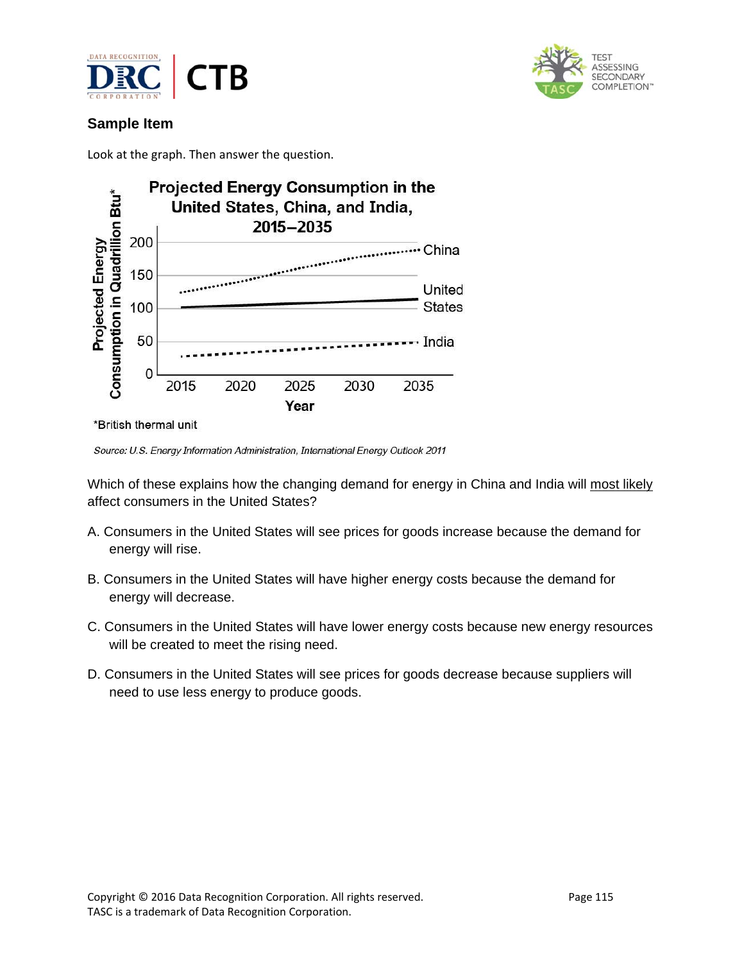



## **Sample Item**

Look at the graph. Then answer the question.



\*British thermal unit

Source: U.S. Energy Information Administration, International Energy Outlook 2011

Which of these explains how the changing demand for energy in China and India will most likely affect consumers in the United States?

- A. Consumers in the United States will see prices for goods increase because the demand for energy will rise.
- B. Consumers in the United States will have higher energy costs because the demand for energy will decrease.
- C. Consumers in the United States will have lower energy costs because new energy resources will be created to meet the rising need.
- D. Consumers in the United States will see prices for goods decrease because suppliers will need to use less energy to produce goods.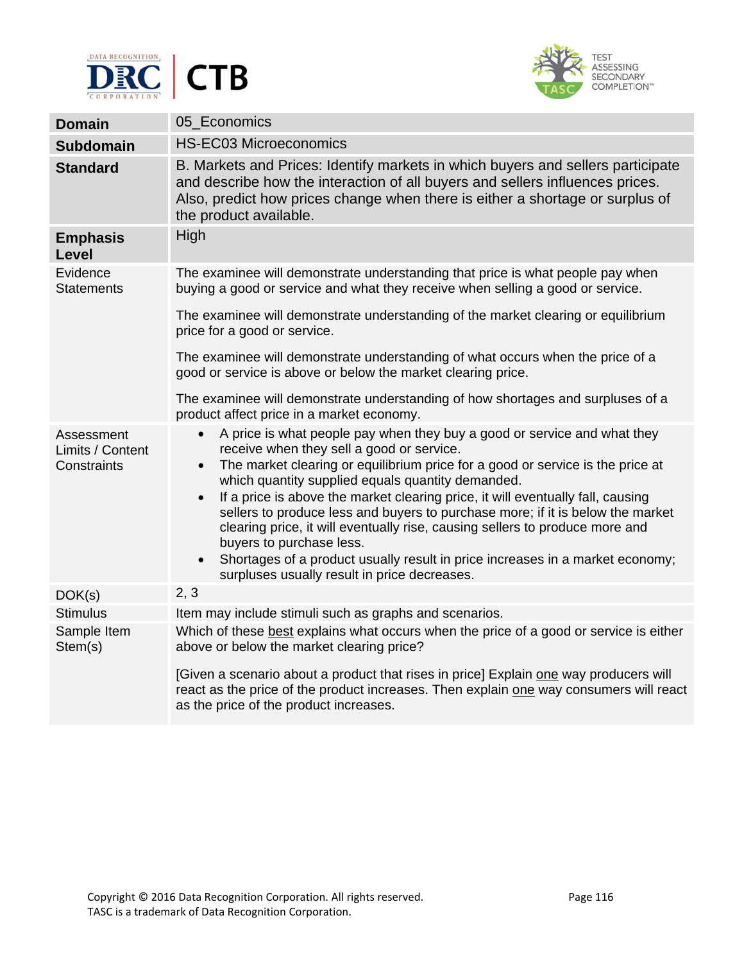



| <b>Domain</b>                                 | 05 Economics                                                                                                                                                                                                                                                                                                                                                                                                                                                                                                                                                                                                                                                                                                                       |
|-----------------------------------------------|------------------------------------------------------------------------------------------------------------------------------------------------------------------------------------------------------------------------------------------------------------------------------------------------------------------------------------------------------------------------------------------------------------------------------------------------------------------------------------------------------------------------------------------------------------------------------------------------------------------------------------------------------------------------------------------------------------------------------------|
| <b>Subdomain</b>                              | <b>HS-EC03 Microeconomics</b>                                                                                                                                                                                                                                                                                                                                                                                                                                                                                                                                                                                                                                                                                                      |
| <b>Standard</b>                               | B. Markets and Prices: Identify markets in which buyers and sellers participate<br>and describe how the interaction of all buyers and sellers influences prices.<br>Also, predict how prices change when there is either a shortage or surplus of<br>the product available.                                                                                                                                                                                                                                                                                                                                                                                                                                                        |
| <b>Emphasis</b><br>Level                      | High                                                                                                                                                                                                                                                                                                                                                                                                                                                                                                                                                                                                                                                                                                                               |
| Evidence<br><b>Statements</b>                 | The examinee will demonstrate understanding that price is what people pay when<br>buying a good or service and what they receive when selling a good or service.                                                                                                                                                                                                                                                                                                                                                                                                                                                                                                                                                                   |
|                                               | The examinee will demonstrate understanding of the market clearing or equilibrium<br>price for a good or service.                                                                                                                                                                                                                                                                                                                                                                                                                                                                                                                                                                                                                  |
|                                               | The examinee will demonstrate understanding of what occurs when the price of a<br>good or service is above or below the market clearing price.                                                                                                                                                                                                                                                                                                                                                                                                                                                                                                                                                                                     |
|                                               | The examinee will demonstrate understanding of how shortages and surpluses of a<br>product affect price in a market economy.                                                                                                                                                                                                                                                                                                                                                                                                                                                                                                                                                                                                       |
| Assessment<br>Limits / Content<br>Constraints | A price is what people pay when they buy a good or service and what they<br>$\bullet$<br>receive when they sell a good or service.<br>The market clearing or equilibrium price for a good or service is the price at<br>$\bullet$<br>which quantity supplied equals quantity demanded.<br>If a price is above the market clearing price, it will eventually fall, causing<br>$\bullet$<br>sellers to produce less and buyers to purchase more; if it is below the market<br>clearing price, it will eventually rise, causing sellers to produce more and<br>buyers to purchase less.<br>Shortages of a product usually result in price increases in a market economy;<br>$\bullet$<br>surpluses usually result in price decreases. |
| DOK(s)                                        | 2, 3                                                                                                                                                                                                                                                                                                                                                                                                                                                                                                                                                                                                                                                                                                                               |
| <b>Stimulus</b>                               | Item may include stimuli such as graphs and scenarios.                                                                                                                                                                                                                                                                                                                                                                                                                                                                                                                                                                                                                                                                             |
| Sample Item<br>Stem(s)                        | Which of these best explains what occurs when the price of a good or service is either<br>above or below the market clearing price?                                                                                                                                                                                                                                                                                                                                                                                                                                                                                                                                                                                                |
|                                               | [Given a scenario about a product that rises in price] Explain one way producers will<br>react as the price of the product increases. Then explain one way consumers will react<br>as the price of the product increases.                                                                                                                                                                                                                                                                                                                                                                                                                                                                                                          |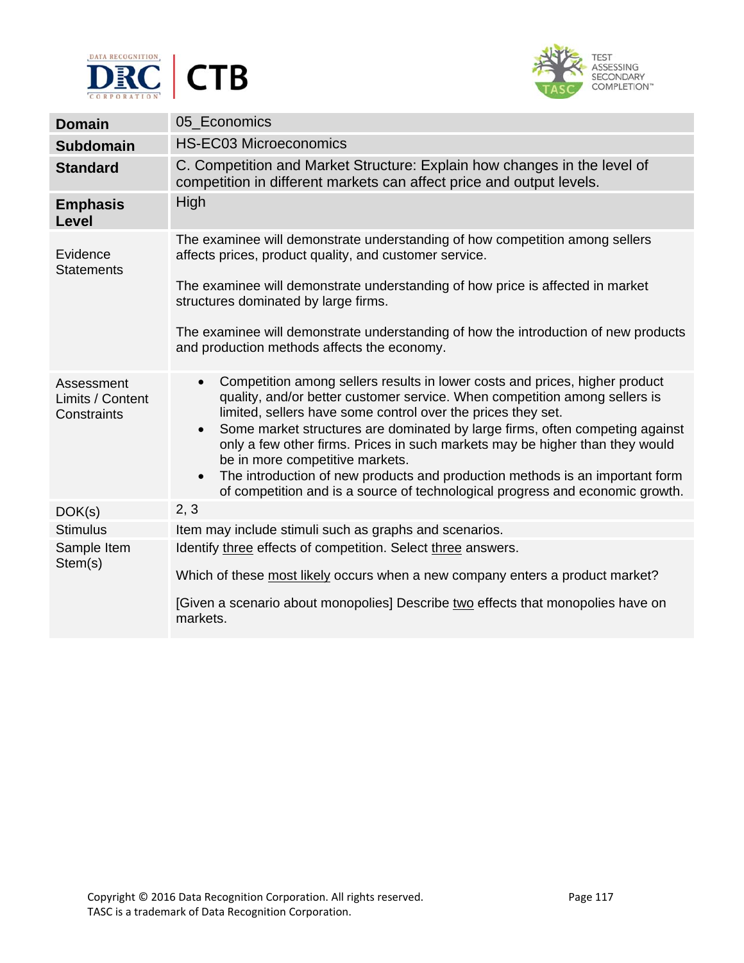



| <b>Domain</b>                                 | 05_Economics                                                                                                                                                                                                                                                                                                                                                                                                                                                                                                                                                                                                                         |
|-----------------------------------------------|--------------------------------------------------------------------------------------------------------------------------------------------------------------------------------------------------------------------------------------------------------------------------------------------------------------------------------------------------------------------------------------------------------------------------------------------------------------------------------------------------------------------------------------------------------------------------------------------------------------------------------------|
| <b>Subdomain</b>                              | <b>HS-EC03 Microeconomics</b>                                                                                                                                                                                                                                                                                                                                                                                                                                                                                                                                                                                                        |
| <b>Standard</b>                               | C. Competition and Market Structure: Explain how changes in the level of<br>competition in different markets can affect price and output levels.                                                                                                                                                                                                                                                                                                                                                                                                                                                                                     |
| <b>Emphasis</b><br>Level                      | High                                                                                                                                                                                                                                                                                                                                                                                                                                                                                                                                                                                                                                 |
| Evidence<br><b>Statements</b>                 | The examinee will demonstrate understanding of how competition among sellers<br>affects prices, product quality, and customer service.                                                                                                                                                                                                                                                                                                                                                                                                                                                                                               |
|                                               | The examinee will demonstrate understanding of how price is affected in market<br>structures dominated by large firms.                                                                                                                                                                                                                                                                                                                                                                                                                                                                                                               |
|                                               | The examinee will demonstrate understanding of how the introduction of new products<br>and production methods affects the economy.                                                                                                                                                                                                                                                                                                                                                                                                                                                                                                   |
| Assessment<br>Limits / Content<br>Constraints | Competition among sellers results in lower costs and prices, higher product<br>$\bullet$<br>quality, and/or better customer service. When competition among sellers is<br>limited, sellers have some control over the prices they set.<br>Some market structures are dominated by large firms, often competing against<br>$\bullet$<br>only a few other firms. Prices in such markets may be higher than they would<br>be in more competitive markets.<br>The introduction of new products and production methods is an important form<br>$\bullet$<br>of competition and is a source of technological progress and economic growth. |
| DOK(s)                                        | 2, 3                                                                                                                                                                                                                                                                                                                                                                                                                                                                                                                                                                                                                                 |
| <b>Stimulus</b>                               | Item may include stimuli such as graphs and scenarios.                                                                                                                                                                                                                                                                                                                                                                                                                                                                                                                                                                               |
| Sample Item<br>Stem(s)                        | Identify three effects of competition. Select three answers.                                                                                                                                                                                                                                                                                                                                                                                                                                                                                                                                                                         |
|                                               | Which of these most likely occurs when a new company enters a product market?                                                                                                                                                                                                                                                                                                                                                                                                                                                                                                                                                        |
|                                               | [Given a scenario about monopolies] Describe two effects that monopolies have on<br>markets.                                                                                                                                                                                                                                                                                                                                                                                                                                                                                                                                         |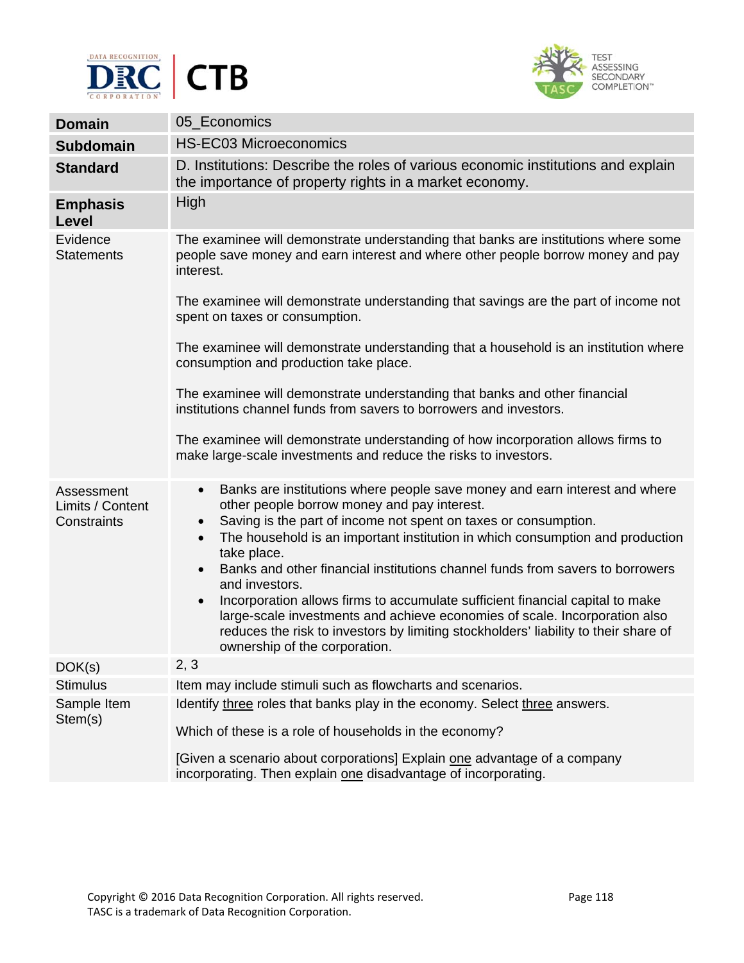



| <b>Domain</b>                                 | 05_Economics                                                                                                                                                                                                                                                                                                                                                                                                                      |
|-----------------------------------------------|-----------------------------------------------------------------------------------------------------------------------------------------------------------------------------------------------------------------------------------------------------------------------------------------------------------------------------------------------------------------------------------------------------------------------------------|
| <b>Subdomain</b>                              | <b>HS-EC03 Microeconomics</b>                                                                                                                                                                                                                                                                                                                                                                                                     |
| <b>Standard</b>                               | D. Institutions: Describe the roles of various economic institutions and explain<br>the importance of property rights in a market economy.                                                                                                                                                                                                                                                                                        |
| <b>Emphasis</b><br>Level                      | High                                                                                                                                                                                                                                                                                                                                                                                                                              |
| Evidence<br><b>Statements</b>                 | The examinee will demonstrate understanding that banks are institutions where some<br>people save money and earn interest and where other people borrow money and pay<br>interest.                                                                                                                                                                                                                                                |
|                                               | The examinee will demonstrate understanding that savings are the part of income not<br>spent on taxes or consumption.                                                                                                                                                                                                                                                                                                             |
|                                               | The examinee will demonstrate understanding that a household is an institution where<br>consumption and production take place.                                                                                                                                                                                                                                                                                                    |
|                                               | The examinee will demonstrate understanding that banks and other financial<br>institutions channel funds from savers to borrowers and investors.                                                                                                                                                                                                                                                                                  |
|                                               | The examinee will demonstrate understanding of how incorporation allows firms to<br>make large-scale investments and reduce the risks to investors.                                                                                                                                                                                                                                                                               |
| Assessment<br>Limits / Content<br>Constraints | Banks are institutions where people save money and earn interest and where<br>$\bullet$<br>other people borrow money and pay interest.<br>Saving is the part of income not spent on taxes or consumption.<br>$\bullet$<br>The household is an important institution in which consumption and production<br>$\bullet$<br>take place.<br>Banks and other financial institutions channel funds from savers to borrowers<br>$\bullet$ |
|                                               | and investors.<br>Incorporation allows firms to accumulate sufficient financial capital to make<br>$\bullet$<br>large-scale investments and achieve economies of scale. Incorporation also<br>reduces the risk to investors by limiting stockholders' liability to their share of<br>ownership of the corporation.                                                                                                                |
| DOK(s)                                        | 2, 3                                                                                                                                                                                                                                                                                                                                                                                                                              |
| <b>Stimulus</b>                               | Item may include stimuli such as flowcharts and scenarios.                                                                                                                                                                                                                                                                                                                                                                        |
| Sample Item<br>Stem(s)                        | Identify three roles that banks play in the economy. Select three answers.<br>Which of these is a role of households in the economy?                                                                                                                                                                                                                                                                                              |
|                                               | [Given a scenario about corporations] Explain one advantage of a company<br>incorporating. Then explain one disadvantage of incorporating.                                                                                                                                                                                                                                                                                        |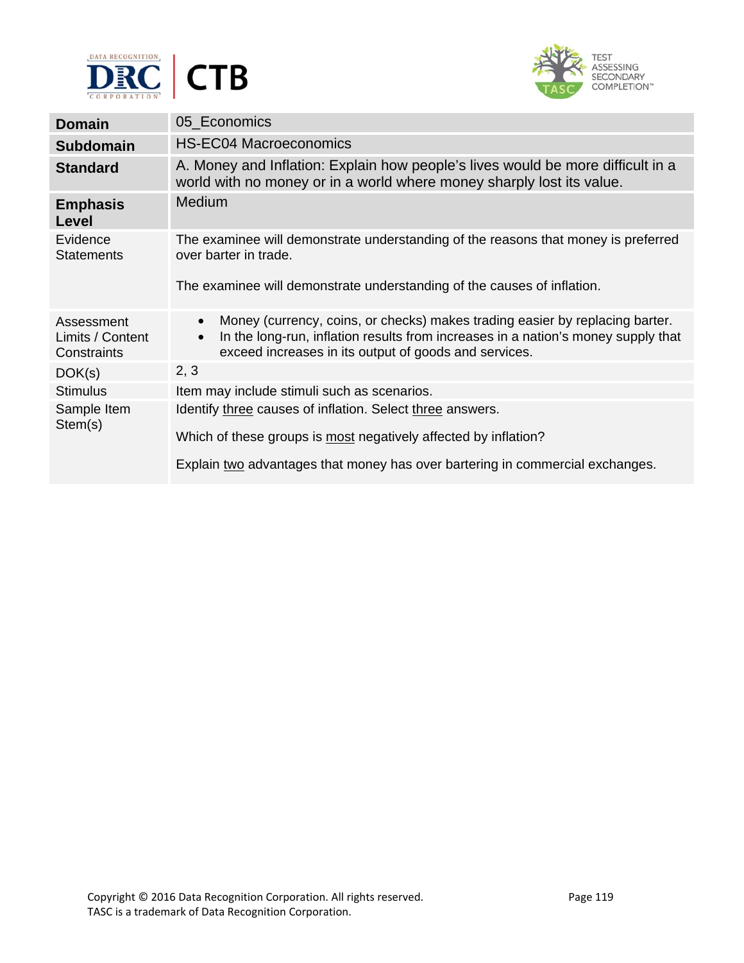



| <b>Domain</b>                                 | 05_Economics                                                                                                                                                                                                                                         |
|-----------------------------------------------|------------------------------------------------------------------------------------------------------------------------------------------------------------------------------------------------------------------------------------------------------|
| <b>Subdomain</b>                              | <b>HS-EC04 Macroeconomics</b>                                                                                                                                                                                                                        |
| <b>Standard</b>                               | A. Money and Inflation: Explain how people's lives would be more difficult in a<br>world with no money or in a world where money sharply lost its value.                                                                                             |
| <b>Emphasis</b><br>Level                      | Medium                                                                                                                                                                                                                                               |
| Evidence<br><b>Statements</b>                 | The examinee will demonstrate understanding of the reasons that money is preferred<br>over barter in trade.                                                                                                                                          |
|                                               | The examinee will demonstrate understanding of the causes of inflation.                                                                                                                                                                              |
| Assessment<br>Limits / Content<br>Constraints | Money (currency, coins, or checks) makes trading easier by replacing barter.<br>$\bullet$<br>In the long-run, inflation results from increases in a nation's money supply that<br>$\bullet$<br>exceed increases in its output of goods and services. |
| DOK(s)                                        | 2, 3                                                                                                                                                                                                                                                 |
| <b>Stimulus</b>                               | Item may include stimuli such as scenarios.                                                                                                                                                                                                          |
| Sample Item<br>Stem(s)                        | Identify three causes of inflation. Select three answers.<br>Which of these groups is most negatively affected by inflation?                                                                                                                         |
|                                               | Explain two advantages that money has over bartering in commercial exchanges.                                                                                                                                                                        |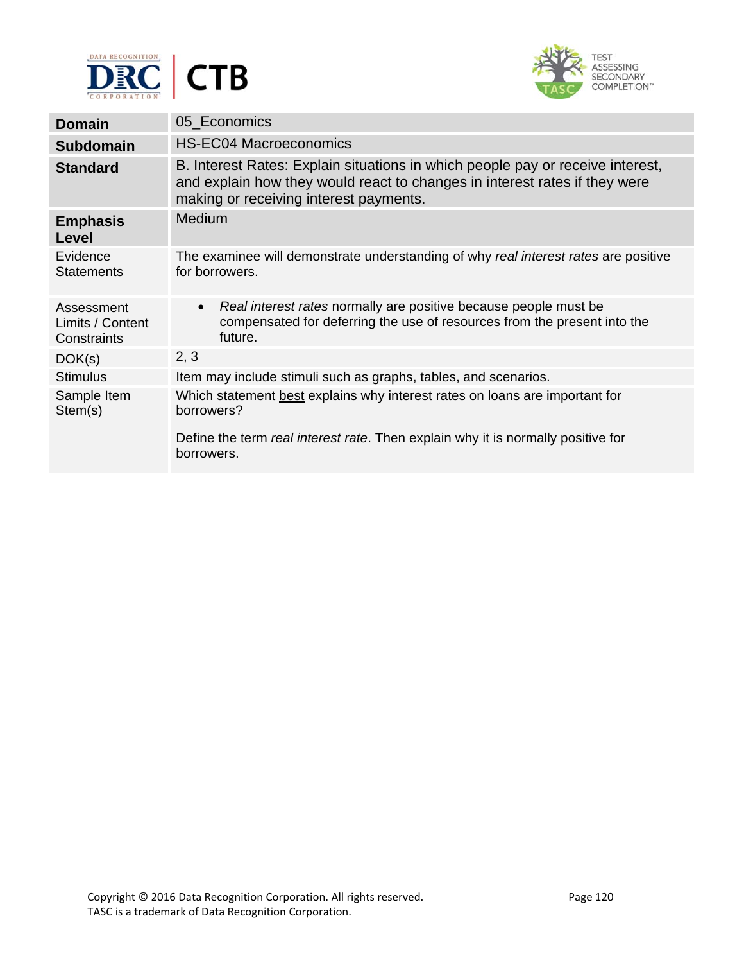



| <b>Domain</b>                                 | 05 Economics                                                                                                                                                                                           |
|-----------------------------------------------|--------------------------------------------------------------------------------------------------------------------------------------------------------------------------------------------------------|
| <b>Subdomain</b>                              | <b>HS-EC04 Macroeconomics</b>                                                                                                                                                                          |
| <b>Standard</b>                               | B. Interest Rates: Explain situations in which people pay or receive interest,<br>and explain how they would react to changes in interest rates if they were<br>making or receiving interest payments. |
| <b>Emphasis</b><br>Level                      | <b>Medium</b>                                                                                                                                                                                          |
| Evidence<br><b>Statements</b>                 | The examinee will demonstrate understanding of why real interest rates are positive<br>for borrowers.                                                                                                  |
| Assessment<br>Limits / Content<br>Constraints | Real interest rates normally are positive because people must be<br>$\bullet$<br>compensated for deferring the use of resources from the present into the<br>future.                                   |
| DOK(s)                                        | 2, 3                                                                                                                                                                                                   |
| <b>Stimulus</b>                               | Item may include stimuli such as graphs, tables, and scenarios.                                                                                                                                        |
| Sample Item<br>Stem(s)                        | Which statement best explains why interest rates on loans are important for<br>borrowers?<br>Define the term real interest rate. Then explain why it is normally positive for<br>borrowers.            |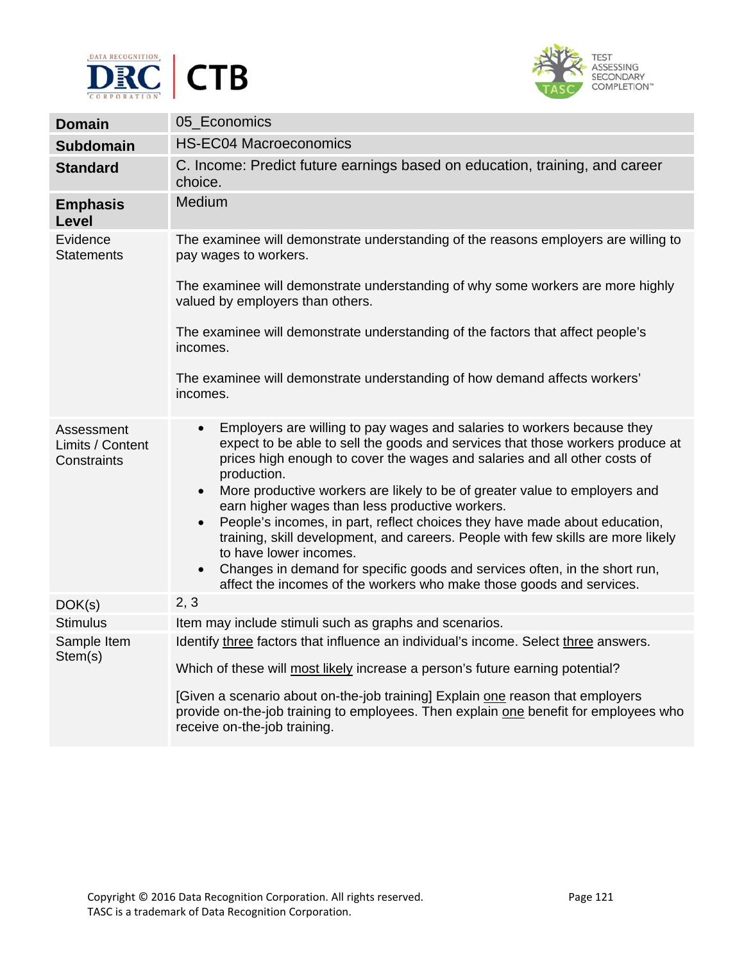



| <b>Domain</b>                                 | 05 Economics                                                                                                                                                                                                                                                                                                                                                                                                                                                                                                                                                                                                                                                                                                                                                                                 |
|-----------------------------------------------|----------------------------------------------------------------------------------------------------------------------------------------------------------------------------------------------------------------------------------------------------------------------------------------------------------------------------------------------------------------------------------------------------------------------------------------------------------------------------------------------------------------------------------------------------------------------------------------------------------------------------------------------------------------------------------------------------------------------------------------------------------------------------------------------|
| <b>Subdomain</b>                              | <b>HS-EC04 Macroeconomics</b>                                                                                                                                                                                                                                                                                                                                                                                                                                                                                                                                                                                                                                                                                                                                                                |
| <b>Standard</b>                               | C. Income: Predict future earnings based on education, training, and career<br>choice.                                                                                                                                                                                                                                                                                                                                                                                                                                                                                                                                                                                                                                                                                                       |
| <b>Emphasis</b><br>Level                      | Medium                                                                                                                                                                                                                                                                                                                                                                                                                                                                                                                                                                                                                                                                                                                                                                                       |
| Evidence<br><b>Statements</b>                 | The examinee will demonstrate understanding of the reasons employers are willing to<br>pay wages to workers.                                                                                                                                                                                                                                                                                                                                                                                                                                                                                                                                                                                                                                                                                 |
|                                               | The examinee will demonstrate understanding of why some workers are more highly<br>valued by employers than others.                                                                                                                                                                                                                                                                                                                                                                                                                                                                                                                                                                                                                                                                          |
|                                               | The examinee will demonstrate understanding of the factors that affect people's<br>incomes.                                                                                                                                                                                                                                                                                                                                                                                                                                                                                                                                                                                                                                                                                                  |
|                                               | The examinee will demonstrate understanding of how demand affects workers'<br>incomes.                                                                                                                                                                                                                                                                                                                                                                                                                                                                                                                                                                                                                                                                                                       |
| Assessment<br>Limits / Content<br>Constraints | Employers are willing to pay wages and salaries to workers because they<br>$\bullet$<br>expect to be able to sell the goods and services that those workers produce at<br>prices high enough to cover the wages and salaries and all other costs of<br>production.<br>More productive workers are likely to be of greater value to employers and<br>$\bullet$<br>earn higher wages than less productive workers.<br>People's incomes, in part, reflect choices they have made about education,<br>$\bullet$<br>training, skill development, and careers. People with few skills are more likely<br>to have lower incomes.<br>Changes in demand for specific goods and services often, in the short run,<br>$\bullet$<br>affect the incomes of the workers who make those goods and services. |
| DOK(s)                                        | 2, 3                                                                                                                                                                                                                                                                                                                                                                                                                                                                                                                                                                                                                                                                                                                                                                                         |
| <b>Stimulus</b>                               | Item may include stimuli such as graphs and scenarios.                                                                                                                                                                                                                                                                                                                                                                                                                                                                                                                                                                                                                                                                                                                                       |
| Sample Item<br>Stem(s)                        | Identify three factors that influence an individual's income. Select three answers.                                                                                                                                                                                                                                                                                                                                                                                                                                                                                                                                                                                                                                                                                                          |
|                                               | Which of these will most likely increase a person's future earning potential?                                                                                                                                                                                                                                                                                                                                                                                                                                                                                                                                                                                                                                                                                                                |
|                                               | [Given a scenario about on-the-job training] Explain one reason that employers<br>provide on-the-job training to employees. Then explain one benefit for employees who<br>receive on-the-job training.                                                                                                                                                                                                                                                                                                                                                                                                                                                                                                                                                                                       |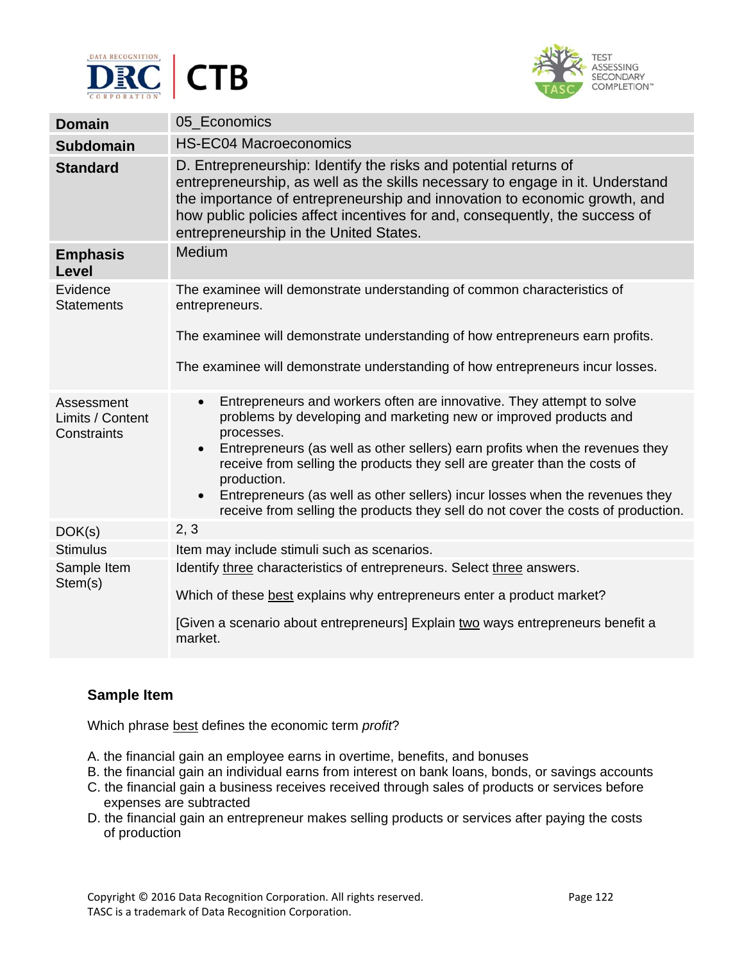



| <b>Domain</b>                                 | 05 Economics                                                                                                                                                                                                                                                                                                                                                                                                                                                                                                                                     |
|-----------------------------------------------|--------------------------------------------------------------------------------------------------------------------------------------------------------------------------------------------------------------------------------------------------------------------------------------------------------------------------------------------------------------------------------------------------------------------------------------------------------------------------------------------------------------------------------------------------|
| <b>Subdomain</b>                              | <b>HS-EC04 Macroeconomics</b>                                                                                                                                                                                                                                                                                                                                                                                                                                                                                                                    |
| <b>Standard</b>                               | D. Entrepreneurship: Identify the risks and potential returns of<br>entrepreneurship, as well as the skills necessary to engage in it. Understand<br>the importance of entrepreneurship and innovation to economic growth, and<br>how public policies affect incentives for and, consequently, the success of<br>entrepreneurship in the United States.                                                                                                                                                                                          |
| <b>Emphasis</b><br>Level                      | Medium                                                                                                                                                                                                                                                                                                                                                                                                                                                                                                                                           |
| Evidence<br><b>Statements</b>                 | The examinee will demonstrate understanding of common characteristics of<br>entrepreneurs.                                                                                                                                                                                                                                                                                                                                                                                                                                                       |
|                                               | The examinee will demonstrate understanding of how entrepreneurs earn profits.                                                                                                                                                                                                                                                                                                                                                                                                                                                                   |
|                                               | The examinee will demonstrate understanding of how entrepreneurs incur losses.                                                                                                                                                                                                                                                                                                                                                                                                                                                                   |
| Assessment<br>Limits / Content<br>Constraints | Entrepreneurs and workers often are innovative. They attempt to solve<br>$\bullet$<br>problems by developing and marketing new or improved products and<br>processes.<br>Entrepreneurs (as well as other sellers) earn profits when the revenues they<br>$\bullet$<br>receive from selling the products they sell are greater than the costs of<br>production.<br>Entrepreneurs (as well as other sellers) incur losses when the revenues they<br>$\bullet$<br>receive from selling the products they sell do not cover the costs of production. |
| DOK(s)                                        | 2, 3                                                                                                                                                                                                                                                                                                                                                                                                                                                                                                                                             |
| <b>Stimulus</b>                               | Item may include stimuli such as scenarios.                                                                                                                                                                                                                                                                                                                                                                                                                                                                                                      |
| Sample Item<br>Stem(s)                        | Identify three characteristics of entrepreneurs. Select three answers.<br>Which of these best explains why entrepreneurs enter a product market?<br>[Given a scenario about entrepreneurs] Explain two ways entrepreneurs benefit a<br>market.                                                                                                                                                                                                                                                                                                   |

## **Sample Item**

Which phrase best defines the economic term *profit*?

- A. the financial gain an employee earns in overtime, benefits, and bonuses
- B. the financial gain an individual earns from interest on bank loans, bonds, or savings accounts
- C. the financial gain a business receives received through sales of products or services before expenses are subtracted
- D. the financial gain an entrepreneur makes selling products or services after paying the costs of production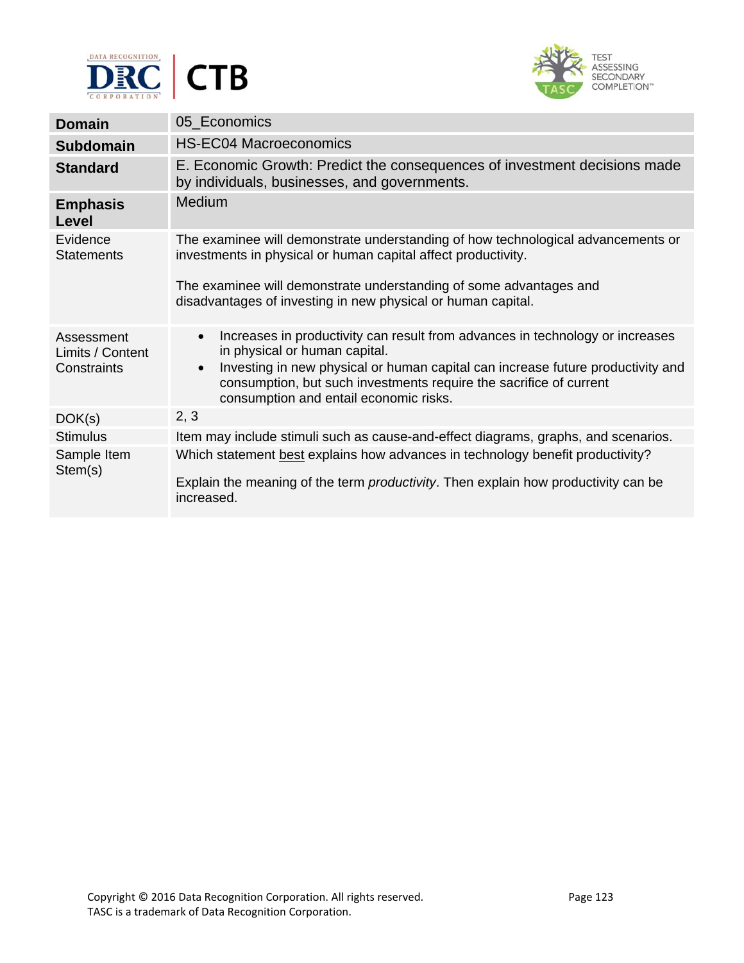



| <b>Domain</b>                                 | 05_Economics                                                                                                                                                                                                                                                                                                                                |
|-----------------------------------------------|---------------------------------------------------------------------------------------------------------------------------------------------------------------------------------------------------------------------------------------------------------------------------------------------------------------------------------------------|
| <b>Subdomain</b>                              | <b>HS-EC04 Macroeconomics</b>                                                                                                                                                                                                                                                                                                               |
| <b>Standard</b>                               | E. Economic Growth: Predict the consequences of investment decisions made<br>by individuals, businesses, and governments.                                                                                                                                                                                                                   |
| <b>Emphasis</b><br>Level                      | Medium                                                                                                                                                                                                                                                                                                                                      |
| Evidence<br><b>Statements</b>                 | The examinee will demonstrate understanding of how technological advancements or<br>investments in physical or human capital affect productivity.<br>The examinee will demonstrate understanding of some advantages and                                                                                                                     |
|                                               | disadvantages of investing in new physical or human capital.                                                                                                                                                                                                                                                                                |
| Assessment<br>Limits / Content<br>Constraints | Increases in productivity can result from advances in technology or increases<br>$\bullet$<br>in physical or human capital.<br>Investing in new physical or human capital can increase future productivity and<br>$\bullet$<br>consumption, but such investments require the sacrifice of current<br>consumption and entail economic risks. |
| DOK(s)                                        | 2, 3                                                                                                                                                                                                                                                                                                                                        |
| <b>Stimulus</b>                               | Item may include stimuli such as cause-and-effect diagrams, graphs, and scenarios.                                                                                                                                                                                                                                                          |
| Sample Item<br>Stem(s)                        | Which statement best explains how advances in technology benefit productivity?<br>Explain the meaning of the term <i>productivity</i> . Then explain how productivity can be<br>increased.                                                                                                                                                  |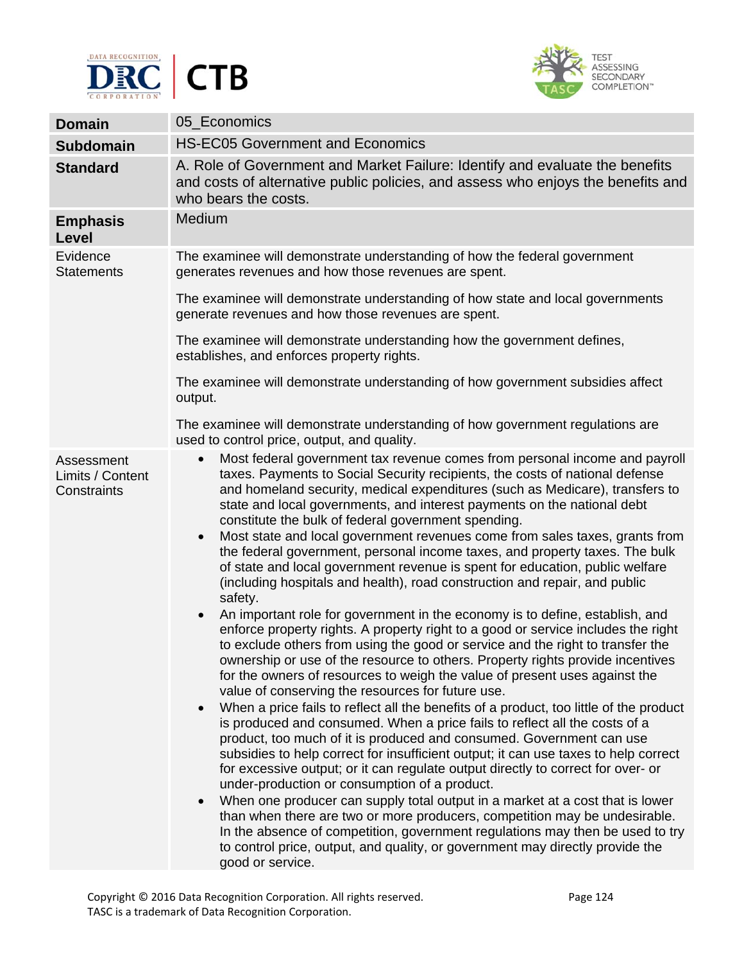



| <b>Domain</b>                                 | 05_Economics                                                                                                                                                                                                                                                                                                                                                                                                                                                                                                                                                                                                                                                                                                                                                                                                                                                                                                                                                                                                                                                                                                                                                                                                                                                                                                                                                                                                                                                                                                                                                                                                                                                                                                                                                                                                                                                                                                                                                                                                                                                                                      |
|-----------------------------------------------|---------------------------------------------------------------------------------------------------------------------------------------------------------------------------------------------------------------------------------------------------------------------------------------------------------------------------------------------------------------------------------------------------------------------------------------------------------------------------------------------------------------------------------------------------------------------------------------------------------------------------------------------------------------------------------------------------------------------------------------------------------------------------------------------------------------------------------------------------------------------------------------------------------------------------------------------------------------------------------------------------------------------------------------------------------------------------------------------------------------------------------------------------------------------------------------------------------------------------------------------------------------------------------------------------------------------------------------------------------------------------------------------------------------------------------------------------------------------------------------------------------------------------------------------------------------------------------------------------------------------------------------------------------------------------------------------------------------------------------------------------------------------------------------------------------------------------------------------------------------------------------------------------------------------------------------------------------------------------------------------------------------------------------------------------------------------------------------------------|
| <b>Subdomain</b>                              | <b>HS-EC05 Government and Economics</b>                                                                                                                                                                                                                                                                                                                                                                                                                                                                                                                                                                                                                                                                                                                                                                                                                                                                                                                                                                                                                                                                                                                                                                                                                                                                                                                                                                                                                                                                                                                                                                                                                                                                                                                                                                                                                                                                                                                                                                                                                                                           |
| <b>Standard</b>                               | A. Role of Government and Market Failure: Identify and evaluate the benefits<br>and costs of alternative public policies, and assess who enjoys the benefits and<br>who bears the costs.                                                                                                                                                                                                                                                                                                                                                                                                                                                                                                                                                                                                                                                                                                                                                                                                                                                                                                                                                                                                                                                                                                                                                                                                                                                                                                                                                                                                                                                                                                                                                                                                                                                                                                                                                                                                                                                                                                          |
| <b>Emphasis</b><br>Level                      | Medium                                                                                                                                                                                                                                                                                                                                                                                                                                                                                                                                                                                                                                                                                                                                                                                                                                                                                                                                                                                                                                                                                                                                                                                                                                                                                                                                                                                                                                                                                                                                                                                                                                                                                                                                                                                                                                                                                                                                                                                                                                                                                            |
| Evidence<br><b>Statements</b>                 | The examinee will demonstrate understanding of how the federal government<br>generates revenues and how those revenues are spent.                                                                                                                                                                                                                                                                                                                                                                                                                                                                                                                                                                                                                                                                                                                                                                                                                                                                                                                                                                                                                                                                                                                                                                                                                                                                                                                                                                                                                                                                                                                                                                                                                                                                                                                                                                                                                                                                                                                                                                 |
|                                               | The examinee will demonstrate understanding of how state and local governments<br>generate revenues and how those revenues are spent.                                                                                                                                                                                                                                                                                                                                                                                                                                                                                                                                                                                                                                                                                                                                                                                                                                                                                                                                                                                                                                                                                                                                                                                                                                                                                                                                                                                                                                                                                                                                                                                                                                                                                                                                                                                                                                                                                                                                                             |
|                                               | The examinee will demonstrate understanding how the government defines,<br>establishes, and enforces property rights.                                                                                                                                                                                                                                                                                                                                                                                                                                                                                                                                                                                                                                                                                                                                                                                                                                                                                                                                                                                                                                                                                                                                                                                                                                                                                                                                                                                                                                                                                                                                                                                                                                                                                                                                                                                                                                                                                                                                                                             |
|                                               | The examinee will demonstrate understanding of how government subsidies affect<br>output.                                                                                                                                                                                                                                                                                                                                                                                                                                                                                                                                                                                                                                                                                                                                                                                                                                                                                                                                                                                                                                                                                                                                                                                                                                                                                                                                                                                                                                                                                                                                                                                                                                                                                                                                                                                                                                                                                                                                                                                                         |
|                                               | The examinee will demonstrate understanding of how government regulations are<br>used to control price, output, and quality.                                                                                                                                                                                                                                                                                                                                                                                                                                                                                                                                                                                                                                                                                                                                                                                                                                                                                                                                                                                                                                                                                                                                                                                                                                                                                                                                                                                                                                                                                                                                                                                                                                                                                                                                                                                                                                                                                                                                                                      |
| Assessment<br>Limits / Content<br>Constraints | Most federal government tax revenue comes from personal income and payroll<br>$\bullet$<br>taxes. Payments to Social Security recipients, the costs of national defense<br>and homeland security, medical expenditures (such as Medicare), transfers to<br>state and local governments, and interest payments on the national debt<br>constitute the bulk of federal government spending.<br>Most state and local government revenues come from sales taxes, grants from<br>$\bullet$<br>the federal government, personal income taxes, and property taxes. The bulk<br>of state and local government revenue is spent for education, public welfare<br>(including hospitals and health), road construction and repair, and public<br>safety.<br>An important role for government in the economy is to define, establish, and<br>$\bullet$<br>enforce property rights. A property right to a good or service includes the right<br>to exclude others from using the good or service and the right to transfer the<br>ownership or use of the resource to others. Property rights provide incentives<br>for the owners of resources to weigh the value of present uses against the<br>value of conserving the resources for future use.<br>When a price fails to reflect all the benefits of a product, too little of the product<br>$\bullet$<br>is produced and consumed. When a price fails to reflect all the costs of a<br>product, too much of it is produced and consumed. Government can use<br>subsidies to help correct for insufficient output; it can use taxes to help correct<br>for excessive output; or it can regulate output directly to correct for over- or<br>under-production or consumption of a product.<br>When one producer can supply total output in a market at a cost that is lower<br>$\bullet$<br>than when there are two or more producers, competition may be undesirable.<br>In the absence of competition, government regulations may then be used to try<br>to control price, output, and quality, or government may directly provide the<br>good or service. |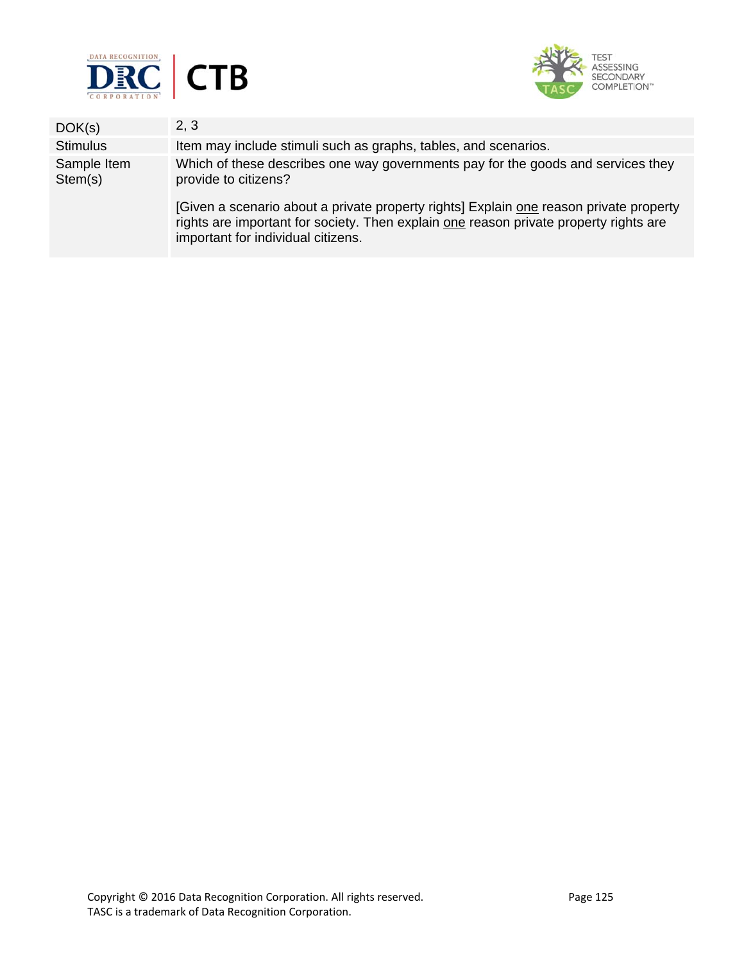



| DOK(s)                 | 2, 3                                                                                                                                                                                                                  |
|------------------------|-----------------------------------------------------------------------------------------------------------------------------------------------------------------------------------------------------------------------|
| <b>Stimulus</b>        | Item may include stimuli such as graphs, tables, and scenarios.                                                                                                                                                       |
| Sample Item<br>Stem(s) | Which of these describes one way governments pay for the goods and services they<br>provide to citizens?                                                                                                              |
|                        | [Given a scenario about a private property rights] Explain one reason private property<br>rights are important for society. Then explain one reason private property rights are<br>important for individual citizens. |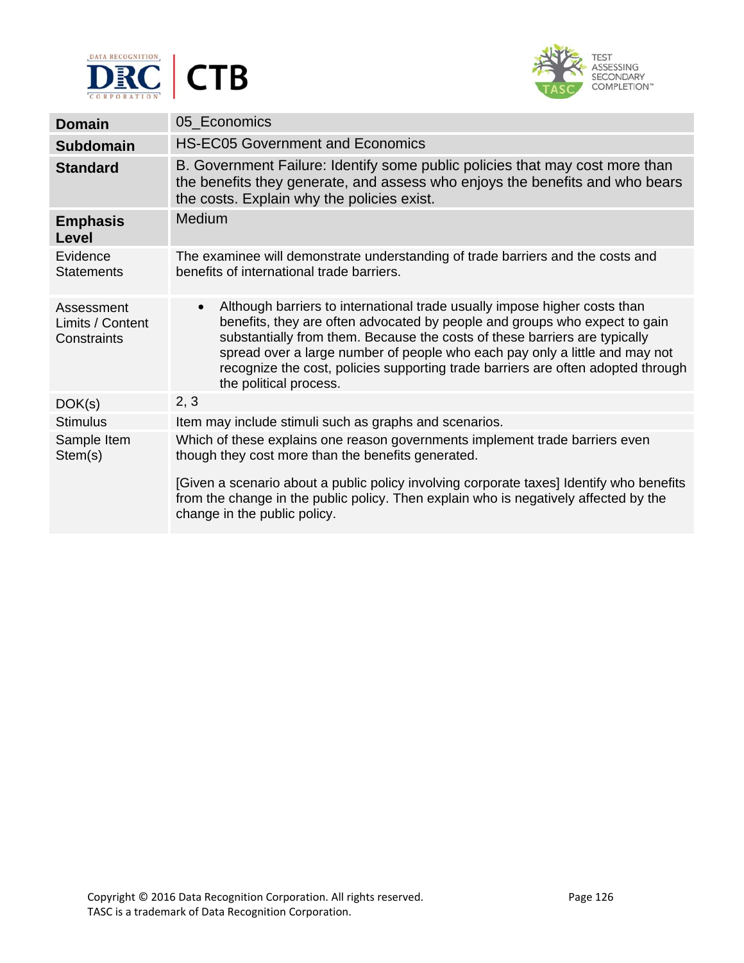



| <b>Domain</b>                                 | 05 Economics                                                                                                                                                                                                                                                                                                                                                                                                                                    |
|-----------------------------------------------|-------------------------------------------------------------------------------------------------------------------------------------------------------------------------------------------------------------------------------------------------------------------------------------------------------------------------------------------------------------------------------------------------------------------------------------------------|
| <b>Subdomain</b>                              | <b>HS-EC05 Government and Economics</b>                                                                                                                                                                                                                                                                                                                                                                                                         |
| <b>Standard</b>                               | B. Government Failure: Identify some public policies that may cost more than<br>the benefits they generate, and assess who enjoys the benefits and who bears<br>the costs. Explain why the policies exist.                                                                                                                                                                                                                                      |
| <b>Emphasis</b><br>Level                      | <b>Medium</b>                                                                                                                                                                                                                                                                                                                                                                                                                                   |
| Evidence<br><b>Statements</b>                 | The examinee will demonstrate understanding of trade barriers and the costs and<br>benefits of international trade barriers.                                                                                                                                                                                                                                                                                                                    |
| Assessment<br>Limits / Content<br>Constraints | Although barriers to international trade usually impose higher costs than<br>$\bullet$<br>benefits, they are often advocated by people and groups who expect to gain<br>substantially from them. Because the costs of these barriers are typically<br>spread over a large number of people who each pay only a little and may not<br>recognize the cost, policies supporting trade barriers are often adopted through<br>the political process. |
| DOK(s)                                        | 2, 3                                                                                                                                                                                                                                                                                                                                                                                                                                            |
| <b>Stimulus</b>                               | Item may include stimuli such as graphs and scenarios.                                                                                                                                                                                                                                                                                                                                                                                          |
| Sample Item<br>Stem(s)                        | Which of these explains one reason governments implement trade barriers even<br>though they cost more than the benefits generated.<br>[Given a scenario about a public policy involving corporate taxes] Identify who benefits<br>from the change in the public policy. Then explain who is negatively affected by the<br>change in the public policy.                                                                                          |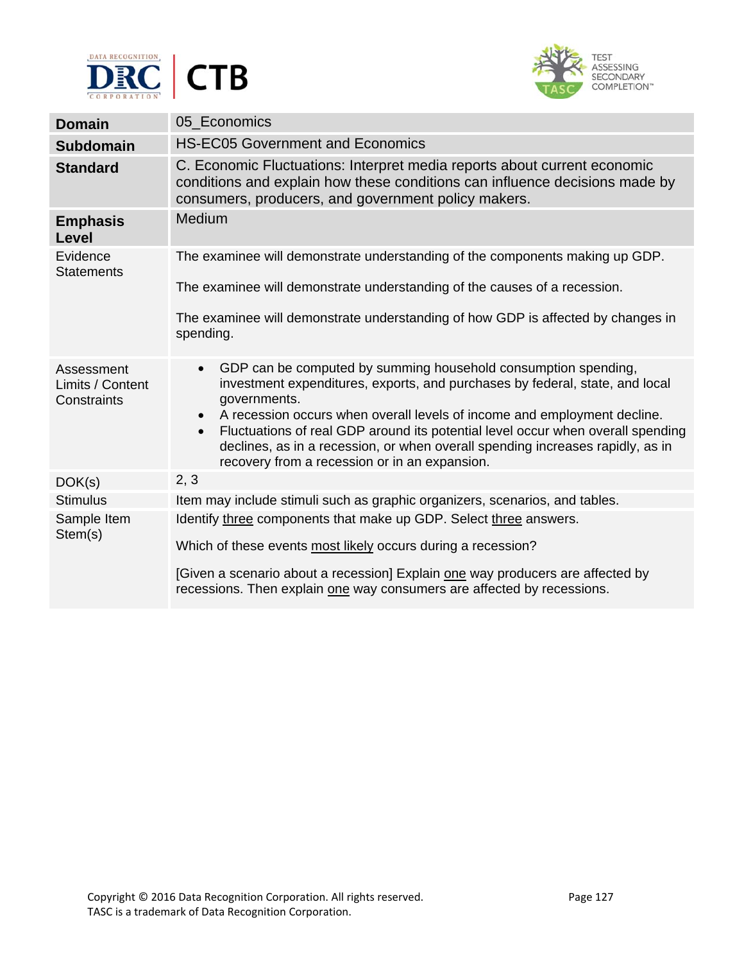



| <b>Domain</b>                                 | 05 Economics                                                                                                                                                                                                                                                                                                                                                                                                                                                                                            |
|-----------------------------------------------|---------------------------------------------------------------------------------------------------------------------------------------------------------------------------------------------------------------------------------------------------------------------------------------------------------------------------------------------------------------------------------------------------------------------------------------------------------------------------------------------------------|
| <b>Subdomain</b>                              | <b>HS-EC05 Government and Economics</b>                                                                                                                                                                                                                                                                                                                                                                                                                                                                 |
| <b>Standard</b>                               | C. Economic Fluctuations: Interpret media reports about current economic<br>conditions and explain how these conditions can influence decisions made by<br>consumers, producers, and government policy makers.                                                                                                                                                                                                                                                                                          |
| <b>Emphasis</b><br><b>Level</b>               | Medium                                                                                                                                                                                                                                                                                                                                                                                                                                                                                                  |
| Evidence<br><b>Statements</b>                 | The examinee will demonstrate understanding of the components making up GDP.                                                                                                                                                                                                                                                                                                                                                                                                                            |
|                                               | The examinee will demonstrate understanding of the causes of a recession.                                                                                                                                                                                                                                                                                                                                                                                                                               |
|                                               | The examinee will demonstrate understanding of how GDP is affected by changes in<br>spending.                                                                                                                                                                                                                                                                                                                                                                                                           |
| Assessment<br>Limits / Content<br>Constraints | GDP can be computed by summing household consumption spending,<br>$\bullet$<br>investment expenditures, exports, and purchases by federal, state, and local<br>governments.<br>A recession occurs when overall levels of income and employment decline.<br>$\bullet$<br>Fluctuations of real GDP around its potential level occur when overall spending<br>$\bullet$<br>declines, as in a recession, or when overall spending increases rapidly, as in<br>recovery from a recession or in an expansion. |
| DOK(s)                                        | 2, 3                                                                                                                                                                                                                                                                                                                                                                                                                                                                                                    |
| <b>Stimulus</b>                               | Item may include stimuli such as graphic organizers, scenarios, and tables.                                                                                                                                                                                                                                                                                                                                                                                                                             |
| Sample Item<br>Stem(s)                        | Identify three components that make up GDP. Select three answers.<br>Which of these events most likely occurs during a recession?                                                                                                                                                                                                                                                                                                                                                                       |
|                                               | [Given a scenario about a recession] Explain one way producers are affected by<br>recessions. Then explain one way consumers are affected by recessions.                                                                                                                                                                                                                                                                                                                                                |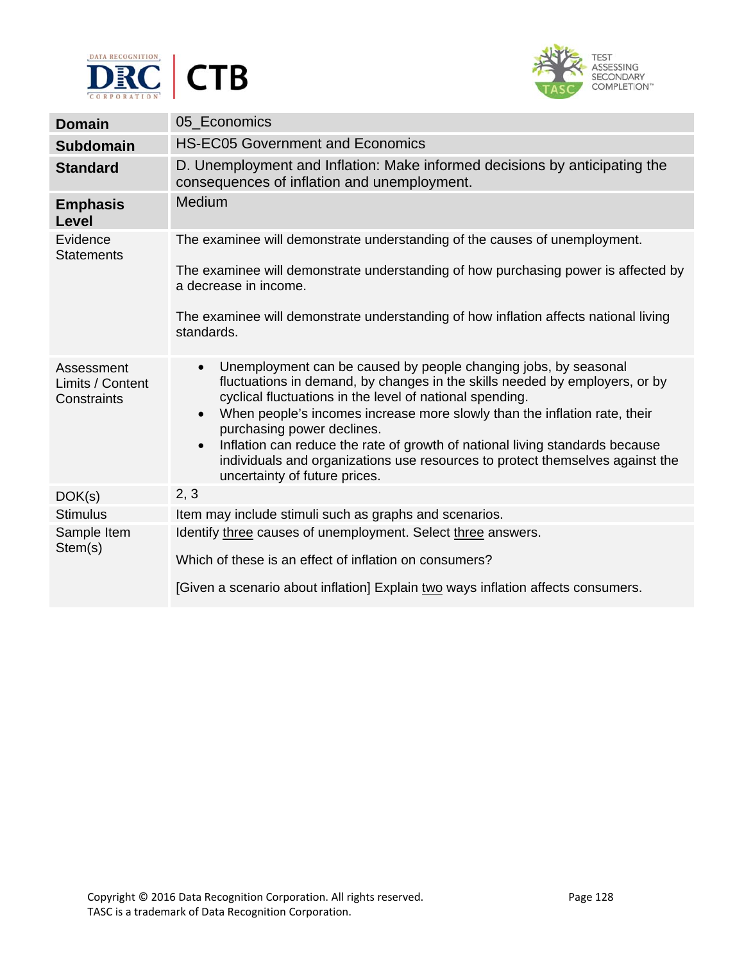



| <b>Domain</b>                                 | 05 Economics                                                                                                                                                                                                                                                                                                                                                                                                                                                                                                                                                   |
|-----------------------------------------------|----------------------------------------------------------------------------------------------------------------------------------------------------------------------------------------------------------------------------------------------------------------------------------------------------------------------------------------------------------------------------------------------------------------------------------------------------------------------------------------------------------------------------------------------------------------|
| <b>Subdomain</b>                              | <b>HS-EC05 Government and Economics</b>                                                                                                                                                                                                                                                                                                                                                                                                                                                                                                                        |
| <b>Standard</b>                               | D. Unemployment and Inflation: Make informed decisions by anticipating the<br>consequences of inflation and unemployment.                                                                                                                                                                                                                                                                                                                                                                                                                                      |
| <b>Emphasis</b><br>Level                      | <b>Medium</b>                                                                                                                                                                                                                                                                                                                                                                                                                                                                                                                                                  |
| Evidence<br><b>Statements</b>                 | The examinee will demonstrate understanding of the causes of unemployment.<br>The examinee will demonstrate understanding of how purchasing power is affected by<br>a decrease in income.<br>The examinee will demonstrate understanding of how inflation affects national living<br>standards.                                                                                                                                                                                                                                                                |
| Assessment<br>Limits / Content<br>Constraints | Unemployment can be caused by people changing jobs, by seasonal<br>$\bullet$<br>fluctuations in demand, by changes in the skills needed by employers, or by<br>cyclical fluctuations in the level of national spending.<br>When people's incomes increase more slowly than the inflation rate, their<br>$\bullet$<br>purchasing power declines.<br>Inflation can reduce the rate of growth of national living standards because<br>$\bullet$<br>individuals and organizations use resources to protect themselves against the<br>uncertainty of future prices. |
| DOK(s)                                        | 2, 3                                                                                                                                                                                                                                                                                                                                                                                                                                                                                                                                                           |
| <b>Stimulus</b>                               | Item may include stimuli such as graphs and scenarios.                                                                                                                                                                                                                                                                                                                                                                                                                                                                                                         |
| Sample Item<br>Stem(s)                        | Identify three causes of unemployment. Select three answers.<br>Which of these is an effect of inflation on consumers?<br>[Given a scenario about inflation] Explain two ways inflation affects consumers.                                                                                                                                                                                                                                                                                                                                                     |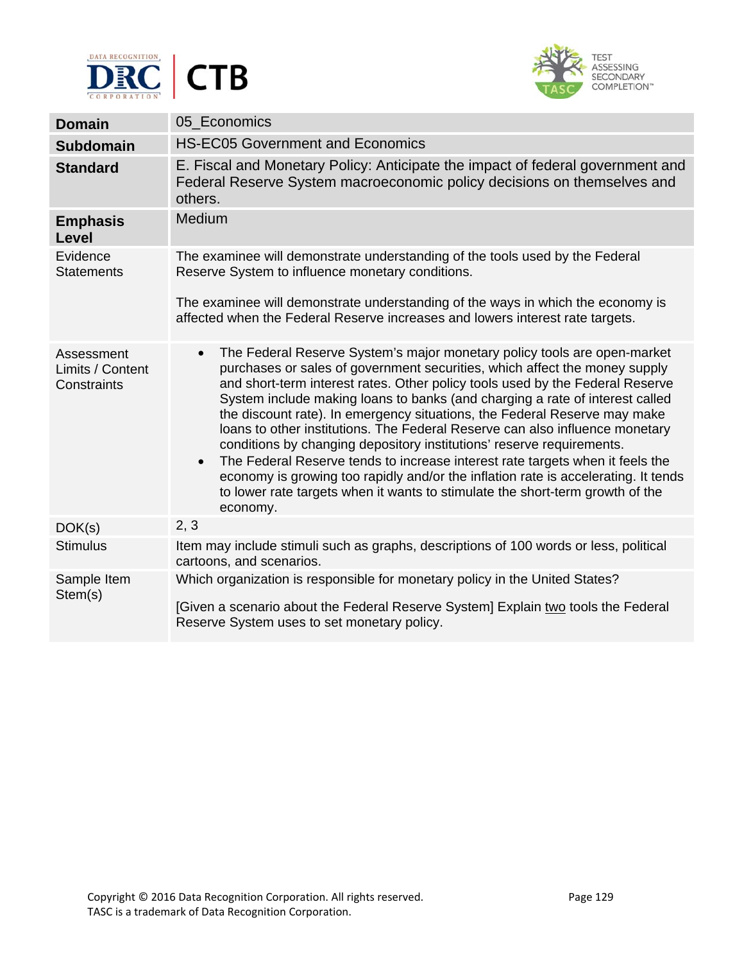



| <b>Domain</b>                                 | 05 Economics                                                                                                                                                                                                                                                                                                                                                                                                                                                                                                                                                                                                                                                                                                                                                                                                                                                |
|-----------------------------------------------|-------------------------------------------------------------------------------------------------------------------------------------------------------------------------------------------------------------------------------------------------------------------------------------------------------------------------------------------------------------------------------------------------------------------------------------------------------------------------------------------------------------------------------------------------------------------------------------------------------------------------------------------------------------------------------------------------------------------------------------------------------------------------------------------------------------------------------------------------------------|
| <b>Subdomain</b>                              | <b>HS-EC05 Government and Economics</b>                                                                                                                                                                                                                                                                                                                                                                                                                                                                                                                                                                                                                                                                                                                                                                                                                     |
| <b>Standard</b>                               | E. Fiscal and Monetary Policy: Anticipate the impact of federal government and<br>Federal Reserve System macroeconomic policy decisions on themselves and<br>others.                                                                                                                                                                                                                                                                                                                                                                                                                                                                                                                                                                                                                                                                                        |
| <b>Emphasis</b><br>Level                      | Medium                                                                                                                                                                                                                                                                                                                                                                                                                                                                                                                                                                                                                                                                                                                                                                                                                                                      |
| Evidence<br><b>Statements</b>                 | The examinee will demonstrate understanding of the tools used by the Federal<br>Reserve System to influence monetary conditions.                                                                                                                                                                                                                                                                                                                                                                                                                                                                                                                                                                                                                                                                                                                            |
|                                               | The examinee will demonstrate understanding of the ways in which the economy is<br>affected when the Federal Reserve increases and lowers interest rate targets.                                                                                                                                                                                                                                                                                                                                                                                                                                                                                                                                                                                                                                                                                            |
| Assessment<br>Limits / Content<br>Constraints | The Federal Reserve System's major monetary policy tools are open-market<br>$\bullet$<br>purchases or sales of government securities, which affect the money supply<br>and short-term interest rates. Other policy tools used by the Federal Reserve<br>System include making loans to banks (and charging a rate of interest called<br>the discount rate). In emergency situations, the Federal Reserve may make<br>loans to other institutions. The Federal Reserve can also influence monetary<br>conditions by changing depository institutions' reserve requirements.<br>The Federal Reserve tends to increase interest rate targets when it feels the<br>$\bullet$<br>economy is growing too rapidly and/or the inflation rate is accelerating. It tends<br>to lower rate targets when it wants to stimulate the short-term growth of the<br>economy. |
| DOK(s)                                        | 2, 3                                                                                                                                                                                                                                                                                                                                                                                                                                                                                                                                                                                                                                                                                                                                                                                                                                                        |
| <b>Stimulus</b>                               | Item may include stimuli such as graphs, descriptions of 100 words or less, political<br>cartoons, and scenarios.                                                                                                                                                                                                                                                                                                                                                                                                                                                                                                                                                                                                                                                                                                                                           |
| Sample Item<br>Stem(s)                        | Which organization is responsible for monetary policy in the United States?<br>[Given a scenario about the Federal Reserve System] Explain two tools the Federal<br>Reserve System uses to set monetary policy.                                                                                                                                                                                                                                                                                                                                                                                                                                                                                                                                                                                                                                             |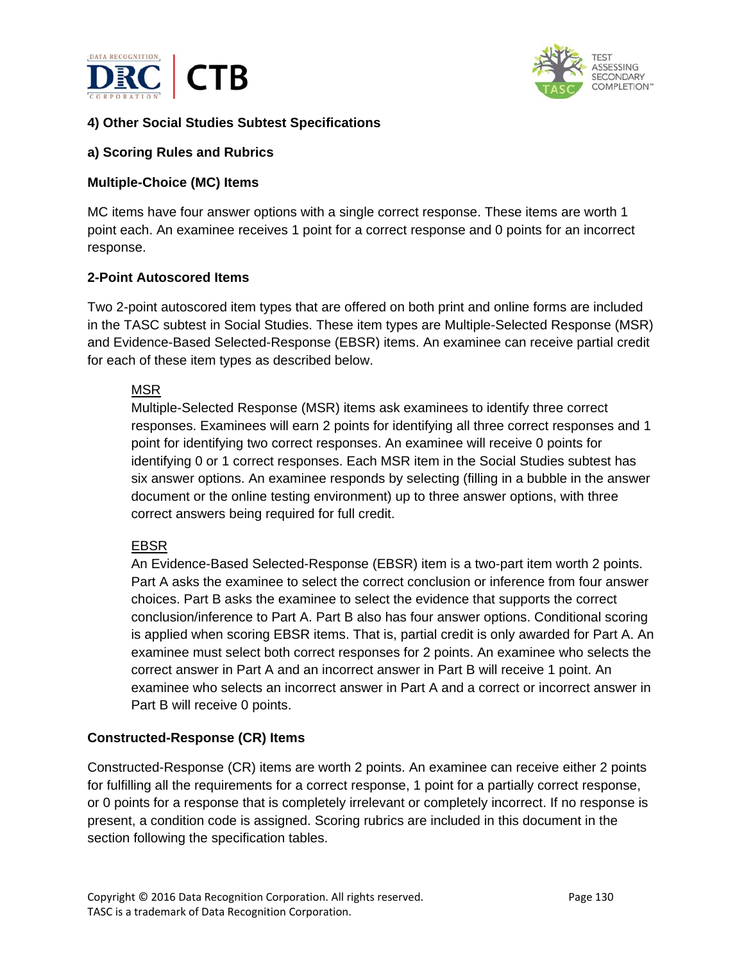



## **4) Other Social Studies Subtest Specifications**

#### **a) Scoring Rules and Rubrics**

#### **Multiple-Choice (MC) Items**

MC items have four answer options with a single correct response. These items are worth 1 point each. An examinee receives 1 point for a correct response and 0 points for an incorrect response.

#### **2-Point Autoscored Items**

Two 2-point autoscored item types that are offered on both print and online forms are included in the TASC subtest in Social Studies. These item types are Multiple-Selected Response (MSR) and Evidence-Based Selected-Response (EBSR) items. An examinee can receive partial credit for each of these item types as described below.

#### MSR

Multiple-Selected Response (MSR) items ask examinees to identify three correct responses. Examinees will earn 2 points for identifying all three correct responses and 1 point for identifying two correct responses. An examinee will receive 0 points for identifying 0 or 1 correct responses. Each MSR item in the Social Studies subtest has six answer options. An examinee responds by selecting (filling in a bubble in the answer document or the online testing environment) up to three answer options, with three correct answers being required for full credit.

#### EBSR

An Evidence-Based Selected-Response (EBSR) item is a two-part item worth 2 points. Part A asks the examinee to select the correct conclusion or inference from four answer choices. Part B asks the examinee to select the evidence that supports the correct conclusion/inference to Part A. Part B also has four answer options. Conditional scoring is applied when scoring EBSR items. That is, partial credit is only awarded for Part A. An examinee must select both correct responses for 2 points. An examinee who selects the correct answer in Part A and an incorrect answer in Part B will receive 1 point. An examinee who selects an incorrect answer in Part A and a correct or incorrect answer in Part B will receive 0 points.

#### **Constructed-Response (CR) Items**

Constructed-Response (CR) items are worth 2 points. An examinee can receive either 2 points for fulfilling all the requirements for a correct response, 1 point for a partially correct response, or 0 points for a response that is completely irrelevant or completely incorrect. If no response is present, a condition code is assigned. Scoring rubrics are included in this document in the section following the specification tables.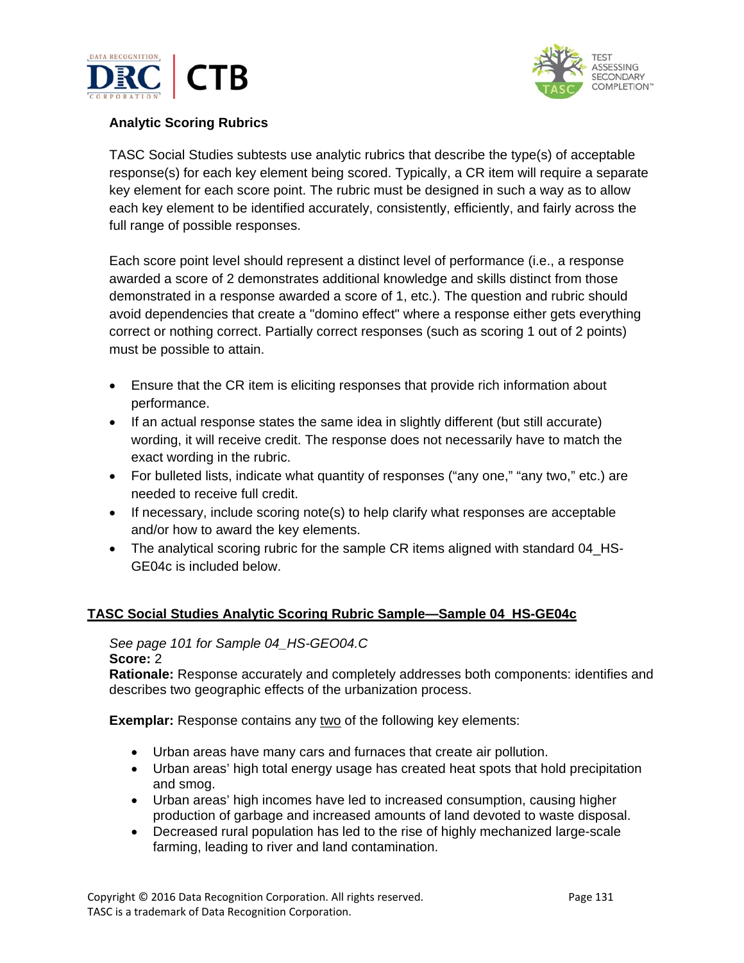



### **Analytic Scoring Rubrics**

TASC Social Studies subtests use analytic rubrics that describe the type(s) of acceptable response(s) for each key element being scored. Typically, a CR item will require a separate key element for each score point. The rubric must be designed in such a way as to allow each key element to be identified accurately, consistently, efficiently, and fairly across the full range of possible responses.

Each score point level should represent a distinct level of performance (i.e., a response awarded a score of 2 demonstrates additional knowledge and skills distinct from those demonstrated in a response awarded a score of 1, etc.). The question and rubric should avoid dependencies that create a "domino effect" where a response either gets everything correct or nothing correct. Partially correct responses (such as scoring 1 out of 2 points) must be possible to attain.

- Ensure that the CR item is eliciting responses that provide rich information about performance.
- If an actual response states the same idea in slightly different (but still accurate) wording, it will receive credit. The response does not necessarily have to match the exact wording in the rubric.
- For bulleted lists, indicate what quantity of responses ("any one," "any two," etc.) are needed to receive full credit.
- If necessary, include scoring note(s) to help clarify what responses are acceptable and/or how to award the key elements.
- The analytical scoring rubric for the sample CR items aligned with standard 04 HS-GE04c is included below.

#### **TASC Social Studies Analytic Scoring Rubric Sample—Sample 04\_HS-GE04c**

# *See page 101 for Sample 04\_HS-GEO04.C*

#### **Score:** 2

**Rationale:** Response accurately and completely addresses both components: identifies and describes two geographic effects of the urbanization process.

**Exemplar:** Response contains any two of the following key elements:

- Urban areas have many cars and furnaces that create air pollution.
- Urban areas' high total energy usage has created heat spots that hold precipitation and smog.
- Urban areas' high incomes have led to increased consumption, causing higher production of garbage and increased amounts of land devoted to waste disposal.
- Decreased rural population has led to the rise of highly mechanized large-scale farming, leading to river and land contamination.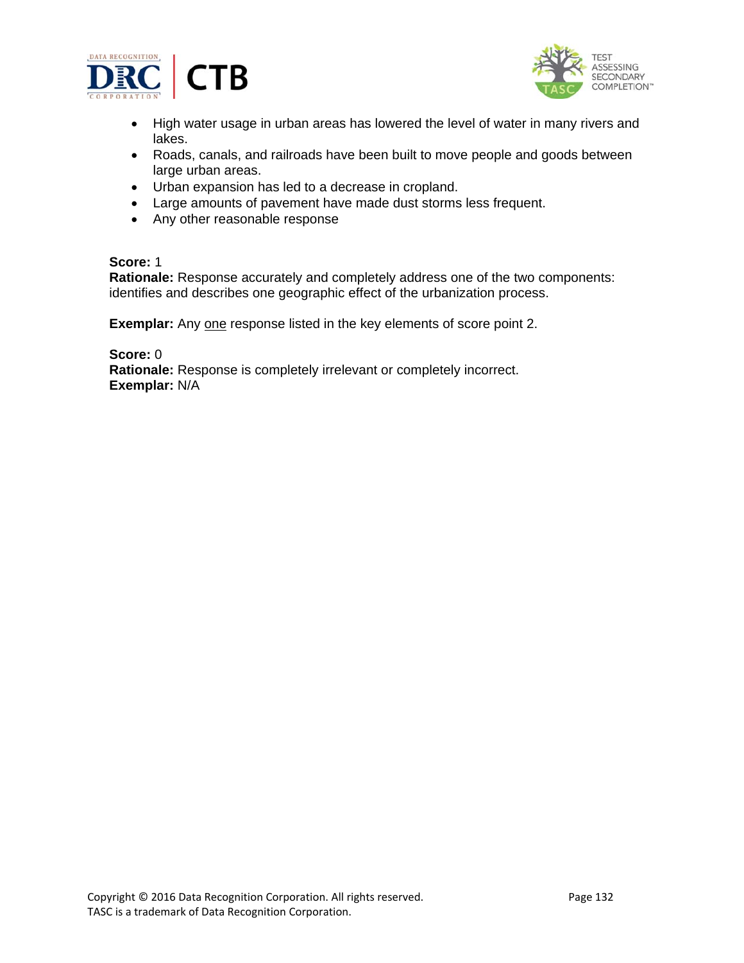



- High water usage in urban areas has lowered the level of water in many rivers and lakes.
- Roads, canals, and railroads have been built to move people and goods between large urban areas.
- Urban expansion has led to a decrease in cropland.
- Large amounts of pavement have made dust storms less frequent.
- Any other reasonable response

#### **Score:** 1

**Rationale:** Response accurately and completely address one of the two components: identifies and describes one geographic effect of the urbanization process.

**Exemplar:** Any one response listed in the key elements of score point 2.

**Score:** 0 **Rationale:** Response is completely irrelevant or completely incorrect. **Exemplar:** N/A